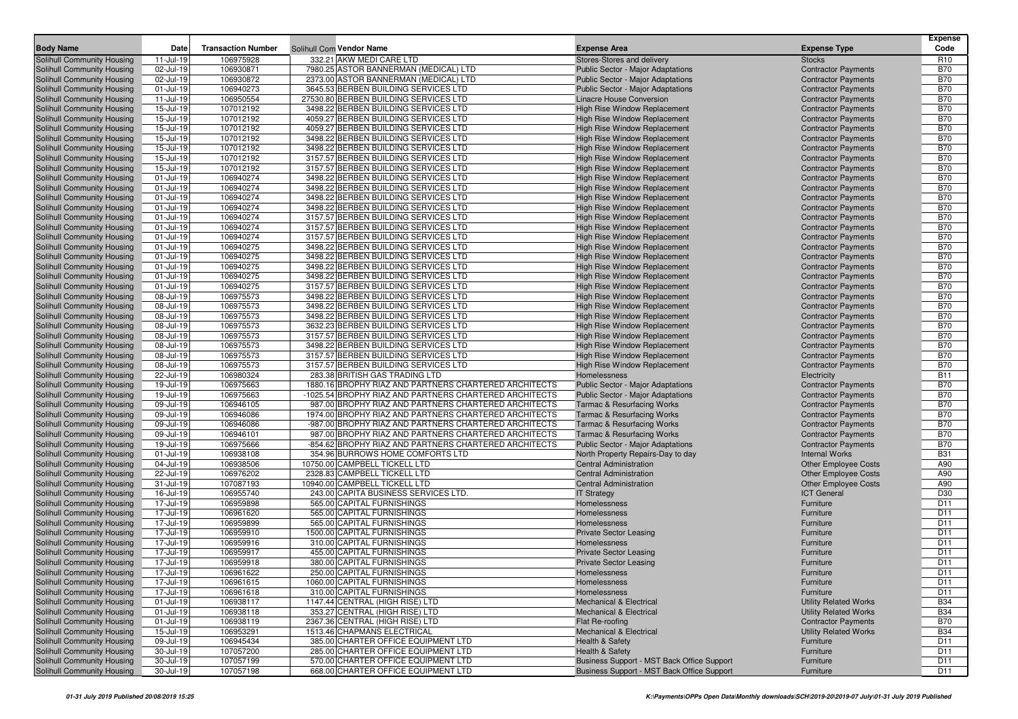|                                                          |                        |                           |                                                                              |                                                                            |                                                          | <b>Expense</b>           |
|----------------------------------------------------------|------------------------|---------------------------|------------------------------------------------------------------------------|----------------------------------------------------------------------------|----------------------------------------------------------|--------------------------|
| <b>Body Name</b>                                         | Date                   | <b>Transaction Number</b> | Solihull Com Vendor Name                                                     | <b>Expense Area</b>                                                        | <b>Expense Type</b>                                      | Code                     |
| Solihull Community Housing                               | 11-Jul-19              | 106975928                 | 332.21 AKW MEDI CARE LTD                                                     | Stores-Stores and delivery                                                 | <b>Stocks</b>                                            | R <sub>10</sub>          |
| Solihull Community Housing                               | 02-Jul-19              | 106930871                 | 7980.25 ASTOR BANNERMAN (MEDICAL) LTD                                        | <b>Public Sector - Major Adaptations</b>                                   | <b>Contractor Payments</b>                               | <b>B70</b>               |
| Solihull Community Housing                               | 02-Jul-19              | 106930872                 | 2373.00 ASTOR BANNERMAN (MEDICAL) LTD                                        | <b>Public Sector - Major Adaptations</b>                                   | <b>Contractor Payments</b>                               | <b>B70</b>               |
| Solihull Community Housing                               | 01-Jul-19              | 106940273                 | 3645.53 BERBEN BUILDING SERVICES LTD                                         | <b>Public Sector - Major Adaptations</b>                                   | <b>Contractor Payments</b>                               | <b>B70</b>               |
| Solihull Community Housing                               | 11-Jul-19              | 106950554                 | 27530.80 BERBEN BUILDING SERVICES LTD                                        | Linacre House Conversion                                                   | <b>Contractor Payments</b>                               | <b>B70</b>               |
| Solihull Community Housing                               | 15-Jul-19              | 107012192                 | 3498.22 BERBEN BUILDING SERVICES LTD                                         | <b>High Rise Window Replacement</b>                                        | <b>Contractor Payments</b>                               | <b>B70</b>               |
| Solihull Community Housing                               | 15-Jul-19              | 107012192                 | 4059.27 BERBEN BUILDING SERVICES LTD                                         | High Rise Window Replacement                                               | <b>Contractor Payments</b>                               | <b>B70</b>               |
| Solihull Community Housing                               | 15-Jul-19              | 107012192                 | 4059.27 BERBEN BUILDING SERVICES LTD                                         | <b>High Rise Window Replacement</b>                                        | <b>Contractor Payments</b>                               | <b>B70</b>               |
| Solihull Community Housing                               | 15-Jul-19              | 107012192                 | 3498.22 BERBEN BUILDING SERVICES LTD                                         | <b>High Rise Window Replacement</b>                                        | <b>Contractor Payments</b>                               | <b>B70</b>               |
| Solihull Community Housing                               | 15-Jul-19              | 107012192                 | 3498.22 BERBEN BUILDING SERVICES LTD                                         | <b>High Rise Window Replacement</b>                                        | <b>Contractor Payments</b>                               | <b>B70</b>               |
| Solihull Community Housing                               | 15-Jul-19              | 107012192                 | 3157.57 BERBEN BUILDING SERVICES LTD                                         | <b>High Rise Window Replacement</b>                                        | <b>Contractor Payments</b>                               | <b>B70</b>               |
| Solihull Community Housing                               | 15-Jul-19              | 107012192                 | 3157.57 BERBEN BUILDING SERVICES LTD                                         | <b>High Rise Window Replacement</b>                                        | <b>Contractor Payments</b>                               | <b>B70</b>               |
| Solihull Community Housing                               | 01-Jul-19              | 106940274                 | 3498.22 BERBEN BUILDING SERVICES LTD                                         | <b>High Rise Window Replacement</b>                                        | <b>Contractor Payments</b>                               | <b>B70</b>               |
| Solihull Community Housing                               | 01-Jul-19              | 106940274                 | 3498.22 BERBEN BUILDING SERVICES LTD                                         | <b>High Rise Window Replacement</b>                                        | <b>Contractor Payments</b>                               | <b>B70</b>               |
| Solihull Community Housing                               | 01-Jul-19              | 106940274                 | 3498.22 BERBEN BUILDING SERVICES LTD                                         | High Rise Window Replacement                                               | <b>Contractor Payments</b>                               | <b>B70</b>               |
| Solihull Community Housing                               | 01-Jul-19              | 106940274                 | 3498.22 BERBEN BUILDING SERVICES LTD                                         | <b>High Rise Window Replacement</b>                                        | <b>Contractor Payments</b>                               | <b>B70</b>               |
| Solihull Community Housing                               | 01-Jul-19              | 106940274                 | 3157.57 BERBEN BUILDING SERVICES LTD                                         | <b>High Rise Window Replacement</b>                                        | <b>Contractor Payments</b>                               | <b>B70</b>               |
| Solihull Community Housing                               | 01-Jul-19              | 106940274                 | 3157.57 BERBEN BUILDING SERVICES LTD                                         | High Rise Window Replacement                                               | <b>Contractor Payments</b>                               | <b>B70</b>               |
| Solihull Community Housing                               | 01-Jul-19              | 106940274                 | 3157.57 BERBEN BUILDING SERVICES LTD                                         | <b>High Rise Window Replacement</b>                                        | <b>Contractor Payments</b>                               | <b>B70</b>               |
| Solihull Community Housing                               | 01-Jul-19              | 106940275<br>106940275    | 3498.22 BERBEN BUILDING SERVICES LTD<br>3498.22 BERBEN BUILDING SERVICES LTD | <b>High Rise Window Replacement</b>                                        | <b>Contractor Payments</b>                               | <b>B70</b><br><b>B70</b> |
| Solihull Community Housing<br>Solihull Community Housing | 01-Jul-19<br>01-Jul-19 | 106940275                 | 3498.22 BERBEN BUILDING SERVICES LTD                                         | <b>High Rise Window Replacement</b><br><b>High Rise Window Replacement</b> | <b>Contractor Payments</b>                               | <b>B70</b>               |
| Solihull Community Housing                               | 01-Jul-19              | 106940275                 | 3498.22 BERBEN BUILDING SERVICES LTD                                         | <b>High Rise Window Replacement</b>                                        | <b>Contractor Payments</b>                               | <b>B70</b>               |
| Solihull Community Housing                               | 01-Jul-19              | 106940275                 | 3157.57 BERBEN BUILDING SERVICES LTD                                         | <b>High Rise Window Replacement</b>                                        | <b>Contractor Payments</b><br><b>Contractor Payments</b> | <b>B70</b>               |
| Solihull Community Housing                               | 08-Jul-19              | 106975573                 | 3498.22 BERBEN BUILDING SERVICES LTD                                         | <b>High Rise Window Replacement</b>                                        | <b>Contractor Payments</b>                               | <b>B70</b>               |
| Solihull Community Housing                               | 08-Jul-19              | 106975573                 | 3498.22 BERBEN BUILDING SERVICES LTD                                         | <b>High Rise Window Replacement</b>                                        | <b>Contractor Payments</b>                               | <b>B70</b>               |
| Solihull Community Housing                               | 08-Jul-19              | 106975573                 | 3498.22 BERBEN BUILDING SERVICES LTD                                         | <b>High Rise Window Replacement</b>                                        | <b>Contractor Payments</b>                               | <b>B70</b>               |
| Solihull Community Housing                               | 08-Jul-19              | 106975573                 | 3632.23 BERBEN BUILDING SERVICES LTD                                         | <b>High Rise Window Replacement</b>                                        | <b>Contractor Payments</b>                               | <b>B70</b>               |
| Solihull Community Housing                               | 08-Jul-19              | 106975573                 | 3157.57 BERBEN BUILDING SERVICES LTD                                         | <b>High Rise Window Replacement</b>                                        | <b>Contractor Payments</b>                               | <b>B70</b>               |
| Solihull Community Housing                               | 08-Jul-19              | 106975573                 | 3498.22 BERBEN BUILDING SERVICES LTD                                         | <b>High Rise Window Replacement</b>                                        | <b>Contractor Payments</b>                               | <b>B70</b>               |
| Solihull Community Housing                               | 08-Jul-19              | 106975573                 | 3157.57 BERBEN BUILDING SERVICES LTD                                         | <b>High Rise Window Replacement</b>                                        | <b>Contractor Payments</b>                               | <b>B70</b>               |
| Solihull Community Housing                               | 08-Jul-19              | 106975573                 | 3157.57 BERBEN BUILDING SERVICES LTD                                         | <b>High Rise Window Replacement</b>                                        | <b>Contractor Payments</b>                               | <b>B70</b>               |
| Solihull Community Housing                               | 22-Jul-19              | 106980324                 | 283.38 BRITISH GAS TRADING LTD                                               | Homelessness                                                               | Electricity                                              | <b>B11</b>               |
| Solihull Community Housing                               | 19-Jul-19              | 106975663                 | 1880.16 BROPHY RIAZ AND PARTNERS CHARTERED ARCHITECTS                        | Public Sector - Major Adaptations                                          | <b>Contractor Payments</b>                               | <b>B70</b>               |
| Solihull Community Housing                               | 19-Jul-19              | 106975663                 | -1025.54 BROPHY RIAZ AND PARTNERS CHARTERED ARCHITECTS                       | <b>Public Sector - Major Adaptations</b>                                   | <b>Contractor Payments</b>                               | <b>B70</b>               |
| Solihull Community Housing                               | 09-Jul-19              | 106946105                 | 987.00 BROPHY RIAZ AND PARTNERS CHARTERED ARCHITECTS                         | <b>Tarmac &amp; Resurfacing Works</b>                                      | <b>Contractor Payments</b>                               | <b>B70</b>               |
| Solihull Community Housing                               | 09-Jul-19              | 106946086                 | 1974.00 BROPHY RIAZ AND PARTNERS CHARTERED ARCHITECTS                        | <b>Tarmac &amp; Resurfacing Works</b>                                      | <b>Contractor Payments</b>                               | <b>B70</b>               |
| Solihull Community Housing                               | 09-Jul-19              | 106946086                 | -987.00 BROPHY RIAZ AND PARTNERS CHARTERED ARCHITECTS                        | <b>Tarmac &amp; Resurfacing Works</b>                                      | <b>Contractor Payments</b>                               | <b>B70</b>               |
| Solihull Community Housing                               | 09-Jul-19              | 106946101                 | 987.00 BROPHY RIAZ AND PARTNERS CHARTERED ARCHITECTS                         | <b>Tarmac &amp; Resurfacing Works</b>                                      | <b>Contractor Payments</b>                               | <b>B70</b>               |
| Solihull Community Housing                               | 19-Jul-19              | 106975666                 | -854.62 BROPHY RIAZ AND PARTNERS CHARTERED ARCHITECTS                        | Public Sector - Major Adaptations                                          | <b>Contractor Payments</b>                               | <b>B70</b>               |
| Solihull Community Housing                               | 01-Jul-19              | 106938108                 | 354.96 BURROWS HOME COMFORTS LTD                                             | North Property Repairs-Day to day                                          | <b>Internal Works</b>                                    | <b>B31</b>               |
| Solihull Community Housing                               | 04-Jul-19              | 106938506                 | 10750.00 CAMPBELL TICKELL LTD                                                | <b>Central Administration</b>                                              | <b>Other Employee Costs</b>                              | A90                      |
| Solihull Community Housing                               | 22-Jul-19              | 106976202                 | 2328.83 CAMPBELL TICKELL LTD                                                 | <b>Central Administration</b>                                              | <b>Other Employee Costs</b>                              | A90                      |
| Solihull Community Housing                               | 31-Jul-19              | 107087193                 | 10940.00 CAMPBELL TICKELL LTD                                                | Central Administration                                                     | <b>Other Employee Costs</b>                              | A90                      |
| Solihull Community Housing                               | 16-Jul-19              | 106955740                 | 243.00 CAPITA BUSINESS SERVICES LTD.                                         | <b>IT Strategy</b>                                                         | <b>ICT General</b>                                       | D30                      |
| Solihull Community Housing                               | 17-Jul-19              | 106959898                 | 565.00 CAPITAL FURNISHINGS                                                   | Homelessness                                                               | Furniture                                                | D <sub>11</sub>          |
| Solihull Community Housing                               | 17-Jul-19              | 106961620                 | 565.00 CAPITAL FURNISHINGS                                                   | Homelessness                                                               | Furniture                                                | D <sub>11</sub>          |
| Solihull Community Housing                               | 17-Jul-19              | 106959899                 | 565.00 CAPITAL FURNISHINGS                                                   | Homelessness                                                               | Furniture                                                | D <sub>11</sub>          |
| Solihull Community Housing                               | 17-Jul-19              | 106959910                 | 1500.00 CAPITAL FURNISHINGS                                                  | <b>Private Sector Leasing</b>                                              | Furniture                                                | D <sub>11</sub>          |
| Solihull Community Housing                               | 17-Jul-19              | 106959916                 | 310.00 CAPITAL FURNISHINGS                                                   | Homelessness                                                               | Furniture                                                | D <sub>11</sub>          |
| Solihull Community Housing                               | 17-Jul-19              | 106959917                 | 455.00 CAPITAL FURNISHINGS                                                   | <b>Private Sector Leasing</b>                                              | Furniture                                                | D11                      |
| Solihull Community Housing                               | 17-Jul-19              | 106959918                 | 380.00 CAPITAL FURNISHINGS                                                   | <b>Private Sector Leasing</b>                                              | Furniture                                                | D <sub>11</sub>          |
| Solihull Community Housing                               | 17-Jul-19              | 106961622                 | 250.00 CAPITAL FURNISHINGS                                                   | Homelessness                                                               | Furniture                                                | D11                      |
| Solihull Community Housing                               | 17-Jul-19              | 106961615                 | 1060.00 CAPITAL FURNISHINGS                                                  | Homelessness                                                               | Furniture                                                | D11                      |
| Solihull Community Housing                               | 17-Jul-19              | 106961618                 | 310.00 CAPITAL FURNISHINGS                                                   | Homelessness                                                               | Furniture                                                | D11                      |
| Solihull Community Housing                               | 01-Jul-19              | 106938117                 | 1147.44 CENTRAL (HIGH RISE) LTD                                              | Mechanical & Electrical                                                    | <b>Utility Related Works</b>                             | <b>B34</b>               |
| Solihull Community Housing                               | $01 -$ Jul-19          | 106938118                 | 353.27 CENTRAL (HIGH RISE) LTD                                               | <b>Mechanical &amp; Electrical</b>                                         | <b>Utility Related Works</b>                             | <b>B34</b>               |
| Solihull Community Housing                               | 01-Jul-19              | 106938119                 | 2367.36 CENTRAL (HIGH RISE) LTD                                              | Flat Re-roofing                                                            | <b>Contractor Payments</b>                               | <b>B70</b>               |
| Solihull Community Housing                               | 15-Jul-19              | 106953291                 | 1513.46 CHAPMANS ELECTRICAL                                                  | Mechanical & Electrical                                                    | <b>Utility Related Works</b>                             | <b>B34</b>               |
| Solihull Community Housing                               | 09-Jul-19              | 106945434                 | 385.00 CHARTER OFFICE EQUIPMENT LTD                                          | Health & Safety                                                            | Furniture                                                | D11                      |
| Solihull Community Housing                               | 30-Jul-19              | 107057200                 | 285.00 CHARTER OFFICE EQUIPMENT LTD                                          | Health & Safety                                                            | Furniture                                                | D <sub>11</sub>          |
| Solihull Community Housing                               | 30-Jul-19              | 107057199                 | 570.00 CHARTER OFFICE EQUIPMENT LTD                                          | Business Support - MST Back Office Support                                 | Furniture                                                | D11                      |
| Solihull Community Housing                               | 30-Jul-19              | 107057198                 | 668.00 CHARTER OFFICE EQUIPMENT LTD                                          | Business Support - MST Back Office Support                                 | Furniture                                                | D11                      |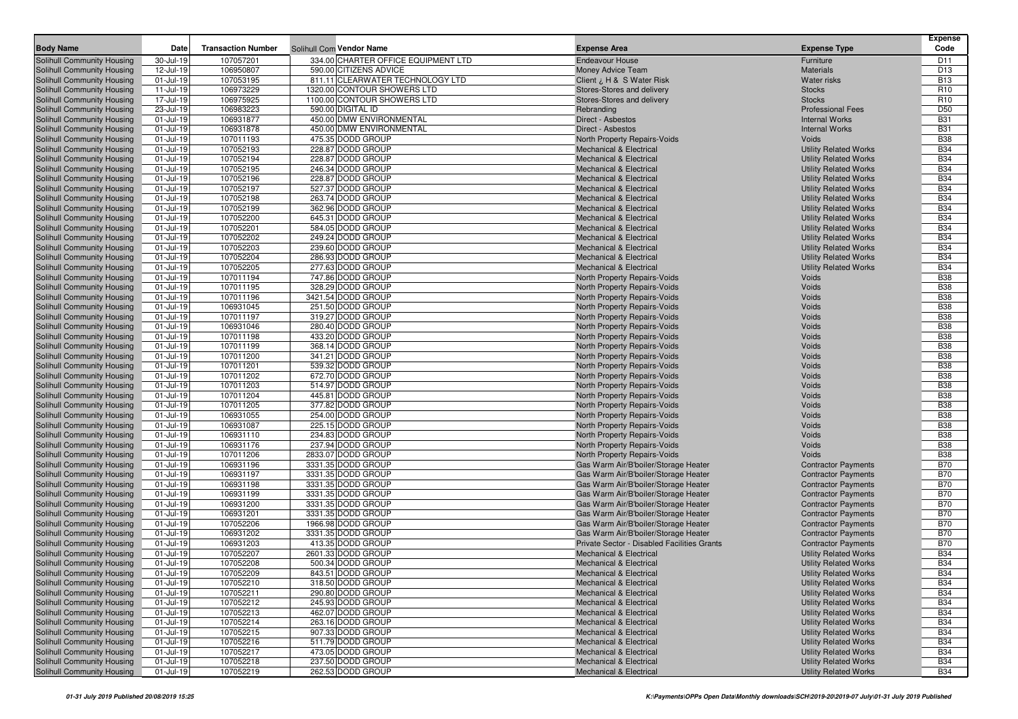| <b>Body Name</b>                                         | Date                           | <b>Transaction Number</b> |                                                               | <b>Expense Area</b>                                                          |                                                              | Expense<br>Code               |
|----------------------------------------------------------|--------------------------------|---------------------------|---------------------------------------------------------------|------------------------------------------------------------------------------|--------------------------------------------------------------|-------------------------------|
|                                                          |                                |                           | Solihull Com Vendor Name                                      |                                                                              | <b>Expense Type</b>                                          |                               |
| Solihull Community Housing<br>Solihull Community Housing | 30-Jul-19                      | 107057201                 | 334.00 CHARTER OFFICE EQUIPMENT LTD<br>590.00 CITIZENS ADVICE | <b>Endeavour House</b>                                                       | Furniture                                                    | D <sub>11</sub>               |
| Solihull Community Housing                               | 12-Jul-19<br>01-Jul-19         | 106950807<br>107053195    | 811.11 CLEARWATER TECHNOLOGY LTD                              | Money Advice Team                                                            | <b>Materials</b><br><b>Water risks</b>                       | D <sub>13</sub><br><b>B13</b> |
| Solihull Community Housing                               | 11-Jul-19                      | 106973229                 | 1320.00 CONTOUR SHOWERS LTD                                   | Client ¿ H & S Water Risk<br>Stores-Stores and delivery                      | <b>Stocks</b>                                                | R <sub>10</sub>               |
| Solihull Community Housing                               | 17-Jul-19                      | 106975925                 | 1100.00 CONTOUR SHOWERS LTD                                   | Stores-Stores and delivery                                                   | <b>Stocks</b>                                                | R <sub>10</sub>               |
| Solihull Community Housing                               | 23-Jul-19                      | 106983223                 | 590.00 DIGITAL ID                                             | Rebranding                                                                   | <b>Professional Fees</b>                                     | D <sub>50</sub>               |
| Solihull Community Housing                               | 01-Jul-19                      | 106931877                 | 450.00 DMW ENVIRONMENTAL                                      | Direct - Asbestos                                                            | <b>Internal Works</b>                                        | <b>B31</b>                    |
| Solihull Community Housing                               | 01-Jul-19                      | 106931878                 | 450.00 DMW ENVIRONMENTAL                                      | Direct - Asbestos                                                            | <b>Internal Works</b>                                        | <b>B31</b>                    |
| Solihull Community Housing                               | $01$ -Jul-19                   | 107011193                 | 475.35 DODD GROUP                                             | North Property Repairs-Voids                                                 | Voids                                                        | <b>B38</b>                    |
| Solihull Community Housing                               | 01-Jul-19                      | 107052193                 | 228.87 DODD GROUP                                             | <b>Mechanical &amp; Electrical</b>                                           | <b>Utility Related Works</b>                                 | <b>B34</b>                    |
| Solihull Community Housing                               | 01-Jul-19                      | 107052194                 | 228.87 DODD GROUP                                             | <b>Mechanical &amp; Electrical</b>                                           | <b>Utility Related Works</b>                                 | <b>B34</b>                    |
| Solihull Community Housing                               | 01-Jul-19                      | 107052195                 | 246.34 DODD GROUP                                             | <b>Mechanical &amp; Electrical</b>                                           | <b>Utility Related Works</b>                                 | <b>B34</b>                    |
| Solihull Community Housing                               | 01-Jul-19                      | 107052196                 | 228.87 DODD GROUP                                             | <b>Mechanical &amp; Electrical</b>                                           | <b>Utility Related Works</b>                                 | <b>B34</b>                    |
| Solihull Community Housing                               | 01-Jul-19                      | 107052197                 | 527.37 DODD GROUP                                             | Mechanical & Electrical                                                      | <b>Utility Related Works</b>                                 | <b>B34</b>                    |
| Solihull Community Housing                               | 01-Jul-19                      | 107052198                 | 263.74 DODD GROUP                                             | <b>Mechanical &amp; Electrical</b>                                           | <b>Utility Related Works</b>                                 | <b>B34</b>                    |
| Solihull Community Housing                               | 01-Jul-19                      | 107052199                 | 362.96 DODD GROUP                                             | Mechanical & Electrical                                                      | <b>Utility Related Works</b>                                 | <b>B34</b>                    |
| Solihull Community Housing                               | 01-Jul-19                      | 107052200                 | 645.31 DODD GROUP                                             | <b>Mechanical &amp; Electrical</b>                                           | <b>Utility Related Works</b>                                 | <b>B34</b>                    |
| Solihull Community Housing                               | 01-Jul-19                      | 107052201                 | 584.05 DODD GROUP                                             | <b>Mechanical &amp; Electrical</b>                                           | <b>Utility Related Works</b>                                 | <b>B34</b>                    |
| Solihull Community Housing                               | 01-Jul-19                      | 107052202                 | 249.24 DODD GROUP                                             | <b>Mechanical &amp; Electrical</b>                                           | <b>Utility Related Works</b>                                 | <b>B34</b>                    |
| Solihull Community Housing                               | 01-Jul-19                      | 107052203                 | 239.60 DODD GROUP                                             | <b>Mechanical &amp; Electrical</b>                                           | <b>Utility Related Works</b>                                 | <b>B34</b>                    |
| Solihull Community Housing                               | 01-Jul-19                      | 107052204                 | 286.93 DODD GROUP                                             | <b>Mechanical &amp; Electrical</b>                                           | <b>Utility Related Works</b>                                 | <b>B34</b>                    |
| Solihull Community Housing                               | 01-Jul-19<br>01-Jul-19         | 107052205                 | 277.63 DODD GROUP<br>747.86 DODD GROUP                        | <b>Mechanical &amp; Electrical</b>                                           | <b>Utility Related Works</b>                                 | <b>B34</b><br><b>B38</b>      |
| Solihull Community Housing<br>Solihull Community Housing | 01-Jul-19                      | 107011194<br>107011195    | 328.29 DODD GROUP                                             | North Property Repairs-Voids<br>North Property Repairs-Voids                 | Voids<br>Voids                                               | <b>B38</b>                    |
| Solihull Community Housing                               | 01-Jul-19                      | 107011196                 | 3421.54 DODD GROUP                                            | North Property Repairs-Voids                                                 | Voids                                                        | <b>B38</b>                    |
| Solihull Community Housing                               | 01-Jul-19                      | 106931045                 | 251.50 DODD GROUP                                             | North Property Repairs-Voids                                                 | Voids                                                        | <b>B38</b>                    |
| Solihull Community Housing                               | 01-Jul-19                      | 107011197                 | 319.27 DODD GROUP                                             | North Property Repairs-Voids                                                 | Voids                                                        | <b>B38</b>                    |
| Solihull Community Housing                               | 01-Jul-19                      | 106931046                 | 280.40 DODD GROUP                                             | North Property Repairs-Voids                                                 | Voids                                                        | <b>B38</b>                    |
| Solihull Community Housing                               | 01-Jul-19                      | 107011198                 | 433.20 DODD GROUP                                             | North Property Repairs-Voids                                                 | Voids                                                        | <b>B38</b>                    |
| <b>Solihull Community Housing</b>                        | 01-Jul-19                      | 107011199                 | 368.14 DODD GROUP                                             | North Property Repairs-Voids                                                 | Voids                                                        | <b>B38</b>                    |
| Solihull Community Housing                               | 01-Jul-19                      | 107011200                 | 341.21 DODD GROUP                                             | North Property Repairs-Voids                                                 | Voids                                                        | <b>B38</b>                    |
| Solihull Community Housing                               | 01-Jul-19                      | 107011201                 | 539.32 DODD GROUP                                             | North Property Repairs-Voids                                                 | Voids                                                        | <b>B38</b>                    |
| Solihull Community Housing                               | 01-Jul-19                      | 107011202                 | 672.70 DODD GROUP                                             | North Property Repairs-Voids                                                 | Voids                                                        | <b>B38</b>                    |
| Solihull Community Housing                               | 01-Jul-19                      | 107011203                 | 514.97 DODD GROUP                                             | North Property Repairs-Voids                                                 | Voids                                                        | <b>B38</b>                    |
| Solihull Community Housing                               | 01-Jul-19                      | 107011204                 | 445.81 DODD GROUP                                             | North Property Repairs-Voids                                                 | Voids                                                        | <b>B38</b>                    |
| Solihull Community Housing                               | 01-Jul-19                      | 107011205                 | 377.82 DODD GROUP                                             | North Property Repairs-Voids                                                 | Voids                                                        | <b>B38</b>                    |
| Solihull Community Housing                               | 01-Jul-19                      | 106931055                 | 254.00 DODD GROUP                                             | North Property Repairs-Voids                                                 | Voids                                                        | <b>B38</b>                    |
| Solihull Community Housing                               | 01-Jul-19                      | 106931087                 | 225.15 DODD GROUP                                             | North Property Repairs-Voids                                                 | Voids                                                        | <b>B38</b>                    |
| Solihull Community Housing                               | 01-Jul-19                      | 106931110                 | 234.83 DODD GROUP                                             | North Property Repairs-Voids                                                 | Voids                                                        | <b>B38</b>                    |
| <b>Solihull Community Housing</b>                        | 01-Jul-19                      | 106931176                 | 237.94 DODD GROUP                                             | North Property Repairs-Voids                                                 | Voids                                                        | <b>B38</b>                    |
| Solihull Community Housing                               | 01-Jul-19<br>01-Jul-19         | 107011206<br>106931196    | 2833.07 DODD GROUP<br>3331.35 DODD GROUP                      | North Property Repairs-Voids                                                 | Voids                                                        | <b>B38</b><br><b>B70</b>      |
| Solihull Community Housing<br>Solihull Community Housing | 01-Jul-19                      | 106931197                 | 3331.35 DODD GROUP                                            | Gas Warm Air/B'boiler/Storage Heater<br>Gas Warm Air/B'boiler/Storage Heater | <b>Contractor Payments</b><br><b>Contractor Payments</b>     | <b>B70</b>                    |
| Solihull Community Housing                               | 01-Jul-19                      | 106931198                 | 3331.35 DODD GROUP                                            | Gas Warm Air/B'boiler/Storage Heater                                         | <b>Contractor Payments</b>                                   | <b>B70</b>                    |
| Solihull Community Housing                               | 01-Jul-19                      | 106931199                 | 3331.35 DODD GROUP                                            | Gas Warm Air/B'boiler/Storage Heater                                         | <b>Contractor Payments</b>                                   | <b>B70</b>                    |
| Solihull Community Housing                               | 01-Jul-19                      | 106931200                 | 3331.35 DODD GROUP                                            | Gas Warm Air/B'boiler/Storage Heater                                         | <b>Contractor Payments</b>                                   | <b>B70</b>                    |
| Solihull Community Housing                               | 01-Jul-19                      | 106931201                 | 3331.35 DODD GROUP                                            | Gas Warm Air/B'boiler/Storage Heater                                         | <b>Contractor Payments</b>                                   | <b>B70</b>                    |
| Solihull Community Housing                               | 01-Jul-19                      | 107052206                 | 1966.98 DODD GROUP                                            | Gas Warm Air/B'boiler/Storage Heater                                         | <b>Contractor Payments</b>                                   | <b>B70</b>                    |
| Solihull Community Housing                               | 01-Jul-19                      | 106931202                 | 3331.35 DODD GROUP                                            | Gas Warm Air/B'boiler/Storage Heater                                         | <b>Contractor Payments</b>                                   | <b>B70</b>                    |
| Solihull Community Housing                               | 01-Jul-19                      | 106931203                 | 413.35 DODD GROUP                                             | Private Sector - Disabled Facilities Grants                                  | <b>Contractor Payments</b>                                   | <b>B70</b>                    |
| Solihull Community Housing                               | 01-Jul-19                      | 107052207                 | 2601.33 DODD GROUP                                            | <b>Mechanical &amp; Electrical</b>                                           | <b>Utility Related Works</b>                                 | <b>B34</b>                    |
| Solihull Community Housing                               | 01-Jul-19                      | 107052208                 | 500.34 DODD GROUP                                             | <b>Mechanical &amp; Electrical</b>                                           | <b>Utility Related Works</b>                                 | <b>B34</b>                    |
| Solihull Community Housing                               | $01 -$ Jul-19                  | 107052209                 | 843.51 DODD GROUP                                             | <b>Mechanical &amp; Electrical</b>                                           | <b>Utility Related Works</b>                                 | <b>B34</b>                    |
| Solihull Community Housing                               | 01-Jul-19                      | 107052210                 | 318.50 DODD GROUP                                             | <b>Mechanical &amp; Electrical</b>                                           | <b>Utility Related Works</b>                                 | <b>B34</b>                    |
| Solihull Community Housing                               | $01$ -Jul-19                   | 107052211                 | 290.80 DODD GROUP                                             | Mechanical & Electrical                                                      | <b>Utility Related Works</b>                                 | <b>B34</b>                    |
| Solihull Community Housing                               | $01$ -Jul-19                   | 107052212                 | 245.93 DODD GROUP                                             | Mechanical & Electrical                                                      | <b>Utility Related Works</b>                                 | <b>B34</b>                    |
| Solihull Community Housing                               | $01 -$ Jul-19                  | 107052213                 | 462.07 DODD GROUP                                             | Mechanical & Electrical                                                      | <b>Utility Related Works</b>                                 | <b>B34</b>                    |
| Solihull Community Housing                               | $01 -$ Jul-19                  | 107052214                 | 263.16 DODD GROUP                                             | Mechanical & Electrical                                                      | <b>Utility Related Works</b>                                 | <b>B34</b>                    |
| Solihull Community Housing                               | 01-Jul-19                      | 107052215                 | 907.33 DODD GROUP                                             | Mechanical & Electrical                                                      | <b>Utility Related Works</b>                                 | <b>B34</b>                    |
| Solihull Community Housing                               | 01-Jul-19                      | 107052216                 | 511.79 DODD GROUP                                             | <b>Mechanical &amp; Electrical</b><br><b>Mechanical &amp; Electrical</b>     | <b>Utility Related Works</b>                                 | <b>B34</b>                    |
| Solihull Community Housing<br>Solihull Community Housing | $01 -$ Jul-19<br>$01 -$ Jul-19 | 107052217<br>107052218    | 473.05 DODD GROUP<br>237.50 DODD GROUP                        | Mechanical & Electrical                                                      | <b>Utility Related Works</b><br><b>Utility Related Works</b> | <b>B34</b><br><b>B34</b>      |
| Solihull Community Housing                               | 01-Jul-19                      | 107052219                 | 262.53 DODD GROUP                                             | Mechanical & Electrical                                                      | <b>Utility Related Works</b>                                 | B34                           |
|                                                          |                                |                           |                                                               |                                                                              |                                                              |                               |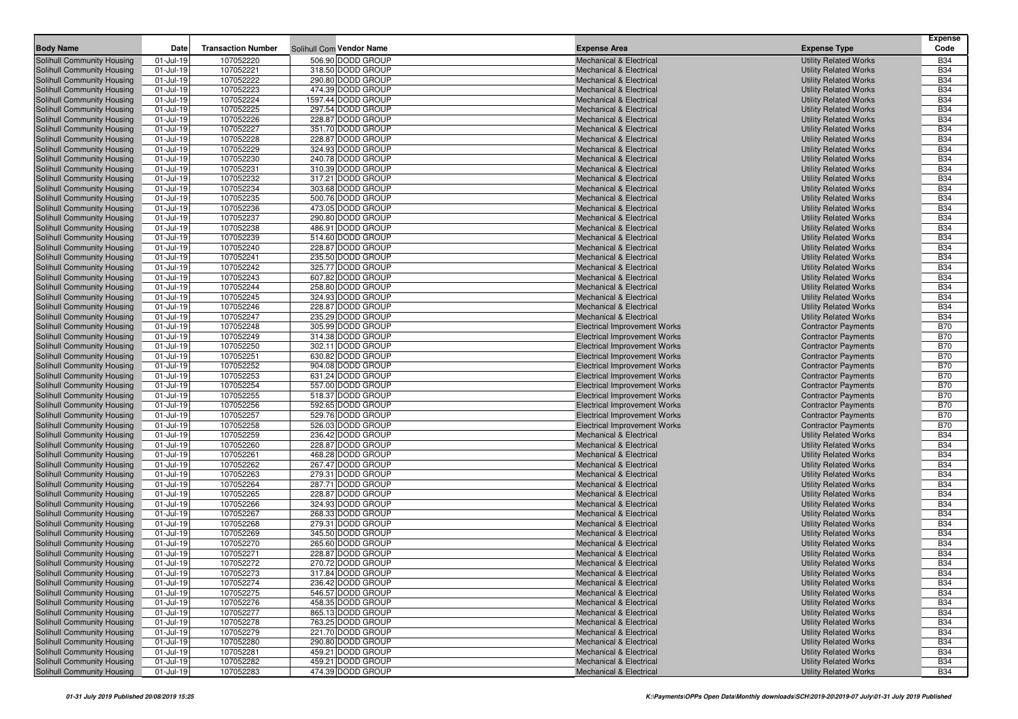| <b>Body Name</b>                                         | Date                   | <b>Transaction Number</b> | Solihull Com Vendor Name               | <b>Expense Area</b>                                                      | <b>Expense Type</b>                                          | <b>Expense</b><br>Code   |
|----------------------------------------------------------|------------------------|---------------------------|----------------------------------------|--------------------------------------------------------------------------|--------------------------------------------------------------|--------------------------|
| Solihull Community Housing                               | 01-Jul-19              | 107052220                 | 506.90 DODD GROUP                      | <b>Mechanical &amp; Electrical</b>                                       | <b>Utility Related Works</b>                                 | <b>B34</b>               |
| Solihull Community Housing                               | 01-Jul-19              | 107052221                 | 318.50 DODD GROUP                      | <b>Mechanical &amp; Electrical</b>                                       | <b>Utility Related Works</b>                                 | <b>B34</b>               |
| Solihull Community Housing                               | 01-Jul-19              | 107052222                 | 290.80 DODD GROUP                      | Mechanical & Electrical                                                  | <b>Utility Related Works</b>                                 | <b>B34</b>               |
| Solihull Community Housing                               | 01-Jul-19              | 107052223                 | 474.39 DODD GROUP                      | <b>Mechanical &amp; Electrical</b>                                       | <b>Utility Related Works</b>                                 | <b>B34</b>               |
| Solihull Community Housing                               | 01-Jul-19              | 107052224                 | 1597.44 DODD GROUP                     | <b>Mechanical &amp; Electrical</b>                                       | <b>Utility Related Works</b>                                 | <b>B34</b>               |
| Solihull Community Housing                               | 01-Jul-19              | 107052225                 | 297.54 DODD GROUP                      | <b>Mechanical &amp; Electrical</b>                                       | <b>Utility Related Works</b>                                 | <b>B34</b>               |
| Solihull Community Housing                               | 01-Jul-19              | 107052226                 | 228.87 DODD GROUP                      | <b>Mechanical &amp; Electrical</b>                                       | <b>Utility Related Works</b>                                 | <b>B34</b>               |
| Solihull Community Housing                               | 01-Jul-19              | 107052227                 | 351.70 DODD GROUP                      | <b>Mechanical &amp; Electrical</b>                                       | <b>Utility Related Works</b>                                 | <b>B34</b>               |
| Solihull Community Housing                               | 01-Jul-19              | 107052228                 | 228.87 DODD GROUP                      | <b>Mechanical &amp; Electrical</b>                                       | <b>Utility Related Works</b>                                 | <b>B34</b>               |
| Solihull Community Housing                               | 01-Jul-19              | 107052229                 | 324.93 DODD GROUP                      | Mechanical & Electrical                                                  | <b>Utility Related Works</b>                                 | <b>B34</b>               |
| Solihull Community Housing                               | 01-Jul-19              | 107052230                 | 240.78 DODD GROUP                      | <b>Mechanical &amp; Electrical</b>                                       | <b>Utility Related Works</b>                                 | <b>B34</b>               |
| Solihull Community Housing                               | 01-Jul-19              | 107052231                 | 310.39 DODD GROUP                      | <b>Mechanical &amp; Electrical</b>                                       | <b>Utility Related Works</b>                                 | <b>B34</b>               |
| Solihull Community Housing                               | 01-Jul-19              | 107052232                 | 317.21 DODD GROUP                      | <b>Mechanical &amp; Electrical</b>                                       | <b>Utility Related Works</b>                                 | <b>B34</b>               |
| Solihull Community Housing                               | 01-Jul-19              | 107052234                 | 303.68 DODD GROUP                      | Mechanical & Electrical                                                  | <b>Utility Related Works</b>                                 | <b>B34</b>               |
| Solihull Community Housing                               | 01-Jul-19              | 107052235                 | 500.76 DODD GROUP                      | <b>Mechanical &amp; Electrical</b>                                       | <b>Utility Related Works</b>                                 | <b>B34</b>               |
| Solihull Community Housing                               | 01-Jul-19              | 107052236                 | 473.05 DODD GROUP                      | <b>Mechanical &amp; Electrical</b>                                       | <b>Utility Related Works</b>                                 | <b>B34</b>               |
| Solihull Community Housing                               | 01-Jul-19              | 107052237                 | 290.80 DODD GROUP                      | <b>Mechanical &amp; Electrical</b>                                       | <b>Utility Related Works</b>                                 | <b>B34</b>               |
| Solihull Community Housing                               | 01-Jul-19              | 107052238                 | 486.91 DODD GROUP                      | <b>Mechanical &amp; Electrical</b>                                       | <b>Utility Related Works</b>                                 | <b>B34</b>               |
| Solihull Community Housing                               | 01-Jul-19              | 107052239                 | 514.60 DODD GROUP                      | Mechanical & Electrical                                                  | <b>Utility Related Works</b>                                 | <b>B34</b>               |
| Solihull Community Housing                               | 01-Jul-19              | 107052240                 | 228.87 DODD GROUP                      | <b>Mechanical &amp; Electrical</b>                                       | <b>Utility Related Works</b>                                 | <b>B34</b>               |
| Solihull Community Housing                               | 01-Jul-19              | 107052241                 | 235.50 DODD GROUP                      | Mechanical & Electrical                                                  | <b>Utility Related Works</b>                                 | <b>B34</b>               |
| Solihull Community Housing                               | 01-Jul-19              | 107052242                 | 325.77 DODD GROUP                      | <b>Mechanical &amp; Electrical</b>                                       | <b>Utility Related Works</b>                                 | <b>B34</b>               |
| Solihull Community Housing                               | 01-Jul-19              | 107052243                 | 607.82 DODD GROUP<br>258.80 DODD GROUP | Mechanical & Electrical                                                  | <b>Utility Related Works</b>                                 | <b>B34</b><br><b>B34</b> |
| Solihull Community Housing<br>Solihull Community Housing | 01-Jul-19<br>01-Jul-19 | 107052244<br>107052245    | 324.93 DODD GROUP                      | <b>Mechanical &amp; Electrical</b><br><b>Mechanical &amp; Electrical</b> | <b>Utility Related Works</b><br><b>Utility Related Works</b> | <b>B34</b>               |
| Solihull Community Housing                               | 01-Jul-19              | 107052246                 | 228.87 DODD GROUP                      | <b>Mechanical &amp; Electrical</b>                                       | <b>Utility Related Works</b>                                 | <b>B34</b>               |
| Solihull Community Housing                               | 01-Jul-19              | 107052247                 | 235.29 DODD GROUP                      | <b>Mechanical &amp; Electrical</b>                                       | <b>Utility Related Works</b>                                 | <b>B34</b>               |
| Solihull Community Housing                               | 01-Jul-19              | 107052248                 | 305.99 DODD GROUP                      | <b>Electrical Improvement Works</b>                                      | <b>Contractor Payments</b>                                   | <b>B70</b>               |
| Solihull Community Housing                               | 01-Jul-19              | 107052249                 | 314.38 DODD GROUP                      | <b>Electrical Improvement Works</b>                                      | <b>Contractor Payments</b>                                   | <b>B70</b>               |
| Solihull Community Housing                               | 01-Jul-19              | 107052250                 | 302.11 DODD GROUP                      | <b>Electrical Improvement Works</b>                                      | <b>Contractor Payments</b>                                   | <b>B70</b>               |
| Solihull Community Housing                               | 01-Jul-19              | 107052251                 | 630.82 DODD GROUP                      | <b>Electrical Improvement Works</b>                                      | <b>Contractor Payments</b>                                   | <b>B70</b>               |
| Solihull Community Housing                               | 01-Jul-19              | 107052252                 | 904.08 DODD GROUP                      | <b>Electrical Improvement Works</b>                                      | <b>Contractor Payments</b>                                   | <b>B70</b>               |
| Solihull Community Housing                               | 01-Jul-19              | 107052253                 | 631.24 DODD GROUP                      | <b>Electrical Improvement Works</b>                                      | <b>Contractor Payments</b>                                   | <b>B70</b>               |
| Solihull Community Housing                               | 01-Jul-19              | 107052254                 | 557.00 DODD GROUP                      | <b>Electrical Improvement Works</b>                                      | <b>Contractor Payments</b>                                   | <b>B70</b>               |
| Solihull Community Housing                               | 01-Jul-19              | 107052255                 | 518.37 DODD GROUP                      | <b>Electrical Improvement Works</b>                                      | <b>Contractor Payments</b>                                   | <b>B70</b>               |
| Solihull Community Housing                               | 01-Jul-19              | 107052256                 | 592.65 DODD GROUP                      | <b>Electrical Improvement Works</b>                                      | <b>Contractor Payments</b>                                   | <b>B70</b>               |
| Solihull Community Housing                               | 01-Jul-19              | 107052257                 | 529.76 DODD GROUP                      | <b>Electrical Improvement Works</b>                                      | <b>Contractor Payments</b>                                   | <b>B70</b>               |
| Solihull Community Housing                               | 01-Jul-19              | 107052258                 | 526.03 DODD GROUP                      | <b>Electrical Improvement Works</b>                                      | <b>Contractor Payments</b>                                   | <b>B70</b>               |
| Solihull Community Housing                               | 01-Jul-19              | 107052259                 | 236.42 DODD GROUP                      | <b>Mechanical &amp; Electrical</b>                                       | <b>Utility Related Works</b>                                 | <b>B34</b>               |
| Solihull Community Housing                               | 01-Jul-19              | 107052260                 | 228.87 DODD GROUP                      | <b>Mechanical &amp; Electrical</b>                                       | <b>Utility Related Works</b>                                 | <b>B34</b>               |
| Solihull Community Housing                               | 01-Jul-19              | 107052261                 | 468.28 DODD GROUP                      | <b>Mechanical &amp; Electrical</b>                                       | <b>Utility Related Works</b>                                 | <b>B34</b>               |
| Solihull Community Housing                               | 01-Jul-19              | 107052262                 | 267.47 DODD GROUP                      | <b>Mechanical &amp; Electrical</b>                                       | <b>Utility Related Works</b>                                 | <b>B34</b>               |
| Solihull Community Housing<br>Solihull Community Housing | 01-Jul-19<br>01-Jul-19 | 107052263<br>107052264    | 279.31 DODD GROUP<br>287.71 DODD GROUP | <b>Mechanical &amp; Electrical</b><br>Mechanical & Electrical            | <b>Utility Related Works</b>                                 | <b>B34</b><br><b>B34</b> |
| Solihull Community Housing                               | 01-Jul-19              | 107052265                 | 228.87 DODD GROUP                      | <b>Mechanical &amp; Electrical</b>                                       | <b>Utility Related Works</b><br><b>Utility Related Works</b> | <b>B34</b>               |
| Solihull Community Housing                               | 01-Jul-19              | 107052266                 | 324.93 DODD GROUP                      | Mechanical & Electrical                                                  | <b>Utility Related Works</b>                                 | <b>B34</b>               |
| Solihull Community Housing                               | 01-Jul-19              | 107052267                 | 268.33 DODD GROUP                      | <b>Mechanical &amp; Electrical</b>                                       | <b>Utility Related Works</b>                                 | <b>B34</b>               |
| Solihull Community Housing                               | 01-Jul-19              | 107052268                 | 279.31 DODD GROUP                      | <b>Mechanical &amp; Electrical</b>                                       | <b>Utility Related Works</b>                                 | <b>B34</b>               |
| Solihull Community Housing                               | 01-Jul-19              | 107052269                 | 345.50 DODD GROUP                      | <b>Mechanical &amp; Electrical</b>                                       | <b>Utility Related Works</b>                                 | <b>B34</b>               |
| Solihull Community Housing                               | 01-Jul-19              | 107052270                 | 265.60 DODD GROUP                      | <b>Mechanical &amp; Electrical</b>                                       | <b>Utility Related Works</b>                                 | <b>B34</b>               |
| Solihull Community Housing                               | 01-Jul-19              | 107052271                 | 228.87 DODD GROUP                      | <b>Mechanical &amp; Electrical</b>                                       | <b>Utility Related Works</b>                                 | <b>B34</b>               |
| Solihull Community Housing                               | 01-Jul-19              | 107052272                 | 270.72 DODD GROUP                      | <b>Mechanical &amp; Electrical</b>                                       | <b>Utility Related Works</b>                                 | <b>B34</b>               |
| Solihull Community Housing                               | 01-Jul-19              | 107052273                 | 317.84 DODD GROUP                      | <b>Mechanical &amp; Electrical</b>                                       | <b>Utility Related Works</b>                                 | <b>B34</b>               |
| <b>Solihull Community Housing</b>                        | 01-Jul-19              | 107052274                 | 236.42 DODD GROUP                      | <b>Mechanical &amp; Electrical</b>                                       | <b>Utility Related Works</b>                                 | <b>B34</b>               |
| Solihull Community Housing                               | 01-Jul-19              | 107052275                 | 546.57 DODD GROUP                      | <b>Mechanical &amp; Electrical</b>                                       | <b>Utility Related Works</b>                                 | <b>B34</b>               |
| Solihull Community Housing                               | 01-Jul-19              | 107052276                 | 458.35 DODD GROUP                      | Mechanical & Electrical                                                  | <b>Utility Related Works</b>                                 | <b>B34</b>               |
| Solihull Community Housing                               | 01-Jul-19              | 107052277                 | 865.13 DODD GROUP                      | <b>Mechanical &amp; Electrical</b>                                       | <b>Utility Related Works</b>                                 | <b>B34</b>               |
| Solihull Community Housing                               | 01-Jul-19              | 107052278                 | 763.25 DODD GROUP                      | Mechanical & Electrical                                                  | <b>Utility Related Works</b>                                 | <b>B34</b>               |
| Solihull Community Housing                               | 01-Jul-19              | 107052279                 | 221.70 DODD GROUP                      | <b>Mechanical &amp; Electrical</b>                                       | <b>Utility Related Works</b>                                 | <b>B34</b>               |
| Solihull Community Housing                               | 01-Jul-19              | 107052280                 | 290.80 DODD GROUP                      | Mechanical & Electrical                                                  | <b>Utility Related Works</b>                                 | <b>B34</b>               |
| Solihull Community Housing                               | 01-Jul-19              | 107052281                 | 459.21 DODD GROUP                      | Mechanical & Electrical                                                  | <b>Utility Related Works</b>                                 | <b>B34</b>               |
| Solihull Community Housing                               | 01-Jul-19              | 107052282                 | 459.21 DODD GROUP                      | Mechanical & Electrical                                                  | <b>Utility Related Works</b>                                 | <b>B34</b>               |
| Solihull Community Housing                               | $01 -$ Jul-19          | 107052283                 | 474.39 DODD GROUP                      | Mechanical & Electrical                                                  | <b>Utility Related Works</b>                                 | <b>B34</b>               |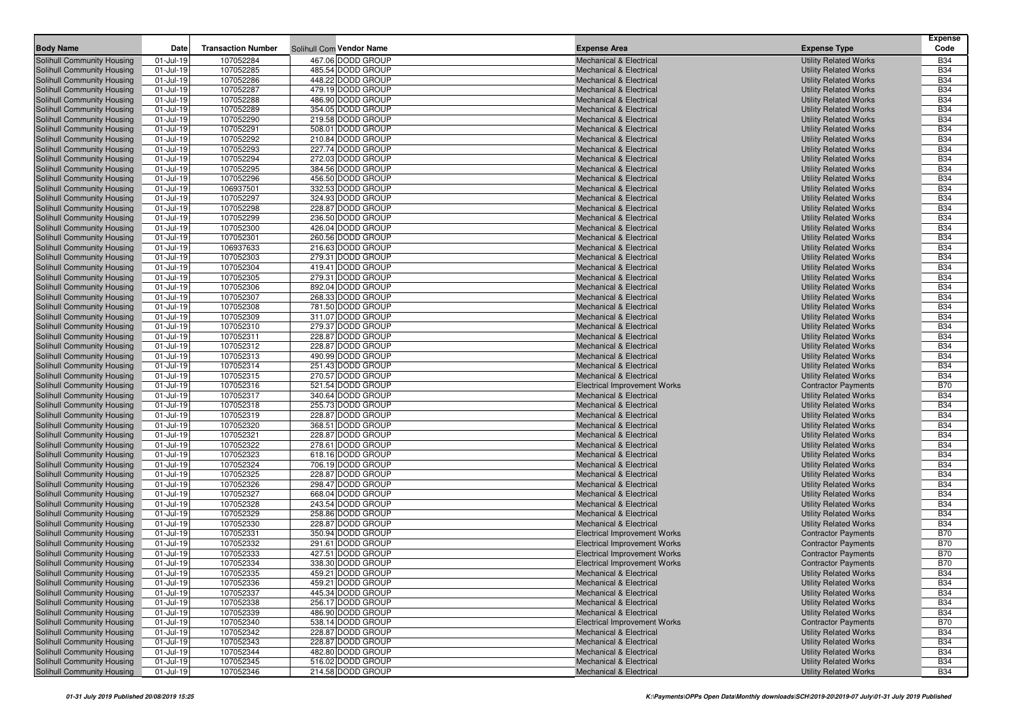| <b>Body Name</b>                                         | Date                   | <b>Transaction Number</b> | Solihull Com Vendor Name               | <b>Expense Area</b>                                                      | <b>Expense Type</b>                                          | <b>Expense</b><br>Code   |
|----------------------------------------------------------|------------------------|---------------------------|----------------------------------------|--------------------------------------------------------------------------|--------------------------------------------------------------|--------------------------|
|                                                          |                        |                           | 467.06 DODD GROUP                      |                                                                          |                                                              | <b>B34</b>               |
| Solihull Community Housing                               | $01$ -Jul-19           | 107052284<br>107052285    | 485.54 DODD GROUP                      | <b>Mechanical &amp; Electrical</b><br><b>Mechanical &amp; Electrical</b> | <b>Utility Related Works</b>                                 | <b>B34</b>               |
| Solihull Community Housing<br>Solihull Community Housing | 01-Jul-19<br>01-Jul-19 | 107052286                 | 448.22 DODD GROUP                      | <b>Mechanical &amp; Electrical</b>                                       | <b>Utility Related Works</b><br><b>Utility Related Works</b> | <b>B34</b>               |
| Solihull Community Housing                               | 01-Jul-19              | 107052287                 | 479.19 DODD GROUP                      | <b>Mechanical &amp; Electrical</b>                                       | <b>Utility Related Works</b>                                 | <b>B34</b>               |
| Solihull Community Housing                               | 01-Jul-19              | 107052288                 | 486.90 DODD GROUP                      | <b>Mechanical &amp; Electrical</b>                                       | <b>Utility Related Works</b>                                 | <b>B34</b>               |
| Solihull Community Housing                               | 01-Jul-19              | 107052289                 | 354.05 DODD GROUP                      | <b>Mechanical &amp; Electrical</b>                                       | <b>Utility Related Works</b>                                 | <b>B34</b>               |
| Solihull Community Housing                               | 01-Jul-19              | 107052290                 | 219.58 DODD GROUP                      | <b>Mechanical &amp; Electrical</b>                                       | <b>Utility Related Works</b>                                 | <b>B34</b>               |
| Solihull Community Housing                               | 01-Jul-19              | 107052291                 | 508.01 DODD GROUP                      | <b>Mechanical &amp; Electrical</b>                                       | <b>Utility Related Works</b>                                 | <b>B34</b>               |
| Solihull Community Housing                               | 01-Jul-19              | 107052292                 | 210.84 DODD GROUP                      | <b>Mechanical &amp; Electrical</b>                                       | <b>Utility Related Works</b>                                 | <b>B34</b>               |
| Solihull Community Housing                               | 01-Jul-19              | 107052293                 | 227.74 DODD GROUP                      | <b>Mechanical &amp; Electrical</b>                                       | <b>Utility Related Works</b>                                 | <b>B34</b>               |
| Solihull Community Housing                               | $01$ -Jul-19           | 107052294                 | 272.03 DODD GROUP                      | <b>Mechanical &amp; Electrical</b>                                       | <b>Utility Related Works</b>                                 | <b>B34</b>               |
| Solihull Community Housing                               | 01-Jul-19              | 107052295                 | 384.56 DODD GROUP                      | <b>Mechanical &amp; Electrical</b>                                       | <b>Utility Related Works</b>                                 | <b>B34</b>               |
| Solihull Community Housing                               | 01-Jul-19              | 107052296                 | 456.50 DODD GROUP                      | <b>Mechanical &amp; Electrical</b>                                       | <b>Utility Related Works</b>                                 | <b>B34</b>               |
| Solihull Community Housing                               | 01-Jul-19              | 106937501                 | 332.53 DODD GROUP                      | <b>Mechanical &amp; Electrical</b>                                       | <b>Utility Related Works</b>                                 | <b>B34</b>               |
| Solihull Community Housing                               | 01-Jul-19              | 107052297                 | 324.93 DODD GROUP                      | <b>Mechanical &amp; Electrical</b>                                       | <b>Utility Related Works</b>                                 | <b>B34</b>               |
| Solihull Community Housing                               | 01-Jul-19              | 107052298                 | 228.87 DODD GROUP                      | <b>Mechanical &amp; Electrical</b>                                       | <b>Utility Related Works</b>                                 | <b>B34</b>               |
| Solihull Community Housing                               | 01-Jul-19              | 107052299                 | 236.50 DODD GROUP                      | <b>Mechanical &amp; Electrical</b>                                       | <b>Utility Related Works</b>                                 | <b>B34</b>               |
| Solihull Community Housing                               | 01-Jul-19              | 107052300                 | 426.04 DODD GROUP                      | <b>Mechanical &amp; Electrical</b>                                       | <b>Utility Related Works</b>                                 | <b>B34</b>               |
| Solihull Community Housing                               | 01-Jul-19              | 107052301                 | 260.56 DODD GROUP                      | <b>Mechanical &amp; Electrical</b>                                       | <b>Utility Related Works</b>                                 | <b>B34</b>               |
| Solihull Community Housing                               | 01-Jul-19              | 106937633                 | 216.63 DODD GROUP                      | <b>Mechanical &amp; Electrical</b>                                       | <b>Utility Related Works</b>                                 | <b>B34</b>               |
| Solihull Community Housing                               | 01-Jul-19              | 107052303                 | 279.31 DODD GROUP                      | <b>Mechanical &amp; Electrical</b>                                       | <b>Utility Related Works</b>                                 | <b>B34</b>               |
| Solihull Community Housing                               | $01$ -Jul-19           | 107052304                 | 419.41 DODD GROUP                      | <b>Mechanical &amp; Electrical</b>                                       | <b>Utility Related Works</b>                                 | <b>B34</b>               |
| Solihull Community Housing                               | 01-Jul-19              | 107052305                 | 279.31 DODD GROUP                      | <b>Mechanical &amp; Electrical</b>                                       | <b>Utility Related Works</b>                                 | <b>B34</b>               |
| Solihull Community Housing                               | 01-Jul-19              | 107052306                 | 892.04 DODD GROUP                      | <b>Mechanical &amp; Electrical</b>                                       | <b>Utility Related Works</b>                                 | <b>B34</b>               |
| Solihull Community Housing                               | 01-Jul-19              | 107052307                 | 268.33 DODD GROUP                      | <b>Mechanical &amp; Electrical</b>                                       | <b>Utility Related Works</b>                                 | <b>B34</b>               |
| Solihull Community Housing                               | $01$ -Jul-19           | 107052308                 | 781.50 DODD GROUP                      | <b>Mechanical &amp; Electrical</b>                                       | <b>Utility Related Works</b>                                 | <b>B34</b>               |
| Solihull Community Housing                               | 01-Jul-19              | 107052309                 | 311.07 DODD GROUP                      | <b>Mechanical &amp; Electrical</b>                                       | <b>Utility Related Works</b>                                 | <b>B34</b>               |
| Solihull Community Housing                               | 01-Jul-19              | 107052310                 | 279.37 DODD GROUP                      | <b>Mechanical &amp; Electrical</b>                                       | <b>Utility Related Works</b>                                 | <b>B34</b>               |
| Solihull Community Housing                               | 01-Jul-19              | 107052311                 | 228.87 DODD GROUP                      | <b>Mechanical &amp; Electrical</b>                                       | <b>Utility Related Works</b>                                 | <b>B34</b>               |
| Solihull Community Housing                               | 01-Jul-19              | 107052312                 | 228.87 DODD GROUP                      | <b>Mechanical &amp; Electrical</b>                                       | <b>Utility Related Works</b>                                 | <b>B34</b>               |
| Solihull Community Housing                               | 01-Jul-19              | 107052313                 | 490.99 DODD GROUP                      | <b>Mechanical &amp; Electrical</b>                                       | <b>Utility Related Works</b>                                 | <b>B34</b>               |
| Solihull Community Housing                               | 01-Jul-19              | 107052314                 | 251.43 DODD GROUP                      | <b>Mechanical &amp; Electrical</b>                                       | <b>Utility Related Works</b>                                 | <b>B34</b>               |
| Solihull Community Housing                               | 01-Jul-19              | 107052315                 | 270.57 DODD GROUP                      | <b>Mechanical &amp; Electrical</b>                                       | <b>Utility Related Works</b>                                 | <b>B34</b>               |
| Solihull Community Housing                               | 01-Jul-19              | 107052316                 | 521.54 DODD GROUP                      | Electrical Improvement Works                                             | <b>Contractor Payments</b>                                   | <b>B70</b>               |
| Solihull Community Housing<br>Solihull Community Housing | 01-Jul-19<br>01-Jul-19 | 107052317<br>107052318    | 340.64 DODD GROUP<br>255.73 DODD GROUP | <b>Mechanical &amp; Electrical</b><br><b>Mechanical &amp; Electrical</b> | <b>Utility Related Works</b><br><b>Utility Related Works</b> | <b>B34</b><br><b>B34</b> |
| Solihull Community Housing                               | 01-Jul-19              | 107052319                 | 228.87 DODD GROUP                      | <b>Mechanical &amp; Electrical</b>                                       | <b>Utility Related Works</b>                                 | <b>B34</b>               |
| Solihull Community Housing                               | 01-Jul-19              | 107052320                 | 368.51 DODD GROUP                      | <b>Mechanical &amp; Electrical</b>                                       | <b>Utility Related Works</b>                                 | <b>B34</b>               |
| Solihull Community Housing                               | 01-Jul-19              | 107052321                 | 228.87 DODD GROUP                      | <b>Mechanical &amp; Electrical</b>                                       | <b>Utility Related Works</b>                                 | <b>B34</b>               |
| Solihull Community Housing                               | 01-Jul-19              | 107052322                 | 278.61 DODD GROUP                      | Mechanical & Electrical                                                  | <b>Utility Related Works</b>                                 | <b>B34</b>               |
| Solihull Community Housing                               | 01-Jul-19              | 107052323                 | 618.16 DODD GROUP                      | Mechanical & Electrical                                                  | <b>Utility Related Works</b>                                 | <b>B34</b>               |
| Solihull Community Housing                               | 01-Jul-19              | 107052324                 | 706.19 DODD GROUP                      | Mechanical & Electrical                                                  | <b>Utility Related Works</b>                                 | <b>B34</b>               |
| Solihull Community Housing                               | 01-Jul-19              | 107052325                 | 228.87 DODD GROUP                      | <b>Mechanical &amp; Electrical</b>                                       | <b>Utility Related Works</b>                                 | <b>B34</b>               |
| Solihull Community Housing                               | 01-Jul-19              | 107052326                 | 298.47 DODD GROUP                      | Mechanical & Electrical                                                  | <b>Utility Related Works</b>                                 | <b>B34</b>               |
| Solihull Community Housing                               | 01-Jul-19              | 107052327                 | 668.04 DODD GROUP                      | <b>Mechanical &amp; Electrical</b>                                       | <b>Utility Related Works</b>                                 | <b>B34</b>               |
| Solihull Community Housing                               | 01-Jul-19              | 107052328                 | 243.54 DODD GROUP                      | <b>Mechanical &amp; Electrical</b>                                       | <b>Utility Related Works</b>                                 | <b>B34</b>               |
| Solihull Community Housing                               | $01$ -Jul-19           | 107052329                 | 258.86 DODD GROUP                      | <b>Mechanical &amp; Electrical</b>                                       | <b>Utility Related Works</b>                                 | <b>B34</b>               |
| Solihull Community Housing                               | 01-Jul-19              | 107052330                 | 228.87 DODD GROUP                      | <b>Mechanical &amp; Electrical</b>                                       | <b>Utility Related Works</b>                                 | <b>B34</b>               |
| Solihull Community Housing                               | 01-Jul-19              | 107052331                 | 350.94 DODD GROUP                      | <b>Electrical Improvement Works</b>                                      | <b>Contractor Payments</b>                                   | <b>B70</b>               |
| Solihull Community Housing                               | 01-Jul-19              | 107052332                 | 291.61 DODD GROUP                      | <b>Electrical Improvement Works</b>                                      | <b>Contractor Payments</b>                                   | <b>B70</b>               |
| Solihull Community Housing                               | 01-Jul-19              | 107052333                 | 427.51 DODD GROUP                      | <b>Electrical Improvement Works</b>                                      | <b>Contractor Payments</b>                                   | <b>B70</b>               |
| Solihull Community Housing                               | 01-Jul-19              | 107052334                 | 338.30 DODD GROUP                      | <b>Electrical Improvement Works</b>                                      | <b>Contractor Payments</b>                                   | <b>B70</b>               |
| Solihull Community Housing                               | 01-Jul-19              | 107052335                 | 459.21 DODD GROUP                      | Mechanical & Electrical                                                  | <b>Utility Related Works</b>                                 | <b>B34</b>               |
| Solihull Community Housing                               | 01-Jul-19              | 107052336                 | 459.21 DODD GROUP                      | Mechanical & Electrical                                                  | <b>Utility Related Works</b>                                 | <b>B34</b>               |
| Solihull Community Housing                               | 01-Jul-19              | 107052337                 | 445.34 DODD GROUP                      | <b>Mechanical &amp; Electrical</b>                                       | <b>Utility Related Works</b>                                 | <b>B34</b>               |
| Solihull Community Housing                               | 01-Jul-19              | 107052338                 | 256.17 DODD GROUP                      | <b>Mechanical &amp; Electrical</b>                                       | <b>Utility Related Works</b>                                 | <b>B34</b>               |
| Solihull Community Housing                               | 01-Jul-19              | 107052339                 | 486.90 DODD GROUP                      | Mechanical & Electrical                                                  | <b>Utility Related Works</b>                                 | <b>B34</b>               |
| Solihull Community Housing                               | 01-Jul-19              | 107052340                 | 538.14 DODD GROUP                      | Electrical Improvement Works                                             | <b>Contractor Payments</b>                                   | <b>B70</b>               |
| Solihull Community Housing                               | 01-Jul-19              | 107052342                 | 228.87 DODD GROUP                      | <b>Mechanical &amp; Electrical</b>                                       | <b>Utility Related Works</b>                                 | <b>B34</b>               |
| Solihull Community Housing                               | 01-Jul-19              | 107052343                 | 228.87 DODD GROUP                      | Mechanical & Electrical                                                  | <b>Utility Related Works</b>                                 | <b>B34</b>               |
| Solihull Community Housing                               | 01-Jul-19              | 107052344                 | 482.80 DODD GROUP                      | Mechanical & Electrical                                                  | <b>Utility Related Works</b>                                 | <b>B34</b>               |
| Solihull Community Housing                               | 01-Jul-19              | 107052345                 | 516.02 DODD GROUP                      | Mechanical & Electrical                                                  | <b>Utility Related Works</b>                                 | <b>B34</b>               |
| Solihull Community Housing                               | 01-Jul-19              | 107052346                 | 214.58 DODD GROUP                      | Mechanical & Electrical                                                  | <b>Utility Related Works</b>                                 | <b>B34</b>               |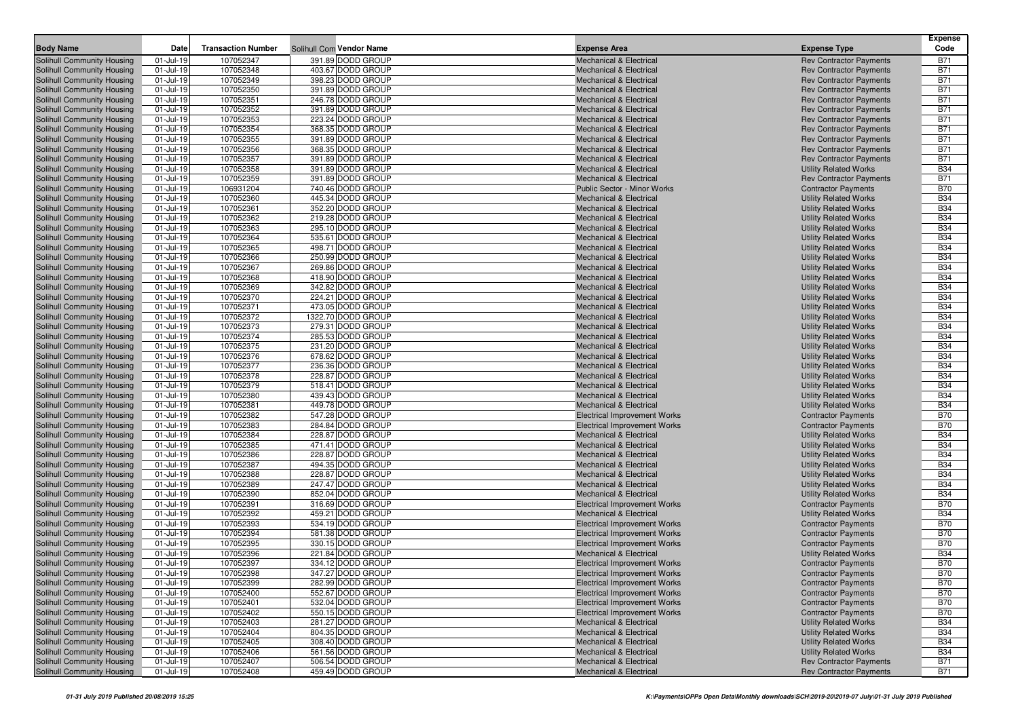|                                                          |                        |                           |                                        |                                                                          |                                                                  | <b>Expense</b>           |
|----------------------------------------------------------|------------------------|---------------------------|----------------------------------------|--------------------------------------------------------------------------|------------------------------------------------------------------|--------------------------|
| <b>Body Name</b>                                         | <b>Date</b>            | <b>Transaction Number</b> | Solihull Com Vendor Name               | <b>Expense Area</b>                                                      | <b>Expense Type</b>                                              | Code                     |
| Solihull Community Housing                               | 01-Jul-19              | 107052347                 | 391.89 DODD GROUP                      | <b>Mechanical &amp; Electrical</b>                                       | <b>Rev Contractor Payments</b>                                   | <b>B71</b>               |
| Solihull Community Housing                               | 01-Jul-19              | 107052348                 | 403.67 DODD GROUP                      | <b>Mechanical &amp; Electrical</b>                                       | <b>Rev Contractor Payments</b>                                   | <b>B71</b>               |
| Solihull Community Housing                               | 01-Jul-19              | 107052349                 | 398.23 DODD GROUP                      | <b>Mechanical &amp; Electrical</b>                                       | <b>Rev Contractor Payments</b>                                   | <b>B71</b>               |
| Solihull Community Housing<br>Solihull Community Housing | 01-Jul-19<br>01-Jul-19 | 107052350<br>107052351    | 391.89 DODD GROUP<br>246.78 DODD GROUP | <b>Mechanical &amp; Electrical</b><br><b>Mechanical &amp; Electrical</b> | <b>Rev Contractor Payments</b><br><b>Rev Contractor Payments</b> | B71<br><b>B71</b>        |
| Solihull Community Housing                               | 01-Jul-19              | 107052352                 | 391.89 DODD GROUP                      | <b>Mechanical &amp; Electrical</b>                                       | <b>Rev Contractor Payments</b>                                   | <b>B71</b>               |
| Solihull Community Housing                               | 01-Jul-19              | 107052353                 | 223.24 DODD GROUP                      | <b>Mechanical &amp; Electrical</b>                                       | <b>Rev Contractor Payments</b>                                   | <b>B71</b>               |
| Solihull Community Housing                               | 01-Jul-19              | 107052354                 | 368.35 DODD GROUP                      | <b>Mechanical &amp; Electrical</b>                                       | <b>Rev Contractor Payments</b>                                   | <b>B71</b>               |
| Solihull Community Housing                               | 01-Jul-19              | 107052355                 | 391.89 DODD GROUP                      | <b>Mechanical &amp; Electrical</b>                                       | <b>Rev Contractor Payments</b>                                   | <b>B71</b>               |
| Solihull Community Housing                               | 01-Jul-19              | 107052356                 | 368.35 DODD GROUP                      | <b>Mechanical &amp; Electrical</b>                                       | <b>Rev Contractor Payments</b>                                   | <b>B71</b>               |
| Solihull Community Housing                               | 01-Jul-19              | 107052357                 | 391.89 DODD GROUP                      | <b>Mechanical &amp; Electrical</b>                                       | <b>Rev Contractor Payments</b>                                   | B71                      |
| Solihull Community Housing                               | 01-Jul-19              | 107052358                 | 391.89 DODD GROUP                      | <b>Mechanical &amp; Electrical</b>                                       | <b>Utility Related Works</b>                                     | <b>B34</b>               |
| Solihull Community Housing                               | 01-Jul-19              | 107052359                 | 391.89 DODD GROUP                      | <b>Mechanical &amp; Electrical</b>                                       | <b>Rev Contractor Payments</b>                                   | <b>B71</b>               |
| Solihull Community Housing                               | 01-Jul-19              | 106931204                 | 740.46 DODD GROUP                      | <b>Public Sector - Minor Works</b>                                       | <b>Contractor Payments</b>                                       | <b>B70</b>               |
| Solihull Community Housing                               | 01-Jul-19              | 107052360                 | 445.34 DODD GROUP                      | <b>Mechanical &amp; Electrical</b>                                       | <b>Utility Related Works</b>                                     | <b>B34</b>               |
| Solihull Community Housing                               | 01-Jul-19              | 107052361                 | 352.20 DODD GROUP                      | <b>Mechanical &amp; Electrical</b>                                       | <b>Utility Related Works</b>                                     | <b>B34</b>               |
| Solihull Community Housing                               | 01-Jul-19              | 107052362                 | 219.28 DODD GROUP                      | <b>Mechanical &amp; Electrical</b>                                       | <b>Utility Related Works</b>                                     | <b>B34</b>               |
| Solihull Community Housing                               | 01-Jul-19              | 107052363                 | 295.10 DODD GROUP                      | <b>Mechanical &amp; Electrical</b>                                       | <b>Utility Related Works</b>                                     | <b>B34</b>               |
| Solihull Community Housing                               | 01-Jul-19              | 107052364                 | 535.61 DODD GROUP                      | <b>Mechanical &amp; Electrical</b>                                       | <b>Utility Related Works</b>                                     | <b>B34</b>               |
| Solihull Community Housing                               | 01-Jul-19              | 107052365                 | 498.71 DODD GROUP                      | <b>Mechanical &amp; Electrical</b>                                       | <b>Utility Related Works</b>                                     | <b>B34</b>               |
| Solihull Community Housing                               | 01-Jul-19              | 107052366                 | 250.99 DODD GROUP                      | <b>Mechanical &amp; Electrical</b>                                       | <b>Utility Related Works</b>                                     | <b>B34</b>               |
| Solihull Community Housing                               | 01-Jul-19              | 107052367                 | 269.86 DODD GROUP                      | <b>Mechanical &amp; Electrical</b>                                       | <b>Utility Related Works</b>                                     | <b>B34</b>               |
| Solihull Community Housing                               | 01-Jul-19              | 107052368                 | 418.90 DODD GROUP                      | <b>Mechanical &amp; Electrical</b>                                       | <b>Utility Related Works</b>                                     | <b>B34</b>               |
| Solihull Community Housing                               | 01-Jul-19              | 107052369                 | 342.82 DODD GROUP                      | <b>Mechanical &amp; Electrical</b>                                       | <b>Utility Related Works</b>                                     | <b>B34</b>               |
| Solihull Community Housing                               | 01-Jul-19              | 107052370                 | 224.21 DODD GROUP                      | <b>Mechanical &amp; Electrical</b>                                       | <b>Utility Related Works</b>                                     | <b>B34</b>               |
| Solihull Community Housing                               | 01-Jul-19              | 107052371                 | 473.05 DODD GROUP                      | <b>Mechanical &amp; Electrical</b>                                       | <b>Utility Related Works</b>                                     | <b>B34</b>               |
| Solihull Community Housing                               | 01-Jul-19              | 107052372                 | 1322.70 DODD GROUP                     | <b>Mechanical &amp; Electrical</b>                                       | <b>Utility Related Works</b>                                     | <b>B34</b>               |
| Solihull Community Housing                               | 01-Jul-19              | 107052373                 | 279.31 DODD GROUP                      | <b>Mechanical &amp; Electrical</b>                                       | <b>Utility Related Works</b>                                     | <b>B34</b>               |
| Solihull Community Housing                               | 01-Jul-19              | 107052374                 | 285.53 DODD GROUP                      | <b>Mechanical &amp; Electrical</b>                                       | <b>Utility Related Works</b>                                     | <b>B34</b>               |
| Solihull Community Housing                               | 01-Jul-19              | 107052375                 | 231.20 DODD GROUP                      | <b>Mechanical &amp; Electrical</b>                                       | <b>Utility Related Works</b>                                     | <b>B34</b>               |
| Solihull Community Housing                               | 01-Jul-19              | 107052376                 | 678.62 DODD GROUP                      | <b>Mechanical &amp; Electrical</b><br><b>Mechanical &amp; Electrical</b> | <b>Utility Related Works</b>                                     | <b>B34</b>               |
| Solihull Community Housing                               | 01-Jul-19<br>01-Jul-19 | 107052377<br>107052378    | 236.36 DODD GROUP<br>228.87 DODD GROUP | <b>Mechanical &amp; Electrical</b>                                       | <b>Utility Related Works</b><br><b>Utility Related Works</b>     | <b>B34</b><br><b>B34</b> |
| Solihull Community Housing<br>Solihull Community Housing | 01-Jul-19              | 107052379                 | 518.41 DODD GROUP                      | <b>Mechanical &amp; Electrical</b>                                       | <b>Utility Related Works</b>                                     | <b>B34</b>               |
| Solihull Community Housing                               | 01-Jul-19              | 107052380                 | 439.43 DODD GROUP                      | <b>Mechanical &amp; Electrical</b>                                       | <b>Utility Related Works</b>                                     | <b>B34</b>               |
| Solihull Community Housing                               | 01-Jul-19              | 107052381                 | 449.78 DODD GROUP                      | <b>Mechanical &amp; Electrical</b>                                       | <b>Utility Related Works</b>                                     | <b>B34</b>               |
| Solihull Community Housing                               | 01-Jul-19              | 107052382                 | 547.28 DODD GROUP                      | <b>Electrical Improvement Works</b>                                      | <b>Contractor Payments</b>                                       | <b>B70</b>               |
| Solihull Community Housing                               | 01-Jul-19              | 107052383                 | 284.84 DODD GROUP                      | <b>Electrical Improvement Works</b>                                      | <b>Contractor Payments</b>                                       | <b>B70</b>               |
| Solihull Community Housing                               | 01-Jul-19              | 107052384                 | 228.87 DODD GROUP                      | <b>Mechanical &amp; Electrical</b>                                       | <b>Utility Related Works</b>                                     | <b>B34</b>               |
| Solihull Community Housing                               | 01-Jul-19              | 107052385                 | 471.41 DODD GROUP                      | <b>Mechanical &amp; Electrical</b>                                       | <b>Utility Related Works</b>                                     | <b>B34</b>               |
| Solihull Community Housing                               | 01-Jul-19              | 107052386                 | 228.87 DODD GROUP                      | <b>Mechanical &amp; Electrical</b>                                       | <b>Utility Related Works</b>                                     | <b>B34</b>               |
| Solihull Community Housing                               | 01-Jul-19              | 107052387                 | 494.35 DODD GROUP                      | <b>Mechanical &amp; Electrical</b>                                       | <b>Utility Related Works</b>                                     | <b>B34</b>               |
| Solihull Community Housing                               | 01-Jul-19              | 107052388                 | 228.87 DODD GROUP                      | <b>Mechanical &amp; Electrical</b>                                       | <b>Utility Related Works</b>                                     | <b>B34</b>               |
| Solihull Community Housing                               | 01-Jul-19              | 107052389                 | 247.47 DODD GROUP                      | <b>Mechanical &amp; Electrical</b>                                       | <b>Utility Related Works</b>                                     | <b>B34</b>               |
| Solihull Community Housing                               | 01-Jul-19              | 107052390                 | 852.04 DODD GROUP                      | <b>Mechanical &amp; Electrical</b>                                       | <b>Utility Related Works</b>                                     | <b>B34</b>               |
| Solihull Community Housing                               | 01-Jul-19              | 107052391                 | 316.69 DODD GROUP                      | <b>Electrical Improvement Works</b>                                      | <b>Contractor Payments</b>                                       | <b>B70</b>               |
| Solihull Community Housing                               | 01-Jul-19              | 107052392                 | 459.21 DODD GROUP                      | <b>Mechanical &amp; Electrical</b>                                       | <b>Utility Related Works</b>                                     | <b>B34</b>               |
| Solihull Community Housing                               | 01-Jul-19              | 107052393                 | 534.19 DODD GROUP                      | <b>Electrical Improvement Works</b>                                      | <b>Contractor Payments</b>                                       | <b>B70</b>               |
| Solihull Community Housing                               | 01-Jul-19              | 107052394                 | 581.38 DODD GROUP                      | <b>Electrical Improvement Works</b>                                      | <b>Contractor Payments</b>                                       | <b>B70</b>               |
| Solihull Community Housing                               | 01-Jul-19              | 107052395                 | 330.15 DODD GROUP                      | <b>Electrical Improvement Works</b>                                      | <b>Contractor Payments</b>                                       | <b>B70</b>               |
| Solihull Community Housing                               | 01-Jul-19              | 107052396                 | 221.84 DODD GROUP                      | <b>Mechanical &amp; Electrical</b>                                       | <b>Utility Related Works</b>                                     | <b>B34</b>               |
| Solihull Community Housing                               | 01-Jul-19              | 107052397                 | 334.12 DODD GROUP                      | <b>Electrical Improvement Works</b>                                      | <b>Contractor Payments</b>                                       | <b>B70</b>               |
| Solihull Community Housing                               | 01-Jul-19              | 107052398                 | 347.27 DODD GROUP                      | <b>Electrical Improvement Works</b>                                      | <b>Contractor Payments</b>                                       | <b>B70</b>               |
| <b>Solihull Community Housing</b>                        | 01-Jul-19              | 107052399                 | 282.99 DODD GROUP                      | <b>Electrical Improvement Works</b>                                      | <b>Contractor Payments</b>                                       | <b>B70</b>               |
| Solihull Community Housing                               | $01$ -Jul-19           | 107052400                 | 552.67 DODD GROUP                      | <b>Electrical Improvement Works</b>                                      | <b>Contractor Payments</b>                                       | <b>B70</b>               |
| Solihull Community Housing                               | $01$ -Jul-19           | 107052401                 | 532.04 DODD GROUP                      | <b>Electrical Improvement Works</b>                                      | <b>Contractor Payments</b>                                       | <b>B70</b>               |
| Solihull Community Housing                               | 01-Jul-19              | 107052402                 | 550.15 DODD GROUP                      | <b>Electrical Improvement Works</b>                                      | <b>Contractor Payments</b>                                       | <b>B70</b>               |
| Solihull Community Housing                               | 01-Jul-19              | 107052403                 | 281.27 DODD GROUP                      | <b>Mechanical &amp; Electrical</b>                                       | <b>Utility Related Works</b>                                     | <b>B34</b>               |
| Solihull Community Housing                               | $01 -$ Jul-19          | 107052404                 | 804.35 DODD GROUP                      | <b>Mechanical &amp; Electrical</b>                                       | <b>Utility Related Works</b>                                     | <b>B34</b>               |
| Solihull Community Housing                               | $01$ -Jul-19           | 107052405                 | 308.40 DODD GROUP                      | <b>Mechanical &amp; Electrical</b>                                       | <b>Utility Related Works</b>                                     | <b>B34</b>               |
| Solihull Community Housing                               | 01-Jul-19              | 107052406                 | 561.56 DODD GROUP                      | <b>Mechanical &amp; Electrical</b>                                       | <b>Utility Related Works</b>                                     | <b>B34</b>               |
| Solihull Community Housing                               | 01-Jul-19              | 107052407                 | 506.54 DODD GROUP                      | <b>Mechanical &amp; Electrical</b>                                       | <b>Rev Contractor Payments</b>                                   | <b>B71</b>               |
| Solihull Community Housing                               | $01$ -Jul-19           | 107052408                 | 459.49 DODD GROUP                      | Mechanical & Electrical                                                  | <b>Rev Contractor Payments</b>                                   | <b>B71</b>               |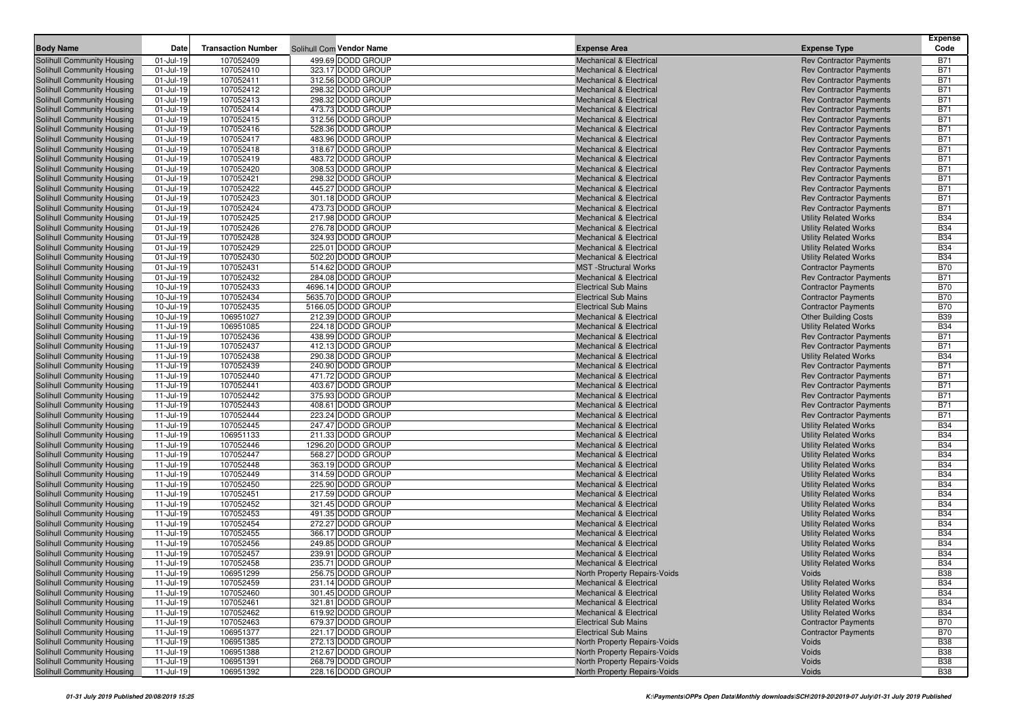| <b>Body Name</b>                                         | Date                   | <b>Transaction Number</b> | Solihull Com Vendor Name               | <b>Expense Area</b>                                                      | <b>Expense Type</b>                                              | <b>Expense</b><br>Code   |
|----------------------------------------------------------|------------------------|---------------------------|----------------------------------------|--------------------------------------------------------------------------|------------------------------------------------------------------|--------------------------|
| Solihull Community Housing                               | 01-Jul-19              | 107052409                 | 499.69 DODD GROUP                      | <b>Mechanical &amp; Electrical</b>                                       | <b>Rev Contractor Payments</b>                                   | <b>B71</b>               |
| Solihull Community Housing                               | 01-Jul-19              | 107052410                 | 323.17 DODD GROUP                      | <b>Mechanical &amp; Electrical</b>                                       | <b>Rev Contractor Payments</b>                                   | <b>B71</b>               |
| Solihull Community Housing                               | 01-Jul-19              | 107052411                 | 312.56 DODD GROUP                      | <b>Mechanical &amp; Electrical</b>                                       | <b>Rev Contractor Payments</b>                                   | <b>B71</b>               |
| Solihull Community Housing                               | 01-Jul-19              | 107052412                 | 298.32 DODD GROUP                      | <b>Mechanical &amp; Electrical</b>                                       | <b>Rev Contractor Payments</b>                                   | <b>B71</b>               |
| Solihull Community Housing                               | 01-Jul-19              | 107052413                 | 298.32 DODD GROUP                      | <b>Mechanical &amp; Electrical</b>                                       | <b>Rev Contractor Payments</b>                                   | <b>B71</b>               |
| Solihull Community Housing                               | 01-Jul-19              | 107052414                 | 473.73 DODD GROUP                      | <b>Mechanical &amp; Electrical</b>                                       | <b>Rev Contractor Payments</b>                                   | <b>B71</b>               |
| Solihull Community Housing                               | 01-Jul-19              | 107052415                 | 312.56 DODD GROUP                      | <b>Mechanical &amp; Electrical</b>                                       | <b>Rev Contractor Payments</b>                                   | <b>B71</b>               |
| Solihull Community Housing                               | 01-Jul-19              | 107052416                 | 528.36 DODD GROUP                      | <b>Mechanical &amp; Electrical</b>                                       | <b>Rev Contractor Payments</b>                                   | <b>B71</b>               |
| Solihull Community Housing                               | 01-Jul-19              | 107052417                 | 483.96 DODD GROUP                      | <b>Mechanical &amp; Electrical</b>                                       | <b>Rev Contractor Payments</b>                                   | <b>B71</b>               |
| Solihull Community Housing                               | 01-Jul-19              | 107052418                 | 318.67 DODD GROUP                      | <b>Mechanical &amp; Electrical</b>                                       | <b>Rev Contractor Payments</b>                                   | <b>B71</b>               |
| Solihull Community Housing                               | 01-Jul-19              | 107052419                 | 483.72 DODD GROUP                      | <b>Mechanical &amp; Electrical</b>                                       | <b>Rev Contractor Payments</b>                                   | <b>B71</b>               |
| Solihull Community Housing                               | 01-Jul-19              | 107052420                 | 308.53 DODD GROUP                      | <b>Mechanical &amp; Electrical</b>                                       | <b>Rev Contractor Payments</b>                                   | <b>B71</b>               |
| Solihull Community Housing                               | 01-Jul-19              | 107052421                 | 298.32 DODD GROUP                      | <b>Mechanical &amp; Electrical</b>                                       | <b>Rev Contractor Payments</b>                                   | <b>B71</b>               |
| Solihull Community Housing                               | 01-Jul-19              | 107052422                 | 445.27 DODD GROUP                      | <b>Mechanical &amp; Electrical</b>                                       | <b>Rev Contractor Payments</b>                                   | <b>B71</b>               |
| Solihull Community Housing                               | 01-Jul-19              | 107052423                 | 301.18 DODD GROUP                      | <b>Mechanical &amp; Electrical</b>                                       | <b>Rev Contractor Payments</b>                                   | <b>B71</b>               |
| Solihull Community Housing                               | 01-Jul-19              | 107052424                 | 473.73 DODD GROUP                      | <b>Mechanical &amp; Electrical</b>                                       | <b>Rev Contractor Payments</b>                                   | <b>B71</b>               |
| Solihull Community Housing                               | 01-Jul-19              | 107052425                 | 217.98 DODD GROUP                      | <b>Mechanical &amp; Electrical</b>                                       | <b>Utility Related Works</b>                                     | <b>B34</b>               |
| Solihull Community Housing                               | 01-Jul-19              | 107052426                 | 276.78 DODD GROUP                      | <b>Mechanical &amp; Electrical</b>                                       | <b>Utility Related Works</b>                                     | <b>B34</b>               |
| Solihull Community Housing                               | 01-Jul-19              | 107052428                 | 324.93 DODD GROUP                      | <b>Mechanical &amp; Electrical</b>                                       | <b>Utility Related Works</b>                                     | <b>B34</b>               |
| Solihull Community Housing                               | 01-Jul-19              | 107052429                 | 225.01 DODD GROUP                      | <b>Mechanical &amp; Electrical</b>                                       | <b>Utility Related Works</b>                                     | <b>B34</b>               |
| Solihull Community Housing                               | 01-Jul-19              | 107052430                 | 502.20 DODD GROUP                      | <b>Mechanical &amp; Electrical</b>                                       | <b>Utility Related Works</b>                                     | <b>B34</b>               |
| <b>Solihull Community Housing</b>                        | 01-Jul-19              | 107052431                 | 514.62 DODD GROUP                      | <b>MST</b> -Structural Works                                             | <b>Contractor Payments</b>                                       | <b>B70</b>               |
| Solihull Community Housing                               | 01-Jul-19              | 107052432                 | 284.08 DODD GROUP                      | <b>Mechanical &amp; Electrical</b>                                       | <b>Rev Contractor Payments</b>                                   | <b>B71</b>               |
| Solihull Community Housing                               | 10-Jul-19              | 107052433                 | 4696.14 DODD GROUP                     | <b>Electrical Sub Mains</b>                                              | <b>Contractor Payments</b>                                       | <b>B70</b>               |
| Solihull Community Housing                               | 10-Jul-19              | 107052434                 | 5635.70 DODD GROUP                     | <b>Electrical Sub Mains</b>                                              | <b>Contractor Payments</b>                                       | <b>B70</b>               |
| Solihull Community Housing                               | 10-Jul-19              | 107052435                 | 5166.05 DODD GROUP                     | <b>Electrical Sub Mains</b>                                              | <b>Contractor Payments</b>                                       | <b>B70</b>               |
| Solihull Community Housing                               | 10-Jul-19              | 106951027                 | 212.39 DODD GROUP                      | <b>Mechanical &amp; Electrical</b>                                       | <b>Other Building Costs</b>                                      | <b>B39</b>               |
| Solihull Community Housing                               | 11-Jul-19              | 106951085                 | 224.18 DODD GROUP                      | <b>Mechanical &amp; Electrical</b>                                       | <b>Utility Related Works</b>                                     | <b>B34</b>               |
| Solihull Community Housing                               | 11-Jul-19              | 107052436                 | 438.99 DODD GROUP                      | <b>Mechanical &amp; Electrical</b>                                       | <b>Rev Contractor Payments</b>                                   | <b>B71</b>               |
| Solihull Community Housing                               | 11-Jul-19              | 107052437                 | 412.13 DODD GROUP                      | <b>Mechanical &amp; Electrical</b>                                       | <b>Rev Contractor Payments</b>                                   | <b>B71</b>               |
| Solihull Community Housing                               | 11-Jul-19              | 107052438                 | 290.38 DODD GROUP                      | <b>Mechanical &amp; Electrical</b>                                       | <b>Utility Related Works</b>                                     | <b>B34</b>               |
| Solihull Community Housing                               | 11-Jul-19              | 107052439                 | 240.90 DODD GROUP                      | <b>Mechanical &amp; Electrical</b>                                       | <b>Rev Contractor Payments</b>                                   | <b>B71</b>               |
| Solihull Community Housing                               | 11-Jul-19              | 107052440                 | 471.72 DODD GROUP                      | <b>Mechanical &amp; Electrical</b>                                       | <b>Rev Contractor Payments</b>                                   | <b>B71</b>               |
| Solihull Community Housing                               | 11-Jul-19              | 107052441                 | 403.67 DODD GROUP                      | <b>Mechanical &amp; Electrical</b>                                       | <b>Rev Contractor Payments</b>                                   | <b>B71</b>               |
| Solihull Community Housing                               | 11-Jul-19              | 107052442                 | 375.93 DODD GROUP<br>408.61 DODD GROUP | <b>Mechanical &amp; Electrical</b>                                       | <b>Rev Contractor Payments</b>                                   | <b>B71</b><br><b>B71</b> |
| Solihull Community Housing<br>Solihull Community Housing | 11-Jul-19<br>11-Jul-19 | 107052443<br>107052444    | 223.24 DODD GROUP                      | <b>Mechanical &amp; Electrical</b><br><b>Mechanical &amp; Electrical</b> | <b>Rev Contractor Payments</b><br><b>Rev Contractor Payments</b> | <b>B71</b>               |
| Solihull Community Housing                               | 11-Jul-19              | 107052445                 | 247.47 DODD GROUP                      | <b>Mechanical &amp; Electrical</b>                                       | <b>Utility Related Works</b>                                     | <b>B34</b>               |
| Solihull Community Housing                               | 11-Jul-19              | 106951133                 | 211.33 DODD GROUP                      | <b>Mechanical &amp; Electrical</b>                                       | <b>Utility Related Works</b>                                     | <b>B34</b>               |
| Solihull Community Housing                               | 11-Jul-19              | 107052446                 | 1296.20 DODD GROUP                     | <b>Mechanical &amp; Electrical</b>                                       | <b>Utility Related Works</b>                                     | <b>B34</b>               |
| Solihull Community Housing                               | 11-Jul-19              | 107052447                 | 568.27 DODD GROUP                      | <b>Mechanical &amp; Electrical</b>                                       | <b>Utility Related Works</b>                                     | <b>B34</b>               |
| Solihull Community Housing                               | 11-Jul-19              | 107052448                 | 363.19 DODD GROUP                      | <b>Mechanical &amp; Electrical</b>                                       | <b>Utility Related Works</b>                                     | <b>B34</b>               |
| Solihull Community Housing                               | 11-Jul-19              | 107052449                 | 314.59 DODD GROUP                      | <b>Mechanical &amp; Electrical</b>                                       | <b>Utility Related Works</b>                                     | <b>B34</b>               |
| Solihull Community Housing                               | 11-Jul-19              | 107052450                 | 225.90 DODD GROUP                      | <b>Mechanical &amp; Electrical</b>                                       | <b>Utility Related Works</b>                                     | <b>B34</b>               |
| Solihull Community Housing                               | 11-Jul-19              | 107052451                 | 217.59 DODD GROUP                      | <b>Mechanical &amp; Electrical</b>                                       | <b>Utility Related Works</b>                                     | <b>B34</b>               |
| Solihull Community Housing                               | 11-Jul-19              | 107052452                 | 321.45 DODD GROUP                      | <b>Mechanical &amp; Electrical</b>                                       | <b>Utility Related Works</b>                                     | <b>B34</b>               |
| <b>Solihull Community Housing</b>                        | 11-Jul-19              | 107052453                 | 491.35 DODD GROUP                      | <b>Mechanical &amp; Electrical</b>                                       | <b>Utility Related Works</b>                                     | <b>B34</b>               |
| Solihull Community Housing                               | 11-Jul-19              | 107052454                 | 272.27 DODD GROUP                      | <b>Mechanical &amp; Electrical</b>                                       | <b>Utility Related Works</b>                                     | <b>B34</b>               |
| Solihull Community Housing                               | 11-Jul-19              | 107052455                 | 366.17 DODD GROUP                      | <b>Mechanical &amp; Electrical</b>                                       | <b>Utility Related Works</b>                                     | <b>B34</b>               |
| Solihull Community Housing                               | 11-Jul-19              | 107052456                 | 249.85 DODD GROUP                      | <b>Mechanical &amp; Electrical</b>                                       | <b>Utility Related Works</b>                                     | <b>B34</b>               |
| Solihull Community Housing                               | 11-Jul-19              | 107052457                 | 239.91 DODD GROUP                      | <b>Mechanical &amp; Electrical</b>                                       | <b>Utility Related Works</b>                                     | <b>B34</b>               |
| Solihull Community Housing                               | 11-Jul-19              | 107052458                 | 235.71 DODD GROUP                      | <b>Mechanical &amp; Electrical</b>                                       | <b>Utility Related Works</b>                                     | <b>B34</b>               |
| Solihull Community Housing                               | 11-Jul-19              | 106951299                 | 256.75 DODD GROUP                      | North Property Repairs-Voids                                             | Voids                                                            | <b>B38</b>               |
| Solihull Community Housing                               | 11-Jul-19              | 107052459                 | 231.14 DODD GROUP                      | Mechanical & Electrical                                                  | <b>Utility Related Works</b>                                     | <b>B34</b>               |
| Solihull Community Housing                               | $11 -$ Jul-19          | 107052460                 | 301.45 DODD GROUP                      | <b>Mechanical &amp; Electrical</b>                                       | <b>Utility Related Works</b>                                     | <b>B34</b>               |
| Solihull Community Housing                               | 11-Jul-19              | 107052461                 | 321.81 DODD GROUP                      | <b>Mechanical &amp; Electrical</b>                                       | <b>Utility Related Works</b>                                     | <b>B34</b>               |
| Solihull Community Housing                               | 11-Jul-19              | 107052462                 | 619.92 DODD GROUP                      | <b>Mechanical &amp; Electrical</b>                                       | <b>Utility Related Works</b>                                     | <b>B34</b>               |
| Solihull Community Housing                               | 11-Jul-19              | 107052463                 | 679.37 DODD GROUP                      | <b>Electrical Sub Mains</b>                                              | <b>Contractor Payments</b>                                       | <b>B70</b>               |
| Solihull Community Housing                               | 11-Jul-19              | 106951377                 | 221.17 DODD GROUP                      | <b>Electrical Sub Mains</b>                                              | <b>Contractor Payments</b>                                       | <b>B70</b>               |
| Solihull Community Housing                               | 11-Jul-19              | 106951385                 | 272.13 DODD GROUP                      | North Property Repairs-Voids                                             | Voids                                                            | <b>B38</b>               |
| Solihull Community Housing                               | 11-Jul-19              | 106951388                 | 212.67 DODD GROUP                      | North Property Repairs-Voids                                             | Voids                                                            | <b>B38</b>               |
| Solihull Community Housing                               | $11 -$ Jul-19          | 106951391                 | 268.79 DODD GROUP                      | North Property Repairs-Voids                                             | Voids                                                            | <b>B38</b>               |
| Solihull Community Housing                               | 11-Jul-19              | 106951392                 | 228.16 DODD GROUP                      | North Property Repairs-Voids                                             | Voids                                                            | <b>B38</b>               |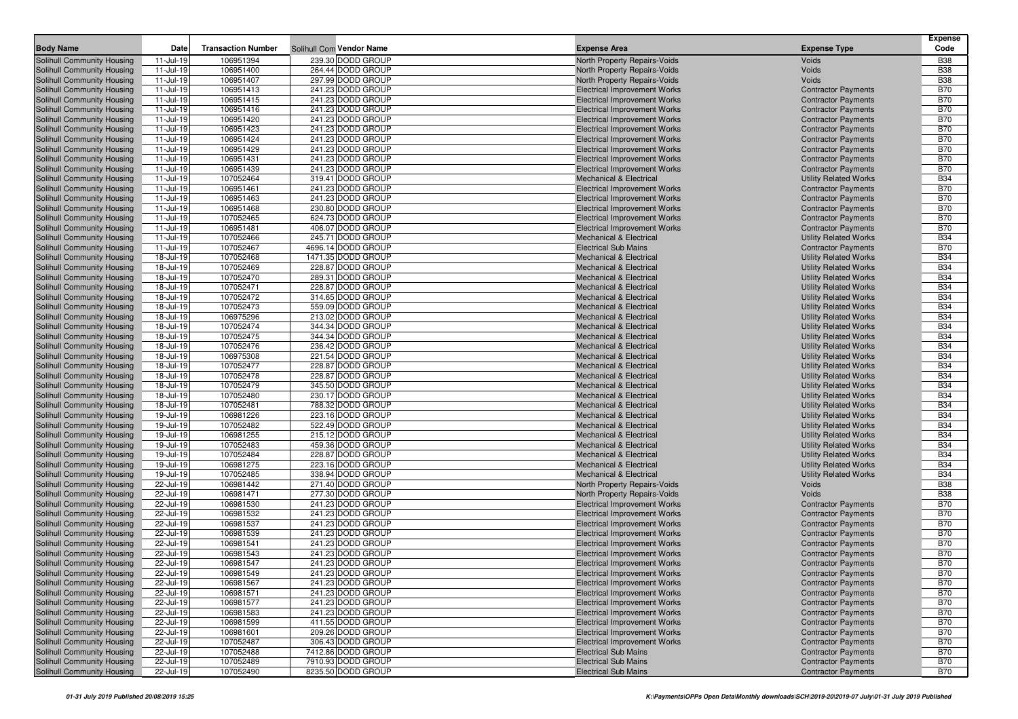| <b>Body Name</b>                                         | Date                   | <b>Transaction Number</b> | Solihull Com Vendor Name                | <b>Expense Area</b>                                                        | <b>Expense Type</b>                                          | <b>Expense</b><br>Code   |
|----------------------------------------------------------|------------------------|---------------------------|-----------------------------------------|----------------------------------------------------------------------------|--------------------------------------------------------------|--------------------------|
| Solihull Community Housing                               | 11-Jul-19              | 106951394                 | 239.30 DODD GROUP                       | North Property Repairs-Voids                                               | Voids                                                        | <b>B38</b>               |
| Solihull Community Housing                               | 11-Jul-19              | 106951400                 | 264.44 DODD GROUP                       | North Property Repairs-Voids                                               | Voids                                                        | <b>B38</b>               |
| Solihull Community Housing                               | 11-Jul-19              | 106951407                 | 297.99 DODD GROUP                       | North Property Repairs-Voids                                               | Voids                                                        | <b>B38</b>               |
| Solihull Community Housing                               | 11-Jul-19              | 106951413                 | 241.23 DODD GROUP                       | <b>Electrical Improvement Works</b>                                        | <b>Contractor Payments</b>                                   | <b>B70</b>               |
| Solihull Community Housing                               | 11-Jul-19              | 106951415                 | 241.23 DODD GROUP                       | <b>Electrical Improvement Works</b>                                        | <b>Contractor Payments</b>                                   | <b>B70</b>               |
| Solihull Community Housing                               | 11-Jul-19              | 106951416                 | 241.23 DODD GROUP                       | <b>Electrical Improvement Works</b>                                        | <b>Contractor Payments</b>                                   | <b>B70</b>               |
| Solihull Community Housing                               | 11-Jul-19              | 106951420                 | 241.23 DODD GROUP                       | <b>Electrical Improvement Works</b>                                        | <b>Contractor Payments</b>                                   | <b>B70</b>               |
| Solihull Community Housing                               | 11-Jul-19              | 106951423                 | 241.23 DODD GROUP                       | <b>Electrical Improvement Works</b>                                        | <b>Contractor Payments</b>                                   | <b>B70</b>               |
| Solihull Community Housing                               | 11-Jul-19              | 106951424                 | 241.23 DODD GROUP                       | <b>Electrical Improvement Works</b>                                        | <b>Contractor Payments</b>                                   | <b>B70</b>               |
| Solihull Community Housing                               | 11-Jul-19              | 106951429                 | 241.23 DODD GROUP                       | <b>Electrical Improvement Works</b>                                        | <b>Contractor Payments</b>                                   | <b>B70</b>               |
| Solihull Community Housing                               | 11-Jul-19              | 106951431                 | 241.23 DODD GROUP                       | <b>Electrical Improvement Works</b>                                        | <b>Contractor Payments</b>                                   | <b>B70</b>               |
| Solihull Community Housing                               | 11-Jul-19              | 106951439                 | 241.23 DODD GROUP                       | <b>Electrical Improvement Works</b>                                        | <b>Contractor Payments</b>                                   | <b>B70</b>               |
| Solihull Community Housing                               | 11-Jul-19              | 107052464                 | 319.41 DODD GROUP                       | <b>Mechanical &amp; Electrical</b>                                         | <b>Utility Related Works</b>                                 | <b>B34</b>               |
| Solihull Community Housing                               | 11-Jul-19              | 106951461                 | 241.23 DODD GROUP                       | <b>Electrical Improvement Works</b>                                        | <b>Contractor Payments</b>                                   | <b>B70</b>               |
| Solihull Community Housing                               | 11-Jul-19              | 106951463                 | 241.23 DODD GROUP                       | <b>Electrical Improvement Works</b>                                        | <b>Contractor Payments</b>                                   | <b>B70</b>               |
| Solihull Community Housing                               | 11-Jul-19              | 106951468                 | 230.80 DODD GROUP                       | <b>Electrical Improvement Works</b>                                        | <b>Contractor Payments</b>                                   | <b>B70</b>               |
| Solihull Community Housing                               | 11-Jul-19              | 107052465                 | 624.73 DODD GROUP                       | <b>Electrical Improvement Works</b>                                        | <b>Contractor Payments</b>                                   | <b>B70</b>               |
| Solihull Community Housing                               | 11-Jul-19              | 106951481                 | 406.07 DODD GROUP                       | <b>Electrical Improvement Works</b>                                        | <b>Contractor Payments</b>                                   | <b>B70</b>               |
| Solihull Community Housing                               | 11-Jul-19              | 107052466                 | 245.71 DODD GROUP                       | <b>Mechanical &amp; Electrical</b>                                         | <b>Utility Related Works</b>                                 | <b>B34</b>               |
| Solihull Community Housing                               | 11-Jul-19              | 107052467                 | 4696.14 DODD GROUP                      | <b>Electrical Sub Mains</b>                                                | <b>Contractor Payments</b>                                   | <b>B70</b>               |
| Solihull Community Housing                               | 18-Jul-19              | 107052468                 | 1471.35 DODD GROUP<br>228.87 DODD GROUP | <b>Mechanical &amp; Electrical</b>                                         | <b>Utility Related Works</b>                                 | <b>B34</b><br><b>B34</b> |
| Solihull Community Housing<br>Solihull Community Housing | 18-Jul-19<br>18-Jul-19 | 107052469<br>107052470    | 289.31 DODD GROUP                       | <b>Mechanical &amp; Electrical</b><br><b>Mechanical &amp; Electrical</b>   | <b>Utility Related Works</b><br><b>Utility Related Works</b> | <b>B34</b>               |
| Solihull Community Housing                               | 18-Jul-19              | 107052471                 | 228.87 DODD GROUP                       | <b>Mechanical &amp; Electrical</b>                                         | <b>Utility Related Works</b>                                 | <b>B34</b>               |
| Solihull Community Housing                               | 18-Jul-19              | 107052472                 | 314.65 DODD GROUP                       | <b>Mechanical &amp; Electrical</b>                                         | <b>Utility Related Works</b>                                 | <b>B34</b>               |
| Solihull Community Housing                               | 18-Jul-19              | 107052473                 | 559.09 DODD GROUP                       | <b>Mechanical &amp; Electrical</b>                                         | <b>Utility Related Works</b>                                 | <b>B34</b>               |
| Solihull Community Housing                               | 18-Jul-19              | 106975296                 | 213.02 DODD GROUP                       | <b>Mechanical &amp; Electrical</b>                                         | <b>Utility Related Works</b>                                 | <b>B34</b>               |
| Solihull Community Housing                               | 18-Jul-19              | 107052474                 | 344.34 DODD GROUP                       | <b>Mechanical &amp; Electrical</b>                                         | <b>Utility Related Works</b>                                 | <b>B34</b>               |
| Solihull Community Housing                               | 18-Jul-19              | 107052475                 | 344.34 DODD GROUP                       | <b>Mechanical &amp; Electrical</b>                                         | <b>Utility Related Works</b>                                 | <b>B34</b>               |
| Solihull Community Housing                               | 18-Jul-19              | 107052476                 | 236.42 DODD GROUP                       | <b>Mechanical &amp; Electrical</b>                                         | <b>Utility Related Works</b>                                 | <b>B34</b>               |
| Solihull Community Housing                               | 18-Jul-19              | 106975308                 | 221.54 DODD GROUP                       | <b>Mechanical &amp; Electrical</b>                                         | <b>Utility Related Works</b>                                 | <b>B34</b>               |
| Solihull Community Housing                               | 18-Jul-19              | 107052477                 | 228.87 DODD GROUP                       | <b>Mechanical &amp; Electrical</b>                                         | <b>Utility Related Works</b>                                 | <b>B34</b>               |
| Solihull Community Housing                               | 18-Jul-19              | 107052478                 | 228.87 DODD GROUP                       | <b>Mechanical &amp; Electrical</b>                                         | <b>Utility Related Works</b>                                 | <b>B34</b>               |
| Solihull Community Housing                               | 18-Jul-19              | 107052479                 | 345.50 DODD GROUP                       | <b>Mechanical &amp; Electrical</b>                                         | <b>Utility Related Works</b>                                 | <b>B34</b>               |
| Solihull Community Housing                               | 18-Jul-19              | 107052480                 | 230.17 DODD GROUP                       | <b>Mechanical &amp; Electrical</b>                                         | <b>Utility Related Works</b>                                 | <b>B34</b>               |
| Solihull Community Housing                               | 18-Jul-19              | 107052481                 | 788.32 DODD GROUP                       | <b>Mechanical &amp; Electrical</b>                                         | <b>Utility Related Works</b>                                 | <b>B34</b>               |
| Solihull Community Housing                               | 19-Jul-19              | 106981226                 | 223.16 DODD GROUP                       | <b>Mechanical &amp; Electrical</b>                                         | <b>Utility Related Works</b>                                 | <b>B34</b>               |
| Solihull Community Housing                               | 19-Jul-19              | 107052482                 | 522.49 DODD GROUP                       | <b>Mechanical &amp; Electrical</b>                                         | <b>Utility Related Works</b>                                 | <b>B34</b>               |
| Solihull Community Housing                               | 19-Jul-19              | 106981255                 | 215.12 DODD GROUP                       | <b>Mechanical &amp; Electrical</b>                                         | <b>Utility Related Works</b>                                 | <b>B34</b>               |
| Solihull Community Housing                               | 19-Jul-19              | 107052483                 | 459.36 DODD GROUP                       | <b>Mechanical &amp; Electrical</b>                                         | <b>Utility Related Works</b>                                 | <b>B34</b>               |
| Solihull Community Housing                               | 19-Jul-19              | 107052484                 | 228.87 DODD GROUP                       | <b>Mechanical &amp; Electrical</b>                                         | <b>Utility Related Works</b>                                 | <b>B34</b>               |
| Solihull Community Housing                               | 19-Jul-19              | 106981275                 | 223.16 DODD GROUP                       | <b>Mechanical &amp; Electrical</b>                                         | <b>Utility Related Works</b>                                 | <b>B34</b>               |
| Solihull Community Housing                               | 19-Jul-19              | 107052485                 | 338.94 DODD GROUP                       | <b>Mechanical &amp; Electrical</b>                                         | <b>Utility Related Works</b>                                 | <b>B34</b>               |
| Solihull Community Housing                               | 22-Jul-19              | 106981442                 | 271.40 DODD GROUP                       | North Property Repairs-Voids                                               | Voids                                                        | <b>B38</b>               |
| Solihull Community Housing                               | 22-Jul-19              | 106981471                 | 277.30 DODD GROUP                       | North Property Repairs-Voids                                               | Voids                                                        | <b>B38</b>               |
| Solihull Community Housing                               | 22-Jul-19              | 106981530                 | 241.23 DODD GROUP                       | <b>Electrical Improvement Works</b>                                        | <b>Contractor Payments</b>                                   | <b>B70</b>               |
| Solihull Community Housing                               | 22-Jul-19              | 106981532                 | 241.23 DODD GROUP                       | <b>Electrical Improvement Works</b>                                        | <b>Contractor Payments</b>                                   | <b>B70</b>               |
| Solihull Community Housing                               | 22-Jul-19              | 106981537                 | 241.23 DODD GROUP                       | <b>Electrical Improvement Works</b>                                        | <b>Contractor Payments</b>                                   | <b>B70</b>               |
| Solihull Community Housing                               | 22-Jul-19              | 106981539                 | 241.23 DODD GROUP                       | <b>Electrical Improvement Works</b>                                        | <b>Contractor Payments</b>                                   | <b>B70</b>               |
| Solihull Community Housing                               | 22-Jul-19              | 106981541                 | 241.23 DODD GROUP                       | <b>Electrical Improvement Works</b>                                        | <b>Contractor Payments</b>                                   | <b>B70</b>               |
| Solihull Community Housing                               | 22-Jul-19              | 106981543                 | 241.23 DODD GROUP                       | <b>Electrical Improvement Works</b>                                        | <b>Contractor Payments</b>                                   | <b>B70</b>               |
| Solihull Community Housing                               | 22-Jul-19              | 106981547                 | 241.23 DODD GROUP                       | <b>Electrical Improvement Works</b>                                        | <b>Contractor Payments</b>                                   | <b>B70</b>               |
| Solihull Community Housing                               | 22-Jul-19              | 106981549                 | 241.23 DODD GROUP                       | <b>Electrical Improvement Works</b>                                        | <b>Contractor Payments</b>                                   | <b>B70</b>               |
| Solihull Community Housing                               | 22-Jul-19              | 106981567                 | 241.23 DODD GROUP                       | <b>Electrical Improvement Works</b>                                        | <b>Contractor Payments</b>                                   | <b>B70</b>               |
| Solihull Community Housing                               | 22-Jul-19              | 106981571                 | 241.23 DODD GROUP                       | <b>Electrical Improvement Works</b>                                        | <b>Contractor Payments</b>                                   | <b>B70</b>               |
| Solihull Community Housing                               | 22-Jul-19              | 106981577                 | 241.23 DODD GROUP                       | <b>Electrical Improvement Works</b>                                        | <b>Contractor Payments</b>                                   | <b>B70</b>               |
| Solihull Community Housing                               | 22-Jul-19              | 106981583                 | 241.23 DODD GROUP<br>411.55 DODD GROUP  | <b>Electrical Improvement Works</b>                                        | <b>Contractor Payments</b><br><b>Contractor Payments</b>     | <b>B70</b>               |
| Solihull Community Housing                               | 22-Jul-19              | 106981599                 | 209.26 DODD GROUP                       | <b>Electrical Improvement Works</b><br><b>Electrical Improvement Works</b> |                                                              | <b>B70</b>               |
| Solihull Community Housing                               | 22-Jul-19              | 106981601                 |                                         |                                                                            | <b>Contractor Payments</b>                                   | <b>B70</b>               |
| Solihull Community Housing<br>Solihull Community Housing | 22-Jul-19<br>22-Jul-19 | 107052487<br>107052488    | 306.43 DODD GROUP<br>7412.86 DODD GROUP | <b>Electrical Improvement Works</b><br><b>Electrical Sub Mains</b>         | <b>Contractor Payments</b><br><b>Contractor Payments</b>     | <b>B70</b><br><b>B70</b> |
| Solihull Community Housing                               | 22-Jul-19              | 107052489                 | 7910.93 DODD GROUP                      | <b>Electrical Sub Mains</b>                                                | <b>Contractor Payments</b>                                   | <b>B70</b>               |
| Solihull Community Housing                               | 22-Jul-19              | 107052490                 | 8235.50 DODD GROUP                      | <b>Electrical Sub Mains</b>                                                | <b>Contractor Payments</b>                                   | <b>B70</b>               |
|                                                          |                        |                           |                                         |                                                                            |                                                              |                          |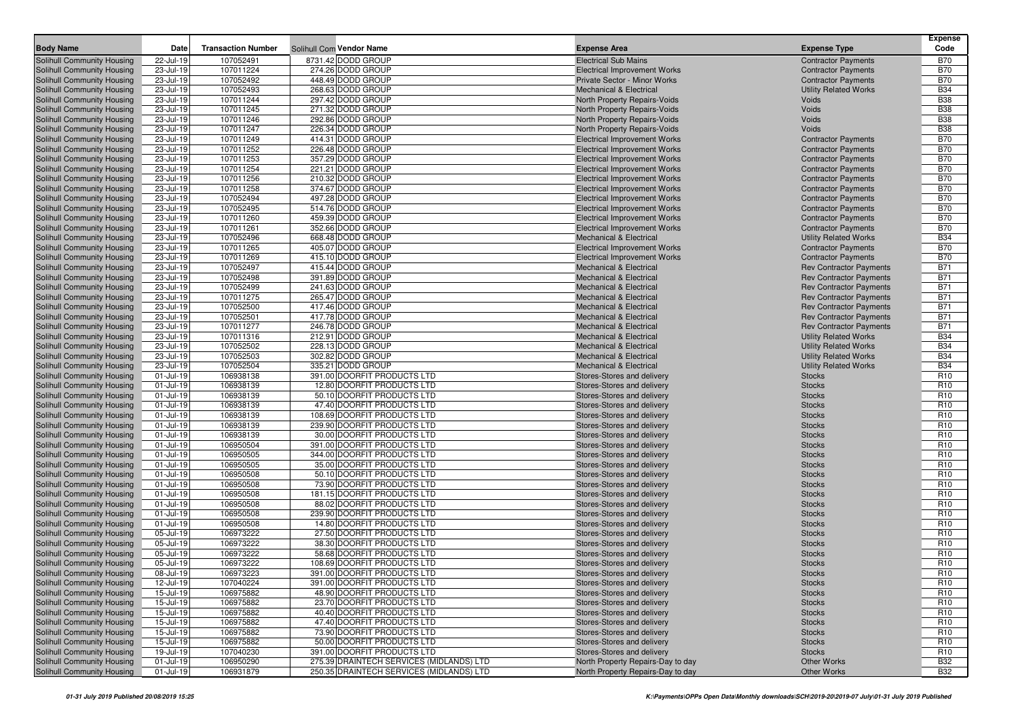|                                                          |                        |                           |                                                            |                                                                          |                                                              | <b>Expense</b>                     |
|----------------------------------------------------------|------------------------|---------------------------|------------------------------------------------------------|--------------------------------------------------------------------------|--------------------------------------------------------------|------------------------------------|
| <b>Body Name</b>                                         | <b>Date</b>            | <b>Transaction Number</b> | Solihull Com Vendor Name                                   | <b>Expense Area</b>                                                      | <b>Expense Type</b>                                          | Code                               |
| Solihull Community Housing                               | 22-Jul-19              | 107052491                 | 8731.42 DODD GROUP                                         | <b>Electrical Sub Mains</b>                                              | <b>Contractor Payments</b>                                   | <b>B70</b>                         |
| Solihull Community Housing                               | 23-Jul-19              | 107011224                 | 274.26 DODD GROUP                                          | <b>Electrical Improvement Works</b>                                      | <b>Contractor Payments</b>                                   | <b>B70</b>                         |
| Solihull Community Housing                               | 23-Jul-19              | 107052492                 | 448.49 DODD GROUP                                          | Private Sector - Minor Works                                             | <b>Contractor Payments</b>                                   | <b>B70</b><br><b>B34</b>           |
| Solihull Community Housing<br>Solihull Community Housing | 23-Jul-19<br>23-Jul-19 | 107052493<br>107011244    | 268.63 DODD GROUP<br>297.42 DODD GROUP                     | <b>Mechanical &amp; Electrical</b>                                       | <b>Utility Related Works</b><br>Voids                        | <b>B38</b>                         |
| Solihull Community Housing                               | 23-Jul-19              | 107011245                 | 271.32 DODD GROUP                                          | North Property Repairs-Voids<br><b>North Property Repairs-Voids</b>      | Voids                                                        | <b>B38</b>                         |
| Solihull Community Housing                               | 23-Jul-19              | 107011246                 | 292.86 DODD GROUP                                          | North Property Repairs-Voids                                             | Voids                                                        | <b>B38</b>                         |
| Solihull Community Housing                               | 23-Jul-19              | 107011247                 | 226.34 DODD GROUP                                          | North Property Repairs-Voids                                             | Voids                                                        | <b>B38</b>                         |
| Solihull Community Housing                               | 23-Jul-19              | 107011249                 | 414.31 DODD GROUP                                          | <b>Electrical Improvement Works</b>                                      | <b>Contractor Payments</b>                                   | <b>B70</b>                         |
| Solihull Community Housing                               | 23-Jul-19              | 107011252                 | 226.48 DODD GROUP                                          | <b>Electrical Improvement Works</b>                                      | <b>Contractor Payments</b>                                   | <b>B70</b>                         |
| Solihull Community Housing                               | 23-Jul-19              | 107011253                 | 357.29 DODD GROUP                                          | <b>Electrical Improvement Works</b>                                      | <b>Contractor Payments</b>                                   | <b>B70</b>                         |
| Solihull Community Housing                               | 23-Jul-19              | 107011254                 | 221.21 DODD GROUP                                          | <b>Electrical Improvement Works</b>                                      | <b>Contractor Payments</b>                                   | <b>B70</b>                         |
| Solihull Community Housing                               | 23-Jul-19              | 107011256                 | 210.32 DODD GROUP                                          | <b>Electrical Improvement Works</b>                                      | <b>Contractor Payments</b>                                   | <b>B70</b>                         |
| Solihull Community Housing                               | 23-Jul-19              | 107011258                 | 374.67 DODD GROUP                                          | <b>Electrical Improvement Works</b>                                      | <b>Contractor Payments</b>                                   | <b>B70</b>                         |
| Solihull Community Housing                               | 23-Jul-19              | 107052494                 | 497.28 DODD GROUP                                          | <b>Electrical Improvement Works</b>                                      | <b>Contractor Payments</b>                                   | <b>B70</b>                         |
| Solihull Community Housing                               | 23-Jul-19              | 107052495                 | 514.76 DODD GROUP                                          | <b>Electrical Improvement Works</b>                                      | <b>Contractor Payments</b>                                   | <b>B70</b>                         |
| Solihull Community Housing                               | 23-Jul-19              | 107011260                 | 459.39 DODD GROUP                                          | <b>Electrical Improvement Works</b>                                      | <b>Contractor Payments</b>                                   | <b>B70</b>                         |
| Solihull Community Housing                               | 23-Jul-19              | 107011261                 | 352.66 DODD GROUP                                          | <b>Electrical Improvement Works</b>                                      | <b>Contractor Payments</b>                                   | <b>B70</b>                         |
| Solihull Community Housing                               | 23-Jul-19              | 107052496                 | 668.48 DODD GROUP                                          | <b>Mechanical &amp; Electrical</b>                                       | <b>Utility Related Works</b>                                 | <b>B34</b>                         |
| Solihull Community Housing                               | 23-Jul-19              | 107011265                 | 405.07 DODD GROUP                                          | <b>Electrical Improvement Works</b>                                      | <b>Contractor Payments</b>                                   | <b>B70</b>                         |
| Solihull Community Housing                               | 23-Jul-19              | 107011269                 | 415.10 DODD GROUP                                          | <b>Electrical Improvement Works</b>                                      | <b>Contractor Payments</b>                                   | <b>B70</b>                         |
| Solihull Community Housing                               | 23-Jul-19              | 107052497                 | 415.44 DODD GROUP                                          | <b>Mechanical &amp; Electrical</b>                                       | <b>Rev Contractor Payments</b>                               | <b>B71</b>                         |
| Solihull Community Housing                               | 23-Jul-19              | 107052498                 | 391.89 DODD GROUP                                          | <b>Mechanical &amp; Electrical</b>                                       | <b>Rev Contractor Payments</b>                               | <b>B71</b>                         |
| Solihull Community Housing                               | 23-Jul-19              | 107052499                 | 241.63 DODD GROUP                                          | <b>Mechanical &amp; Electrical</b>                                       | <b>Rev Contractor Payments</b>                               | <b>B71</b>                         |
| Solihull Community Housing                               | 23-Jul-19              | 107011275                 | 265.47 DODD GROUP                                          | <b>Mechanical &amp; Electrical</b>                                       | <b>Rev Contractor Payments</b>                               | <b>B71</b>                         |
| Solihull Community Housing                               | 23-Jul-19              | 107052500                 | 417.46 DODD GROUP                                          | <b>Mechanical &amp; Electrical</b>                                       | <b>Rev Contractor Payments</b>                               | <b>B71</b>                         |
| Solihull Community Housing                               | 23-Jul-19              | 107052501                 | 417.78 DODD GROUP                                          | Mechanical & Electrical                                                  | <b>Rev Contractor Payments</b>                               | <b>B71</b>                         |
| Solihull Community Housing                               | 23-Jul-19              | 107011277                 | 246.78 DODD GROUP                                          | <b>Mechanical &amp; Electrical</b>                                       | <b>Rev Contractor Payments</b>                               | <b>B71</b>                         |
| Solihull Community Housing                               | 23-Jul-19              | 107011316                 | 212.91 DODD GROUP                                          | <b>Mechanical &amp; Electrical</b>                                       | <b>Utility Related Works</b>                                 | <b>B34</b>                         |
| Solihull Community Housing<br>Solihull Community Housing | 23-Jul-19<br>23-Jul-19 | 107052502<br>107052503    | 228.13 DODD GROUP<br>302.82 DODD GROUP                     | <b>Mechanical &amp; Electrical</b><br><b>Mechanical &amp; Electrical</b> | <b>Utility Related Works</b><br><b>Utility Related Works</b> | <b>B34</b><br><b>B34</b>           |
| Solihull Community Housing                               | 23-Jul-19              | 107052504                 | 335.21 DODD GROUP                                          | <b>Mechanical &amp; Electrical</b>                                       | <b>Utility Related Works</b>                                 | <b>B34</b>                         |
| Solihull Community Housing                               | 01-Jul-19              | 106938138                 | 391.00 DOORFIT PRODUCTS LTD                                | Stores-Stores and delivery                                               | <b>Stocks</b>                                                | R <sub>10</sub>                    |
| Solihull Community Housing                               | 01-Jul-19              | 106938139                 | 12.80 DOORFIT PRODUCTS LTD                                 | Stores-Stores and delivery                                               | <b>Stocks</b>                                                | R <sub>10</sub>                    |
| Solihull Community Housing                               | 01-Jul-19              | 106938139                 | 50.10 DOORFIT PRODUCTS LTD                                 | Stores-Stores and delivery                                               | <b>Stocks</b>                                                | R <sub>10</sub>                    |
| Solihull Community Housing                               | 01-Jul-19              | 106938139                 | 47.40 DOORFIT PRODUCTS LTD                                 | Stores-Stores and delivery                                               | <b>Stocks</b>                                                | R <sub>10</sub>                    |
| Solihull Community Housing                               | 01-Jul-19              | 106938139                 | 108.69 DOORFIT PRODUCTS LTD                                | Stores-Stores and delivery                                               | <b>Stocks</b>                                                | R <sub>10</sub>                    |
| Solihull Community Housing                               | 01-Jul-19              | 106938139                 | 239.90 DOORFIT PRODUCTS LTD                                | Stores-Stores and delivery                                               | <b>Stocks</b>                                                | R <sub>10</sub>                    |
| Solihull Community Housing                               | 01-Jul-19              | 106938139                 | 30.00 DOORFIT PRODUCTS LTD                                 | Stores-Stores and delivery                                               | <b>Stocks</b>                                                | R <sub>10</sub>                    |
| Solihull Community Housing                               | 01-Jul-19              | 106950504                 | 391.00 DOORFIT PRODUCTS LTD                                | Stores-Stores and delivery                                               | <b>Stocks</b>                                                | R <sub>10</sub>                    |
| Solihull Community Housing                               | 01-Jul-19              | 106950505                 | 344.00 DOORFIT PRODUCTS LTD                                | Stores-Stores and delivery                                               | <b>Stocks</b>                                                | R <sub>10</sub>                    |
| Solihull Community Housing                               | 01-Jul-19              | 106950505                 | 35.00 DOORFIT PRODUCTS LTD                                 | Stores-Stores and delivery                                               | <b>Stocks</b>                                                | R <sub>10</sub>                    |
| Solihull Community Housing                               | 01-Jul-19              | 106950508                 | 50.10 DOORFIT PRODUCTS LTD                                 | Stores-Stores and delivery                                               | <b>Stocks</b>                                                | R <sub>10</sub>                    |
| Solihull Community Housing                               | 01-Jul-19              | 106950508                 | 73.90 DOORFIT PRODUCTS LTD                                 | Stores-Stores and delivery                                               | <b>Stocks</b>                                                | R <sub>10</sub>                    |
| Solihull Community Housing                               | 01-Jul-19              | 106950508                 | 181.15 DOORFIT PRODUCTS LTD                                | Stores-Stores and delivery                                               | <b>Stocks</b>                                                | R <sub>10</sub>                    |
| Solihull Community Housing                               | 01-Jul-19              | 106950508                 | 88.02 DOORFIT PRODUCTS LTD                                 | Stores-Stores and delivery                                               | <b>Stocks</b>                                                | R <sub>10</sub>                    |
| Solihull Community Housing                               | $01$ -Jul-19           | 106950508                 | 239.90 DOORFIT PRODUCTS LTD                                | Stores-Stores and delivery                                               | <b>Stocks</b>                                                | R <sub>10</sub>                    |
| Solihull Community Housing                               | 01-Jul-19              | 106950508                 | 14.80 DOORFIT PRODUCTS LTD                                 | Stores-Stores and delivery                                               | <b>Stocks</b>                                                | R <sub>10</sub>                    |
| Solihull Community Housing                               | 05-Jul-19              | 106973222                 | 27.50 DOORFIT PRODUCTS LTD                                 | Stores-Stores and delivery                                               | <b>Stocks</b>                                                | R <sub>10</sub>                    |
| Solihull Community Housing                               | 05-Jul-19              | 106973222                 | 38.30 DOORFIT PRODUCTS LTD                                 | Stores-Stores and delivery                                               | <b>Stocks</b>                                                | R <sub>10</sub>                    |
| Solihull Community Housing                               | 05-Jul-19              | 106973222                 | 58.68 DOORFIT PRODUCTS LTD                                 | Stores-Stores and delivery                                               | <b>Stocks</b>                                                | R <sub>10</sub>                    |
| Solihull Community Housing                               | 05-Jul-19              | 106973222                 | 108.69 DOORFIT PRODUCTS LTD                                | Stores-Stores and delivery                                               | <b>Stocks</b>                                                | R <sub>10</sub>                    |
| Solihull Community Housing                               | 08-Jul-19<br>12-Jul-19 | 106973223<br>107040224    | 391.00 DOORFIT PRODUCTS LTD<br>391.00 DOORFIT PRODUCTS LTD | Stores-Stores and delivery                                               | <b>Stocks</b>                                                | R <sub>10</sub><br>R <sub>10</sub> |
| Solihull Community Housing<br>Solihull Community Housing | 15-Jul-19              | 106975882                 | 48.90 DOORFIT PRODUCTS LTD                                 | Stores-Stores and delivery<br>Stores-Stores and delivery                 | <b>Stocks</b><br><b>Stocks</b>                               | R <sub>10</sub>                    |
| Solihull Community Housing                               | 15-Jul-19              | 106975882                 | 23.70 DOORFIT PRODUCTS LTD                                 | Stores-Stores and delivery                                               | <b>Stocks</b>                                                | R <sub>10</sub>                    |
| Solihull Community Housing                               | 15-Jul-19              | 106975882                 | 40.40 DOORFIT PRODUCTS LTD                                 | Stores-Stores and delivery                                               | <b>Stocks</b>                                                | R <sub>10</sub>                    |
| Solihull Community Housing                               | 15-Jul-19              | 106975882                 | 47.40 DOORFIT PRODUCTS LTD                                 | Stores-Stores and delivery                                               | <b>Stocks</b>                                                | R <sub>10</sub>                    |
| Solihull Community Housing                               | 15-Jul-19              | 106975882                 | 73.90 DOORFIT PRODUCTS LTD                                 | Stores-Stores and delivery                                               | <b>Stocks</b>                                                | R <sub>10</sub>                    |
| Solihull Community Housing                               | 15-Jul-19              | 106975882                 | 50.00 DOORFIT PRODUCTS LTD                                 | Stores-Stores and delivery                                               | <b>Stocks</b>                                                | R <sub>10</sub>                    |
| Solihull Community Housing                               | 19-Jul-19              | 107040230                 | 391.00 DOORFIT PRODUCTS LTD                                | Stores-Stores and delivery                                               | <b>Stocks</b>                                                | R <sub>10</sub>                    |
| Solihull Community Housing                               | 01-Jul-19              | 106950290                 | 275.39 DRAINTECH SERVICES (MIDLANDS) LTD                   | North Property Repairs-Day to day                                        | Other Works                                                  | <b>B32</b>                         |
| Solihull Community Housing                               | 01-Jul-19              | 106931879                 | 250.35 DRAINTECH SERVICES (MIDLANDS) LTD                   | North Property Repairs-Day to day                                        | Other Works                                                  | <b>B32</b>                         |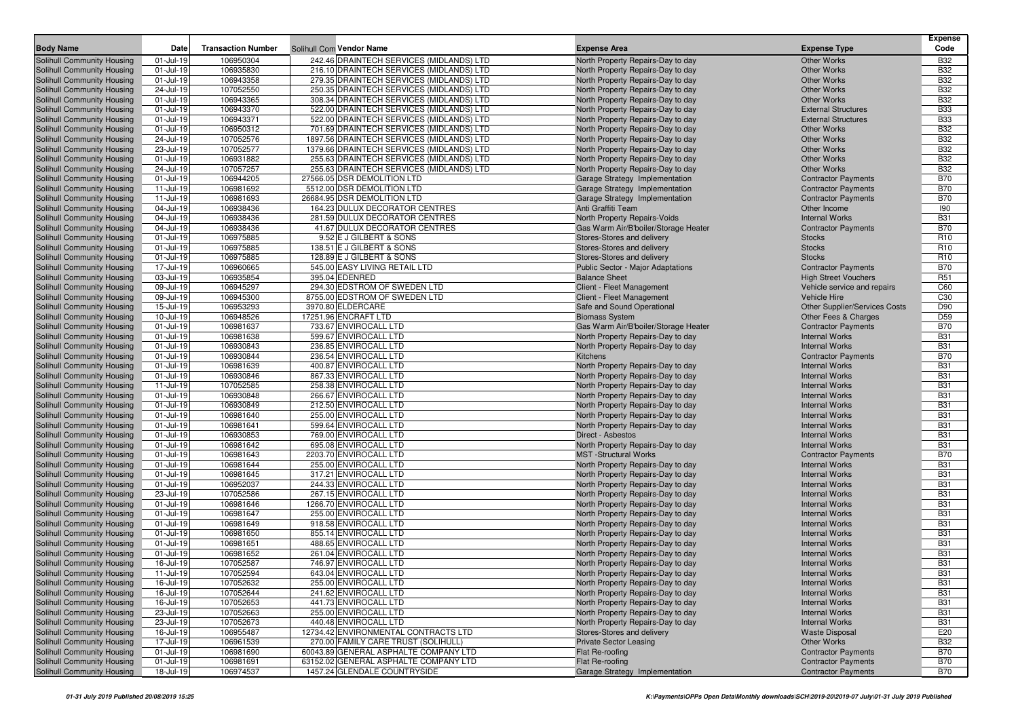|                                                          |                        |                           |                                                                                      |                                                                        |                                                          | <b>Expense</b>           |
|----------------------------------------------------------|------------------------|---------------------------|--------------------------------------------------------------------------------------|------------------------------------------------------------------------|----------------------------------------------------------|--------------------------|
| <b>Body Name</b>                                         | Date                   | <b>Transaction Number</b> | Solihull Com Vendor Name                                                             | <b>Expense Area</b>                                                    | <b>Expense Type</b>                                      | Code                     |
| Solihull Community Housing                               | 01-Jul-19              | 106950304                 | 242.46 DRAINTECH SERVICES (MIDLANDS) LTD                                             | North Property Repairs-Day to day                                      | <b>Other Works</b>                                       | <b>B32</b>               |
| Solihull Community Housing                               | 01-Jul-19              | 106935830                 | 216.10 DRAINTECH SERVICES (MIDLANDS) LTD                                             | North Property Repairs-Day to day                                      | <b>Other Works</b>                                       | <b>B32</b>               |
| Solihull Community Housing                               | 01-Jul-19              | 106943358                 | 279.35 DRAINTECH SERVICES (MIDLANDS) LTD                                             | North Property Repairs-Day to day                                      | <b>Other Works</b>                                       | <b>B32</b>               |
| Solihull Community Housing                               | 24-Jul-19              | 107052550                 | 250.35 DRAINTECH SERVICES (MIDLANDS) LTD                                             | North Property Repairs-Day to day                                      | <b>Other Works</b>                                       | <b>B32</b>               |
| Solihull Community Housing                               | 01-Jul-19              | 106943365                 | 308.34 DRAINTECH SERVICES (MIDLANDS) LTD                                             | North Property Repairs-Day to day                                      | <b>Other Works</b>                                       | <b>B32</b>               |
| Solihull Community Housing                               | 01-Jul-19<br>01-Jul-19 | 106943370<br>106943371    | 522.00 DRAINTECH SERVICES (MIDLANDS) LTD<br>522.00 DRAINTECH SERVICES (MIDLANDS) LTD | North Property Repairs-Day to day                                      | <b>External Structures</b><br><b>External Structures</b> | <b>B33</b><br><b>B33</b> |
| Solihull Community Housing<br>Solihull Community Housing | 01-Jul-19              | 106950312                 | 701.69 DRAINTECH SERVICES (MIDLANDS) LTD                                             | North Property Repairs-Day to day<br>North Property Repairs-Day to day | <b>Other Works</b>                                       | <b>B32</b>               |
| Solihull Community Housing                               | 24-Jul-19              | 107052576                 | 1897.56 DRAINTECH SERVICES (MIDLANDS) LTD                                            | North Property Repairs-Day to day                                      | <b>Other Works</b>                                       | <b>B32</b>               |
| Solihull Community Housing                               | 23-Jul-19              | 107052577                 | 1379.66 DRAINTECH SERVICES (MIDLANDS) LTD                                            | North Property Repairs-Day to day                                      | <b>Other Works</b>                                       | <b>B32</b>               |
| Solihull Community Housing                               | 01-Jul-19              | 106931882                 | 255.63 DRAINTECH SERVICES (MIDLANDS) LTD                                             | North Property Repairs-Day to day                                      | <b>Other Works</b>                                       | <b>B32</b>               |
| Solihull Community Housing                               | 24-Jul-19              | 107057257                 | 255.63 DRAINTECH SERVICES (MIDLANDS) LTD                                             | North Property Repairs-Day to day                                      | <b>Other Works</b>                                       | <b>B32</b>               |
| Solihull Community Housing                               | 01-Jul-19              | 106944205                 | 27566.05 DSR DEMOLITION LTD                                                          | Garage Strategy Implementation                                         | <b>Contractor Payments</b>                               | <b>B70</b>               |
| Solihull Community Housing                               | 11-Jul-19              | 106981692                 | 5512.00 DSR DEMOLITION LTD                                                           | Garage Strategy Implementation                                         | <b>Contractor Payments</b>                               | <b>B70</b>               |
| Solihull Community Housing                               | 11-Jul-19              | 106981693                 | 26684.95 DSR DEMOLITION LTD                                                          | Garage Strategy Implementation                                         | <b>Contractor Payments</b>                               | <b>B70</b>               |
| Solihull Community Housing                               | 04-Jul-19              | 106938436                 | 164.23 DULUX DECORATOR CENTRES                                                       | Anti Graffiti Team                                                     | Other Income                                             | 190                      |
| Solihull Community Housing                               | 04-Jul-19              | 106938436                 | 281.59 DULUX DECORATOR CENTRES                                                       | North Property Repairs-Voids                                           | <b>Internal Works</b>                                    | <b>B31</b>               |
| Solihull Community Housing                               | 04-Jul-19              | 106938436                 | 41.67 DULUX DECORATOR CENTRES                                                        | Gas Warm Air/B'boiler/Storage Heater                                   | <b>Contractor Payments</b>                               | <b>B70</b>               |
| Solihull Community Housing                               | 01-Jul-19              | 106975885                 | 9.52 E J GILBERT & SONS                                                              | Stores-Stores and delivery                                             | <b>Stocks</b>                                            | R <sub>10</sub>          |
| Solihull Community Housing                               | 01-Jul-19              | 106975885                 | 138.51 E J GILBERT & SONS                                                            | Stores-Stores and delivery                                             | <b>Stocks</b>                                            | R <sub>10</sub>          |
| Solihull Community Housing                               | 01-Jul-19              | 106975885                 | 128.89 E J GILBERT & SONS                                                            | Stores-Stores and delivery                                             | <b>Stocks</b>                                            | R <sub>10</sub>          |
| Solihull Community Housing                               | 17-Jul-19              | 106960665                 | 545.00 EASY LIVING RETAIL LTD                                                        | Public Sector - Major Adaptations                                      | <b>Contractor Payments</b>                               | <b>B70</b>               |
| Solihull Community Housing                               | 03-Jul-19              | 106935854                 | 395.04 EDENRED                                                                       | <b>Balance Sheet</b>                                                   | <b>High Street Vouchers</b>                              | R <sub>51</sub>          |
| Solihull Community Housing                               | 09-Jul-19              | 106945297                 | 294.30 EDSTROM OF SWEDEN LTD                                                         | Client - Fleet Management                                              | Vehicle service and repairs                              | C60                      |
| Solihull Community Housing                               | 09-Jul-19              | 106945300                 | 8755.00 EDSTROM OF SWEDEN LTD                                                        | Client - Fleet Management                                              | <b>Vehicle Hire</b>                                      | C <sub>30</sub>          |
| Solihull Community Housing                               | 15-Jul-19              | 106953293                 | 3970.80 ELDERCARE                                                                    | Safe and Sound Operational                                             | Other Supplier/Services Costs                            | D90                      |
| Solihull Community Housing                               | 10-Jul-19              | 106948526                 | 17251.96 ENCRAFT LTD                                                                 | <b>Biomass System</b>                                                  | Other Fees & Charges                                     | D <sub>59</sub>          |
| Solihull Community Housing                               | 01-Jul-19              | 106981637                 | 733.67 ENVIROCALL LTD                                                                | Gas Warm Air/B'boiler/Storage Heater                                   | <b>Contractor Payments</b>                               | <b>B70</b>               |
| Solihull Community Housing                               | 01-Jul-19              | 106981638                 | 599.67 ENVIROCALL LTD                                                                | North Property Repairs-Day to day                                      | <b>Internal Works</b>                                    | <b>B31</b>               |
| Solihull Community Housing                               | 01-Jul-19<br>01-Jul-19 | 106930843                 | 236.85 ENVIROCALL LTD<br>236.54 ENVIROCALL LTD                                       | North Property Repairs-Day to day<br>Kitchens                          | <b>Internal Works</b>                                    | <b>B31</b><br><b>B70</b> |
| Solihull Community Housing<br>Solihull Community Housing | 01-Jul-19              | 106930844<br>106981639    | 400.87 ENVIROCALL LTD                                                                | North Property Repairs-Day to day                                      | <b>Contractor Payments</b><br><b>Internal Works</b>      | <b>B31</b>               |
| Solihull Community Housing                               | 01-Jul-19              | 106930846                 | 867.33 ENVIROCALL LTD                                                                | North Property Repairs-Day to day                                      | <b>Internal Works</b>                                    | <b>B31</b>               |
| Solihull Community Housing                               | 11-Jul-19              | 107052585                 | 258.38 ENVIROCALL LTD                                                                | North Property Repairs-Day to day                                      | <b>Internal Works</b>                                    | <b>B31</b>               |
| Solihull Community Housing                               | 01-Jul-19              | 106930848                 | 266.67 ENVIROCALL LTD                                                                | North Property Repairs-Day to day                                      | <b>Internal Works</b>                                    | <b>B31</b>               |
| Solihull Community Housing                               | 01-Jul-19              | 106930849                 | 212.50 ENVIROCALL LTD                                                                | North Property Repairs-Day to day                                      | <b>Internal Works</b>                                    | <b>B31</b>               |
| Solihull Community Housing                               | 01-Jul-19              | 106981640                 | 255.00 ENVIROCALL LTD                                                                | North Property Repairs-Day to day                                      | <b>Internal Works</b>                                    | <b>B31</b>               |
| Solihull Community Housing                               | 01-Jul-19              | 106981641                 | 599.64 ENVIROCALL LTD                                                                | North Property Repairs-Day to day                                      | <b>Internal Works</b>                                    | <b>B31</b>               |
| Solihull Community Housing                               | 01-Jul-19              | 106930853                 | 769.00 ENVIROCALL LTD                                                                | Direct - Asbestos                                                      | <b>Internal Works</b>                                    | <b>B31</b>               |
| Solihull Community Housing                               | 01-Jul-19              | 106981642                 | 695.08 ENVIROCALL LTD                                                                | North Property Repairs-Day to day                                      | <b>Internal Works</b>                                    | <b>B31</b>               |
| Solihull Community Housing                               | 01-Jul-19              | 106981643                 | 2203.70 ENVIROCALL LTD                                                               | <b>MST</b> -Structural Works                                           | <b>Contractor Payments</b>                               | <b>B70</b>               |
| Solihull Community Housing                               | 01-Jul-19              | 106981644                 | 255.00 ENVIROCALL LTD                                                                | North Property Repairs-Day to day                                      | <b>Internal Works</b>                                    | <b>B31</b>               |
| Solihull Community Housing                               | 01-Jul-19              | 106981645                 | 317.21 ENVIROCALL LTD                                                                | North Property Repairs-Day to day                                      | <b>Internal Works</b>                                    | <b>B31</b>               |
| Solihull Community Housing                               | 01-Jul-19              | 106952037                 | 244.33 ENVIROCALL LTD                                                                | North Property Repairs-Day to day                                      | <b>Internal Works</b>                                    | <b>B31</b>               |
| Solihull Community Housing                               | 23-Jul-19              | 107052586                 | 267.15 ENVIROCALL LTD                                                                | North Property Repairs-Day to day                                      | <b>Internal Works</b>                                    | <b>B31</b>               |
| Solihull Community Housing                               | 01-Jul-19              | 106981646                 | 1266.70 ENVIROCALL LTD                                                               | North Property Repairs-Day to day                                      | <b>Internal Works</b>                                    | <b>B31</b>               |
| Solihull Community Housing                               | 01-Jul-19              | 106981647                 | 255.00 ENVIROCALL LTD                                                                | North Property Repairs-Day to day                                      | <b>Internal Works</b>                                    | <b>B31</b>               |
| Solihull Community Housing                               | 01-Jul-19              | 106981649                 | 918.58 ENVIROCALL LTD                                                                | North Property Repairs-Day to day                                      | <b>Internal Works</b>                                    | <b>B31</b>               |
| Solihull Community Housing                               | 01-Jul-19              | 106981650                 | 855.14 ENVIROCALL LTD                                                                | North Property Repairs-Day to day                                      | <b>Internal Works</b>                                    | <b>B31</b>               |
| Solihull Community Housing                               | 01-Jul-19              | 106981651                 | 488.65 ENVIROCALL LTD                                                                | North Property Repairs-Day to day                                      | <b>Internal Works</b>                                    | <b>B31</b>               |
| Solihull Community Housing                               | 01-Jul-19              | 106981652<br>107052587    | 261.04 ENVIROCALL LTD                                                                | North Property Repairs-Day to day                                      | <b>Internal Works</b><br><b>Internal Works</b>           | <b>B31</b>               |
| Solihull Community Housing<br>Solihull Community Housing | 16-Jul-19<br>11-Jul-19 | 107052594                 | 746.97 ENVIROCALL LTD<br>643.04 ENVIROCALL LTD                                       | North Property Repairs-Day to day<br>North Property Repairs-Day to day | <b>Internal Works</b>                                    | <b>B31</b><br><b>B31</b> |
| Solihull Community Housing                               | 16-Jul-19              | 107052632                 | 255.00 ENVIROCALL LTD                                                                | North Property Repairs-Day to day                                      | <b>Internal Works</b>                                    | <b>B31</b>               |
| Solihull Community Housing                               | 16-Jul-19              | 107052644                 | 241.62 ENVIROCALL LTD                                                                | North Property Repairs-Day to day                                      | <b>Internal Works</b>                                    | <b>B31</b>               |
| Solihull Community Housing                               | 16-Jul-19              | 107052653                 | 441.73 ENVIROCALL LTD                                                                | North Property Repairs-Day to day                                      | <b>Internal Works</b>                                    | <b>B31</b>               |
| Solihull Community Housing                               | 23-Jul-19              | 107052663                 | 255.00 ENVIROCALL LTD                                                                | North Property Repairs-Day to day                                      | <b>Internal Works</b>                                    | <b>B31</b>               |
| Solihull Community Housing                               | 23-Jul-19              | 107052673                 | 440.48 ENVIROCALL LTD                                                                | North Property Repairs-Day to day                                      | <b>Internal Works</b>                                    | <b>B31</b>               |
| Solihull Community Housing                               | 16-Jul-19              | 106955487                 | 12734.42 ENVIRONMENTAL CONTRACTS LTD                                                 | Stores-Stores and delivery                                             | <b>Waste Disposal</b>                                    | E20                      |
| Solihull Community Housing                               | 17-Jul-19              | 106961539                 | 270.00 FAMILY CARE TRUST (SOLIHULL)                                                  | <b>Private Sector Leasing</b>                                          | <b>Other Works</b>                                       | <b>B32</b>               |
| Solihull Community Housing                               | 01-Jul-19              | 106981690                 | 60043.89 GENERAL ASPHALTE COMPANY LTD                                                | Flat Re-roofing                                                        | <b>Contractor Payments</b>                               | <b>B70</b>               |
| Solihull Community Housing                               | 01-Jul-19              | 106981691                 | 63152.02 GENERAL ASPHALTE COMPANY LTD                                                | Flat Re-roofing                                                        | <b>Contractor Payments</b>                               | <b>B70</b>               |
| Solihull Community Housing                               | 18-Jul-19              | 106974537                 | 1457.24 GLENDALE COUNTRYSIDE                                                         | Garage Strategy Implementation                                         | <b>Contractor Payments</b>                               | <b>B70</b>               |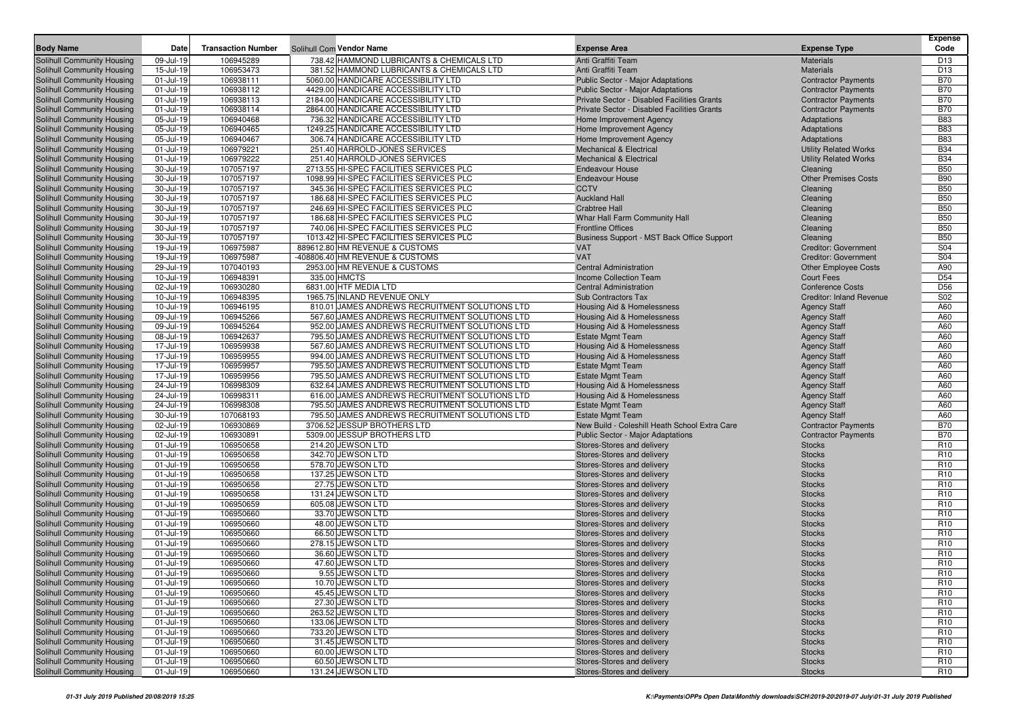|                                                          |                            |                           |                                                                                   |                                                                        |                                                          | <b>Expense</b>                     |
|----------------------------------------------------------|----------------------------|---------------------------|-----------------------------------------------------------------------------------|------------------------------------------------------------------------|----------------------------------------------------------|------------------------------------|
| <b>Body Name</b>                                         | Date                       | <b>Transaction Number</b> | Solihull Com Vendor Name                                                          | <b>Expense Area</b>                                                    | <b>Expense Type</b>                                      | Code                               |
| Solihull Community Housing                               | 09-Jul-19                  | 106945289                 | 738.42 HAMMOND LUBRICANTS & CHEMICALS LTD                                         | Anti Graffiti Team                                                     | <b>Materials</b>                                         | D <sub>13</sub>                    |
| Solihull Community Housing                               | 15-Jul-19                  | 106953473                 | 381.52 HAMMOND LUBRICANTS & CHEMICALS LTD                                         | Anti Graffiti Team                                                     | <b>Materials</b>                                         | D <sub>13</sub>                    |
| Solihull Community Housing                               | 01-Jul-19                  | 106938111                 | 5060.00 HANDICARE ACCESSIBILITY LTD                                               | Public Sector - Major Adaptations                                      | <b>Contractor Payments</b>                               | <b>B70</b>                         |
| Solihull Community Housing                               | 01-Jul-19                  | 106938112                 | 4429.00 HANDICARE ACCESSIBILITY LTD                                               | <b>Public Sector - Major Adaptations</b>                               | <b>Contractor Payments</b>                               | <b>B70</b>                         |
| Solihull Community Housing                               | 01-Jul-19                  | 106938113                 | 2184.00 HANDICARE ACCESSIBILITY LTD                                               | Private Sector - Disabled Facilities Grants                            | <b>Contractor Payments</b>                               | <b>B70</b>                         |
| Solihull Community Housing                               | 01-Jul-19                  | 106938114                 | 2864.00 HANDICARE ACCESSIBILITY LTD                                               | Private Sector - Disabled Facilities Grants                            | <b>Contractor Payments</b>                               | <b>B70</b>                         |
| Solihull Community Housing                               | 05-Jul-19                  | 106940468                 | 736.32 HANDICARE ACCESSIBILITY LTD                                                | Home Improvement Agency                                                | Adaptations                                              | <b>B83</b>                         |
| Solihull Community Housing                               | 05-Jul-19                  | 106940465                 | 1249.25 HANDICARE ACCESSIBILITY LTD                                               | Home Improvement Agency                                                | Adaptations                                              | <b>B83</b>                         |
| Solihull Community Housing                               | 05-Jul-19                  | 106940467                 | 306.74 HANDICARE ACCESSIBILITY LTD                                                | Home Improvement Agency                                                | Adaptations                                              | <b>B83</b>                         |
| Solihull Community Housing                               | 01-Jul-19                  | 106979221                 | 251.40 HARROLD-JONES SERVICES                                                     | <b>Mechanical &amp; Electrical</b>                                     | <b>Utility Related Works</b>                             | <b>B34</b>                         |
| Solihull Community Housing                               | 01-Jul-19                  | 106979222                 | 251.40 HARROLD-JONES SERVICES                                                     | <b>Mechanical &amp; Electrical</b>                                     | <b>Utility Related Works</b>                             | <b>B34</b>                         |
| Solihull Community Housing                               | 30-Jul-19                  | 107057197                 | 2713.55 HI-SPEC FACILITIES SERVICES PLC                                           | <b>Endeavour House</b>                                                 | Cleaning                                                 | <b>B50</b>                         |
| Solihull Community Housing                               | 30-Jul-19<br>30-Jul-19     | 107057197<br>107057197    | 1098.99 HI-SPEC FACILITIES SERVICES PLC<br>345.36 HI-SPEC FACILITIES SERVICES PLC | <b>Endeavour House</b><br><b>CCTV</b>                                  | <b>Other Premises Costs</b>                              | <b>B90</b><br><b>B50</b>           |
| Solihull Community Housing                               | 30-Jul-19                  | 107057197                 | 186.68 HI-SPEC FACILITIES SERVICES PLC                                            | <b>Auckland Hall</b>                                                   | Cleaning                                                 | <b>B50</b>                         |
| Solihull Community Housing<br>Solihull Community Housing | 30-Jul-19                  | 107057197                 | 246.69 HI-SPEC FACILITIES SERVICES PLC                                            | <b>Crabtree Hall</b>                                                   | Cleaning<br>Cleaning                                     | <b>B50</b>                         |
| Solihull Community Housing                               | 30-Jul-19                  | 107057197                 | 186.68 HI-SPEC FACILITIES SERVICES PLC                                            | Whar Hall Farm Community Hall                                          | Cleaning                                                 | <b>B50</b>                         |
| Solihull Community Housing                               | 30-Jul-19                  | 107057197                 | 740.06 HI-SPEC FACILITIES SERVICES PLC                                            | <b>Frontline Offices</b>                                               | Cleaning                                                 | <b>B50</b>                         |
| Solihull Community Housing                               | 30-Jul-19                  | 107057197                 | 1013.42 HI-SPEC FACILITIES SERVICES PLC                                           | Business Support - MST Back Office Support                             | Cleaning                                                 | <b>B50</b>                         |
| Solihull Community Housing                               | 19-Jul-19                  | 106975987                 | 889612.80 HM REVENUE & CUSTOMS                                                    | <b>VAT</b>                                                             | <b>Creditor: Government</b>                              | S04                                |
| Solihull Community Housing                               | 19-Jul-19                  | 106975987                 | -408806.40 HM REVENUE & CUSTOMS                                                   | <b>VAT</b>                                                             | <b>Creditor: Government</b>                              | S04                                |
| Solihull Community Housing                               | 29-Jul-19                  | 107040193                 | 2953.00 HM REVENUE & CUSTOMS                                                      | <b>Central Administration</b>                                          | <b>Other Employee Costs</b>                              | A90                                |
| Solihull Community Housing                               | 10-Jul-19                  | 106948391                 | 335.00 HMCTS                                                                      | <b>Income Collection Team</b>                                          | <b>Court Fees</b>                                        | D <sub>54</sub>                    |
| Solihull Community Housing                               | 02-Jul-19                  | 106930280                 | 6831.00 HTF MEDIA LTD                                                             | <b>Central Administration</b>                                          | <b>Conference Costs</b>                                  | D56                                |
| Solihull Community Housing                               | 10-Jul-19                  | 106948395                 | 1965.75 INLAND REVENUE ONLY                                                       | Sub Contractors Tax                                                    | <b>Creditor: Inland Revenue</b>                          | S02                                |
| Solihull Community Housing                               | 10-Jul-19                  | 106946195                 | 810.01 JAMES ANDREWS RECRUITMENT SOLUTIONS LTD                                    | Housing Aid & Homelessness                                             | <b>Agency Staff</b>                                      | A60                                |
| Solihull Community Housing                               | 09-Jul-19                  | 106945266                 | 567.60 JAMES ANDREWS RECRUITMENT SOLUTIONS LTD                                    | <b>Housing Aid &amp; Homelessness</b>                                  | <b>Agency Staff</b>                                      | A60                                |
| Solihull Community Housing                               | 09-Jul-19                  | 106945264                 | 952.00 JAMES ANDREWS RECRUITMENT SOLUTIONS LTD                                    | Housing Aid & Homelessness                                             | <b>Agency Staff</b>                                      | A60                                |
| Solihull Community Housing                               | 08-Jul-19                  | 106942637                 | 795.50 JAMES ANDREWS RECRUITMENT SOLUTIONS LTD                                    | <b>Estate Mgmt Team</b>                                                | <b>Agency Staff</b>                                      | A60                                |
| Solihull Community Housing                               | 17-Jul-19                  | 106959938                 | 567.60 JAMES ANDREWS RECRUITMENT SOLUTIONS LTD                                    | <b>Housing Aid &amp; Homelessness</b>                                  | <b>Agency Staff</b>                                      | A60                                |
| Solihull Community Housing                               | 17-Jul-19                  | 106959955                 | 994.00 JAMES ANDREWS RECRUITMENT SOLUTIONS LTD                                    | Housing Aid & Homelessness                                             | <b>Agency Staff</b>                                      | A60                                |
| Solihull Community Housing                               | 17-Jul-19                  | 106959957                 | 795.50 JAMES ANDREWS RECRUITMENT SOLUTIONS LTD                                    | <b>Estate Mgmt Team</b>                                                | <b>Agency Staff</b>                                      | A60                                |
| Solihull Community Housing                               | 17-Jul-19                  | 106959956                 | 795.50 JAMES ANDREWS RECRUITMENT SOLUTIONS LTD                                    | <b>Estate Mgmt Team</b>                                                | <b>Agency Staff</b>                                      | A60                                |
| Solihull Community Housing                               | 24-Jul-19                  | 106998309                 | 632.64 JAMES ANDREWS RECRUITMENT SOLUTIONS LTD                                    | Housing Aid & Homelessness                                             | <b>Agency Staff</b>                                      | A60                                |
| Solihull Community Housing                               | 24-Jul-19                  | 106998311                 | 616.00 JAMES ANDREWS RECRUITMENT SOLUTIONS LTD                                    | Housing Aid & Homelessness                                             | <b>Agency Staff</b>                                      | A60                                |
| Solihull Community Housing                               | 24-Jul-19                  | 106998308                 | 795.50 JAMES ANDREWS RECRUITMENT SOLUTIONS LTD                                    | <b>Estate Mgmt Team</b>                                                | <b>Agency Staff</b>                                      | A60                                |
| Solihull Community Housing                               | 30-Jul-19                  | 107068193                 | 795.50 JAMES ANDREWS RECRUITMENT SOLUTIONS LTD                                    | <b>Estate Mgmt Team</b>                                                | <b>Agency Staff</b>                                      | A60                                |
| Solihull Community Housing                               | 02-Jul-19<br>02-Jul-19     | 106930869<br>106930891    | 3706.52 JESSUP BROTHERS LTD<br>5309.00 JESSUP BROTHERS LTD                        | New Build - Coleshill Heath School Extra Care                          | <b>Contractor Payments</b><br><b>Contractor Payments</b> | <b>B70</b><br><b>B70</b>           |
| Solihull Community Housing<br>Solihull Community Housing | 01-Jul-19                  | 106950658                 | 214.20 JEWSON LTD                                                                 | <b>Public Sector - Major Adaptations</b><br>Stores-Stores and delivery | <b>Stocks</b>                                            | R <sub>10</sub>                    |
| Solihull Community Housing                               | 01-Jul-19                  | 106950658                 | 342.70 JEWSON LTD                                                                 | Stores-Stores and delivery                                             | <b>Stocks</b>                                            | R <sub>10</sub>                    |
| Solihull Community Housing                               | 01-Jul-19                  | 106950658                 | 578.70 JEWSON LTD                                                                 | Stores-Stores and delivery                                             | <b>Stocks</b>                                            | R <sub>10</sub>                    |
| Solihull Community Housing                               | 01-Jul-19                  | 106950658                 | 137.25 JEWSON LTD                                                                 | Stores-Stores and delivery                                             | <b>Stocks</b>                                            | R <sub>10</sub>                    |
| Solihull Community Housing                               | 01-Jul-19                  | 106950658                 | 27.75 JEWSON LTD                                                                  | Stores-Stores and delivery                                             | <b>Stocks</b>                                            | R <sub>10</sub>                    |
| Solihull Community Housing                               | 01-Jul-19                  | 106950658                 | 131.24 JEWSON LTD                                                                 | Stores-Stores and delivery                                             | <b>Stocks</b>                                            | R <sub>10</sub>                    |
| Solihull Community Housing                               | 01-Jul-19                  | 106950659                 | 605.08 JEWSON LTD                                                                 | Stores-Stores and delivery                                             | <b>Stocks</b>                                            | R <sub>10</sub>                    |
| Solihull Community Housing                               | 01-Jul-19                  | 106950660                 | 33.70 JEWSON LTD                                                                  | Stores-Stores and delivery                                             | <b>Stocks</b>                                            | R <sub>10</sub>                    |
| Solihull Community Housing                               | 01-Jul-19                  | 106950660                 | 48.00 JEWSON LTD                                                                  | Stores-Stores and delivery                                             | <b>Stocks</b>                                            | R <sub>10</sub>                    |
| Solihull Community Housing                               | 01-Jul-19                  | 106950660                 | 66.50 JEWSON LTD                                                                  | Stores-Stores and delivery                                             | <b>Stocks</b>                                            | R <sub>10</sub>                    |
| Solihull Community Housing                               | 01-Jul-19                  | 106950660                 | 278.15 JEWSON LTD                                                                 | Stores-Stores and delivery                                             | <b>Stocks</b>                                            | R <sub>10</sub>                    |
| Solihull Community Housing                               | 01-Jul-19                  | 106950660                 | 36.60 JEWSON LTD                                                                  | Stores-Stores and delivery                                             | <b>Stocks</b>                                            | R <sub>10</sub>                    |
| Solihull Community Housing                               | 01-Jul-19                  | 106950660                 | 47.60 JEWSON LTD                                                                  | Stores-Stores and delivery                                             | <b>Stocks</b>                                            | R <sub>10</sub>                    |
| Solihull Community Housing                               | 01-Jul-19                  | 106950660                 | 9.55 JEWSON LTD                                                                   | Stores-Stores and delivery                                             | <b>Stocks</b>                                            | R <sub>10</sub>                    |
| Solihull Community Housing                               | 01-Jul-19                  | 106950660                 | 10.70 JEWSON LTD                                                                  | Stores-Stores and delivery                                             | <b>Stocks</b>                                            | R <sub>10</sub>                    |
| Solihull Community Housing                               | 01-Jul-19                  | 106950660                 | 45.45 JEWSON LTD                                                                  | Stores-Stores and delivery                                             | <b>Stocks</b>                                            | R <sub>10</sub>                    |
| Solihull Community Housing                               | 01-Jul-19                  | 106950660                 | 27.30 JEWSON LTD                                                                  | Stores-Stores and delivery                                             | <b>Stocks</b>                                            | R <sub>10</sub>                    |
| Solihull Community Housing                               | 01-Jul-19                  | 106950660                 | 263.52 JEWSON LTD                                                                 | Stores-Stores and delivery                                             | <b>Stocks</b>                                            | R <sub>10</sub>                    |
| Solihull Community Housing                               | 01-Jul-19                  | 106950660                 | 133.06 JEWSON LTD                                                                 | Stores-Stores and delivery                                             | <b>Stocks</b>                                            | R <sub>10</sub>                    |
| Solihull Community Housing                               | 01-Jul-19                  | 106950660                 | 733.20 JEWSON LTD                                                                 | Stores-Stores and delivery                                             | <b>Stocks</b>                                            | R <sub>10</sub>                    |
| Solihull Community Housing<br>Solihull Community Housing | 01-Jul-19                  | 106950660                 | 31.45 JEWSON LTD<br>60.00 JEWSON LTD                                              | Stores-Stores and delivery                                             | <b>Stocks</b>                                            | R <sub>10</sub>                    |
|                                                          | 01-Jul-19                  | 106950660                 | 60.50 JEWSON LTD                                                                  | Stores-Stores and delivery<br>Stores-Stores and delivery               | <b>Stocks</b>                                            | R <sub>10</sub><br>R <sub>10</sub> |
| Solihull Community Housing<br>Solihull Community Housing | 01-Jul-19<br>$01 -$ Jul-19 | 106950660<br>106950660    | 131.24 JEWSON LTD                                                                 | Stores-Stores and delivery                                             | <b>Stocks</b><br><b>Stocks</b>                           | R <sub>10</sub>                    |
|                                                          |                            |                           |                                                                                   |                                                                        |                                                          |                                    |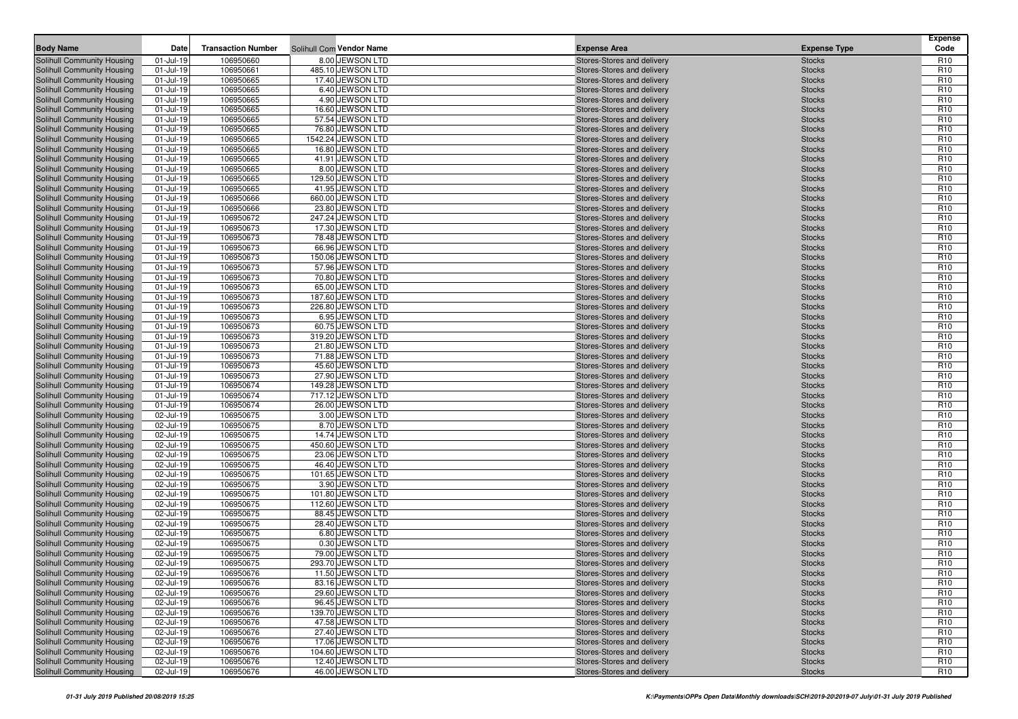| <b>Body Name</b>                                         | Date                   | <b>Transaction Number</b> | Solihull Com Vendor Name             | <b>Expense Area</b>                                      | <b>Expense</b><br><b>Expense Type</b><br>Code                        |
|----------------------------------------------------------|------------------------|---------------------------|--------------------------------------|----------------------------------------------------------|----------------------------------------------------------------------|
| Solihull Community Housing                               | 01-Jul-19              | 106950660                 | 8.00 JEWSON LTD                      | Stores-Stores and delivery                               | <b>Stocks</b><br>R <sub>10</sub>                                     |
| Solihull Community Housing                               | 01-Jul-19              | 106950661                 | 485.10 JEWSON LTD                    | Stores-Stores and delivery                               | R <sub>10</sub><br><b>Stocks</b>                                     |
| Solihull Community Housing                               | 01-Jul-19              | 106950665                 | 17.40 JEWSON LTD                     | Stores-Stores and delivery                               | R <sub>10</sub><br><b>Stocks</b>                                     |
| Solihull Community Housing                               | 01-Jul-19              | 106950665                 | 6.40 JEWSON LTD                      | Stores-Stores and delivery                               | R <sub>10</sub><br><b>Stocks</b>                                     |
| Solihull Community Housing                               | 01-Jul-19              | 106950665                 | 4.90 JEWSON LTD                      | Stores-Stores and delivery                               | R <sub>10</sub><br><b>Stocks</b>                                     |
| <b>Solihull Community Housing</b>                        | 01-Jul-19              | 106950665                 | 16.60 JEWSON LTD                     | Stores-Stores and delivery                               | R <sub>10</sub><br><b>Stocks</b>                                     |
| Solihull Community Housing                               | 01-Jul-19              | 106950665                 | 57.54 JEWSON LTD                     | Stores-Stores and delivery                               | R <sub>10</sub><br><b>Stocks</b>                                     |
| Solihull Community Housing                               | 01-Jul-19              | 106950665                 | 76.80 JEWSON LTD                     | Stores-Stores and delivery                               | R <sub>10</sub><br><b>Stocks</b>                                     |
| Solihull Community Housing                               | 01-Jul-19              | 106950665                 | 1542.24 JEWSON LTD                   | Stores-Stores and delivery                               | R <sub>10</sub><br><b>Stocks</b>                                     |
| Solihull Community Housing                               | 01-Jul-19              | 106950665                 | 16.80 JEWSON LTD                     | Stores-Stores and delivery                               | R <sub>10</sub><br><b>Stocks</b>                                     |
| Solihull Community Housing                               | 01-Jul-19              | 106950665                 | 41.91 JEWSON LTD                     | Stores-Stores and delivery                               | R <sub>10</sub><br><b>Stocks</b>                                     |
| Solihull Community Housing                               | 01-Jul-19              | 106950665                 | 8.00 JEWSON LTD                      | Stores-Stores and delivery                               | R <sub>10</sub><br><b>Stocks</b>                                     |
| Solihull Community Housing                               | 01-Jul-19              | 106950665                 | 129.50 JEWSON LTD                    | Stores-Stores and delivery                               | R <sub>10</sub><br><b>Stocks</b>                                     |
| Solihull Community Housing                               | 01-Jul-19              | 106950665                 | 41.95 JEWSON LTD                     | Stores-Stores and delivery                               | R <sub>10</sub><br><b>Stocks</b>                                     |
| Solihull Community Housing                               | 01-Jul-19              | 106950666                 | 660.00 JEWSON LTD                    | Stores-Stores and delivery                               | R <sub>10</sub><br><b>Stocks</b>                                     |
| Solihull Community Housing                               | 01-Jul-19              | 106950666                 | 23.80 JEWSON LTD                     | Stores-Stores and delivery                               | R <sub>10</sub><br><b>Stocks</b>                                     |
| Solihull Community Housing                               | 01-Jul-19              | 106950672                 | 247.24 JEWSON LTD                    | Stores-Stores and delivery                               | R <sub>10</sub><br><b>Stocks</b>                                     |
| Solihull Community Housing                               | 01-Jul-19              | 106950673                 | 17.30 JEWSON LTD                     | Stores-Stores and delivery                               | R <sub>10</sub><br><b>Stocks</b>                                     |
| Solihull Community Housing                               | 01-Jul-19              | 106950673                 | 78.48 JEWSON LTD                     | Stores-Stores and delivery                               | R <sub>10</sub><br><b>Stocks</b>                                     |
| Solihull Community Housing                               | 01-Jul-19              | 106950673                 | 66.96 JEWSON LTD                     | Stores-Stores and delivery                               | R <sub>10</sub><br><b>Stocks</b>                                     |
| Solihull Community Housing                               | 01-Jul-19              | 106950673                 | 150.06 JEWSON LTD                    | Stores-Stores and delivery                               | R <sub>10</sub><br><b>Stocks</b>                                     |
| Solihull Community Housing                               | 01-Jul-19              | 106950673                 | 57.96 JEWSON LTD                     | Stores-Stores and delivery                               | R <sub>10</sub><br><b>Stocks</b>                                     |
| Solihull Community Housing                               | 01-Jul-19              | 106950673                 | 70.80 JEWSON LTD                     | Stores-Stores and delivery                               | R <sub>10</sub><br><b>Stocks</b>                                     |
| Solihull Community Housing                               | 01-Jul-19              | 106950673                 | 65.00 JEWSON LTD                     | Stores-Stores and delivery                               | R <sub>10</sub><br><b>Stocks</b>                                     |
| Solihull Community Housing                               | 01-Jul-19              | 106950673                 | 187.60 JEWSON LTD                    | Stores-Stores and delivery                               | R <sub>10</sub><br><b>Stocks</b>                                     |
| Solihull Community Housing<br>Solihull Community Housing | 01-Jul-19<br>01-Jul-19 | 106950673<br>106950673    | 226.80 JEWSON LTD<br>6.95 JEWSON LTD | Stores-Stores and delivery                               | R <sub>10</sub><br><b>Stocks</b><br>R <sub>10</sub><br><b>Stocks</b> |
| Solihull Community Housing                               | 01-Jul-19              | 106950673                 | 60.75 JEWSON LTD                     | Stores-Stores and delivery<br>Stores-Stores and delivery | R <sub>10</sub><br><b>Stocks</b>                                     |
| Solihull Community Housing                               | 01-Jul-19              | 106950673                 | 319.20 JEWSON LTD                    | Stores-Stores and delivery                               | R <sub>10</sub><br><b>Stocks</b>                                     |
| Solihull Community Housing                               | 01-Jul-19              | 106950673                 | 21.80 JEWSON LTD                     | Stores-Stores and delivery                               | R <sub>10</sub><br><b>Stocks</b>                                     |
| Solihull Community Housing                               | 01-Jul-19              | 106950673                 | 71.88 JEWSON LTD                     | Stores-Stores and delivery                               | R <sub>10</sub><br><b>Stocks</b>                                     |
| Solihull Community Housing                               | 01-Jul-19              | 106950673                 | 45.60 JEWSON LTD                     | Stores-Stores and delivery                               | R <sub>10</sub><br><b>Stocks</b>                                     |
| Solihull Community Housing                               | 01-Jul-19              | 106950673                 | 27.90 JEWSON LTD                     | Stores-Stores and delivery                               | R <sub>10</sub><br><b>Stocks</b>                                     |
| Solihull Community Housing                               | 01-Jul-19              | 106950674                 | 149.28 JEWSON LTD                    | Stores-Stores and delivery                               | R <sub>10</sub><br><b>Stocks</b>                                     |
| Solihull Community Housing                               | 01-Jul-19              | 106950674                 | 717.12 JEWSON LTD                    | Stores-Stores and delivery                               | R <sub>10</sub><br><b>Stocks</b>                                     |
| Solihull Community Housing                               | 01-Jul-19              | 106950674                 | 26.00 JEWSON LTD                     | Stores-Stores and delivery                               | R <sub>10</sub><br><b>Stocks</b>                                     |
| Solihull Community Housing                               | 02-Jul-19              | 106950675                 | 3.00 JEWSON LTD                      | Stores-Stores and delivery                               | R <sub>10</sub><br><b>Stocks</b>                                     |
| Solihull Community Housing                               | 02-Jul-19              | 106950675                 | 8.70 JEWSON LTD                      | Stores-Stores and delivery                               | R <sub>10</sub><br><b>Stocks</b>                                     |
| Solihull Community Housing                               | 02-Jul-19              | 106950675                 | 14.74 JEWSON LTD                     | Stores-Stores and delivery                               | R <sub>10</sub><br><b>Stocks</b>                                     |
| Solihull Community Housing                               | 02-Jul-19              | 106950675                 | 450.60 JEWSON LTD                    | Stores-Stores and delivery                               | R <sub>10</sub><br><b>Stocks</b>                                     |
| Solihull Community Housing                               | 02-Jul-19              | 106950675                 | 23.06 JEWSON LTD                     | Stores-Stores and delivery                               | R <sub>10</sub><br><b>Stocks</b>                                     |
| Solihull Community Housing                               | 02-Jul-19              | 106950675                 | 46.40 JEWSON LTD                     | Stores-Stores and delivery                               | R <sub>10</sub><br><b>Stocks</b>                                     |
| Solihull Community Housing                               | 02-Jul-19              | 106950675                 | 101.65 JEWSON LTD                    | Stores-Stores and delivery                               | R <sub>10</sub><br><b>Stocks</b>                                     |
| Solihull Community Housing                               | 02-Jul-19              | 106950675                 | 3.90 JEWSON LTD                      | Stores-Stores and delivery                               | R <sub>10</sub><br><b>Stocks</b>                                     |
| Solihull Community Housing                               | 02-Jul-19              | 106950675                 | 101.80 JEWSON LTD                    | Stores-Stores and delivery                               | R <sub>10</sub><br><b>Stocks</b>                                     |
| Solihull Community Housing                               | 02-Jul-19              | 106950675                 | 112.60 JEWSON LTD                    | Stores-Stores and delivery                               | R <sub>10</sub><br><b>Stocks</b>                                     |
| Solihull Community Housing                               | 02-Jul-19              | 106950675                 | 88.45 JEWSON LTD                     | Stores-Stores and delivery                               | R <sub>10</sub><br><b>Stocks</b>                                     |
| Solihull Community Housing                               | 02-Jul-19              | 106950675                 | 28.40 JEWSON LTD                     | Stores-Stores and delivery                               | R <sub>10</sub><br><b>Stocks</b>                                     |
| Solihull Community Housing                               | 02-Jul-19              | 106950675                 | 6.80 JEWSON LTD                      | Stores-Stores and delivery                               | R <sub>10</sub><br><b>Stocks</b>                                     |
| Solihull Community Housing                               | 02-Jul-19              | 106950675                 | 0.30 JEWSON LTD                      | Stores-Stores and delivery                               | R <sub>10</sub><br><b>Stocks</b>                                     |
| Solihull Community Housing                               | 02-Jul-19              | 106950675                 | 79.00 JEWSON LTD                     | Stores-Stores and delivery                               | R <sub>10</sub><br><b>Stocks</b>                                     |
| Solihull Community Housing                               | 02-Jul-19              | 106950675                 | 293.70 JEWSON LTD                    | Stores-Stores and delivery                               | R <sub>10</sub><br><b>Stocks</b>                                     |
| Solihull Community Housing                               | 02-Jul-19              | 106950676                 | 11.50 JEWSON LTD<br>83.16 JEWSON LTD | Stores-Stores and delivery                               | R <sub>10</sub><br><b>Stocks</b>                                     |
| <b>Solihull Community Housing</b>                        | 02-Jul-19              | 106950676                 | 29.60 JEWSON LTD                     | Stores-Stores and delivery<br>Stores-Stores and delivery | R <sub>10</sub><br><b>Stocks</b>                                     |
| Solihull Community Housing<br>Solihull Community Housing | 02-Jul-19<br>02-Jul-19 | 106950676<br>106950676    | 96.45 JEWSON LTD                     | Stores-Stores and delivery                               | R <sub>10</sub><br><b>Stocks</b><br>R <sub>10</sub><br><b>Stocks</b> |
| Solihull Community Housing                               | 02-Jul-19              | 106950676                 | 139.70 JEWSON LTD                    | Stores-Stores and delivery                               | <b>Stocks</b><br>R <sub>10</sub>                                     |
| Solihull Community Housing                               | 02-Jul-19              | 106950676                 | 47.58 JEWSON LTD                     | Stores-Stores and delivery                               | R <sub>10</sub><br><b>Stocks</b>                                     |
| Solihull Community Housing                               | 02-Jul-19              | 106950676                 | 27.40 JEWSON LTD                     | Stores-Stores and delivery                               | R <sub>10</sub><br><b>Stocks</b>                                     |
| Solihull Community Housing                               | 02-Jul-19              | 106950676                 | 17.06 JEWSON LTD                     | Stores-Stores and delivery                               | R <sub>10</sub><br><b>Stocks</b>                                     |
| Solihull Community Housing                               | 02-Jul-19              | 106950676                 | 104.60 JEWSON LTD                    | Stores-Stores and delivery                               | <b>Stocks</b><br>R <sub>10</sub>                                     |
| <b>Solihull Community Housing</b>                        | 02-Jul-19              | 106950676                 | 12.40 JEWSON LTD                     | Stores-Stores and delivery                               | R <sub>10</sub><br><b>Stocks</b>                                     |
| Solihull Community Housing                               | 02-Jul-19              | 106950676                 | 46.00 JEWSON LTD                     | Stores-Stores and delivery                               | R <sub>10</sub><br><b>Stocks</b>                                     |
|                                                          |                        |                           |                                      |                                                          |                                                                      |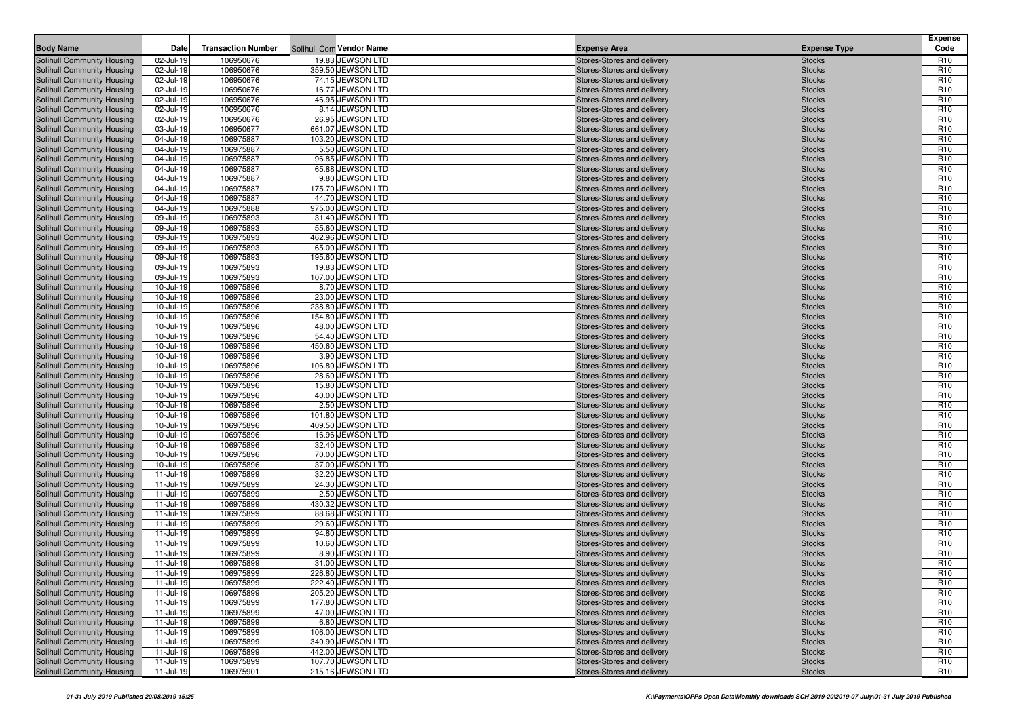| <b>Body Name</b>                                         | Date                   | <b>Transaction Number</b> |                                        | <b>Expense Area</b> |                                                          | <b>Expense Type</b>            | <b>Expense</b><br>Code             |
|----------------------------------------------------------|------------------------|---------------------------|----------------------------------------|---------------------|----------------------------------------------------------|--------------------------------|------------------------------------|
|                                                          |                        |                           | Solihull Com Vendor Name               |                     |                                                          |                                |                                    |
| Solihull Community Housing<br>Solihull Community Housing | 02-Jul-19<br>02-Jul-19 | 106950676<br>106950676    | 19.83 JEWSON LTD<br>359.50 JEWSON LTD  |                     | Stores-Stores and delivery<br>Stores-Stores and delivery | <b>Stocks</b><br><b>Stocks</b> | R <sub>10</sub><br>R <sub>10</sub> |
| Solihull Community Housing                               | 02-Jul-19              | 106950676                 | 74.15 JEWSON LTD                       |                     | Stores-Stores and delivery                               | <b>Stocks</b>                  | R <sub>10</sub>                    |
| Solihull Community Housing                               | 02-Jul-19              | 106950676                 | 16.77 JEWSON LTD                       |                     | Stores-Stores and delivery                               | <b>Stocks</b>                  | R <sub>10</sub>                    |
| Solihull Community Housing                               | 02-Jul-19              | 106950676                 | 46.95 JEWSON LTD                       |                     | Stores-Stores and delivery                               | <b>Stocks</b>                  | R <sub>10</sub>                    |
| Solihull Community Housing                               | 02-Jul-19              | 106950676                 | 8.14 JEWSON LTD                        |                     | Stores-Stores and delivery                               | <b>Stocks</b>                  | R <sub>10</sub>                    |
| Solihull Community Housing                               | 02-Jul-19              | 106950676                 | 26.95 JEWSON LTD                       |                     | Stores-Stores and delivery                               | <b>Stocks</b>                  | R <sub>10</sub>                    |
| Solihull Community Housing                               | 03-Jul-19              | 106950677                 | 661.07 JEWSON LTD                      |                     | Stores-Stores and delivery                               | <b>Stocks</b>                  | R <sub>10</sub>                    |
| Solihull Community Housing                               | 04-Jul-19              | 106975887                 | 103.20 JEWSON LTD                      |                     | Stores-Stores and delivery                               | <b>Stocks</b>                  | R <sub>10</sub>                    |
| Solihull Community Housing                               | 04-Jul-19              | 106975887                 | 5.50 JEWSON LTD                        |                     | Stores-Stores and delivery                               | <b>Stocks</b>                  | R <sub>10</sub>                    |
| Solihull Community Housing                               | 04-Jul-19              | 106975887                 | 96.85 JEWSON LTD                       |                     | Stores-Stores and delivery                               | <b>Stocks</b>                  | R <sub>10</sub>                    |
| Solihull Community Housing                               | 04-Jul-19              | 106975887                 | 65.88 JEWSON LTD                       |                     | Stores-Stores and delivery                               | <b>Stocks</b>                  | R <sub>10</sub>                    |
| Solihull Community Housing                               | 04-Jul-19              | 106975887                 | 9.80 JEWSON LTD                        |                     | Stores-Stores and delivery                               | <b>Stocks</b>                  | R <sub>10</sub>                    |
| Solihull Community Housing                               | 04-Jul-19              | 106975887                 | 175.70 JEWSON LTD                      |                     | Stores-Stores and delivery                               | <b>Stocks</b>                  | R <sub>10</sub>                    |
| Solihull Community Housing                               | 04-Jul-19              | 106975887                 | 44.70 JEWSON LTD                       |                     | Stores-Stores and delivery                               | <b>Stocks</b>                  | R <sub>10</sub>                    |
| Solihull Community Housing                               | 04-Jul-19              | 106975888                 | 975.00 JEWSON LTD                      |                     | Stores-Stores and delivery                               | <b>Stocks</b>                  | R <sub>10</sub>                    |
| Solihull Community Housing                               | 09-Jul-19              | 106975893                 | 31.40 JEWSON LTD                       |                     | Stores-Stores and delivery                               | <b>Stocks</b>                  | R <sub>10</sub>                    |
| Solihull Community Housing                               | 09-Jul-19              | 106975893                 | 55.60 JEWSON LTD                       |                     | Stores-Stores and delivery                               | <b>Stocks</b>                  | R <sub>10</sub>                    |
| Solihull Community Housing                               | 09-Jul-19              | 106975893                 | 462.96 JEWSON LTD                      |                     | Stores-Stores and delivery                               | <b>Stocks</b>                  | R <sub>10</sub>                    |
| Solihull Community Housing                               | 09-Jul-19              | 106975893                 | 65.00 JEWSON LTD                       |                     | Stores-Stores and delivery                               | <b>Stocks</b>                  | R <sub>10</sub>                    |
| Solihull Community Housing                               | 09-Jul-19              | 106975893                 | 195.60 JEWSON LTD                      |                     | Stores-Stores and delivery                               | <b>Stocks</b>                  | R <sub>10</sub>                    |
| Solihull Community Housing                               | 09-Jul-19              | 106975893                 | 19.83 JEWSON LTD                       |                     | Stores-Stores and delivery                               | <b>Stocks</b>                  | R <sub>10</sub>                    |
| Solihull Community Housing                               | 09-Jul-19              | 106975893                 | 107.00 JEWSON LTD                      |                     | Stores-Stores and delivery                               | <b>Stocks</b>                  | R <sub>10</sub>                    |
| Solihull Community Housing                               | 10-Jul-19              | 106975896                 | 8.70 JEWSON LTD                        |                     | Stores-Stores and delivery                               | <b>Stocks</b>                  | R <sub>10</sub>                    |
| Solihull Community Housing                               | 10-Jul-19              | 106975896                 | 23.00 JEWSON LTD                       |                     | Stores-Stores and delivery                               | <b>Stocks</b>                  | R <sub>10</sub>                    |
| Solihull Community Housing                               | 10-Jul-19              | 106975896                 | 238.80 JEWSON LTD                      |                     | Stores-Stores and delivery                               | <b>Stocks</b>                  | R <sub>10</sub>                    |
| Solihull Community Housing                               | 10-Jul-19              | 106975896                 | 154.80 JEWSON LTD                      |                     | Stores-Stores and delivery                               | <b>Stocks</b>                  | R <sub>10</sub>                    |
| Solihull Community Housing                               | 10-Jul-19              | 106975896                 | 48.00 JEWSON LTD                       |                     | Stores-Stores and delivery                               | <b>Stocks</b>                  | R <sub>10</sub>                    |
| Solihull Community Housing<br>Solihull Community Housing | 10-Jul-19              | 106975896                 | 54.40 JEWSON LTD<br>450.60 JEWSON LTD  |                     | Stores-Stores and delivery                               | <b>Stocks</b>                  | R <sub>10</sub>                    |
| Solihull Community Housing                               | 10-Jul-19<br>10-Jul-19 | 106975896<br>106975896    | 3.90 JEWSON LTD                        |                     | Stores-Stores and delivery<br>Stores-Stores and delivery | <b>Stocks</b><br><b>Stocks</b> | R <sub>10</sub><br>R <sub>10</sub> |
| Solihull Community Housing                               | 10-Jul-19              | 106975896                 | 106.80 JEWSON LTD                      |                     | Stores-Stores and delivery                               | <b>Stocks</b>                  | R <sub>10</sub>                    |
| Solihull Community Housing                               | 10-Jul-19              | 106975896                 | 28.60 JEWSON LTD                       |                     | Stores-Stores and delivery                               | <b>Stocks</b>                  | R <sub>10</sub>                    |
| Solihull Community Housing                               | 10-Jul-19              | 106975896                 | 15.80 JEWSON LTD                       |                     | Stores-Stores and delivery                               | <b>Stocks</b>                  | R <sub>10</sub>                    |
| Solihull Community Housing                               | 10-Jul-19              | 106975896                 | 40.00 JEWSON LTD                       |                     | Stores-Stores and delivery                               | <b>Stocks</b>                  | R <sub>10</sub>                    |
| Solihull Community Housing                               | 10-Jul-19              | 106975896                 | 2.50 JEWSON LTD                        |                     | Stores-Stores and delivery                               | <b>Stocks</b>                  | R <sub>10</sub>                    |
| Solihull Community Housing                               | 10-Jul-19              | 106975896                 | 101.80 JEWSON LTD                      |                     | Stores-Stores and delivery                               | <b>Stocks</b>                  | R <sub>10</sub>                    |
| Solihull Community Housing                               | 10-Jul-19              | 106975896                 | 409.50 JEWSON LTD                      |                     | Stores-Stores and delivery                               | <b>Stocks</b>                  | R <sub>10</sub>                    |
| Solihull Community Housing                               | 10-Jul-19              | 106975896                 | 16.96 JEWSON LTD                       |                     | Stores-Stores and delivery                               | <b>Stocks</b>                  | R <sub>10</sub>                    |
| Solihull Community Housing                               | 10-Jul-19              | 106975896                 | 32.40 JEWSON LTD                       |                     | Stores-Stores and delivery                               | <b>Stocks</b>                  | R <sub>10</sub>                    |
| Solihull Community Housing                               | 10-Jul-19              | 106975896                 | 70.00 JEWSON LTD                       |                     | Stores-Stores and delivery                               | <b>Stocks</b>                  | R <sub>10</sub>                    |
| Solihull Community Housing                               | 10-Jul-19              | 106975896                 | 37.00 JEWSON LTD                       |                     | Stores-Stores and delivery                               | <b>Stocks</b>                  | R <sub>10</sub>                    |
| Solihull Community Housing                               | 11-Jul-19              | 106975899                 | 32.20 JEWSON LTD                       |                     | Stores-Stores and delivery                               | <b>Stocks</b>                  | R <sub>10</sub>                    |
| Solihull Community Housing                               | 11-Jul-19              | 106975899                 | 24.30 JEWSON LTD                       |                     | Stores-Stores and delivery                               | <b>Stocks</b>                  | R <sub>10</sub>                    |
| Solihull Community Housing                               | 11-Jul-19              | 106975899                 | 2.50 JEWSON LTD                        |                     | Stores-Stores and delivery                               | <b>Stocks</b>                  | R <sub>10</sub>                    |
| Solihull Community Housing                               | 11-Jul-19              | 106975899                 | 430.32 JEWSON LTD                      |                     | Stores-Stores and delivery                               | <b>Stocks</b>                  | R <sub>10</sub>                    |
| Solihull Community Housing                               | 11-Jul-19              | 106975899                 | 88.68 JEWSON LTD                       |                     | Stores-Stores and delivery                               | <b>Stocks</b>                  | R <sub>10</sub>                    |
| Solihull Community Housing                               | 11-Jul-19              | 106975899                 | 29.60 JEWSON LTD                       |                     | Stores-Stores and delivery                               | <b>Stocks</b>                  | R <sub>10</sub>                    |
| Solihull Community Housing                               | 11-Jul-19              | 106975899                 | 94.80 JEWSON LTD                       |                     | Stores-Stores and delivery                               | <b>Stocks</b>                  | R <sub>10</sub>                    |
| Solihull Community Housing                               | 11-Jul-19              | 106975899                 | 10.60 JEWSON LTD                       |                     | Stores-Stores and delivery                               | <b>Stocks</b>                  | R <sub>10</sub>                    |
| Solihull Community Housing                               | 11-Jul-19              | 106975899                 | 8.90 JEWSON LTD                        |                     | Stores-Stores and delivery                               | <b>Stocks</b>                  | R <sub>10</sub>                    |
| <b>Solihull Community Housing</b>                        | 11-Jul-19              | 106975899                 | 31.00 JEWSON LTD                       |                     | Stores-Stores and delivery                               | <b>Stocks</b>                  | R <sub>10</sub>                    |
| Solihull Community Housing                               | 11-Jul-19              | 106975899                 | 226.80 JEWSON LTD                      |                     | Stores-Stores and delivery                               | <b>Stocks</b>                  | R <sub>10</sub>                    |
| <b>Solihull Community Housing</b>                        | 11-Jul-19              | 106975899                 | 222.40 JEWSON LTD                      |                     | Stores-Stores and delivery                               | <b>Stocks</b>                  | R <sub>10</sub>                    |
| Solihull Community Housing                               | 11-Jul-19              | 106975899                 | 205.20 JEWSON LTD                      |                     | Stores-Stores and delivery                               | <b>Stocks</b>                  | R <sub>10</sub>                    |
| Solihull Community Housing<br>Solihull Community Housing | 11-Jul-19              | 106975899                 | 177.80 JEWSON LTD                      |                     | Stores-Stores and delivery                               | <b>Stocks</b>                  | R <sub>10</sub>                    |
| <b>Solihull Community Housing</b>                        | 11-Jul-19              | 106975899                 | 47.00 JEWSON LTD                       |                     | Stores-Stores and delivery                               | <b>Stocks</b>                  | R <sub>10</sub>                    |
| Solihull Community Housing                               | 11-Jul-19              | 106975899                 | 6.80 JEWSON LTD                        |                     | Stores-Stores and delivery                               | <b>Stocks</b>                  | R <sub>10</sub>                    |
| Solihull Community Housing                               | 11-Jul-19<br>11-Jul-19 | 106975899                 | 106.00 JEWSON LTD<br>340.90 JEWSON LTD |                     | Stores-Stores and delivery<br>Stores-Stores and delivery | <b>Stocks</b>                  | R <sub>10</sub><br>R <sub>10</sub> |
| Solihull Community Housing                               | 11-Jul-19              | 106975899<br>106975899    | 442.00 JEWSON LTD                      |                     | Stores-Stores and delivery                               | <b>Stocks</b><br><b>Stocks</b> | R <sub>10</sub>                    |
| Solihull Community Housing                               | 11-Jul-19              | 106975899                 | 107.70 JEWSON LTD                      |                     | Stores-Stores and delivery                               | <b>Stocks</b>                  | R <sub>10</sub>                    |
| Solihull Community Housing                               | 11-Jul-19              | 106975901                 | 215.16 JEWSON LTD                      |                     | Stores-Stores and delivery                               | <b>Stocks</b>                  | R <sub>10</sub>                    |
|                                                          |                        |                           |                                        |                     |                                                          |                                |                                    |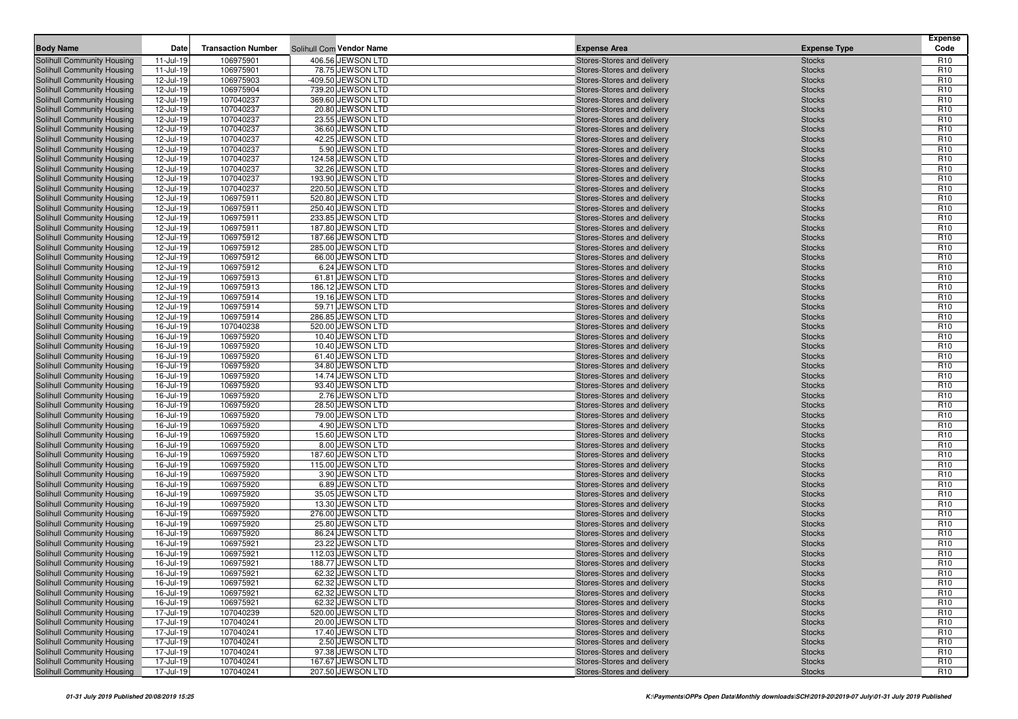| <b>Body Name</b>                                         | Date                   | <b>Transaction Number</b> | Solihull Com Vendor Name            | <b>Expense Area</b>                                      | <b>Expense Type</b>            | <b>Expense</b><br>Code             |
|----------------------------------------------------------|------------------------|---------------------------|-------------------------------------|----------------------------------------------------------|--------------------------------|------------------------------------|
| Solihull Community Housing                               | 11-Jul-19              | 106975901                 | 406.56 JEWSON LTD                   | Stores-Stores and delivery                               | <b>Stocks</b>                  | R <sub>10</sub>                    |
| Solihull Community Housing                               | 11-Jul-19              | 106975901                 | 78.75 JEWSON LTD                    | Stores-Stores and delivery                               | <b>Stocks</b>                  | R <sub>10</sub>                    |
| Solihull Community Housing                               | 12-Jul-19              | 106975903                 | -409.50 JEWSON LTD                  | Stores-Stores and delivery                               | <b>Stocks</b>                  | R <sub>10</sub>                    |
| Solihull Community Housing                               | 12-Jul-19              | 106975904                 | 739.20 JEWSON LTD                   | Stores-Stores and delivery                               | <b>Stocks</b>                  | R <sub>10</sub>                    |
| Solihull Community Housing                               | 12-Jul-19              | 107040237                 | 369.60 JEWSON LTD                   | Stores-Stores and delivery                               | <b>Stocks</b>                  | R <sub>10</sub>                    |
| Solihull Community Housing                               | 12-Jul-19              | 107040237                 | 20.80 JEWSON LTD                    | Stores-Stores and delivery                               | <b>Stocks</b>                  | R <sub>10</sub>                    |
| Solihull Community Housing                               | 12-Jul-19              | 107040237                 | 23.55 JEWSON LTD                    | Stores-Stores and delivery                               | <b>Stocks</b>                  | R <sub>10</sub>                    |
| Solihull Community Housing                               | 12-Jul-19              | 107040237                 | 36.60 JEWSON LTD                    | Stores-Stores and delivery                               | <b>Stocks</b>                  | R <sub>10</sub>                    |
| Solihull Community Housing                               | 12-Jul-19              | 107040237                 | 42.25 JEWSON LTD                    | Stores-Stores and delivery                               | <b>Stocks</b>                  | R <sub>10</sub>                    |
| Solihull Community Housing                               | 12-Jul-19              | 107040237                 | 5.90 JEWSON LTD                     | Stores-Stores and delivery                               | <b>Stocks</b>                  | R <sub>10</sub>                    |
| Solihull Community Housing                               | 12-Jul-19              | 107040237                 | 124.58 JEWSON LTD                   | Stores-Stores and delivery                               | <b>Stocks</b>                  | R <sub>10</sub>                    |
| Solihull Community Housing                               | 12-Jul-19              | 107040237                 | 32.26 JEWSON LTD                    | Stores-Stores and delivery                               | <b>Stocks</b>                  | R <sub>10</sub>                    |
| Solihull Community Housing                               | 12-Jul-19              | 107040237                 | 193.90 JEWSON LTD                   | Stores-Stores and delivery                               | <b>Stocks</b>                  | R <sub>10</sub>                    |
| Solihull Community Housing                               | 12-Jul-19              | 107040237                 | 220.50 JEWSON LTD                   | Stores-Stores and delivery                               | <b>Stocks</b>                  | R <sub>10</sub>                    |
| Solihull Community Housing                               | 12-Jul-19              | 106975911                 | 520.80 JEWSON LTD                   | Stores-Stores and delivery                               | <b>Stocks</b>                  | R <sub>10</sub>                    |
| Solihull Community Housing                               | 12-Jul-19              | 106975911                 | 250.40 JEWSON LTD                   | Stores-Stores and delivery                               | <b>Stocks</b>                  | R <sub>10</sub>                    |
| Solihull Community Housing                               | 12-Jul-19              | 106975911                 | 233.85 JEWSON LTD                   | Stores-Stores and delivery                               | <b>Stocks</b>                  | R <sub>10</sub>                    |
| Solihull Community Housing                               | 12-Jul-19              | 106975911                 | 187.80 JEWSON LTD                   | Stores-Stores and delivery                               | <b>Stocks</b>                  | R <sub>10</sub>                    |
| Solihull Community Housing                               | 12-Jul-19              | 106975912                 | 187.66 JEWSON LTD                   | Stores-Stores and delivery                               | <b>Stocks</b>                  | R <sub>10</sub>                    |
| Solihull Community Housing                               | 12-Jul-19              | 106975912                 | 285.00 JEWSON LTD                   | Stores-Stores and delivery                               | <b>Stocks</b>                  | R <sub>10</sub>                    |
| Solihull Community Housing                               | 12-Jul-19              | 106975912                 | 66.00 JEWSON LTD                    | Stores-Stores and delivery                               | <b>Stocks</b>                  | R <sub>10</sub>                    |
| Solihull Community Housing                               | 12-Jul-19              | 106975912                 | 6.24 JEWSON LTD                     | Stores-Stores and delivery                               | <b>Stocks</b>                  | R <sub>10</sub>                    |
| Solihull Community Housing                               | 12-Jul-19              | 106975913                 | 61.81 JEWSON LTD                    | Stores-Stores and delivery                               | <b>Stocks</b>                  | R <sub>10</sub>                    |
| Solihull Community Housing                               | 12-Jul-19              | 106975913                 | 186.12 JEWSON LTD                   | Stores-Stores and delivery                               | <b>Stocks</b>                  | R <sub>10</sub>                    |
| Solihull Community Housing                               | 12-Jul-19              | 106975914                 | 19.16 JEWSON LTD                    | Stores-Stores and delivery                               | <b>Stocks</b>                  | R <sub>10</sub>                    |
| Solihull Community Housing                               | 12-Jul-19              | 106975914                 | 59.71 JEWSON LTD                    | Stores-Stores and delivery                               | <b>Stocks</b>                  | R <sub>10</sub>                    |
| Solihull Community Housing                               | 12-Jul-19              | 106975914                 | 286.85 JEWSON LTD                   | Stores-Stores and delivery                               | <b>Stocks</b>                  | R <sub>10</sub>                    |
| Solihull Community Housing                               | 16-Jul-19              | 107040238                 | 520.00 JEWSON LTD                   | Stores-Stores and delivery                               | <b>Stocks</b>                  | R <sub>10</sub>                    |
| Solihull Community Housing                               | 16-Jul-19              | 106975920                 | 10.40 JEWSON LTD                    | Stores-Stores and delivery                               | <b>Stocks</b>                  | R <sub>10</sub>                    |
| Solihull Community Housing                               | 16-Jul-19              | 106975920                 | 10.40 JEWSON LTD                    | Stores-Stores and delivery                               | <b>Stocks</b>                  | R <sub>10</sub>                    |
| Solihull Community Housing                               | 16-Jul-19              | 106975920                 | 61.40 JEWSON LTD                    | Stores-Stores and delivery                               | <b>Stocks</b>                  | R <sub>10</sub>                    |
| Solihull Community Housing<br>Solihull Community Housing | 16-Jul-19              | 106975920                 | 34.80 JEWSON LTD                    | Stores-Stores and delivery                               | <b>Stocks</b>                  | R <sub>10</sub>                    |
|                                                          | 16-Jul-19              | 106975920                 | 14.74 JEWSON LTD                    | Stores-Stores and delivery                               | <b>Stocks</b>                  | R <sub>10</sub>                    |
| Solihull Community Housing                               | 16-Jul-19<br>16-Jul-19 | 106975920<br>106975920    | 93.40 JEWSON LTD<br>2.76 JEWSON LTD | Stores-Stores and delivery                               | <b>Stocks</b>                  | R <sub>10</sub><br>R <sub>10</sub> |
| Solihull Community Housing<br>Solihull Community Housing | 16-Jul-19              | 106975920                 | 28.50 JEWSON LTD                    | Stores-Stores and delivery<br>Stores-Stores and delivery | <b>Stocks</b><br><b>Stocks</b> | R <sub>10</sub>                    |
| Solihull Community Housing                               | 16-Jul-19              | 106975920                 | 79.00 JEWSON LTD                    | Stores-Stores and delivery                               | <b>Stocks</b>                  | R <sub>10</sub>                    |
| Solihull Community Housing                               | 16-Jul-19              | 106975920                 | 4.90 JEWSON LTD                     | Stores-Stores and delivery                               | <b>Stocks</b>                  | R <sub>10</sub>                    |
| Solihull Community Housing                               | 16-Jul-19              | 106975920                 | 15.60 JEWSON LTD                    | Stores-Stores and delivery                               | <b>Stocks</b>                  | R <sub>10</sub>                    |
| Solihull Community Housing                               | 16-Jul-19              | 106975920                 | 8.00 JEWSON LTD                     | Stores-Stores and delivery                               | <b>Stocks</b>                  | R <sub>10</sub>                    |
| Solihull Community Housing                               | 16-Jul-19              | 106975920                 | 187.60 JEWSON LTD                   | Stores-Stores and delivery                               | <b>Stocks</b>                  | R <sub>10</sub>                    |
| Solihull Community Housing                               | 16-Jul-19              | 106975920                 | 115.00 JEWSON LTD                   | Stores-Stores and delivery                               | <b>Stocks</b>                  | R <sub>10</sub>                    |
| Solihull Community Housing                               | 16-Jul-19              | 106975920                 | 3.90 JEWSON LTD                     | Stores-Stores and delivery                               | <b>Stocks</b>                  | R <sub>10</sub>                    |
| Solihull Community Housing                               | 16-Jul-19              | 106975920                 | 6.89 JEWSON LTD                     | Stores-Stores and delivery                               | <b>Stocks</b>                  | R <sub>10</sub>                    |
| Solihull Community Housing                               | 16-Jul-19              | 106975920                 | 35.05 JEWSON LTD                    | Stores-Stores and delivery                               | <b>Stocks</b>                  | R <sub>10</sub>                    |
| Solihull Community Housing                               | 16-Jul-19              | 106975920                 | 13.30 JEWSON LTD                    | Stores-Stores and delivery                               | <b>Stocks</b>                  | R <sub>10</sub>                    |
| Solihull Community Housing                               | 16-Jul-19              | 106975920                 | 276.00 JEWSON LTD                   | Stores-Stores and delivery                               | <b>Stocks</b>                  | R <sub>10</sub>                    |
| Solihull Community Housing                               | 16-Jul-19              | 106975920                 | 25.80 JEWSON LTD                    | Stores-Stores and delivery                               | <b>Stocks</b>                  | R <sub>10</sub>                    |
| Solihull Community Housing                               | 16-Jul-19              | 106975920                 | 86.24 JEWSON LTD                    | Stores-Stores and delivery                               | <b>Stocks</b>                  | R <sub>10</sub>                    |
| Solihull Community Housing                               | 16-Jul-19              | 106975921                 | 23.22 JEWSON LTD                    | Stores-Stores and delivery                               | <b>Stocks</b>                  | R <sub>10</sub>                    |
| Solihull Community Housing                               | 16-Jul-19              | 106975921                 | 112.03 JEWSON LTD                   | Stores-Stores and delivery                               | <b>Stocks</b>                  | R <sub>10</sub>                    |
| Solihull Community Housing                               | 16-Jul-19              | 106975921                 | 188.77 JEWSON LTD                   | Stores-Stores and delivery                               | <b>Stocks</b>                  | R <sub>10</sub>                    |
| Solihull Community Housing                               | 16-Jul-19              | 106975921                 | 62.32 JEWSON LTD                    | Stores-Stores and delivery                               | <b>Stocks</b>                  | R <sub>10</sub>                    |
| Solihull Community Housing                               | 16-Jul-19              | 106975921                 | 62.32 JEWSON LTD                    | Stores-Stores and delivery                               | <b>Stocks</b>                  | R <sub>10</sub>                    |
| Solihull Community Housing                               | 16-Jul-19              | 106975921                 | 62.32 JEWSON LTD                    | Stores-Stores and delivery                               | <b>Stocks</b>                  | R <sub>10</sub>                    |
| Solihull Community Housing                               | 16-Jul-19              | 106975921                 | 62.32 JEWSON LTD                    | Stores-Stores and delivery                               | <b>Stocks</b>                  | R <sub>10</sub>                    |
| Solihull Community Housing                               | 17-Jul-19              | 107040239                 | 520.00 JEWSON LTD                   | Stores-Stores and delivery                               | <b>Stocks</b>                  | R <sub>10</sub>                    |
| Solihull Community Housing                               | 17-Jul-19              | 107040241                 | 20.00 JEWSON LTD                    | Stores-Stores and delivery                               | <b>Stocks</b>                  | R <sub>10</sub>                    |
| Solihull Community Housing                               | 17-Jul-19              | 107040241                 | 17.40 JEWSON LTD                    | Stores-Stores and delivery                               | <b>Stocks</b>                  | R <sub>10</sub>                    |
| Solihull Community Housing                               | 17-Jul-19              | 107040241                 | 2.50 JEWSON LTD                     | Stores-Stores and delivery                               | <b>Stocks</b>                  | R <sub>10</sub>                    |
| Solihull Community Housing                               | 17-Jul-19              | 107040241                 | 97.38 JEWSON LTD                    | Stores-Stores and delivery                               | <b>Stocks</b>                  | R <sub>10</sub>                    |
| Solihull Community Housing                               | 17-Jul-19              | 107040241                 | 167.67 JEWSON LTD                   | Stores-Stores and delivery                               | <b>Stocks</b>                  | R <sub>10</sub>                    |
| Solihull Community Housing                               | 17-Jul-19              | 107040241                 | 207.50 JEWSON LTD                   | Stores-Stores and delivery                               | <b>Stocks</b>                  | R <sub>10</sub>                    |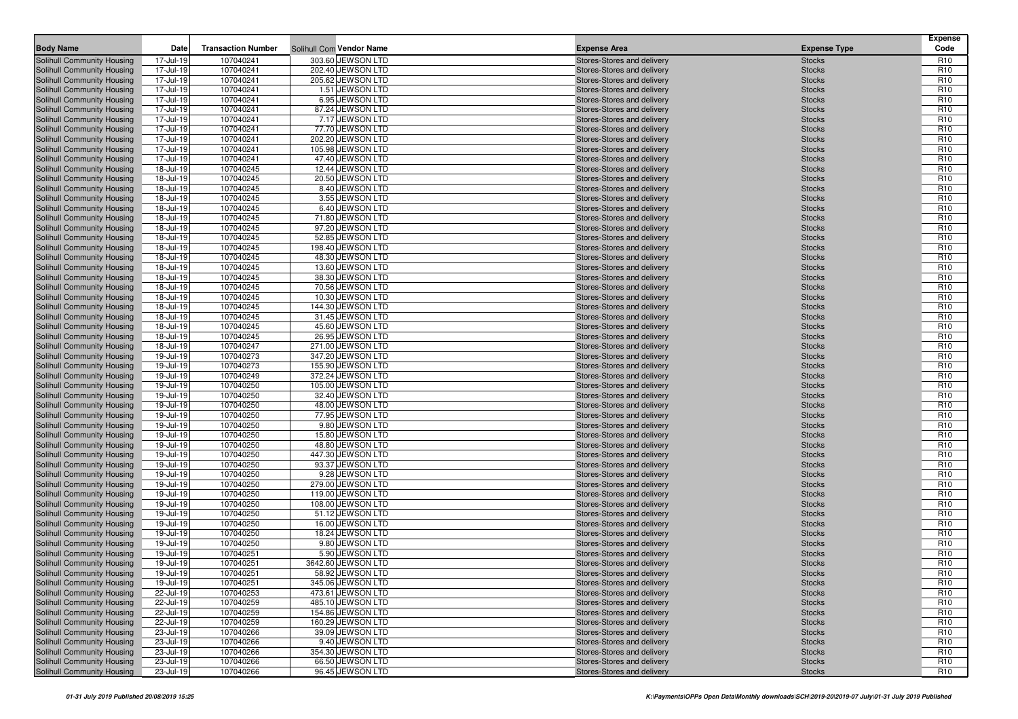| <b>Body Name</b>                                         | Date                   | <b>Transaction Number</b> | Solihull Com Vendor Name               | <b>Expense Area</b>                                      | <b>Expense Type</b>            | <b>Expense</b><br>Code             |
|----------------------------------------------------------|------------------------|---------------------------|----------------------------------------|----------------------------------------------------------|--------------------------------|------------------------------------|
|                                                          |                        |                           |                                        |                                                          |                                |                                    |
| Solihull Community Housing<br>Solihull Community Housing | 17-Jul-19<br>17-Jul-19 | 107040241<br>107040241    | 303.60 JEWSON LTD<br>202.40 JEWSON LTD | Stores-Stores and delivery<br>Stores-Stores and delivery | <b>Stocks</b><br><b>Stocks</b> | R <sub>10</sub><br>R <sub>10</sub> |
| Solihull Community Housing                               | 17-Jul-19              | 107040241                 | 205.62 JEWSON LTD                      | Stores-Stores and delivery                               | <b>Stocks</b>                  | R <sub>10</sub>                    |
| Solihull Community Housing                               | 17-Jul-19              | 107040241                 | 1.51 JEWSON LTD                        | Stores-Stores and delivery                               | <b>Stocks</b>                  | R <sub>10</sub>                    |
| Solihull Community Housing                               | 17-Jul-19              | 107040241                 | 6.95 JEWSON LTD                        | Stores-Stores and delivery                               | <b>Stocks</b>                  | R <sub>10</sub>                    |
| Solihull Community Housing                               | 17-Jul-19              | 107040241                 | 87.24 JEWSON LTD                       | Stores-Stores and delivery                               | <b>Stocks</b>                  | R <sub>10</sub>                    |
| Solihull Community Housing                               | 17-Jul-19              | 107040241                 | 7.17 JEWSON LTD                        | Stores-Stores and delivery                               | <b>Stocks</b>                  | R <sub>10</sub>                    |
| Solihull Community Housing                               | 17-Jul-19              | 107040241                 | 77.70 JEWSON LTD                       | Stores-Stores and delivery                               | <b>Stocks</b>                  | R <sub>10</sub>                    |
| Solihull Community Housing                               | 17-Jul-19              | 107040241                 | 202.20 JEWSON LTD                      | Stores-Stores and delivery                               | <b>Stocks</b>                  | R <sub>10</sub>                    |
| Solihull Community Housing                               | 17-Jul-19              | 107040241                 | 105.98 JEWSON LTD                      | Stores-Stores and delivery                               | <b>Stocks</b>                  | R <sub>10</sub>                    |
| Solihull Community Housing                               | 17-Jul-19              | 107040241                 | 47.40 JEWSON LTD                       | Stores-Stores and delivery                               | <b>Stocks</b>                  | R <sub>10</sub>                    |
| Solihull Community Housing                               | 18-Jul-19              | 107040245                 | 12.44 JEWSON LTD                       | Stores-Stores and delivery                               | <b>Stocks</b>                  | R <sub>10</sub>                    |
| Solihull Community Housing                               | 18-Jul-19              | 107040245                 | 20.50 JEWSON LTD                       | Stores-Stores and delivery                               | <b>Stocks</b>                  | R <sub>10</sub>                    |
| Solihull Community Housing                               | 18-Jul-19              | 107040245                 | 8.40 JEWSON LTD                        | Stores-Stores and delivery                               | <b>Stocks</b>                  | R <sub>10</sub>                    |
| Solihull Community Housing                               | 18-Jul-19              | 107040245                 | 3.55 JEWSON LTD                        | Stores-Stores and delivery                               | <b>Stocks</b>                  | R <sub>10</sub>                    |
| Solihull Community Housing                               | 18-Jul-19              | 107040245                 | 6.40 JEWSON LTD                        | Stores-Stores and delivery                               | <b>Stocks</b>                  | R <sub>10</sub>                    |
| Solihull Community Housing                               | 18-Jul-19              | 107040245                 | 71.80 JEWSON LTD                       | Stores-Stores and delivery                               | <b>Stocks</b>                  | R <sub>10</sub>                    |
| Solihull Community Housing                               | 18-Jul-19              | 107040245                 | 97.20 JEWSON LTD                       | Stores-Stores and delivery                               | <b>Stocks</b>                  | R <sub>10</sub>                    |
| Solihull Community Housing                               | 18-Jul-19              | 107040245                 | 52.85 JEWSON LTD                       | Stores-Stores and delivery                               | <b>Stocks</b>                  | R <sub>10</sub>                    |
| Solihull Community Housing                               | 18-Jul-19              | 107040245                 | 198.40 JEWSON LTD                      | Stores-Stores and delivery                               | <b>Stocks</b>                  | R <sub>10</sub>                    |
| Solihull Community Housing                               | 18-Jul-19              | 107040245                 | 48.30 JEWSON LTD                       | Stores-Stores and delivery                               | <b>Stocks</b>                  | R <sub>10</sub>                    |
| Solihull Community Housing                               | 18-Jul-19              | 107040245                 | 13.60 JEWSON LTD                       | Stores-Stores and delivery                               | <b>Stocks</b>                  | R <sub>10</sub>                    |
| Solihull Community Housing                               | 18-Jul-19              | 107040245                 | 38.30 JEWSON LTD                       | Stores-Stores and delivery                               | <b>Stocks</b>                  | R <sub>10</sub>                    |
| Solihull Community Housing                               | 18-Jul-19              | 107040245                 | 70.56 JEWSON LTD                       | Stores-Stores and delivery                               | <b>Stocks</b>                  | R <sub>10</sub>                    |
| Solihull Community Housing<br>Solihull Community Housing | 18-Jul-19<br>18-Jul-19 | 107040245<br>107040245    | 10.30 JEWSON LTD<br>144.30 JEWSON LTD  | Stores-Stores and delivery<br>Stores-Stores and delivery | <b>Stocks</b><br><b>Stocks</b> | R <sub>10</sub><br>R <sub>10</sub> |
| Solihull Community Housing                               | 18-Jul-19              | 107040245                 | 31.45 JEWSON LTD                       | Stores-Stores and delivery                               | <b>Stocks</b>                  | R <sub>10</sub>                    |
| Solihull Community Housing                               | 18-Jul-19              | 107040245                 | 45.60 JEWSON LTD                       | Stores-Stores and delivery                               | <b>Stocks</b>                  | R <sub>10</sub>                    |
| Solihull Community Housing                               | 18-Jul-19              | 107040245                 | 26.95 JEWSON LTD                       | Stores-Stores and delivery                               | <b>Stocks</b>                  | R <sub>10</sub>                    |
| Solihull Community Housing                               | 18-Jul-19              | 107040247                 | 271.00 JEWSON LTD                      | Stores-Stores and delivery                               | <b>Stocks</b>                  | R <sub>10</sub>                    |
| Solihull Community Housing                               | 19-Jul-19              | 107040273                 | 347.20 JEWSON LTD                      | Stores-Stores and delivery                               | <b>Stocks</b>                  | R <sub>10</sub>                    |
| Solihull Community Housing                               | 19-Jul-19              | 107040273                 | 155.90 JEWSON LTD                      | Stores-Stores and delivery                               | <b>Stocks</b>                  | R <sub>10</sub>                    |
| Solihull Community Housing                               | 19-Jul-19              | 107040249                 | 372.24 JEWSON LTD                      | Stores-Stores and delivery                               | <b>Stocks</b>                  | R <sub>10</sub>                    |
| Solihull Community Housing                               | 19-Jul-19              | 107040250                 | 105.00 JEWSON LTD                      | Stores-Stores and delivery                               | <b>Stocks</b>                  | R <sub>10</sub>                    |
| Solihull Community Housing                               | 19-Jul-19              | 107040250                 | 32.40 JEWSON LTD                       | Stores-Stores and delivery                               | <b>Stocks</b>                  | R <sub>10</sub>                    |
| Solihull Community Housing                               | 19-Jul-19              | 107040250                 | 48.00 JEWSON LTD                       | Stores-Stores and delivery                               | <b>Stocks</b>                  | R <sub>10</sub>                    |
| Solihull Community Housing                               | 19-Jul-19              | 107040250                 | 77.95 JEWSON LTD                       | Stores-Stores and delivery                               | <b>Stocks</b>                  | R <sub>10</sub>                    |
| Solihull Community Housing                               | 19-Jul-19              | 107040250                 | 9.80 JEWSON LTD                        | Stores-Stores and delivery                               | <b>Stocks</b>                  | R <sub>10</sub>                    |
| Solihull Community Housing                               | 19-Jul-19              | 107040250                 | 15.80 JEWSON LTD                       | Stores-Stores and delivery                               | <b>Stocks</b>                  | R <sub>10</sub>                    |
| Solihull Community Housing                               | 19-Jul-19              | 107040250                 | 48.80 JEWSON LTD                       | Stores-Stores and delivery                               | <b>Stocks</b>                  | R <sub>10</sub>                    |
| Solihull Community Housing                               | 19-Jul-19              | 107040250                 | 447.30 JEWSON LTD                      | Stores-Stores and delivery                               | <b>Stocks</b>                  | R <sub>10</sub>                    |
| Solihull Community Housing                               | 19-Jul-19              | 107040250                 | 93.37 JEWSON LTD                       | Stores-Stores and delivery                               | <b>Stocks</b>                  | R <sub>10</sub>                    |
| Solihull Community Housing                               | 19-Jul-19              | 107040250                 | 9.28 JEWSON LTD                        | Stores-Stores and delivery                               | <b>Stocks</b>                  | R <sub>10</sub>                    |
| Solihull Community Housing                               | 19-Jul-19              | 107040250                 | 279.00 JEWSON LTD                      | Stores-Stores and delivery                               | <b>Stocks</b>                  | R <sub>10</sub>                    |
| Solihull Community Housing<br>Solihull Community Housing | 19-Jul-19<br>19-Jul-19 | 107040250<br>107040250    | 119.00 JEWSON LTD<br>108.00 JEWSON LTD | Stores-Stores and delivery<br>Stores-Stores and delivery | <b>Stocks</b><br><b>Stocks</b> | R <sub>10</sub><br>R <sub>10</sub> |
| Solihull Community Housing                               | 19-Jul-19              | 107040250                 | 51.12 JEWSON LTD                       | Stores-Stores and delivery                               | <b>Stocks</b>                  | R <sub>10</sub>                    |
| Solihull Community Housing                               | 19-Jul-19              | 107040250                 | 16.00 JEWSON LTD                       | Stores-Stores and delivery                               | <b>Stocks</b>                  | R <sub>10</sub>                    |
| Solihull Community Housing                               | 19-Jul-19              | 107040250                 | 18.24 JEWSON LTD                       | Stores-Stores and delivery                               | <b>Stocks</b>                  | R <sub>10</sub>                    |
| Solihull Community Housing                               | 19-Jul-19              | 107040250                 | 9.80 JEWSON LTD                        | Stores-Stores and delivery                               | <b>Stocks</b>                  | R <sub>10</sub>                    |
| Solihull Community Housing                               | 19-Jul-19              | 107040251                 | 5.90 JEWSON LTD                        | Stores-Stores and delivery                               | <b>Stocks</b>                  | R <sub>10</sub>                    |
| <b>Solihull Community Housing</b>                        | 19-Jul-19              | 107040251                 | 3642.60 JEWSON LTD                     | Stores-Stores and delivery                               | <b>Stocks</b>                  | R <sub>10</sub>                    |
| Solihull Community Housing                               | 19-Jul-19              | 107040251                 | 58.92 JEWSON LTD                       | Stores-Stores and delivery                               | <b>Stocks</b>                  | R <sub>10</sub>                    |
| Solihull Community Housing                               | 19-Jul-19              | 107040251                 | 345.06 JEWSON LTD                      | Stores-Stores and delivery                               | <b>Stocks</b>                  | R <sub>10</sub>                    |
| Solihull Community Housing                               | 22-Jul-19              | 107040253                 | 473.61 JEWSON LTD                      | Stores-Stores and delivery                               | <b>Stocks</b>                  | R <sub>10</sub>                    |
| Solihull Community Housing                               | 22-Jul-19              | 107040259                 | 485.10 JEWSON LTD                      | Stores-Stores and delivery                               | <b>Stocks</b>                  | R <sub>10</sub>                    |
| Solihull Community Housing                               | 22-Jul-19              | 107040259                 | 154.86 JEWSON LTD                      | Stores-Stores and delivery                               | <b>Stocks</b>                  | R <sub>10</sub>                    |
| Solihull Community Housing                               | 22-Jul-19              | 107040259                 | 160.29 JEWSON LTD                      | Stores-Stores and delivery                               | <b>Stocks</b>                  | R <sub>10</sub>                    |
| Solihull Community Housing                               | 23-Jul-19              | 107040266                 | 39.09 JEWSON LTD                       | Stores-Stores and delivery                               | <b>Stocks</b>                  | R <sub>10</sub>                    |
| Solihull Community Housing                               | 23-Jul-19              | 107040266                 | 9.40 JEWSON LTD                        | Stores-Stores and delivery                               | <b>Stocks</b>                  | R <sub>10</sub>                    |
| Solihull Community Housing                               | 23-Jul-19              | 107040266                 | 354.30 JEWSON LTD                      | Stores-Stores and delivery                               | <b>Stocks</b>                  | R <sub>10</sub>                    |
| Solihull Community Housing                               | 23-Jul-19              | 107040266                 | 66.50 JEWSON LTD                       | Stores-Stores and delivery                               | <b>Stocks</b>                  | R <sub>10</sub>                    |
| Solihull Community Housing                               | 23-Jul-19              | 107040266                 | 96.45 JEWSON LTD                       | Stores-Stores and delivery                               | <b>Stocks</b>                  | R <sub>10</sub>                    |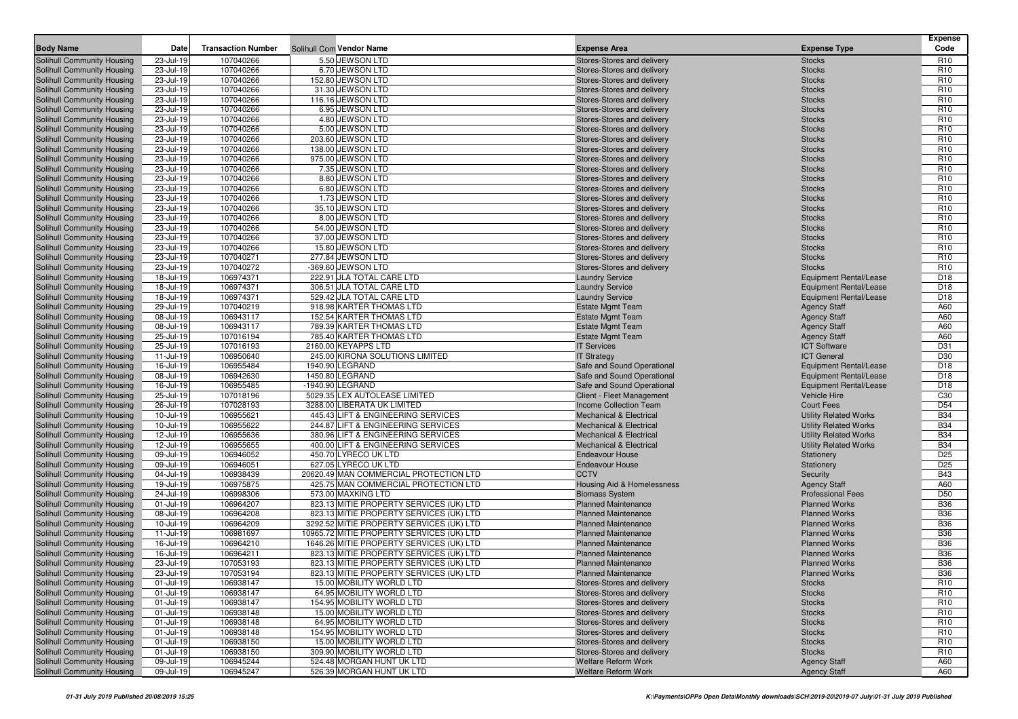| 5.50 JEWSON LTD<br>23-Jul-19<br>107040266<br>Stores-Stores and delivery<br>Solihull Community Housing<br><b>Stocks</b><br>R <sub>10</sub><br>23-Jul-19<br>107040266<br>6.70 JEWSON LTD<br>R <sub>10</sub><br>Solihull Community Housing<br>Stores-Stores and delivery<br><b>Stocks</b><br>23-Jul-19<br>107040266<br>152.80 JEWSON LTD<br><b>Stocks</b><br>R <sub>10</sub><br>Solihull Community Housing<br>Stores-Stores and delivery<br>23-Jul-19<br>107040266<br>31.30 JEWSON LTD<br>R <sub>10</sub><br>Solihull Community Housing<br>Stores-Stores and delivery<br><b>Stocks</b><br>23-Jul-19<br>107040266<br>116.16 JEWSON LTD<br>R <sub>10</sub><br>Solihull Community Housing<br>Stores-Stores and delivery<br><b>Stocks</b><br>R <sub>10</sub><br>Solihull Community Housing<br>23-Jul-19<br>107040266<br>6.95 JEWSON LTD<br>Stores-Stores and delivery<br><b>Stocks</b><br>23-Jul-19<br>107040266<br>4.80 JEWSON LTD<br>R <sub>10</sub><br>Solihull Community Housing<br>Stores-Stores and delivery<br><b>Stocks</b><br>23-Jul-19<br>107040266<br>5.00 JEWSON LTD<br>R <sub>10</sub><br>Solihull Community Housing<br>Stores-Stores and delivery<br><b>Stocks</b><br>23-Jul-19<br>107040266<br>203.60 JEWSON LTD<br>R <sub>10</sub><br>Solihull Community Housing<br>Stores-Stores and delivery<br><b>Stocks</b><br>23-Jul-19<br>107040266<br>R <sub>10</sub><br>138.00 JEWSON LTD<br>Stores-Stores and delivery<br><b>Stocks</b><br>23-Jul-19<br>107040266<br>975.00 JEWSON LTD<br>R <sub>10</sub><br>Stores-Stores and delivery<br><b>Stocks</b><br>23-Jul-19<br>107040266<br>7.35 JEWSON LTD<br>R <sub>10</sub><br>Stores-Stores and delivery<br><b>Stocks</b><br>23-Jul-19<br>107040266<br>8.80 JEWSON LTD<br>R <sub>10</sub><br>Stores-Stores and delivery<br><b>Stocks</b><br>107040266<br>6.80 JEWSON LTD<br>R <sub>10</sub><br>23-Jul-19<br>Stores-Stores and delivery<br><b>Stocks</b><br>23-Jul-19<br>107040266<br>1.73 JEWSON LTD<br>R <sub>10</sub><br>Stores-Stores and delivery<br><b>Stocks</b><br>23-Jul-19<br>107040266<br>35.10 JEWSON LTD<br>R <sub>10</sub><br>Stores-Stores and delivery<br><b>Stocks</b><br>23-Jul-19<br>107040266<br>8.00 JEWSON LTD<br>R <sub>10</sub><br>Stores-Stores and delivery<br><b>Stocks</b><br>23-Jul-19<br>107040266<br>54.00 JEWSON LTD<br>R <sub>10</sub><br>Stores-Stores and delivery<br><b>Stocks</b><br>23-Jul-19<br>107040266<br>37.00 JEWSON LTD<br>R <sub>10</sub><br>Solihull Community Housing<br>Stores-Stores and delivery<br><b>Stocks</b><br>23-Jul-19<br>107040266<br>15.80 JEWSON LTD<br>R <sub>10</sub><br>Stores-Stores and delivery<br><b>Stocks</b><br>23-Jul-19<br>107040271<br>277.84 JEWSON LTD<br><b>Stocks</b><br>R <sub>10</sub><br>Stores-Stores and delivery<br>23-Jul-19<br>107040272<br>-369.60 JEWSON LTD<br>R <sub>10</sub><br>Stores-Stores and delivery<br><b>Stocks</b><br>106974371<br>222.91 JLA TOTAL CARE LTD<br>D <sub>18</sub><br>18-Jul-19<br><b>Laundry Service</b><br><b>Equipment Rental/Lease</b><br>18-Jul-19<br>106974371<br>D <sub>18</sub><br>306.51 JLA TOTAL CARE LTD<br><b>Laundry Service</b><br><b>Equipment Rental/Lease</b><br>18-Jul-19<br>106974371<br>529.42 JLA TOTAL CARE LTD<br>D <sub>18</sub><br><b>Laundry Service</b><br><b>Equipment Rental/Lease</b><br>29-Jul-19<br>107040219<br>918.98 KARTER THOMAS LTD<br>A60<br><b>Estate Mgmt Team</b><br><b>Agency Staff</b><br>08-Jul-19<br>106943117<br>152.54 KARTER THOMAS LTD<br>A60<br><b>Estate Mgmt Team</b><br><b>Agency Staff</b><br>08-Jul-19<br>106943117<br>789.39 KARTER THOMAS LTD<br>A60<br><b>Estate Mgmt Team</b><br><b>Agency Staff</b><br>25-Jul-19<br>107016194<br>785.40 KARTER THOMAS LTD<br><b>Agency Staff</b><br>A60<br><b>Estate Mgmt Team</b><br>2160.00 KEYAPPS LTD<br>25-Jul-19<br><b>ICT Software</b><br>D31<br>107016193<br><b>IT Services</b><br>D30<br>11-Jul-19<br>106950640<br>245.00 KIRONA SOLUTIONS LIMITED<br><b>IT Strategy</b><br><b>ICT</b> General<br>16-Jul-19<br>106955484<br>1940.90 LEGRAND<br>D <sub>18</sub><br>Solihull Community Housing<br>Safe and Sound Operational<br><b>Equipment Rental/Lease</b><br>1450.80 LEGRAND<br>08-Jul-19<br>106942630<br>Safe and Sound Operational<br><b>Equipment Rental/Lease</b><br>D <sub>18</sub><br>16-Jul-19<br>106955485<br>-1940.90 LEGRAND<br>D <sub>18</sub><br>Safe and Sound Operational<br><b>Equipment Rental/Lease</b><br>25-Jul-19<br>5029.35 LEX AUTOLEASE LIMITED<br>Client - Fleet Management<br>C <sub>30</sub><br>Solihull Community Housing<br>107018196<br><b>Vehicle Hire</b><br>3288.00 LIBERATA UK LIMITED<br><b>Income Collection Team</b><br>D <sub>54</sub><br>Solihull Community Housing<br>26-Jul-19<br>107028193<br><b>Court Fees</b><br>106955621<br><b>B34</b><br>10-Jul-19<br>445.43 LIFT & ENGINEERING SERVICES<br><b>Mechanical &amp; Electrical</b><br><b>Utility Related Works</b><br>Solihull Community Housing<br>Solihull Community Housing<br>10-Jul-19<br>106955622<br>244.87 LIFT & ENGINEERING SERVICES<br><b>Utility Related Works</b><br><b>B34</b><br><b>Mechanical &amp; Electrical</b><br><b>B34</b><br>12-Jul-19<br>106955636<br>380.96 LIFT & ENGINEERING SERVICES<br>Solihull Community Housing<br><b>Mechanical &amp; Electrical</b><br><b>Utility Related Works</b><br>106955655<br><b>B34</b><br>Solihull Community Housing<br>12-Jul-19<br>400.00 LIFT & ENGINEERING SERVICES<br><b>Mechanical &amp; Electrical</b><br><b>Utility Related Works</b><br>09-Jul-19<br>106946052<br>450.70 LYRECO UK LTD<br>D <sub>25</sub><br>Solihull Community Housing<br><b>Endeavour House</b><br>Stationery<br>D <sub>25</sub><br>09-Jul-19<br>106946051<br>627.05 LYRECO UK LTD<br>Solihull Community Housing<br><b>Endeavour House</b><br>Stationery<br>04-Jul-19<br>106938439<br>20620.49 MAN COMMERCIAL PROTECTION LTD<br><b>CCTV</b><br><b>B43</b><br>Solihull Community Housing<br>Security<br>19-Jul-19<br>106975875<br>425.75 MAN COMMERCIAL PROTECTION LTD<br>A60<br>Solihull Community Housing<br>Housing Aid & Homelessness<br><b>Agency Staff</b><br>24-Jul-19<br>106998306<br>573.00 MAXKING LTD<br>D <sub>50</sub><br>Solihull Community Housing<br><b>Biomass System</b><br><b>Professional Fees</b><br><b>B36</b><br>01-Jul-19<br>106964207<br>823.13 MITIE PROPERTY SERVICES (UK) LTD<br>Solihull Community Housing<br><b>Planned Maintenance</b><br><b>Planned Works</b><br>823.13 MITIE PROPERTY SERVICES (UK) LTD<br><b>Planned Maintenance</b><br><b>B36</b><br>Solihull Community Housing<br>08-Jul-19<br>106964208<br><b>Planned Works</b><br>10-Jul-19<br>106964209<br><b>B36</b><br>Solihull Community Housing<br>3292.52 MITIE PROPERTY SERVICES (UK) LTD<br><b>Planned Maintenance</b><br><b>Planned Works</b><br><b>B36</b><br>11-Jul-19<br>106981697<br>10965.72 MITIE PROPERTY SERVICES (UK) LTD<br>Solihull Community Housing<br><b>Planned Maintenance</b><br><b>Planned Works</b><br>106964210<br>1646.26 MITIE PROPERTY SERVICES (UK) LTD<br><b>Planned Maintenance</b><br><b>Planned Works</b><br><b>B36</b><br>Solihull Community Housing<br>16-Jul-19<br>16-Jul-19<br>106964211<br>823.13 MITIE PROPERTY SERVICES (UK) LTD<br><b>Planned Maintenance</b><br><b>B36</b><br>Solihull Community Housing<br><b>Planned Works</b><br><b>Solihull Community Housing</b><br>23-Jul-19<br>107053193<br>823.13 MITIE PROPERTY SERVICES (UK) LTD<br><b>Planned Works</b><br><b>B36</b><br><b>Planned Maintenance</b><br><b>B36</b><br>Solihull Community Housing<br>23-Jul-19<br>823.13 MITIE PROPERTY SERVICES (UK) LTD<br>107053194<br><b>Planned Maintenance</b><br><b>Planned Works</b><br>Solihull Community Housing<br>Stores-Stores and delivery<br>R <sub>10</sub><br>01-Jul-19<br>106938147<br>15.00 MOBILITY WORLD LTD<br><b>Stocks</b><br>Solihull Community Housing<br>01-Jul-19<br>106938147<br>64.95 MOBILITY WORLD LTD<br>Stores-Stores and delivery<br>R <sub>10</sub><br><b>Stocks</b><br>Solihull Community Housing<br>01-Jul-19<br>106938147<br>154.95 MOBILITY WORLD LTD<br>Stores-Stores and delivery<br><b>Stocks</b><br>R <sub>10</sub><br>Solihull Community Housing<br>106938148<br>15.00 MOBILITY WORLD LTD<br>Stores-Stores and delivery<br>01-Jul-19<br><b>Stocks</b><br>R <sub>10</sub><br>Solihull Community Housing<br>01-Jul-19<br>106938148<br>64.95 MOBILITY WORLD LTD<br>Stores-Stores and delivery<br>R <sub>10</sub><br><b>Stocks</b><br>Solihull Community Housing<br>01-Jul-19<br>106938148<br>154.95 MOBILITY WORLD LTD<br>Stores-Stores and delivery<br>R <sub>10</sub><br><b>Stocks</b><br>Solihull Community Housing<br>01-Jul-19<br>106938150<br>15.00 MOBILITY WORLD LTD<br>Stores-Stores and delivery<br><b>Stocks</b><br>R <sub>10</sub><br>Solihull Community Housing<br>309.90 MOBILITY WORLD LTD<br>R <sub>10</sub><br>01-Jul-19<br>106938150<br>Stores-Stores and delivery<br><b>Stocks</b><br>Solihull Community Housing<br>09-Jul-19<br>106945244<br>524.48 MORGAN HUNT UK LTD<br><b>Welfare Reform Work</b><br><b>Agency Staff</b><br>A60<br>Solihull Community Housing<br>09-Jul-19<br>106945247<br>526.39 MORGAN HUNT UK LTD<br>Welfare Reform Work<br><b>Agency Staff</b><br>A60 | <b>Body Name</b>           | Date | <b>Transaction Number</b> | Solihull Com Vendor Name | <b>Expense Area</b> | <b>Expense Type</b> | <b>Expense</b><br>Code |
|--------------------------------------------------------------------------------------------------------------------------------------------------------------------------------------------------------------------------------------------------------------------------------------------------------------------------------------------------------------------------------------------------------------------------------------------------------------------------------------------------------------------------------------------------------------------------------------------------------------------------------------------------------------------------------------------------------------------------------------------------------------------------------------------------------------------------------------------------------------------------------------------------------------------------------------------------------------------------------------------------------------------------------------------------------------------------------------------------------------------------------------------------------------------------------------------------------------------------------------------------------------------------------------------------------------------------------------------------------------------------------------------------------------------------------------------------------------------------------------------------------------------------------------------------------------------------------------------------------------------------------------------------------------------------------------------------------------------------------------------------------------------------------------------------------------------------------------------------------------------------------------------------------------------------------------------------------------------------------------------------------------------------------------------------------------------------------------------------------------------------------------------------------------------------------------------------------------------------------------------------------------------------------------------------------------------------------------------------------------------------------------------------------------------------------------------------------------------------------------------------------------------------------------------------------------------------------------------------------------------------------------------------------------------------------------------------------------------------------------------------------------------------------------------------------------------------------------------------------------------------------------------------------------------------------------------------------------------------------------------------------------------------------------------------------------------------------------------------------------------------------------------------------------------------------------------------------------------------------------------------------------------------------------------------------------------------------------------------------------------------------------------------------------------------------------------------------------------------------------------------------------------------------------------------------------------------------------------------------------------------------------------------------------------------------------------------------------------------------------------------------------------------------------------------------------------------------------------------------------------------------------------------------------------------------------------------------------------------------------------------------------------------------------------------------------------------------------------------------------------------------------------------------------------------------------------------------------------------------------------------------------------------------------------------------------------------------------------------------------------------------------------------------------------------------------------------------------------------------------------------------------------------------------------------------------------------------------------------------------------------------------------------------------------------------------------------------------------------------------------------------------------------------------------------------------------------------------------------------------------------------------------------------------------------------------------------------------------------------------------------------------------------------------------------------------------------------------------------------------------------------------------------------------------------------------------------------------------------------------------------------------------------------------------------------------------------------------------------------------------------------------------------------------------------------------------------------------------------------------------------------------------------------------------------------------------------------------------------------------------------------------------------------------------------------------------------------------------------------------------------------------------------------------------------------------------------------------------------------------------------------------------------------------------------------------------------------------------------------------------------------------------------------------------------------------------------------------------------------------------------------------------------------------------------------------------------------------------------------------------------------------------------------------------------------------------------------------------------------------------------------------------------------------------------------------------------------------------------------------------------------------------------------------------------------------------------------------------------------------------------------------------------------------------------------------------------------------------------------------------------------------------------------------------------------------------------------------------------------------------------------------------------------------------------------------------------------------------------------------------------------------------------------------------------------------------------------------------------------------------------------------------------------------------------------------------------------------------------------------------------------------------------------------------------------------------------------------------------------------------------------------------------------------------------------------------------------------------------------------------------------------------------------------------------------------------------------------------------------------------------------------------------------------------------------------------------------------------------------------------------------------------------------------------------------------------------------------------------------------------------------------------------------------------------------------------------------------------------------------------------------------------------------------------------------------------------------------------------------------------------------------------------------------------------------------------------------------------------------------------------------------------------------------------------------------------------------------------------------------------------------------------------------------------------------------------------------------------------------------------------------------------------------------------------------------------------------------------------------------------------------------------------------------------------------------------------------------------------------------------------------------------------------------------------------------------------------------------------------------------------------------------------------------------------------------------------------------------------------------------------------------------------------------------------------------------------------------------------------------------------------------------------------------------------------|----------------------------|------|---------------------------|--------------------------|---------------------|---------------------|------------------------|
|                                                                                                                                                                                                                                                                                                                                                                                                                                                                                                                                                                                                                                                                                                                                                                                                                                                                                                                                                                                                                                                                                                                                                                                                                                                                                                                                                                                                                                                                                                                                                                                                                                                                                                                                                                                                                                                                                                                                                                                                                                                                                                                                                                                                                                                                                                                                                                                                                                                                                                                                                                                                                                                                                                                                                                                                                                                                                                                                                                                                                                                                                                                                                                                                                                                                                                                                                                                                                                                                                                                                                                                                                                                                                                                                                                                                                                                                                                                                                                                                                                                                                                                                                                                                                                                                                                                                                                                                                                                                                                                                                                                                                                                                                                                                                                                                                                                                                                                                                                                                                                                                                                                                                                                                                                                                                                                                                                                                                                                                                                                                                                                                                                                                                                                                                                                                                                                                                                                                                                                                                                                                                                                                                                                                                                                                                                                                                                                                                                                                                                                                                                                                                                                                                                                                                                                                                                                                                                                                                                                                                                                                                                                                                                                                                                                                                                                                                                                                                                                                                                                                                                                                                                                                                                                                                                                                                                                                                                                                                                                                                                                                                                                                                                                                                                                                                                                                                                                                                                                                                                                                                                                                                                                                                                                                                                                                                                                                                                                                                                                                                                                                                                                                                                                |                            |      |                           |                          |                     |                     |                        |
|                                                                                                                                                                                                                                                                                                                                                                                                                                                                                                                                                                                                                                                                                                                                                                                                                                                                                                                                                                                                                                                                                                                                                                                                                                                                                                                                                                                                                                                                                                                                                                                                                                                                                                                                                                                                                                                                                                                                                                                                                                                                                                                                                                                                                                                                                                                                                                                                                                                                                                                                                                                                                                                                                                                                                                                                                                                                                                                                                                                                                                                                                                                                                                                                                                                                                                                                                                                                                                                                                                                                                                                                                                                                                                                                                                                                                                                                                                                                                                                                                                                                                                                                                                                                                                                                                                                                                                                                                                                                                                                                                                                                                                                                                                                                                                                                                                                                                                                                                                                                                                                                                                                                                                                                                                                                                                                                                                                                                                                                                                                                                                                                                                                                                                                                                                                                                                                                                                                                                                                                                                                                                                                                                                                                                                                                                                                                                                                                                                                                                                                                                                                                                                                                                                                                                                                                                                                                                                                                                                                                                                                                                                                                                                                                                                                                                                                                                                                                                                                                                                                                                                                                                                                                                                                                                                                                                                                                                                                                                                                                                                                                                                                                                                                                                                                                                                                                                                                                                                                                                                                                                                                                                                                                                                                                                                                                                                                                                                                                                                                                                                                                                                                                                                                |                            |      |                           |                          |                     |                     |                        |
|                                                                                                                                                                                                                                                                                                                                                                                                                                                                                                                                                                                                                                                                                                                                                                                                                                                                                                                                                                                                                                                                                                                                                                                                                                                                                                                                                                                                                                                                                                                                                                                                                                                                                                                                                                                                                                                                                                                                                                                                                                                                                                                                                                                                                                                                                                                                                                                                                                                                                                                                                                                                                                                                                                                                                                                                                                                                                                                                                                                                                                                                                                                                                                                                                                                                                                                                                                                                                                                                                                                                                                                                                                                                                                                                                                                                                                                                                                                                                                                                                                                                                                                                                                                                                                                                                                                                                                                                                                                                                                                                                                                                                                                                                                                                                                                                                                                                                                                                                                                                                                                                                                                                                                                                                                                                                                                                                                                                                                                                                                                                                                                                                                                                                                                                                                                                                                                                                                                                                                                                                                                                                                                                                                                                                                                                                                                                                                                                                                                                                                                                                                                                                                                                                                                                                                                                                                                                                                                                                                                                                                                                                                                                                                                                                                                                                                                                                                                                                                                                                                                                                                                                                                                                                                                                                                                                                                                                                                                                                                                                                                                                                                                                                                                                                                                                                                                                                                                                                                                                                                                                                                                                                                                                                                                                                                                                                                                                                                                                                                                                                                                                                                                                                                                |                            |      |                           |                          |                     |                     |                        |
|                                                                                                                                                                                                                                                                                                                                                                                                                                                                                                                                                                                                                                                                                                                                                                                                                                                                                                                                                                                                                                                                                                                                                                                                                                                                                                                                                                                                                                                                                                                                                                                                                                                                                                                                                                                                                                                                                                                                                                                                                                                                                                                                                                                                                                                                                                                                                                                                                                                                                                                                                                                                                                                                                                                                                                                                                                                                                                                                                                                                                                                                                                                                                                                                                                                                                                                                                                                                                                                                                                                                                                                                                                                                                                                                                                                                                                                                                                                                                                                                                                                                                                                                                                                                                                                                                                                                                                                                                                                                                                                                                                                                                                                                                                                                                                                                                                                                                                                                                                                                                                                                                                                                                                                                                                                                                                                                                                                                                                                                                                                                                                                                                                                                                                                                                                                                                                                                                                                                                                                                                                                                                                                                                                                                                                                                                                                                                                                                                                                                                                                                                                                                                                                                                                                                                                                                                                                                                                                                                                                                                                                                                                                                                                                                                                                                                                                                                                                                                                                                                                                                                                                                                                                                                                                                                                                                                                                                                                                                                                                                                                                                                                                                                                                                                                                                                                                                                                                                                                                                                                                                                                                                                                                                                                                                                                                                                                                                                                                                                                                                                                                                                                                                                                                |                            |      |                           |                          |                     |                     |                        |
|                                                                                                                                                                                                                                                                                                                                                                                                                                                                                                                                                                                                                                                                                                                                                                                                                                                                                                                                                                                                                                                                                                                                                                                                                                                                                                                                                                                                                                                                                                                                                                                                                                                                                                                                                                                                                                                                                                                                                                                                                                                                                                                                                                                                                                                                                                                                                                                                                                                                                                                                                                                                                                                                                                                                                                                                                                                                                                                                                                                                                                                                                                                                                                                                                                                                                                                                                                                                                                                                                                                                                                                                                                                                                                                                                                                                                                                                                                                                                                                                                                                                                                                                                                                                                                                                                                                                                                                                                                                                                                                                                                                                                                                                                                                                                                                                                                                                                                                                                                                                                                                                                                                                                                                                                                                                                                                                                                                                                                                                                                                                                                                                                                                                                                                                                                                                                                                                                                                                                                                                                                                                                                                                                                                                                                                                                                                                                                                                                                                                                                                                                                                                                                                                                                                                                                                                                                                                                                                                                                                                                                                                                                                                                                                                                                                                                                                                                                                                                                                                                                                                                                                                                                                                                                                                                                                                                                                                                                                                                                                                                                                                                                                                                                                                                                                                                                                                                                                                                                                                                                                                                                                                                                                                                                                                                                                                                                                                                                                                                                                                                                                                                                                                                                                |                            |      |                           |                          |                     |                     |                        |
|                                                                                                                                                                                                                                                                                                                                                                                                                                                                                                                                                                                                                                                                                                                                                                                                                                                                                                                                                                                                                                                                                                                                                                                                                                                                                                                                                                                                                                                                                                                                                                                                                                                                                                                                                                                                                                                                                                                                                                                                                                                                                                                                                                                                                                                                                                                                                                                                                                                                                                                                                                                                                                                                                                                                                                                                                                                                                                                                                                                                                                                                                                                                                                                                                                                                                                                                                                                                                                                                                                                                                                                                                                                                                                                                                                                                                                                                                                                                                                                                                                                                                                                                                                                                                                                                                                                                                                                                                                                                                                                                                                                                                                                                                                                                                                                                                                                                                                                                                                                                                                                                                                                                                                                                                                                                                                                                                                                                                                                                                                                                                                                                                                                                                                                                                                                                                                                                                                                                                                                                                                                                                                                                                                                                                                                                                                                                                                                                                                                                                                                                                                                                                                                                                                                                                                                                                                                                                                                                                                                                                                                                                                                                                                                                                                                                                                                                                                                                                                                                                                                                                                                                                                                                                                                                                                                                                                                                                                                                                                                                                                                                                                                                                                                                                                                                                                                                                                                                                                                                                                                                                                                                                                                                                                                                                                                                                                                                                                                                                                                                                                                                                                                                                                                |                            |      |                           |                          |                     |                     |                        |
|                                                                                                                                                                                                                                                                                                                                                                                                                                                                                                                                                                                                                                                                                                                                                                                                                                                                                                                                                                                                                                                                                                                                                                                                                                                                                                                                                                                                                                                                                                                                                                                                                                                                                                                                                                                                                                                                                                                                                                                                                                                                                                                                                                                                                                                                                                                                                                                                                                                                                                                                                                                                                                                                                                                                                                                                                                                                                                                                                                                                                                                                                                                                                                                                                                                                                                                                                                                                                                                                                                                                                                                                                                                                                                                                                                                                                                                                                                                                                                                                                                                                                                                                                                                                                                                                                                                                                                                                                                                                                                                                                                                                                                                                                                                                                                                                                                                                                                                                                                                                                                                                                                                                                                                                                                                                                                                                                                                                                                                                                                                                                                                                                                                                                                                                                                                                                                                                                                                                                                                                                                                                                                                                                                                                                                                                                                                                                                                                                                                                                                                                                                                                                                                                                                                                                                                                                                                                                                                                                                                                                                                                                                                                                                                                                                                                                                                                                                                                                                                                                                                                                                                                                                                                                                                                                                                                                                                                                                                                                                                                                                                                                                                                                                                                                                                                                                                                                                                                                                                                                                                                                                                                                                                                                                                                                                                                                                                                                                                                                                                                                                                                                                                                                                                |                            |      |                           |                          |                     |                     |                        |
|                                                                                                                                                                                                                                                                                                                                                                                                                                                                                                                                                                                                                                                                                                                                                                                                                                                                                                                                                                                                                                                                                                                                                                                                                                                                                                                                                                                                                                                                                                                                                                                                                                                                                                                                                                                                                                                                                                                                                                                                                                                                                                                                                                                                                                                                                                                                                                                                                                                                                                                                                                                                                                                                                                                                                                                                                                                                                                                                                                                                                                                                                                                                                                                                                                                                                                                                                                                                                                                                                                                                                                                                                                                                                                                                                                                                                                                                                                                                                                                                                                                                                                                                                                                                                                                                                                                                                                                                                                                                                                                                                                                                                                                                                                                                                                                                                                                                                                                                                                                                                                                                                                                                                                                                                                                                                                                                                                                                                                                                                                                                                                                                                                                                                                                                                                                                                                                                                                                                                                                                                                                                                                                                                                                                                                                                                                                                                                                                                                                                                                                                                                                                                                                                                                                                                                                                                                                                                                                                                                                                                                                                                                                                                                                                                                                                                                                                                                                                                                                                                                                                                                                                                                                                                                                                                                                                                                                                                                                                                                                                                                                                                                                                                                                                                                                                                                                                                                                                                                                                                                                                                                                                                                                                                                                                                                                                                                                                                                                                                                                                                                                                                                                                                                                |                            |      |                           |                          |                     |                     |                        |
|                                                                                                                                                                                                                                                                                                                                                                                                                                                                                                                                                                                                                                                                                                                                                                                                                                                                                                                                                                                                                                                                                                                                                                                                                                                                                                                                                                                                                                                                                                                                                                                                                                                                                                                                                                                                                                                                                                                                                                                                                                                                                                                                                                                                                                                                                                                                                                                                                                                                                                                                                                                                                                                                                                                                                                                                                                                                                                                                                                                                                                                                                                                                                                                                                                                                                                                                                                                                                                                                                                                                                                                                                                                                                                                                                                                                                                                                                                                                                                                                                                                                                                                                                                                                                                                                                                                                                                                                                                                                                                                                                                                                                                                                                                                                                                                                                                                                                                                                                                                                                                                                                                                                                                                                                                                                                                                                                                                                                                                                                                                                                                                                                                                                                                                                                                                                                                                                                                                                                                                                                                                                                                                                                                                                                                                                                                                                                                                                                                                                                                                                                                                                                                                                                                                                                                                                                                                                                                                                                                                                                                                                                                                                                                                                                                                                                                                                                                                                                                                                                                                                                                                                                                                                                                                                                                                                                                                                                                                                                                                                                                                                                                                                                                                                                                                                                                                                                                                                                                                                                                                                                                                                                                                                                                                                                                                                                                                                                                                                                                                                                                                                                                                                                                                |                            |      |                           |                          |                     |                     |                        |
|                                                                                                                                                                                                                                                                                                                                                                                                                                                                                                                                                                                                                                                                                                                                                                                                                                                                                                                                                                                                                                                                                                                                                                                                                                                                                                                                                                                                                                                                                                                                                                                                                                                                                                                                                                                                                                                                                                                                                                                                                                                                                                                                                                                                                                                                                                                                                                                                                                                                                                                                                                                                                                                                                                                                                                                                                                                                                                                                                                                                                                                                                                                                                                                                                                                                                                                                                                                                                                                                                                                                                                                                                                                                                                                                                                                                                                                                                                                                                                                                                                                                                                                                                                                                                                                                                                                                                                                                                                                                                                                                                                                                                                                                                                                                                                                                                                                                                                                                                                                                                                                                                                                                                                                                                                                                                                                                                                                                                                                                                                                                                                                                                                                                                                                                                                                                                                                                                                                                                                                                                                                                                                                                                                                                                                                                                                                                                                                                                                                                                                                                                                                                                                                                                                                                                                                                                                                                                                                                                                                                                                                                                                                                                                                                                                                                                                                                                                                                                                                                                                                                                                                                                                                                                                                                                                                                                                                                                                                                                                                                                                                                                                                                                                                                                                                                                                                                                                                                                                                                                                                                                                                                                                                                                                                                                                                                                                                                                                                                                                                                                                                                                                                                                                                | Solihull Community Housing |      |                           |                          |                     |                     |                        |
|                                                                                                                                                                                                                                                                                                                                                                                                                                                                                                                                                                                                                                                                                                                                                                                                                                                                                                                                                                                                                                                                                                                                                                                                                                                                                                                                                                                                                                                                                                                                                                                                                                                                                                                                                                                                                                                                                                                                                                                                                                                                                                                                                                                                                                                                                                                                                                                                                                                                                                                                                                                                                                                                                                                                                                                                                                                                                                                                                                                                                                                                                                                                                                                                                                                                                                                                                                                                                                                                                                                                                                                                                                                                                                                                                                                                                                                                                                                                                                                                                                                                                                                                                                                                                                                                                                                                                                                                                                                                                                                                                                                                                                                                                                                                                                                                                                                                                                                                                                                                                                                                                                                                                                                                                                                                                                                                                                                                                                                                                                                                                                                                                                                                                                                                                                                                                                                                                                                                                                                                                                                                                                                                                                                                                                                                                                                                                                                                                                                                                                                                                                                                                                                                                                                                                                                                                                                                                                                                                                                                                                                                                                                                                                                                                                                                                                                                                                                                                                                                                                                                                                                                                                                                                                                                                                                                                                                                                                                                                                                                                                                                                                                                                                                                                                                                                                                                                                                                                                                                                                                                                                                                                                                                                                                                                                                                                                                                                                                                                                                                                                                                                                                                                                                | Solihull Community Housing |      |                           |                          |                     |                     |                        |
|                                                                                                                                                                                                                                                                                                                                                                                                                                                                                                                                                                                                                                                                                                                                                                                                                                                                                                                                                                                                                                                                                                                                                                                                                                                                                                                                                                                                                                                                                                                                                                                                                                                                                                                                                                                                                                                                                                                                                                                                                                                                                                                                                                                                                                                                                                                                                                                                                                                                                                                                                                                                                                                                                                                                                                                                                                                                                                                                                                                                                                                                                                                                                                                                                                                                                                                                                                                                                                                                                                                                                                                                                                                                                                                                                                                                                                                                                                                                                                                                                                                                                                                                                                                                                                                                                                                                                                                                                                                                                                                                                                                                                                                                                                                                                                                                                                                                                                                                                                                                                                                                                                                                                                                                                                                                                                                                                                                                                                                                                                                                                                                                                                                                                                                                                                                                                                                                                                                                                                                                                                                                                                                                                                                                                                                                                                                                                                                                                                                                                                                                                                                                                                                                                                                                                                                                                                                                                                                                                                                                                                                                                                                                                                                                                                                                                                                                                                                                                                                                                                                                                                                                                                                                                                                                                                                                                                                                                                                                                                                                                                                                                                                                                                                                                                                                                                                                                                                                                                                                                                                                                                                                                                                                                                                                                                                                                                                                                                                                                                                                                                                                                                                                                                                | Solihull Community Housing |      |                           |                          |                     |                     |                        |
|                                                                                                                                                                                                                                                                                                                                                                                                                                                                                                                                                                                                                                                                                                                                                                                                                                                                                                                                                                                                                                                                                                                                                                                                                                                                                                                                                                                                                                                                                                                                                                                                                                                                                                                                                                                                                                                                                                                                                                                                                                                                                                                                                                                                                                                                                                                                                                                                                                                                                                                                                                                                                                                                                                                                                                                                                                                                                                                                                                                                                                                                                                                                                                                                                                                                                                                                                                                                                                                                                                                                                                                                                                                                                                                                                                                                                                                                                                                                                                                                                                                                                                                                                                                                                                                                                                                                                                                                                                                                                                                                                                                                                                                                                                                                                                                                                                                                                                                                                                                                                                                                                                                                                                                                                                                                                                                                                                                                                                                                                                                                                                                                                                                                                                                                                                                                                                                                                                                                                                                                                                                                                                                                                                                                                                                                                                                                                                                                                                                                                                                                                                                                                                                                                                                                                                                                                                                                                                                                                                                                                                                                                                                                                                                                                                                                                                                                                                                                                                                                                                                                                                                                                                                                                                                                                                                                                                                                                                                                                                                                                                                                                                                                                                                                                                                                                                                                                                                                                                                                                                                                                                                                                                                                                                                                                                                                                                                                                                                                                                                                                                                                                                                                                                                | Solihull Community Housing |      |                           |                          |                     |                     |                        |
|                                                                                                                                                                                                                                                                                                                                                                                                                                                                                                                                                                                                                                                                                                                                                                                                                                                                                                                                                                                                                                                                                                                                                                                                                                                                                                                                                                                                                                                                                                                                                                                                                                                                                                                                                                                                                                                                                                                                                                                                                                                                                                                                                                                                                                                                                                                                                                                                                                                                                                                                                                                                                                                                                                                                                                                                                                                                                                                                                                                                                                                                                                                                                                                                                                                                                                                                                                                                                                                                                                                                                                                                                                                                                                                                                                                                                                                                                                                                                                                                                                                                                                                                                                                                                                                                                                                                                                                                                                                                                                                                                                                                                                                                                                                                                                                                                                                                                                                                                                                                                                                                                                                                                                                                                                                                                                                                                                                                                                                                                                                                                                                                                                                                                                                                                                                                                                                                                                                                                                                                                                                                                                                                                                                                                                                                                                                                                                                                                                                                                                                                                                                                                                                                                                                                                                                                                                                                                                                                                                                                                                                                                                                                                                                                                                                                                                                                                                                                                                                                                                                                                                                                                                                                                                                                                                                                                                                                                                                                                                                                                                                                                                                                                                                                                                                                                                                                                                                                                                                                                                                                                                                                                                                                                                                                                                                                                                                                                                                                                                                                                                                                                                                                                                                | Solihull Community Housing |      |                           |                          |                     |                     |                        |
|                                                                                                                                                                                                                                                                                                                                                                                                                                                                                                                                                                                                                                                                                                                                                                                                                                                                                                                                                                                                                                                                                                                                                                                                                                                                                                                                                                                                                                                                                                                                                                                                                                                                                                                                                                                                                                                                                                                                                                                                                                                                                                                                                                                                                                                                                                                                                                                                                                                                                                                                                                                                                                                                                                                                                                                                                                                                                                                                                                                                                                                                                                                                                                                                                                                                                                                                                                                                                                                                                                                                                                                                                                                                                                                                                                                                                                                                                                                                                                                                                                                                                                                                                                                                                                                                                                                                                                                                                                                                                                                                                                                                                                                                                                                                                                                                                                                                                                                                                                                                                                                                                                                                                                                                                                                                                                                                                                                                                                                                                                                                                                                                                                                                                                                                                                                                                                                                                                                                                                                                                                                                                                                                                                                                                                                                                                                                                                                                                                                                                                                                                                                                                                                                                                                                                                                                                                                                                                                                                                                                                                                                                                                                                                                                                                                                                                                                                                                                                                                                                                                                                                                                                                                                                                                                                                                                                                                                                                                                                                                                                                                                                                                                                                                                                                                                                                                                                                                                                                                                                                                                                                                                                                                                                                                                                                                                                                                                                                                                                                                                                                                                                                                                                                                | Solihull Community Housing |      |                           |                          |                     |                     |                        |
|                                                                                                                                                                                                                                                                                                                                                                                                                                                                                                                                                                                                                                                                                                                                                                                                                                                                                                                                                                                                                                                                                                                                                                                                                                                                                                                                                                                                                                                                                                                                                                                                                                                                                                                                                                                                                                                                                                                                                                                                                                                                                                                                                                                                                                                                                                                                                                                                                                                                                                                                                                                                                                                                                                                                                                                                                                                                                                                                                                                                                                                                                                                                                                                                                                                                                                                                                                                                                                                                                                                                                                                                                                                                                                                                                                                                                                                                                                                                                                                                                                                                                                                                                                                                                                                                                                                                                                                                                                                                                                                                                                                                                                                                                                                                                                                                                                                                                                                                                                                                                                                                                                                                                                                                                                                                                                                                                                                                                                                                                                                                                                                                                                                                                                                                                                                                                                                                                                                                                                                                                                                                                                                                                                                                                                                                                                                                                                                                                                                                                                                                                                                                                                                                                                                                                                                                                                                                                                                                                                                                                                                                                                                                                                                                                                                                                                                                                                                                                                                                                                                                                                                                                                                                                                                                                                                                                                                                                                                                                                                                                                                                                                                                                                                                                                                                                                                                                                                                                                                                                                                                                                                                                                                                                                                                                                                                                                                                                                                                                                                                                                                                                                                                                                                | Solihull Community Housing |      |                           |                          |                     |                     |                        |
|                                                                                                                                                                                                                                                                                                                                                                                                                                                                                                                                                                                                                                                                                                                                                                                                                                                                                                                                                                                                                                                                                                                                                                                                                                                                                                                                                                                                                                                                                                                                                                                                                                                                                                                                                                                                                                                                                                                                                                                                                                                                                                                                                                                                                                                                                                                                                                                                                                                                                                                                                                                                                                                                                                                                                                                                                                                                                                                                                                                                                                                                                                                                                                                                                                                                                                                                                                                                                                                                                                                                                                                                                                                                                                                                                                                                                                                                                                                                                                                                                                                                                                                                                                                                                                                                                                                                                                                                                                                                                                                                                                                                                                                                                                                                                                                                                                                                                                                                                                                                                                                                                                                                                                                                                                                                                                                                                                                                                                                                                                                                                                                                                                                                                                                                                                                                                                                                                                                                                                                                                                                                                                                                                                                                                                                                                                                                                                                                                                                                                                                                                                                                                                                                                                                                                                                                                                                                                                                                                                                                                                                                                                                                                                                                                                                                                                                                                                                                                                                                                                                                                                                                                                                                                                                                                                                                                                                                                                                                                                                                                                                                                                                                                                                                                                                                                                                                                                                                                                                                                                                                                                                                                                                                                                                                                                                                                                                                                                                                                                                                                                                                                                                                                                                | Solihull Community Housing |      |                           |                          |                     |                     |                        |
|                                                                                                                                                                                                                                                                                                                                                                                                                                                                                                                                                                                                                                                                                                                                                                                                                                                                                                                                                                                                                                                                                                                                                                                                                                                                                                                                                                                                                                                                                                                                                                                                                                                                                                                                                                                                                                                                                                                                                                                                                                                                                                                                                                                                                                                                                                                                                                                                                                                                                                                                                                                                                                                                                                                                                                                                                                                                                                                                                                                                                                                                                                                                                                                                                                                                                                                                                                                                                                                                                                                                                                                                                                                                                                                                                                                                                                                                                                                                                                                                                                                                                                                                                                                                                                                                                                                                                                                                                                                                                                                                                                                                                                                                                                                                                                                                                                                                                                                                                                                                                                                                                                                                                                                                                                                                                                                                                                                                                                                                                                                                                                                                                                                                                                                                                                                                                                                                                                                                                                                                                                                                                                                                                                                                                                                                                                                                                                                                                                                                                                                                                                                                                                                                                                                                                                                                                                                                                                                                                                                                                                                                                                                                                                                                                                                                                                                                                                                                                                                                                                                                                                                                                                                                                                                                                                                                                                                                                                                                                                                                                                                                                                                                                                                                                                                                                                                                                                                                                                                                                                                                                                                                                                                                                                                                                                                                                                                                                                                                                                                                                                                                                                                                                                                | Solihull Community Housing |      |                           |                          |                     |                     |                        |
|                                                                                                                                                                                                                                                                                                                                                                                                                                                                                                                                                                                                                                                                                                                                                                                                                                                                                                                                                                                                                                                                                                                                                                                                                                                                                                                                                                                                                                                                                                                                                                                                                                                                                                                                                                                                                                                                                                                                                                                                                                                                                                                                                                                                                                                                                                                                                                                                                                                                                                                                                                                                                                                                                                                                                                                                                                                                                                                                                                                                                                                                                                                                                                                                                                                                                                                                                                                                                                                                                                                                                                                                                                                                                                                                                                                                                                                                                                                                                                                                                                                                                                                                                                                                                                                                                                                                                                                                                                                                                                                                                                                                                                                                                                                                                                                                                                                                                                                                                                                                                                                                                                                                                                                                                                                                                                                                                                                                                                                                                                                                                                                                                                                                                                                                                                                                                                                                                                                                                                                                                                                                                                                                                                                                                                                                                                                                                                                                                                                                                                                                                                                                                                                                                                                                                                                                                                                                                                                                                                                                                                                                                                                                                                                                                                                                                                                                                                                                                                                                                                                                                                                                                                                                                                                                                                                                                                                                                                                                                                                                                                                                                                                                                                                                                                                                                                                                                                                                                                                                                                                                                                                                                                                                                                                                                                                                                                                                                                                                                                                                                                                                                                                                                                                |                            |      |                           |                          |                     |                     |                        |
|                                                                                                                                                                                                                                                                                                                                                                                                                                                                                                                                                                                                                                                                                                                                                                                                                                                                                                                                                                                                                                                                                                                                                                                                                                                                                                                                                                                                                                                                                                                                                                                                                                                                                                                                                                                                                                                                                                                                                                                                                                                                                                                                                                                                                                                                                                                                                                                                                                                                                                                                                                                                                                                                                                                                                                                                                                                                                                                                                                                                                                                                                                                                                                                                                                                                                                                                                                                                                                                                                                                                                                                                                                                                                                                                                                                                                                                                                                                                                                                                                                                                                                                                                                                                                                                                                                                                                                                                                                                                                                                                                                                                                                                                                                                                                                                                                                                                                                                                                                                                                                                                                                                                                                                                                                                                                                                                                                                                                                                                                                                                                                                                                                                                                                                                                                                                                                                                                                                                                                                                                                                                                                                                                                                                                                                                                                                                                                                                                                                                                                                                                                                                                                                                                                                                                                                                                                                                                                                                                                                                                                                                                                                                                                                                                                                                                                                                                                                                                                                                                                                                                                                                                                                                                                                                                                                                                                                                                                                                                                                                                                                                                                                                                                                                                                                                                                                                                                                                                                                                                                                                                                                                                                                                                                                                                                                                                                                                                                                                                                                                                                                                                                                                                                                | Solihull Community Housing |      |                           |                          |                     |                     |                        |
|                                                                                                                                                                                                                                                                                                                                                                                                                                                                                                                                                                                                                                                                                                                                                                                                                                                                                                                                                                                                                                                                                                                                                                                                                                                                                                                                                                                                                                                                                                                                                                                                                                                                                                                                                                                                                                                                                                                                                                                                                                                                                                                                                                                                                                                                                                                                                                                                                                                                                                                                                                                                                                                                                                                                                                                                                                                                                                                                                                                                                                                                                                                                                                                                                                                                                                                                                                                                                                                                                                                                                                                                                                                                                                                                                                                                                                                                                                                                                                                                                                                                                                                                                                                                                                                                                                                                                                                                                                                                                                                                                                                                                                                                                                                                                                                                                                                                                                                                                                                                                                                                                                                                                                                                                                                                                                                                                                                                                                                                                                                                                                                                                                                                                                                                                                                                                                                                                                                                                                                                                                                                                                                                                                                                                                                                                                                                                                                                                                                                                                                                                                                                                                                                                                                                                                                                                                                                                                                                                                                                                                                                                                                                                                                                                                                                                                                                                                                                                                                                                                                                                                                                                                                                                                                                                                                                                                                                                                                                                                                                                                                                                                                                                                                                                                                                                                                                                                                                                                                                                                                                                                                                                                                                                                                                                                                                                                                                                                                                                                                                                                                                                                                                                                                | Solihull Community Housing |      |                           |                          |                     |                     |                        |
|                                                                                                                                                                                                                                                                                                                                                                                                                                                                                                                                                                                                                                                                                                                                                                                                                                                                                                                                                                                                                                                                                                                                                                                                                                                                                                                                                                                                                                                                                                                                                                                                                                                                                                                                                                                                                                                                                                                                                                                                                                                                                                                                                                                                                                                                                                                                                                                                                                                                                                                                                                                                                                                                                                                                                                                                                                                                                                                                                                                                                                                                                                                                                                                                                                                                                                                                                                                                                                                                                                                                                                                                                                                                                                                                                                                                                                                                                                                                                                                                                                                                                                                                                                                                                                                                                                                                                                                                                                                                                                                                                                                                                                                                                                                                                                                                                                                                                                                                                                                                                                                                                                                                                                                                                                                                                                                                                                                                                                                                                                                                                                                                                                                                                                                                                                                                                                                                                                                                                                                                                                                                                                                                                                                                                                                                                                                                                                                                                                                                                                                                                                                                                                                                                                                                                                                                                                                                                                                                                                                                                                                                                                                                                                                                                                                                                                                                                                                                                                                                                                                                                                                                                                                                                                                                                                                                                                                                                                                                                                                                                                                                                                                                                                                                                                                                                                                                                                                                                                                                                                                                                                                                                                                                                                                                                                                                                                                                                                                                                                                                                                                                                                                                                                                | Solihull Community Housing |      |                           |                          |                     |                     |                        |
|                                                                                                                                                                                                                                                                                                                                                                                                                                                                                                                                                                                                                                                                                                                                                                                                                                                                                                                                                                                                                                                                                                                                                                                                                                                                                                                                                                                                                                                                                                                                                                                                                                                                                                                                                                                                                                                                                                                                                                                                                                                                                                                                                                                                                                                                                                                                                                                                                                                                                                                                                                                                                                                                                                                                                                                                                                                                                                                                                                                                                                                                                                                                                                                                                                                                                                                                                                                                                                                                                                                                                                                                                                                                                                                                                                                                                                                                                                                                                                                                                                                                                                                                                                                                                                                                                                                                                                                                                                                                                                                                                                                                                                                                                                                                                                                                                                                                                                                                                                                                                                                                                                                                                                                                                                                                                                                                                                                                                                                                                                                                                                                                                                                                                                                                                                                                                                                                                                                                                                                                                                                                                                                                                                                                                                                                                                                                                                                                                                                                                                                                                                                                                                                                                                                                                                                                                                                                                                                                                                                                                                                                                                                                                                                                                                                                                                                                                                                                                                                                                                                                                                                                                                                                                                                                                                                                                                                                                                                                                                                                                                                                                                                                                                                                                                                                                                                                                                                                                                                                                                                                                                                                                                                                                                                                                                                                                                                                                                                                                                                                                                                                                                                                                                                | Solihull Community Housing |      |                           |                          |                     |                     |                        |
|                                                                                                                                                                                                                                                                                                                                                                                                                                                                                                                                                                                                                                                                                                                                                                                                                                                                                                                                                                                                                                                                                                                                                                                                                                                                                                                                                                                                                                                                                                                                                                                                                                                                                                                                                                                                                                                                                                                                                                                                                                                                                                                                                                                                                                                                                                                                                                                                                                                                                                                                                                                                                                                                                                                                                                                                                                                                                                                                                                                                                                                                                                                                                                                                                                                                                                                                                                                                                                                                                                                                                                                                                                                                                                                                                                                                                                                                                                                                                                                                                                                                                                                                                                                                                                                                                                                                                                                                                                                                                                                                                                                                                                                                                                                                                                                                                                                                                                                                                                                                                                                                                                                                                                                                                                                                                                                                                                                                                                                                                                                                                                                                                                                                                                                                                                                                                                                                                                                                                                                                                                                                                                                                                                                                                                                                                                                                                                                                                                                                                                                                                                                                                                                                                                                                                                                                                                                                                                                                                                                                                                                                                                                                                                                                                                                                                                                                                                                                                                                                                                                                                                                                                                                                                                                                                                                                                                                                                                                                                                                                                                                                                                                                                                                                                                                                                                                                                                                                                                                                                                                                                                                                                                                                                                                                                                                                                                                                                                                                                                                                                                                                                                                                                                                | Solihull Community Housing |      |                           |                          |                     |                     |                        |
|                                                                                                                                                                                                                                                                                                                                                                                                                                                                                                                                                                                                                                                                                                                                                                                                                                                                                                                                                                                                                                                                                                                                                                                                                                                                                                                                                                                                                                                                                                                                                                                                                                                                                                                                                                                                                                                                                                                                                                                                                                                                                                                                                                                                                                                                                                                                                                                                                                                                                                                                                                                                                                                                                                                                                                                                                                                                                                                                                                                                                                                                                                                                                                                                                                                                                                                                                                                                                                                                                                                                                                                                                                                                                                                                                                                                                                                                                                                                                                                                                                                                                                                                                                                                                                                                                                                                                                                                                                                                                                                                                                                                                                                                                                                                                                                                                                                                                                                                                                                                                                                                                                                                                                                                                                                                                                                                                                                                                                                                                                                                                                                                                                                                                                                                                                                                                                                                                                                                                                                                                                                                                                                                                                                                                                                                                                                                                                                                                                                                                                                                                                                                                                                                                                                                                                                                                                                                                                                                                                                                                                                                                                                                                                                                                                                                                                                                                                                                                                                                                                                                                                                                                                                                                                                                                                                                                                                                                                                                                                                                                                                                                                                                                                                                                                                                                                                                                                                                                                                                                                                                                                                                                                                                                                                                                                                                                                                                                                                                                                                                                                                                                                                                                                                | Solihull Community Housing |      |                           |                          |                     |                     |                        |
|                                                                                                                                                                                                                                                                                                                                                                                                                                                                                                                                                                                                                                                                                                                                                                                                                                                                                                                                                                                                                                                                                                                                                                                                                                                                                                                                                                                                                                                                                                                                                                                                                                                                                                                                                                                                                                                                                                                                                                                                                                                                                                                                                                                                                                                                                                                                                                                                                                                                                                                                                                                                                                                                                                                                                                                                                                                                                                                                                                                                                                                                                                                                                                                                                                                                                                                                                                                                                                                                                                                                                                                                                                                                                                                                                                                                                                                                                                                                                                                                                                                                                                                                                                                                                                                                                                                                                                                                                                                                                                                                                                                                                                                                                                                                                                                                                                                                                                                                                                                                                                                                                                                                                                                                                                                                                                                                                                                                                                                                                                                                                                                                                                                                                                                                                                                                                                                                                                                                                                                                                                                                                                                                                                                                                                                                                                                                                                                                                                                                                                                                                                                                                                                                                                                                                                                                                                                                                                                                                                                                                                                                                                                                                                                                                                                                                                                                                                                                                                                                                                                                                                                                                                                                                                                                                                                                                                                                                                                                                                                                                                                                                                                                                                                                                                                                                                                                                                                                                                                                                                                                                                                                                                                                                                                                                                                                                                                                                                                                                                                                                                                                                                                                                                                | Solihull Community Housing |      |                           |                          |                     |                     |                        |
|                                                                                                                                                                                                                                                                                                                                                                                                                                                                                                                                                                                                                                                                                                                                                                                                                                                                                                                                                                                                                                                                                                                                                                                                                                                                                                                                                                                                                                                                                                                                                                                                                                                                                                                                                                                                                                                                                                                                                                                                                                                                                                                                                                                                                                                                                                                                                                                                                                                                                                                                                                                                                                                                                                                                                                                                                                                                                                                                                                                                                                                                                                                                                                                                                                                                                                                                                                                                                                                                                                                                                                                                                                                                                                                                                                                                                                                                                                                                                                                                                                                                                                                                                                                                                                                                                                                                                                                                                                                                                                                                                                                                                                                                                                                                                                                                                                                                                                                                                                                                                                                                                                                                                                                                                                                                                                                                                                                                                                                                                                                                                                                                                                                                                                                                                                                                                                                                                                                                                                                                                                                                                                                                                                                                                                                                                                                                                                                                                                                                                                                                                                                                                                                                                                                                                                                                                                                                                                                                                                                                                                                                                                                                                                                                                                                                                                                                                                                                                                                                                                                                                                                                                                                                                                                                                                                                                                                                                                                                                                                                                                                                                                                                                                                                                                                                                                                                                                                                                                                                                                                                                                                                                                                                                                                                                                                                                                                                                                                                                                                                                                                                                                                                                                                | Solihull Community Housing |      |                           |                          |                     |                     |                        |
|                                                                                                                                                                                                                                                                                                                                                                                                                                                                                                                                                                                                                                                                                                                                                                                                                                                                                                                                                                                                                                                                                                                                                                                                                                                                                                                                                                                                                                                                                                                                                                                                                                                                                                                                                                                                                                                                                                                                                                                                                                                                                                                                                                                                                                                                                                                                                                                                                                                                                                                                                                                                                                                                                                                                                                                                                                                                                                                                                                                                                                                                                                                                                                                                                                                                                                                                                                                                                                                                                                                                                                                                                                                                                                                                                                                                                                                                                                                                                                                                                                                                                                                                                                                                                                                                                                                                                                                                                                                                                                                                                                                                                                                                                                                                                                                                                                                                                                                                                                                                                                                                                                                                                                                                                                                                                                                                                                                                                                                                                                                                                                                                                                                                                                                                                                                                                                                                                                                                                                                                                                                                                                                                                                                                                                                                                                                                                                                                                                                                                                                                                                                                                                                                                                                                                                                                                                                                                                                                                                                                                                                                                                                                                                                                                                                                                                                                                                                                                                                                                                                                                                                                                                                                                                                                                                                                                                                                                                                                                                                                                                                                                                                                                                                                                                                                                                                                                                                                                                                                                                                                                                                                                                                                                                                                                                                                                                                                                                                                                                                                                                                                                                                                                                                | Solihull Community Housing |      |                           |                          |                     |                     |                        |
|                                                                                                                                                                                                                                                                                                                                                                                                                                                                                                                                                                                                                                                                                                                                                                                                                                                                                                                                                                                                                                                                                                                                                                                                                                                                                                                                                                                                                                                                                                                                                                                                                                                                                                                                                                                                                                                                                                                                                                                                                                                                                                                                                                                                                                                                                                                                                                                                                                                                                                                                                                                                                                                                                                                                                                                                                                                                                                                                                                                                                                                                                                                                                                                                                                                                                                                                                                                                                                                                                                                                                                                                                                                                                                                                                                                                                                                                                                                                                                                                                                                                                                                                                                                                                                                                                                                                                                                                                                                                                                                                                                                                                                                                                                                                                                                                                                                                                                                                                                                                                                                                                                                                                                                                                                                                                                                                                                                                                                                                                                                                                                                                                                                                                                                                                                                                                                                                                                                                                                                                                                                                                                                                                                                                                                                                                                                                                                                                                                                                                                                                                                                                                                                                                                                                                                                                                                                                                                                                                                                                                                                                                                                                                                                                                                                                                                                                                                                                                                                                                                                                                                                                                                                                                                                                                                                                                                                                                                                                                                                                                                                                                                                                                                                                                                                                                                                                                                                                                                                                                                                                                                                                                                                                                                                                                                                                                                                                                                                                                                                                                                                                                                                                                                                | Solihull Community Housing |      |                           |                          |                     |                     |                        |
|                                                                                                                                                                                                                                                                                                                                                                                                                                                                                                                                                                                                                                                                                                                                                                                                                                                                                                                                                                                                                                                                                                                                                                                                                                                                                                                                                                                                                                                                                                                                                                                                                                                                                                                                                                                                                                                                                                                                                                                                                                                                                                                                                                                                                                                                                                                                                                                                                                                                                                                                                                                                                                                                                                                                                                                                                                                                                                                                                                                                                                                                                                                                                                                                                                                                                                                                                                                                                                                                                                                                                                                                                                                                                                                                                                                                                                                                                                                                                                                                                                                                                                                                                                                                                                                                                                                                                                                                                                                                                                                                                                                                                                                                                                                                                                                                                                                                                                                                                                                                                                                                                                                                                                                                                                                                                                                                                                                                                                                                                                                                                                                                                                                                                                                                                                                                                                                                                                                                                                                                                                                                                                                                                                                                                                                                                                                                                                                                                                                                                                                                                                                                                                                                                                                                                                                                                                                                                                                                                                                                                                                                                                                                                                                                                                                                                                                                                                                                                                                                                                                                                                                                                                                                                                                                                                                                                                                                                                                                                                                                                                                                                                                                                                                                                                                                                                                                                                                                                                                                                                                                                                                                                                                                                                                                                                                                                                                                                                                                                                                                                                                                                                                                                                                | Solihull Community Housing |      |                           |                          |                     |                     |                        |
|                                                                                                                                                                                                                                                                                                                                                                                                                                                                                                                                                                                                                                                                                                                                                                                                                                                                                                                                                                                                                                                                                                                                                                                                                                                                                                                                                                                                                                                                                                                                                                                                                                                                                                                                                                                                                                                                                                                                                                                                                                                                                                                                                                                                                                                                                                                                                                                                                                                                                                                                                                                                                                                                                                                                                                                                                                                                                                                                                                                                                                                                                                                                                                                                                                                                                                                                                                                                                                                                                                                                                                                                                                                                                                                                                                                                                                                                                                                                                                                                                                                                                                                                                                                                                                                                                                                                                                                                                                                                                                                                                                                                                                                                                                                                                                                                                                                                                                                                                                                                                                                                                                                                                                                                                                                                                                                                                                                                                                                                                                                                                                                                                                                                                                                                                                                                                                                                                                                                                                                                                                                                                                                                                                                                                                                                                                                                                                                                                                                                                                                                                                                                                                                                                                                                                                                                                                                                                                                                                                                                                                                                                                                                                                                                                                                                                                                                                                                                                                                                                                                                                                                                                                                                                                                                                                                                                                                                                                                                                                                                                                                                                                                                                                                                                                                                                                                                                                                                                                                                                                                                                                                                                                                                                                                                                                                                                                                                                                                                                                                                                                                                                                                                                                                | Solihull Community Housing |      |                           |                          |                     |                     |                        |
|                                                                                                                                                                                                                                                                                                                                                                                                                                                                                                                                                                                                                                                                                                                                                                                                                                                                                                                                                                                                                                                                                                                                                                                                                                                                                                                                                                                                                                                                                                                                                                                                                                                                                                                                                                                                                                                                                                                                                                                                                                                                                                                                                                                                                                                                                                                                                                                                                                                                                                                                                                                                                                                                                                                                                                                                                                                                                                                                                                                                                                                                                                                                                                                                                                                                                                                                                                                                                                                                                                                                                                                                                                                                                                                                                                                                                                                                                                                                                                                                                                                                                                                                                                                                                                                                                                                                                                                                                                                                                                                                                                                                                                                                                                                                                                                                                                                                                                                                                                                                                                                                                                                                                                                                                                                                                                                                                                                                                                                                                                                                                                                                                                                                                                                                                                                                                                                                                                                                                                                                                                                                                                                                                                                                                                                                                                                                                                                                                                                                                                                                                                                                                                                                                                                                                                                                                                                                                                                                                                                                                                                                                                                                                                                                                                                                                                                                                                                                                                                                                                                                                                                                                                                                                                                                                                                                                                                                                                                                                                                                                                                                                                                                                                                                                                                                                                                                                                                                                                                                                                                                                                                                                                                                                                                                                                                                                                                                                                                                                                                                                                                                                                                                                                                |                            |      |                           |                          |                     |                     |                        |
|                                                                                                                                                                                                                                                                                                                                                                                                                                                                                                                                                                                                                                                                                                                                                                                                                                                                                                                                                                                                                                                                                                                                                                                                                                                                                                                                                                                                                                                                                                                                                                                                                                                                                                                                                                                                                                                                                                                                                                                                                                                                                                                                                                                                                                                                                                                                                                                                                                                                                                                                                                                                                                                                                                                                                                                                                                                                                                                                                                                                                                                                                                                                                                                                                                                                                                                                                                                                                                                                                                                                                                                                                                                                                                                                                                                                                                                                                                                                                                                                                                                                                                                                                                                                                                                                                                                                                                                                                                                                                                                                                                                                                                                                                                                                                                                                                                                                                                                                                                                                                                                                                                                                                                                                                                                                                                                                                                                                                                                                                                                                                                                                                                                                                                                                                                                                                                                                                                                                                                                                                                                                                                                                                                                                                                                                                                                                                                                                                                                                                                                                                                                                                                                                                                                                                                                                                                                                                                                                                                                                                                                                                                                                                                                                                                                                                                                                                                                                                                                                                                                                                                                                                                                                                                                                                                                                                                                                                                                                                                                                                                                                                                                                                                                                                                                                                                                                                                                                                                                                                                                                                                                                                                                                                                                                                                                                                                                                                                                                                                                                                                                                                                                                                                                | Solihull Community Housing |      |                           |                          |                     |                     |                        |
|                                                                                                                                                                                                                                                                                                                                                                                                                                                                                                                                                                                                                                                                                                                                                                                                                                                                                                                                                                                                                                                                                                                                                                                                                                                                                                                                                                                                                                                                                                                                                                                                                                                                                                                                                                                                                                                                                                                                                                                                                                                                                                                                                                                                                                                                                                                                                                                                                                                                                                                                                                                                                                                                                                                                                                                                                                                                                                                                                                                                                                                                                                                                                                                                                                                                                                                                                                                                                                                                                                                                                                                                                                                                                                                                                                                                                                                                                                                                                                                                                                                                                                                                                                                                                                                                                                                                                                                                                                                                                                                                                                                                                                                                                                                                                                                                                                                                                                                                                                                                                                                                                                                                                                                                                                                                                                                                                                                                                                                                                                                                                                                                                                                                                                                                                                                                                                                                                                                                                                                                                                                                                                                                                                                                                                                                                                                                                                                                                                                                                                                                                                                                                                                                                                                                                                                                                                                                                                                                                                                                                                                                                                                                                                                                                                                                                                                                                                                                                                                                                                                                                                                                                                                                                                                                                                                                                                                                                                                                                                                                                                                                                                                                                                                                                                                                                                                                                                                                                                                                                                                                                                                                                                                                                                                                                                                                                                                                                                                                                                                                                                                                                                                                                                                | Solihull Community Housing |      |                           |                          |                     |                     |                        |
|                                                                                                                                                                                                                                                                                                                                                                                                                                                                                                                                                                                                                                                                                                                                                                                                                                                                                                                                                                                                                                                                                                                                                                                                                                                                                                                                                                                                                                                                                                                                                                                                                                                                                                                                                                                                                                                                                                                                                                                                                                                                                                                                                                                                                                                                                                                                                                                                                                                                                                                                                                                                                                                                                                                                                                                                                                                                                                                                                                                                                                                                                                                                                                                                                                                                                                                                                                                                                                                                                                                                                                                                                                                                                                                                                                                                                                                                                                                                                                                                                                                                                                                                                                                                                                                                                                                                                                                                                                                                                                                                                                                                                                                                                                                                                                                                                                                                                                                                                                                                                                                                                                                                                                                                                                                                                                                                                                                                                                                                                                                                                                                                                                                                                                                                                                                                                                                                                                                                                                                                                                                                                                                                                                                                                                                                                                                                                                                                                                                                                                                                                                                                                                                                                                                                                                                                                                                                                                                                                                                                                                                                                                                                                                                                                                                                                                                                                                                                                                                                                                                                                                                                                                                                                                                                                                                                                                                                                                                                                                                                                                                                                                                                                                                                                                                                                                                                                                                                                                                                                                                                                                                                                                                                                                                                                                                                                                                                                                                                                                                                                                                                                                                                                                                |                            |      |                           |                          |                     |                     |                        |
|                                                                                                                                                                                                                                                                                                                                                                                                                                                                                                                                                                                                                                                                                                                                                                                                                                                                                                                                                                                                                                                                                                                                                                                                                                                                                                                                                                                                                                                                                                                                                                                                                                                                                                                                                                                                                                                                                                                                                                                                                                                                                                                                                                                                                                                                                                                                                                                                                                                                                                                                                                                                                                                                                                                                                                                                                                                                                                                                                                                                                                                                                                                                                                                                                                                                                                                                                                                                                                                                                                                                                                                                                                                                                                                                                                                                                                                                                                                                                                                                                                                                                                                                                                                                                                                                                                                                                                                                                                                                                                                                                                                                                                                                                                                                                                                                                                                                                                                                                                                                                                                                                                                                                                                                                                                                                                                                                                                                                                                                                                                                                                                                                                                                                                                                                                                                                                                                                                                                                                                                                                                                                                                                                                                                                                                                                                                                                                                                                                                                                                                                                                                                                                                                                                                                                                                                                                                                                                                                                                                                                                                                                                                                                                                                                                                                                                                                                                                                                                                                                                                                                                                                                                                                                                                                                                                                                                                                                                                                                                                                                                                                                                                                                                                                                                                                                                                                                                                                                                                                                                                                                                                                                                                                                                                                                                                                                                                                                                                                                                                                                                                                                                                                                                                |                            |      |                           |                          |                     |                     |                        |
|                                                                                                                                                                                                                                                                                                                                                                                                                                                                                                                                                                                                                                                                                                                                                                                                                                                                                                                                                                                                                                                                                                                                                                                                                                                                                                                                                                                                                                                                                                                                                                                                                                                                                                                                                                                                                                                                                                                                                                                                                                                                                                                                                                                                                                                                                                                                                                                                                                                                                                                                                                                                                                                                                                                                                                                                                                                                                                                                                                                                                                                                                                                                                                                                                                                                                                                                                                                                                                                                                                                                                                                                                                                                                                                                                                                                                                                                                                                                                                                                                                                                                                                                                                                                                                                                                                                                                                                                                                                                                                                                                                                                                                                                                                                                                                                                                                                                                                                                                                                                                                                                                                                                                                                                                                                                                                                                                                                                                                                                                                                                                                                                                                                                                                                                                                                                                                                                                                                                                                                                                                                                                                                                                                                                                                                                                                                                                                                                                                                                                                                                                                                                                                                                                                                                                                                                                                                                                                                                                                                                                                                                                                                                                                                                                                                                                                                                                                                                                                                                                                                                                                                                                                                                                                                                                                                                                                                                                                                                                                                                                                                                                                                                                                                                                                                                                                                                                                                                                                                                                                                                                                                                                                                                                                                                                                                                                                                                                                                                                                                                                                                                                                                                                                                |                            |      |                           |                          |                     |                     |                        |
|                                                                                                                                                                                                                                                                                                                                                                                                                                                                                                                                                                                                                                                                                                                                                                                                                                                                                                                                                                                                                                                                                                                                                                                                                                                                                                                                                                                                                                                                                                                                                                                                                                                                                                                                                                                                                                                                                                                                                                                                                                                                                                                                                                                                                                                                                                                                                                                                                                                                                                                                                                                                                                                                                                                                                                                                                                                                                                                                                                                                                                                                                                                                                                                                                                                                                                                                                                                                                                                                                                                                                                                                                                                                                                                                                                                                                                                                                                                                                                                                                                                                                                                                                                                                                                                                                                                                                                                                                                                                                                                                                                                                                                                                                                                                                                                                                                                                                                                                                                                                                                                                                                                                                                                                                                                                                                                                                                                                                                                                                                                                                                                                                                                                                                                                                                                                                                                                                                                                                                                                                                                                                                                                                                                                                                                                                                                                                                                                                                                                                                                                                                                                                                                                                                                                                                                                                                                                                                                                                                                                                                                                                                                                                                                                                                                                                                                                                                                                                                                                                                                                                                                                                                                                                                                                                                                                                                                                                                                                                                                                                                                                                                                                                                                                                                                                                                                                                                                                                                                                                                                                                                                                                                                                                                                                                                                                                                                                                                                                                                                                                                                                                                                                                                                |                            |      |                           |                          |                     |                     |                        |
|                                                                                                                                                                                                                                                                                                                                                                                                                                                                                                                                                                                                                                                                                                                                                                                                                                                                                                                                                                                                                                                                                                                                                                                                                                                                                                                                                                                                                                                                                                                                                                                                                                                                                                                                                                                                                                                                                                                                                                                                                                                                                                                                                                                                                                                                                                                                                                                                                                                                                                                                                                                                                                                                                                                                                                                                                                                                                                                                                                                                                                                                                                                                                                                                                                                                                                                                                                                                                                                                                                                                                                                                                                                                                                                                                                                                                                                                                                                                                                                                                                                                                                                                                                                                                                                                                                                                                                                                                                                                                                                                                                                                                                                                                                                                                                                                                                                                                                                                                                                                                                                                                                                                                                                                                                                                                                                                                                                                                                                                                                                                                                                                                                                                                                                                                                                                                                                                                                                                                                                                                                                                                                                                                                                                                                                                                                                                                                                                                                                                                                                                                                                                                                                                                                                                                                                                                                                                                                                                                                                                                                                                                                                                                                                                                                                                                                                                                                                                                                                                                                                                                                                                                                                                                                                                                                                                                                                                                                                                                                                                                                                                                                                                                                                                                                                                                                                                                                                                                                                                                                                                                                                                                                                                                                                                                                                                                                                                                                                                                                                                                                                                                                                                                                                |                            |      |                           |                          |                     |                     |                        |
|                                                                                                                                                                                                                                                                                                                                                                                                                                                                                                                                                                                                                                                                                                                                                                                                                                                                                                                                                                                                                                                                                                                                                                                                                                                                                                                                                                                                                                                                                                                                                                                                                                                                                                                                                                                                                                                                                                                                                                                                                                                                                                                                                                                                                                                                                                                                                                                                                                                                                                                                                                                                                                                                                                                                                                                                                                                                                                                                                                                                                                                                                                                                                                                                                                                                                                                                                                                                                                                                                                                                                                                                                                                                                                                                                                                                                                                                                                                                                                                                                                                                                                                                                                                                                                                                                                                                                                                                                                                                                                                                                                                                                                                                                                                                                                                                                                                                                                                                                                                                                                                                                                                                                                                                                                                                                                                                                                                                                                                                                                                                                                                                                                                                                                                                                                                                                                                                                                                                                                                                                                                                                                                                                                                                                                                                                                                                                                                                                                                                                                                                                                                                                                                                                                                                                                                                                                                                                                                                                                                                                                                                                                                                                                                                                                                                                                                                                                                                                                                                                                                                                                                                                                                                                                                                                                                                                                                                                                                                                                                                                                                                                                                                                                                                                                                                                                                                                                                                                                                                                                                                                                                                                                                                                                                                                                                                                                                                                                                                                                                                                                                                                                                                                                                |                            |      |                           |                          |                     |                     |                        |
|                                                                                                                                                                                                                                                                                                                                                                                                                                                                                                                                                                                                                                                                                                                                                                                                                                                                                                                                                                                                                                                                                                                                                                                                                                                                                                                                                                                                                                                                                                                                                                                                                                                                                                                                                                                                                                                                                                                                                                                                                                                                                                                                                                                                                                                                                                                                                                                                                                                                                                                                                                                                                                                                                                                                                                                                                                                                                                                                                                                                                                                                                                                                                                                                                                                                                                                                                                                                                                                                                                                                                                                                                                                                                                                                                                                                                                                                                                                                                                                                                                                                                                                                                                                                                                                                                                                                                                                                                                                                                                                                                                                                                                                                                                                                                                                                                                                                                                                                                                                                                                                                                                                                                                                                                                                                                                                                                                                                                                                                                                                                                                                                                                                                                                                                                                                                                                                                                                                                                                                                                                                                                                                                                                                                                                                                                                                                                                                                                                                                                                                                                                                                                                                                                                                                                                                                                                                                                                                                                                                                                                                                                                                                                                                                                                                                                                                                                                                                                                                                                                                                                                                                                                                                                                                                                                                                                                                                                                                                                                                                                                                                                                                                                                                                                                                                                                                                                                                                                                                                                                                                                                                                                                                                                                                                                                                                                                                                                                                                                                                                                                                                                                                                                                                |                            |      |                           |                          |                     |                     |                        |
|                                                                                                                                                                                                                                                                                                                                                                                                                                                                                                                                                                                                                                                                                                                                                                                                                                                                                                                                                                                                                                                                                                                                                                                                                                                                                                                                                                                                                                                                                                                                                                                                                                                                                                                                                                                                                                                                                                                                                                                                                                                                                                                                                                                                                                                                                                                                                                                                                                                                                                                                                                                                                                                                                                                                                                                                                                                                                                                                                                                                                                                                                                                                                                                                                                                                                                                                                                                                                                                                                                                                                                                                                                                                                                                                                                                                                                                                                                                                                                                                                                                                                                                                                                                                                                                                                                                                                                                                                                                                                                                                                                                                                                                                                                                                                                                                                                                                                                                                                                                                                                                                                                                                                                                                                                                                                                                                                                                                                                                                                                                                                                                                                                                                                                                                                                                                                                                                                                                                                                                                                                                                                                                                                                                                                                                                                                                                                                                                                                                                                                                                                                                                                                                                                                                                                                                                                                                                                                                                                                                                                                                                                                                                                                                                                                                                                                                                                                                                                                                                                                                                                                                                                                                                                                                                                                                                                                                                                                                                                                                                                                                                                                                                                                                                                                                                                                                                                                                                                                                                                                                                                                                                                                                                                                                                                                                                                                                                                                                                                                                                                                                                                                                                                                                |                            |      |                           |                          |                     |                     |                        |
|                                                                                                                                                                                                                                                                                                                                                                                                                                                                                                                                                                                                                                                                                                                                                                                                                                                                                                                                                                                                                                                                                                                                                                                                                                                                                                                                                                                                                                                                                                                                                                                                                                                                                                                                                                                                                                                                                                                                                                                                                                                                                                                                                                                                                                                                                                                                                                                                                                                                                                                                                                                                                                                                                                                                                                                                                                                                                                                                                                                                                                                                                                                                                                                                                                                                                                                                                                                                                                                                                                                                                                                                                                                                                                                                                                                                                                                                                                                                                                                                                                                                                                                                                                                                                                                                                                                                                                                                                                                                                                                                                                                                                                                                                                                                                                                                                                                                                                                                                                                                                                                                                                                                                                                                                                                                                                                                                                                                                                                                                                                                                                                                                                                                                                                                                                                                                                                                                                                                                                                                                                                                                                                                                                                                                                                                                                                                                                                                                                                                                                                                                                                                                                                                                                                                                                                                                                                                                                                                                                                                                                                                                                                                                                                                                                                                                                                                                                                                                                                                                                                                                                                                                                                                                                                                                                                                                                                                                                                                                                                                                                                                                                                                                                                                                                                                                                                                                                                                                                                                                                                                                                                                                                                                                                                                                                                                                                                                                                                                                                                                                                                                                                                                                                                |                            |      |                           |                          |                     |                     |                        |
|                                                                                                                                                                                                                                                                                                                                                                                                                                                                                                                                                                                                                                                                                                                                                                                                                                                                                                                                                                                                                                                                                                                                                                                                                                                                                                                                                                                                                                                                                                                                                                                                                                                                                                                                                                                                                                                                                                                                                                                                                                                                                                                                                                                                                                                                                                                                                                                                                                                                                                                                                                                                                                                                                                                                                                                                                                                                                                                                                                                                                                                                                                                                                                                                                                                                                                                                                                                                                                                                                                                                                                                                                                                                                                                                                                                                                                                                                                                                                                                                                                                                                                                                                                                                                                                                                                                                                                                                                                                                                                                                                                                                                                                                                                                                                                                                                                                                                                                                                                                                                                                                                                                                                                                                                                                                                                                                                                                                                                                                                                                                                                                                                                                                                                                                                                                                                                                                                                                                                                                                                                                                                                                                                                                                                                                                                                                                                                                                                                                                                                                                                                                                                                                                                                                                                                                                                                                                                                                                                                                                                                                                                                                                                                                                                                                                                                                                                                                                                                                                                                                                                                                                                                                                                                                                                                                                                                                                                                                                                                                                                                                                                                                                                                                                                                                                                                                                                                                                                                                                                                                                                                                                                                                                                                                                                                                                                                                                                                                                                                                                                                                                                                                                                                                |                            |      |                           |                          |                     |                     |                        |
|                                                                                                                                                                                                                                                                                                                                                                                                                                                                                                                                                                                                                                                                                                                                                                                                                                                                                                                                                                                                                                                                                                                                                                                                                                                                                                                                                                                                                                                                                                                                                                                                                                                                                                                                                                                                                                                                                                                                                                                                                                                                                                                                                                                                                                                                                                                                                                                                                                                                                                                                                                                                                                                                                                                                                                                                                                                                                                                                                                                                                                                                                                                                                                                                                                                                                                                                                                                                                                                                                                                                                                                                                                                                                                                                                                                                                                                                                                                                                                                                                                                                                                                                                                                                                                                                                                                                                                                                                                                                                                                                                                                                                                                                                                                                                                                                                                                                                                                                                                                                                                                                                                                                                                                                                                                                                                                                                                                                                                                                                                                                                                                                                                                                                                                                                                                                                                                                                                                                                                                                                                                                                                                                                                                                                                                                                                                                                                                                                                                                                                                                                                                                                                                                                                                                                                                                                                                                                                                                                                                                                                                                                                                                                                                                                                                                                                                                                                                                                                                                                                                                                                                                                                                                                                                                                                                                                                                                                                                                                                                                                                                                                                                                                                                                                                                                                                                                                                                                                                                                                                                                                                                                                                                                                                                                                                                                                                                                                                                                                                                                                                                                                                                                                                                |                            |      |                           |                          |                     |                     |                        |
|                                                                                                                                                                                                                                                                                                                                                                                                                                                                                                                                                                                                                                                                                                                                                                                                                                                                                                                                                                                                                                                                                                                                                                                                                                                                                                                                                                                                                                                                                                                                                                                                                                                                                                                                                                                                                                                                                                                                                                                                                                                                                                                                                                                                                                                                                                                                                                                                                                                                                                                                                                                                                                                                                                                                                                                                                                                                                                                                                                                                                                                                                                                                                                                                                                                                                                                                                                                                                                                                                                                                                                                                                                                                                                                                                                                                                                                                                                                                                                                                                                                                                                                                                                                                                                                                                                                                                                                                                                                                                                                                                                                                                                                                                                                                                                                                                                                                                                                                                                                                                                                                                                                                                                                                                                                                                                                                                                                                                                                                                                                                                                                                                                                                                                                                                                                                                                                                                                                                                                                                                                                                                                                                                                                                                                                                                                                                                                                                                                                                                                                                                                                                                                                                                                                                                                                                                                                                                                                                                                                                                                                                                                                                                                                                                                                                                                                                                                                                                                                                                                                                                                                                                                                                                                                                                                                                                                                                                                                                                                                                                                                                                                                                                                                                                                                                                                                                                                                                                                                                                                                                                                                                                                                                                                                                                                                                                                                                                                                                                                                                                                                                                                                                                                                |                            |      |                           |                          |                     |                     |                        |
|                                                                                                                                                                                                                                                                                                                                                                                                                                                                                                                                                                                                                                                                                                                                                                                                                                                                                                                                                                                                                                                                                                                                                                                                                                                                                                                                                                                                                                                                                                                                                                                                                                                                                                                                                                                                                                                                                                                                                                                                                                                                                                                                                                                                                                                                                                                                                                                                                                                                                                                                                                                                                                                                                                                                                                                                                                                                                                                                                                                                                                                                                                                                                                                                                                                                                                                                                                                                                                                                                                                                                                                                                                                                                                                                                                                                                                                                                                                                                                                                                                                                                                                                                                                                                                                                                                                                                                                                                                                                                                                                                                                                                                                                                                                                                                                                                                                                                                                                                                                                                                                                                                                                                                                                                                                                                                                                                                                                                                                                                                                                                                                                                                                                                                                                                                                                                                                                                                                                                                                                                                                                                                                                                                                                                                                                                                                                                                                                                                                                                                                                                                                                                                                                                                                                                                                                                                                                                                                                                                                                                                                                                                                                                                                                                                                                                                                                                                                                                                                                                                                                                                                                                                                                                                                                                                                                                                                                                                                                                                                                                                                                                                                                                                                                                                                                                                                                                                                                                                                                                                                                                                                                                                                                                                                                                                                                                                                                                                                                                                                                                                                                                                                                                                                |                            |      |                           |                          |                     |                     |                        |
|                                                                                                                                                                                                                                                                                                                                                                                                                                                                                                                                                                                                                                                                                                                                                                                                                                                                                                                                                                                                                                                                                                                                                                                                                                                                                                                                                                                                                                                                                                                                                                                                                                                                                                                                                                                                                                                                                                                                                                                                                                                                                                                                                                                                                                                                                                                                                                                                                                                                                                                                                                                                                                                                                                                                                                                                                                                                                                                                                                                                                                                                                                                                                                                                                                                                                                                                                                                                                                                                                                                                                                                                                                                                                                                                                                                                                                                                                                                                                                                                                                                                                                                                                                                                                                                                                                                                                                                                                                                                                                                                                                                                                                                                                                                                                                                                                                                                                                                                                                                                                                                                                                                                                                                                                                                                                                                                                                                                                                                                                                                                                                                                                                                                                                                                                                                                                                                                                                                                                                                                                                                                                                                                                                                                                                                                                                                                                                                                                                                                                                                                                                                                                                                                                                                                                                                                                                                                                                                                                                                                                                                                                                                                                                                                                                                                                                                                                                                                                                                                                                                                                                                                                                                                                                                                                                                                                                                                                                                                                                                                                                                                                                                                                                                                                                                                                                                                                                                                                                                                                                                                                                                                                                                                                                                                                                                                                                                                                                                                                                                                                                                                                                                                                                                |                            |      |                           |                          |                     |                     |                        |
|                                                                                                                                                                                                                                                                                                                                                                                                                                                                                                                                                                                                                                                                                                                                                                                                                                                                                                                                                                                                                                                                                                                                                                                                                                                                                                                                                                                                                                                                                                                                                                                                                                                                                                                                                                                                                                                                                                                                                                                                                                                                                                                                                                                                                                                                                                                                                                                                                                                                                                                                                                                                                                                                                                                                                                                                                                                                                                                                                                                                                                                                                                                                                                                                                                                                                                                                                                                                                                                                                                                                                                                                                                                                                                                                                                                                                                                                                                                                                                                                                                                                                                                                                                                                                                                                                                                                                                                                                                                                                                                                                                                                                                                                                                                                                                                                                                                                                                                                                                                                                                                                                                                                                                                                                                                                                                                                                                                                                                                                                                                                                                                                                                                                                                                                                                                                                                                                                                                                                                                                                                                                                                                                                                                                                                                                                                                                                                                                                                                                                                                                                                                                                                                                                                                                                                                                                                                                                                                                                                                                                                                                                                                                                                                                                                                                                                                                                                                                                                                                                                                                                                                                                                                                                                                                                                                                                                                                                                                                                                                                                                                                                                                                                                                                                                                                                                                                                                                                                                                                                                                                                                                                                                                                                                                                                                                                                                                                                                                                                                                                                                                                                                                                                                                |                            |      |                           |                          |                     |                     |                        |
|                                                                                                                                                                                                                                                                                                                                                                                                                                                                                                                                                                                                                                                                                                                                                                                                                                                                                                                                                                                                                                                                                                                                                                                                                                                                                                                                                                                                                                                                                                                                                                                                                                                                                                                                                                                                                                                                                                                                                                                                                                                                                                                                                                                                                                                                                                                                                                                                                                                                                                                                                                                                                                                                                                                                                                                                                                                                                                                                                                                                                                                                                                                                                                                                                                                                                                                                                                                                                                                                                                                                                                                                                                                                                                                                                                                                                                                                                                                                                                                                                                                                                                                                                                                                                                                                                                                                                                                                                                                                                                                                                                                                                                                                                                                                                                                                                                                                                                                                                                                                                                                                                                                                                                                                                                                                                                                                                                                                                                                                                                                                                                                                                                                                                                                                                                                                                                                                                                                                                                                                                                                                                                                                                                                                                                                                                                                                                                                                                                                                                                                                                                                                                                                                                                                                                                                                                                                                                                                                                                                                                                                                                                                                                                                                                                                                                                                                                                                                                                                                                                                                                                                                                                                                                                                                                                                                                                                                                                                                                                                                                                                                                                                                                                                                                                                                                                                                                                                                                                                                                                                                                                                                                                                                                                                                                                                                                                                                                                                                                                                                                                                                                                                                                                                |                            |      |                           |                          |                     |                     |                        |
|                                                                                                                                                                                                                                                                                                                                                                                                                                                                                                                                                                                                                                                                                                                                                                                                                                                                                                                                                                                                                                                                                                                                                                                                                                                                                                                                                                                                                                                                                                                                                                                                                                                                                                                                                                                                                                                                                                                                                                                                                                                                                                                                                                                                                                                                                                                                                                                                                                                                                                                                                                                                                                                                                                                                                                                                                                                                                                                                                                                                                                                                                                                                                                                                                                                                                                                                                                                                                                                                                                                                                                                                                                                                                                                                                                                                                                                                                                                                                                                                                                                                                                                                                                                                                                                                                                                                                                                                                                                                                                                                                                                                                                                                                                                                                                                                                                                                                                                                                                                                                                                                                                                                                                                                                                                                                                                                                                                                                                                                                                                                                                                                                                                                                                                                                                                                                                                                                                                                                                                                                                                                                                                                                                                                                                                                                                                                                                                                                                                                                                                                                                                                                                                                                                                                                                                                                                                                                                                                                                                                                                                                                                                                                                                                                                                                                                                                                                                                                                                                                                                                                                                                                                                                                                                                                                                                                                                                                                                                                                                                                                                                                                                                                                                                                                                                                                                                                                                                                                                                                                                                                                                                                                                                                                                                                                                                                                                                                                                                                                                                                                                                                                                                                                                |                            |      |                           |                          |                     |                     |                        |
|                                                                                                                                                                                                                                                                                                                                                                                                                                                                                                                                                                                                                                                                                                                                                                                                                                                                                                                                                                                                                                                                                                                                                                                                                                                                                                                                                                                                                                                                                                                                                                                                                                                                                                                                                                                                                                                                                                                                                                                                                                                                                                                                                                                                                                                                                                                                                                                                                                                                                                                                                                                                                                                                                                                                                                                                                                                                                                                                                                                                                                                                                                                                                                                                                                                                                                                                                                                                                                                                                                                                                                                                                                                                                                                                                                                                                                                                                                                                                                                                                                                                                                                                                                                                                                                                                                                                                                                                                                                                                                                                                                                                                                                                                                                                                                                                                                                                                                                                                                                                                                                                                                                                                                                                                                                                                                                                                                                                                                                                                                                                                                                                                                                                                                                                                                                                                                                                                                                                                                                                                                                                                                                                                                                                                                                                                                                                                                                                                                                                                                                                                                                                                                                                                                                                                                                                                                                                                                                                                                                                                                                                                                                                                                                                                                                                                                                                                                                                                                                                                                                                                                                                                                                                                                                                                                                                                                                                                                                                                                                                                                                                                                                                                                                                                                                                                                                                                                                                                                                                                                                                                                                                                                                                                                                                                                                                                                                                                                                                                                                                                                                                                                                                                                                |                            |      |                           |                          |                     |                     |                        |
|                                                                                                                                                                                                                                                                                                                                                                                                                                                                                                                                                                                                                                                                                                                                                                                                                                                                                                                                                                                                                                                                                                                                                                                                                                                                                                                                                                                                                                                                                                                                                                                                                                                                                                                                                                                                                                                                                                                                                                                                                                                                                                                                                                                                                                                                                                                                                                                                                                                                                                                                                                                                                                                                                                                                                                                                                                                                                                                                                                                                                                                                                                                                                                                                                                                                                                                                                                                                                                                                                                                                                                                                                                                                                                                                                                                                                                                                                                                                                                                                                                                                                                                                                                                                                                                                                                                                                                                                                                                                                                                                                                                                                                                                                                                                                                                                                                                                                                                                                                                                                                                                                                                                                                                                                                                                                                                                                                                                                                                                                                                                                                                                                                                                                                                                                                                                                                                                                                                                                                                                                                                                                                                                                                                                                                                                                                                                                                                                                                                                                                                                                                                                                                                                                                                                                                                                                                                                                                                                                                                                                                                                                                                                                                                                                                                                                                                                                                                                                                                                                                                                                                                                                                                                                                                                                                                                                                                                                                                                                                                                                                                                                                                                                                                                                                                                                                                                                                                                                                                                                                                                                                                                                                                                                                                                                                                                                                                                                                                                                                                                                                                                                                                                                                                |                            |      |                           |                          |                     |                     |                        |
|                                                                                                                                                                                                                                                                                                                                                                                                                                                                                                                                                                                                                                                                                                                                                                                                                                                                                                                                                                                                                                                                                                                                                                                                                                                                                                                                                                                                                                                                                                                                                                                                                                                                                                                                                                                                                                                                                                                                                                                                                                                                                                                                                                                                                                                                                                                                                                                                                                                                                                                                                                                                                                                                                                                                                                                                                                                                                                                                                                                                                                                                                                                                                                                                                                                                                                                                                                                                                                                                                                                                                                                                                                                                                                                                                                                                                                                                                                                                                                                                                                                                                                                                                                                                                                                                                                                                                                                                                                                                                                                                                                                                                                                                                                                                                                                                                                                                                                                                                                                                                                                                                                                                                                                                                                                                                                                                                                                                                                                                                                                                                                                                                                                                                                                                                                                                                                                                                                                                                                                                                                                                                                                                                                                                                                                                                                                                                                                                                                                                                                                                                                                                                                                                                                                                                                                                                                                                                                                                                                                                                                                                                                                                                                                                                                                                                                                                                                                                                                                                                                                                                                                                                                                                                                                                                                                                                                                                                                                                                                                                                                                                                                                                                                                                                                                                                                                                                                                                                                                                                                                                                                                                                                                                                                                                                                                                                                                                                                                                                                                                                                                                                                                                                                                |                            |      |                           |                          |                     |                     |                        |
|                                                                                                                                                                                                                                                                                                                                                                                                                                                                                                                                                                                                                                                                                                                                                                                                                                                                                                                                                                                                                                                                                                                                                                                                                                                                                                                                                                                                                                                                                                                                                                                                                                                                                                                                                                                                                                                                                                                                                                                                                                                                                                                                                                                                                                                                                                                                                                                                                                                                                                                                                                                                                                                                                                                                                                                                                                                                                                                                                                                                                                                                                                                                                                                                                                                                                                                                                                                                                                                                                                                                                                                                                                                                                                                                                                                                                                                                                                                                                                                                                                                                                                                                                                                                                                                                                                                                                                                                                                                                                                                                                                                                                                                                                                                                                                                                                                                                                                                                                                                                                                                                                                                                                                                                                                                                                                                                                                                                                                                                                                                                                                                                                                                                                                                                                                                                                                                                                                                                                                                                                                                                                                                                                                                                                                                                                                                                                                                                                                                                                                                                                                                                                                                                                                                                                                                                                                                                                                                                                                                                                                                                                                                                                                                                                                                                                                                                                                                                                                                                                                                                                                                                                                                                                                                                                                                                                                                                                                                                                                                                                                                                                                                                                                                                                                                                                                                                                                                                                                                                                                                                                                                                                                                                                                                                                                                                                                                                                                                                                                                                                                                                                                                                                                                |                            |      |                           |                          |                     |                     |                        |
|                                                                                                                                                                                                                                                                                                                                                                                                                                                                                                                                                                                                                                                                                                                                                                                                                                                                                                                                                                                                                                                                                                                                                                                                                                                                                                                                                                                                                                                                                                                                                                                                                                                                                                                                                                                                                                                                                                                                                                                                                                                                                                                                                                                                                                                                                                                                                                                                                                                                                                                                                                                                                                                                                                                                                                                                                                                                                                                                                                                                                                                                                                                                                                                                                                                                                                                                                                                                                                                                                                                                                                                                                                                                                                                                                                                                                                                                                                                                                                                                                                                                                                                                                                                                                                                                                                                                                                                                                                                                                                                                                                                                                                                                                                                                                                                                                                                                                                                                                                                                                                                                                                                                                                                                                                                                                                                                                                                                                                                                                                                                                                                                                                                                                                                                                                                                                                                                                                                                                                                                                                                                                                                                                                                                                                                                                                                                                                                                                                                                                                                                                                                                                                                                                                                                                                                                                                                                                                                                                                                                                                                                                                                                                                                                                                                                                                                                                                                                                                                                                                                                                                                                                                                                                                                                                                                                                                                                                                                                                                                                                                                                                                                                                                                                                                                                                                                                                                                                                                                                                                                                                                                                                                                                                                                                                                                                                                                                                                                                                                                                                                                                                                                                                                                |                            |      |                           |                          |                     |                     |                        |
|                                                                                                                                                                                                                                                                                                                                                                                                                                                                                                                                                                                                                                                                                                                                                                                                                                                                                                                                                                                                                                                                                                                                                                                                                                                                                                                                                                                                                                                                                                                                                                                                                                                                                                                                                                                                                                                                                                                                                                                                                                                                                                                                                                                                                                                                                                                                                                                                                                                                                                                                                                                                                                                                                                                                                                                                                                                                                                                                                                                                                                                                                                                                                                                                                                                                                                                                                                                                                                                                                                                                                                                                                                                                                                                                                                                                                                                                                                                                                                                                                                                                                                                                                                                                                                                                                                                                                                                                                                                                                                                                                                                                                                                                                                                                                                                                                                                                                                                                                                                                                                                                                                                                                                                                                                                                                                                                                                                                                                                                                                                                                                                                                                                                                                                                                                                                                                                                                                                                                                                                                                                                                                                                                                                                                                                                                                                                                                                                                                                                                                                                                                                                                                                                                                                                                                                                                                                                                                                                                                                                                                                                                                                                                                                                                                                                                                                                                                                                                                                                                                                                                                                                                                                                                                                                                                                                                                                                                                                                                                                                                                                                                                                                                                                                                                                                                                                                                                                                                                                                                                                                                                                                                                                                                                                                                                                                                                                                                                                                                                                                                                                                                                                                                                                |                            |      |                           |                          |                     |                     |                        |
|                                                                                                                                                                                                                                                                                                                                                                                                                                                                                                                                                                                                                                                                                                                                                                                                                                                                                                                                                                                                                                                                                                                                                                                                                                                                                                                                                                                                                                                                                                                                                                                                                                                                                                                                                                                                                                                                                                                                                                                                                                                                                                                                                                                                                                                                                                                                                                                                                                                                                                                                                                                                                                                                                                                                                                                                                                                                                                                                                                                                                                                                                                                                                                                                                                                                                                                                                                                                                                                                                                                                                                                                                                                                                                                                                                                                                                                                                                                                                                                                                                                                                                                                                                                                                                                                                                                                                                                                                                                                                                                                                                                                                                                                                                                                                                                                                                                                                                                                                                                                                                                                                                                                                                                                                                                                                                                                                                                                                                                                                                                                                                                                                                                                                                                                                                                                                                                                                                                                                                                                                                                                                                                                                                                                                                                                                                                                                                                                                                                                                                                                                                                                                                                                                                                                                                                                                                                                                                                                                                                                                                                                                                                                                                                                                                                                                                                                                                                                                                                                                                                                                                                                                                                                                                                                                                                                                                                                                                                                                                                                                                                                                                                                                                                                                                                                                                                                                                                                                                                                                                                                                                                                                                                                                                                                                                                                                                                                                                                                                                                                                                                                                                                                                                                |                            |      |                           |                          |                     |                     |                        |
|                                                                                                                                                                                                                                                                                                                                                                                                                                                                                                                                                                                                                                                                                                                                                                                                                                                                                                                                                                                                                                                                                                                                                                                                                                                                                                                                                                                                                                                                                                                                                                                                                                                                                                                                                                                                                                                                                                                                                                                                                                                                                                                                                                                                                                                                                                                                                                                                                                                                                                                                                                                                                                                                                                                                                                                                                                                                                                                                                                                                                                                                                                                                                                                                                                                                                                                                                                                                                                                                                                                                                                                                                                                                                                                                                                                                                                                                                                                                                                                                                                                                                                                                                                                                                                                                                                                                                                                                                                                                                                                                                                                                                                                                                                                                                                                                                                                                                                                                                                                                                                                                                                                                                                                                                                                                                                                                                                                                                                                                                                                                                                                                                                                                                                                                                                                                                                                                                                                                                                                                                                                                                                                                                                                                                                                                                                                                                                                                                                                                                                                                                                                                                                                                                                                                                                                                                                                                                                                                                                                                                                                                                                                                                                                                                                                                                                                                                                                                                                                                                                                                                                                                                                                                                                                                                                                                                                                                                                                                                                                                                                                                                                                                                                                                                                                                                                                                                                                                                                                                                                                                                                                                                                                                                                                                                                                                                                                                                                                                                                                                                                                                                                                                                                                |                            |      |                           |                          |                     |                     |                        |
|                                                                                                                                                                                                                                                                                                                                                                                                                                                                                                                                                                                                                                                                                                                                                                                                                                                                                                                                                                                                                                                                                                                                                                                                                                                                                                                                                                                                                                                                                                                                                                                                                                                                                                                                                                                                                                                                                                                                                                                                                                                                                                                                                                                                                                                                                                                                                                                                                                                                                                                                                                                                                                                                                                                                                                                                                                                                                                                                                                                                                                                                                                                                                                                                                                                                                                                                                                                                                                                                                                                                                                                                                                                                                                                                                                                                                                                                                                                                                                                                                                                                                                                                                                                                                                                                                                                                                                                                                                                                                                                                                                                                                                                                                                                                                                                                                                                                                                                                                                                                                                                                                                                                                                                                                                                                                                                                                                                                                                                                                                                                                                                                                                                                                                                                                                                                                                                                                                                                                                                                                                                                                                                                                                                                                                                                                                                                                                                                                                                                                                                                                                                                                                                                                                                                                                                                                                                                                                                                                                                                                                                                                                                                                                                                                                                                                                                                                                                                                                                                                                                                                                                                                                                                                                                                                                                                                                                                                                                                                                                                                                                                                                                                                                                                                                                                                                                                                                                                                                                                                                                                                                                                                                                                                                                                                                                                                                                                                                                                                                                                                                                                                                                                                                                |                            |      |                           |                          |                     |                     |                        |
|                                                                                                                                                                                                                                                                                                                                                                                                                                                                                                                                                                                                                                                                                                                                                                                                                                                                                                                                                                                                                                                                                                                                                                                                                                                                                                                                                                                                                                                                                                                                                                                                                                                                                                                                                                                                                                                                                                                                                                                                                                                                                                                                                                                                                                                                                                                                                                                                                                                                                                                                                                                                                                                                                                                                                                                                                                                                                                                                                                                                                                                                                                                                                                                                                                                                                                                                                                                                                                                                                                                                                                                                                                                                                                                                                                                                                                                                                                                                                                                                                                                                                                                                                                                                                                                                                                                                                                                                                                                                                                                                                                                                                                                                                                                                                                                                                                                                                                                                                                                                                                                                                                                                                                                                                                                                                                                                                                                                                                                                                                                                                                                                                                                                                                                                                                                                                                                                                                                                                                                                                                                                                                                                                                                                                                                                                                                                                                                                                                                                                                                                                                                                                                                                                                                                                                                                                                                                                                                                                                                                                                                                                                                                                                                                                                                                                                                                                                                                                                                                                                                                                                                                                                                                                                                                                                                                                                                                                                                                                                                                                                                                                                                                                                                                                                                                                                                                                                                                                                                                                                                                                                                                                                                                                                                                                                                                                                                                                                                                                                                                                                                                                                                                                                                |                            |      |                           |                          |                     |                     |                        |
|                                                                                                                                                                                                                                                                                                                                                                                                                                                                                                                                                                                                                                                                                                                                                                                                                                                                                                                                                                                                                                                                                                                                                                                                                                                                                                                                                                                                                                                                                                                                                                                                                                                                                                                                                                                                                                                                                                                                                                                                                                                                                                                                                                                                                                                                                                                                                                                                                                                                                                                                                                                                                                                                                                                                                                                                                                                                                                                                                                                                                                                                                                                                                                                                                                                                                                                                                                                                                                                                                                                                                                                                                                                                                                                                                                                                                                                                                                                                                                                                                                                                                                                                                                                                                                                                                                                                                                                                                                                                                                                                                                                                                                                                                                                                                                                                                                                                                                                                                                                                                                                                                                                                                                                                                                                                                                                                                                                                                                                                                                                                                                                                                                                                                                                                                                                                                                                                                                                                                                                                                                                                                                                                                                                                                                                                                                                                                                                                                                                                                                                                                                                                                                                                                                                                                                                                                                                                                                                                                                                                                                                                                                                                                                                                                                                                                                                                                                                                                                                                                                                                                                                                                                                                                                                                                                                                                                                                                                                                                                                                                                                                                                                                                                                                                                                                                                                                                                                                                                                                                                                                                                                                                                                                                                                                                                                                                                                                                                                                                                                                                                                                                                                                                                                |                            |      |                           |                          |                     |                     |                        |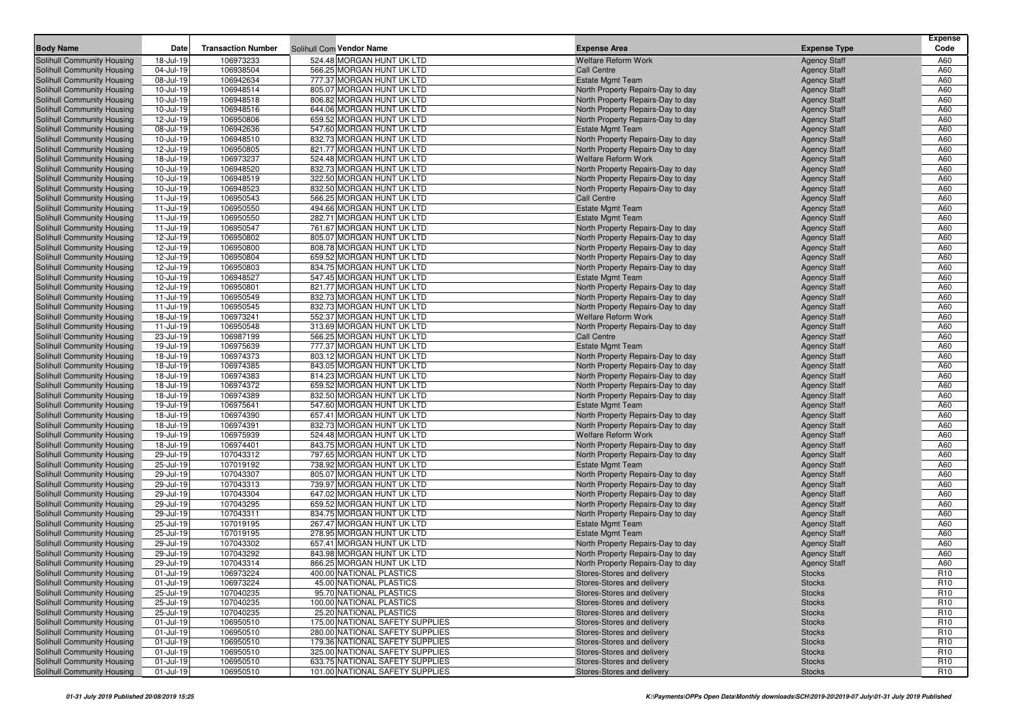| <b>Body Name</b>                                         | Date                   | <b>Transaction Number</b> |                                                        |                                                                        | <b>Expense Type</b>                        | <b>Expense</b><br>Code |
|----------------------------------------------------------|------------------------|---------------------------|--------------------------------------------------------|------------------------------------------------------------------------|--------------------------------------------|------------------------|
|                                                          |                        |                           | Solihull Com Vendor Name<br>524.48 MORGAN HUNT UK LTD  | <b>Expense Area</b>                                                    |                                            |                        |
| Solihull Community Housing<br>Solihull Community Housing | 18-Jul-19<br>04-Jul-19 | 106973233<br>106938504    | 566.25 MORGAN HUNT UK LTD                              | <b>Welfare Reform Work</b><br><b>Call Centre</b>                       | <b>Agency Staff</b>                        | A60<br>A60             |
| Solihull Community Housing                               | 08-Jul-19              | 106942634                 | 777.37 MORGAN HUNT UK LTD                              | <b>Estate Mgmt Team</b>                                                | <b>Agency Staff</b><br><b>Agency Staff</b> | A60                    |
| Solihull Community Housing                               | 10-Jul-19              | 106948514                 | 805.07 MORGAN HUNT UK LTD                              | North Property Repairs-Day to day                                      | <b>Agency Staff</b>                        | A60                    |
| Solihull Community Housing                               | 10-Jul-19              | 106948518                 | 806.82 MORGAN HUNT UK LTD                              | North Property Repairs-Day to day                                      | <b>Agency Staff</b>                        | A60                    |
| Solihull Community Housing                               | 10-Jul-19              | 106948516                 | 644.06 MORGAN HUNT UK LTD                              | North Property Repairs-Day to day                                      | <b>Agency Staff</b>                        | A60                    |
| Solihull Community Housing                               | 12-Jul-19              | 106950806                 | 659.52 MORGAN HUNT UK LTD                              | North Property Repairs-Day to day                                      | <b>Agency Staff</b>                        | A60                    |
| Solihull Community Housing                               | 08-Jul-19              | 106942636                 | 547.60 MORGAN HUNT UK LTD                              | <b>Estate Mgmt Team</b>                                                | <b>Agency Staff</b>                        | A60                    |
| Solihull Community Housing                               | 10-Jul-19              | 106948510                 | 832.73 MORGAN HUNT UK LTD                              | North Property Repairs-Day to day                                      | <b>Agency Staff</b>                        | A60                    |
| Solihull Community Housing                               | 12-Jul-19              | 106950805                 | 821.77 MORGAN HUNT UK LTD                              | North Property Repairs-Day to day                                      | <b>Agency Staff</b>                        | A60                    |
| Solihull Community Housing                               | 18-Jul-19              | 106973237                 | 524.48 MORGAN HUNT UK LTD                              | Welfare Reform Work                                                    | <b>Agency Staff</b>                        | A60                    |
| Solihull Community Housing                               | 10-Jul-19              | 106948520                 | 832.73 MORGAN HUNT UK LTD                              | North Property Repairs-Day to day                                      | <b>Agency Staff</b>                        | A60                    |
| Solihull Community Housing                               | 10-Jul-19              | 106948519                 | 322.50 MORGAN HUNT UK LTD                              | North Property Repairs-Day to day                                      | <b>Agency Staff</b>                        | A60                    |
| Solihull Community Housing                               | 10-Jul-19              | 106948523                 | 832.50 MORGAN HUNT UK LTD                              | North Property Repairs-Day to day                                      | <b>Agency Staff</b>                        | A60                    |
| Solihull Community Housing                               | 11-Jul-19              | 106950543                 | 566.25 MORGAN HUNT UK LTD                              | <b>Call Centre</b>                                                     | <b>Agency Staff</b>                        | A60                    |
| Solihull Community Housing                               | 11-Jul-19              | 106950550                 | 494.66 MORGAN HUNT UK LTD                              | <b>Estate Mgmt Team</b>                                                | <b>Agency Staff</b>                        | A60                    |
| Solihull Community Housing                               | 11-Jul-19              | 106950550                 | 282.71 MORGAN HUNT UK LTD                              | <b>Estate Mgmt Team</b>                                                | <b>Agency Staff</b>                        | A60                    |
| Solihull Community Housing                               | 11-Jul-19              | 106950547                 | 761.67 MORGAN HUNT UK LTD                              | North Property Repairs-Day to day                                      | <b>Agency Staff</b>                        | A60                    |
| Solihull Community Housing                               | 12-Jul-19              | 106950802                 | 805.07 MORGAN HUNT UK LTD                              | North Property Repairs-Day to day                                      | <b>Agency Staff</b>                        | A60                    |
| Solihull Community Housing                               | 12-Jul-19              | 106950800                 | 808.78 MORGAN HUNT UK LTD                              | North Property Repairs-Day to day                                      | <b>Agency Staff</b>                        | A60                    |
| Solihull Community Housing                               | 12-Jul-19              | 106950804                 | 659.52 MORGAN HUNT UK LTD                              | North Property Repairs-Day to day                                      | <b>Agency Staff</b>                        | A60                    |
| Solihull Community Housing<br>Solihull Community Housing | 12-Jul-19<br>10-Jul-19 | 106950803<br>106948527    | 834.75 MORGAN HUNT UK LTD<br>547.45 MORGAN HUNT UK LTD | North Property Repairs-Day to day<br><b>Estate Mgmt Team</b>           | <b>Agency Staff</b><br><b>Agency Staff</b> | A60<br>A60             |
| Solihull Community Housing                               | 12-Jul-19              | 106950801                 | 821.77 MORGAN HUNT UK LTD                              | North Property Repairs-Day to day                                      | <b>Agency Staff</b>                        | A60                    |
| Solihull Community Housing                               | 11-Jul-19              | 106950549                 | 832.73 MORGAN HUNT UK LTD                              | North Property Repairs-Day to day                                      | <b>Agency Staff</b>                        | A60                    |
| Solihull Community Housing                               | 11-Jul-19              | 106950545                 | 832.73 MORGAN HUNT UK LTD                              | North Property Repairs-Day to day                                      | <b>Agency Staff</b>                        | A60                    |
| Solihull Community Housing                               | 18-Jul-19              | 106973241                 | 552.37 MORGAN HUNT UK LTD                              | <b>Welfare Reform Work</b>                                             | <b>Agency Staff</b>                        | A60                    |
| Solihull Community Housing                               | 11-Jul-19              | 106950548                 | 313.69 MORGAN HUNT UK LTD                              | North Property Repairs-Day to day                                      | <b>Agency Staff</b>                        | A60                    |
| Solihull Community Housing                               | 23-Jul-19              | 106987199                 | 566.25 MORGAN HUNT UK LTD                              | <b>Call Centre</b>                                                     | <b>Agency Staff</b>                        | A60                    |
| Solihull Community Housing                               | 19-Jul-19              | 106975639                 | 777.37 MORGAN HUNT UK LTD                              | <b>Estate Mgmt Team</b>                                                | <b>Agency Staff</b>                        | A60                    |
| Solihull Community Housing                               | 18-Jul-19              | 106974373                 | 803.12 MORGAN HUNT UK LTD                              | North Property Repairs-Day to day                                      | <b>Agency Staff</b>                        | A60                    |
| Solihull Community Housing                               | 18-Jul-19              | 106974385                 | 843.05 MORGAN HUNT UK LTD                              | North Property Repairs-Day to day                                      | <b>Agency Staff</b>                        | A60                    |
| Solihull Community Housing                               | 18-Jul-19              | 106974383                 | 814.23 MORGAN HUNT UK LTD                              | North Property Repairs-Day to day                                      | <b>Agency Staff</b>                        | A60                    |
| Solihull Community Housing                               | 18-Jul-19              | 106974372                 | 659.52 MORGAN HUNT UK LTD                              | North Property Repairs-Day to day                                      | <b>Agency Staff</b>                        | A60                    |
| Solihull Community Housing                               | 18-Jul-19              | 106974389                 | 832.50 MORGAN HUNT UK LTD                              | North Property Repairs-Day to day                                      | <b>Agency Staff</b>                        | A60                    |
| Solihull Community Housing                               | 19-Jul-19              | 106975641                 | 547.60 MORGAN HUNT UK LTD                              | <b>Estate Mgmt Team</b>                                                | <b>Agency Staff</b>                        | A60                    |
| Solihull Community Housing                               | 18-Jul-19              | 106974390                 | 657.41 MORGAN HUNT UK LTD                              | North Property Repairs-Day to day                                      | <b>Agency Staff</b>                        | A60                    |
| Solihull Community Housing                               | 18-Jul-19              | 106974391                 | 832.73 MORGAN HUNT UK LTD                              | North Property Repairs-Day to day                                      | <b>Agency Staff</b>                        | A60                    |
| Solihull Community Housing                               | 19-Jul-19              | 106975939                 | 524.48 MORGAN HUNT UK LTD                              | <b>Welfare Reform Work</b>                                             | <b>Agency Staff</b>                        | A60                    |
| Solihull Community Housing                               | 18-Jul-19              | 106974401                 | 843.75 MORGAN HUNT UK LTD                              | North Property Repairs-Day to day                                      | <b>Agency Staff</b>                        | A60                    |
| Solihull Community Housing                               | 29-Jul-19              | 107043312                 | 797.65 MORGAN HUNT UK LTD                              | North Property Repairs-Day to day                                      | <b>Agency Staff</b>                        | A60                    |
| Solihull Community Housing                               | 25-Jul-19<br>29-Jul-19 | 107019192<br>107043307    | 738.92 MORGAN HUNT UK LTD<br>805.07 MORGAN HUNT UK LTD | <b>Estate Mgmt Team</b>                                                | <b>Agency Staff</b>                        | A60<br>A60             |
| Solihull Community Housing<br>Solihull Community Housing | 29-Jul-19              | 107043313                 | 739.97 MORGAN HUNT UK LTD                              | North Property Repairs-Day to day<br>North Property Repairs-Day to day | <b>Agency Staff</b><br><b>Agency Staff</b> | A60                    |
| Solihull Community Housing                               | 29-Jul-19              | 107043304                 | 647.02 MORGAN HUNT UK LTD                              | North Property Repairs-Day to day                                      | <b>Agency Staff</b>                        | A60                    |
| Solihull Community Housing                               | 29-Jul-19              | 107043295                 | 659.52 MORGAN HUNT UK LTD                              | North Property Repairs-Day to day                                      | <b>Agency Staff</b>                        | A60                    |
| Solihull Community Housing                               | 29-Jul-19              | 107043311                 | 834.75 MORGAN HUNT UK LTD                              | North Property Repairs-Day to day                                      | <b>Agency Staff</b>                        | A60                    |
| Solihull Community Housing                               | 25-Jul-19              | 107019195                 | 267.47 MORGAN HUNT UK LTD                              | <b>Estate Mgmt Team</b>                                                | <b>Agency Staff</b>                        | A60                    |
| Solihull Community Housing                               | 25-Jul-19              | 107019195                 | 278.95 MORGAN HUNT UK LTD                              | <b>Estate Mgmt Team</b>                                                | <b>Agency Staff</b>                        | A60                    |
| Solihull Community Housing                               | 29-Jul-19              | 107043302                 | 657.41 MORGAN HUNT UK LTD                              | North Property Repairs-Day to day                                      | <b>Agency Staff</b>                        | A60                    |
| Solihull Community Housing                               | 29-Jul-19              | 107043292                 | 843.98 MORGAN HUNT UK LTD                              | North Property Repairs-Day to day                                      | <b>Agency Staff</b>                        | A60                    |
| Solihull Community Housing                               | 29-Jul-19              | 107043314                 | 866.25 MORGAN HUNT UK LTD                              | North Property Repairs-Day to day                                      | <b>Agency Staff</b>                        | A60                    |
| Solihull Community Housing                               | 01-Jul-19              | 106973224                 | 400.00 NATIONAL PLASTICS                               | Stores-Stores and delivery                                             | <b>Stocks</b>                              | R <sub>10</sub>        |
| Solihull Community Housing                               | 01-Jul-19              | 106973224                 | 45.00 NATIONAL PLASTICS                                | Stores-Stores and delivery                                             | <b>Stocks</b>                              | R <sub>10</sub>        |
| Solihull Community Housing                               | 25-Jul-19              | 107040235                 | 95.70 NATIONAL PLASTICS                                | Stores-Stores and delivery                                             | <b>Stocks</b>                              | R <sub>10</sub>        |
| Solihull Community Housing                               | 25-Jul-19              | 107040235                 | 100.00 NATIONAL PLASTICS                               | Stores-Stores and delivery                                             | <b>Stocks</b>                              | R <sub>10</sub>        |
| Solihull Community Housing                               | 25-Jul-19              | 107040235                 | 25.20 NATIONAL PLASTICS                                | Stores-Stores and delivery                                             | <b>Stocks</b>                              | R <sub>10</sub>        |
| Solihull Community Housing                               | 01-Jul-19              | 106950510                 | 175.00 NATIONAL SAFETY SUPPLIES                        | Stores-Stores and delivery                                             | <b>Stocks</b>                              | R <sub>10</sub>        |
| Solihull Community Housing                               | 01-Jul-19              | 106950510                 | 280.00 NATIONAL SAFETY SUPPLIES                        | Stores-Stores and delivery                                             | <b>Stocks</b>                              | R <sub>10</sub>        |
| Solihull Community Housing                               | 01-Jul-19              | 106950510                 | 179.36 NATIONAL SAFETY SUPPLIES                        | Stores-Stores and delivery                                             | <b>Stocks</b>                              | R <sub>10</sub>        |
| Solihull Community Housing                               | 01-Jul-19              | 106950510                 | 325.00 NATIONAL SAFETY SUPPLIES                        | Stores-Stores and delivery                                             | <b>Stocks</b>                              | R <sub>10</sub>        |
| Solihull Community Housing                               | 01-Jul-19              | 106950510                 | 633.75 NATIONAL SAFETY SUPPLIES                        | Stores-Stores and delivery                                             | <b>Stocks</b>                              | R <sub>10</sub>        |
| Solihull Community Housing                               | $01 -$ Jul-19          | 106950510                 | 101.00 NATIONAL SAFETY SUPPLIES                        | Stores-Stores and delivery                                             | <b>Stocks</b>                              | R <sub>10</sub>        |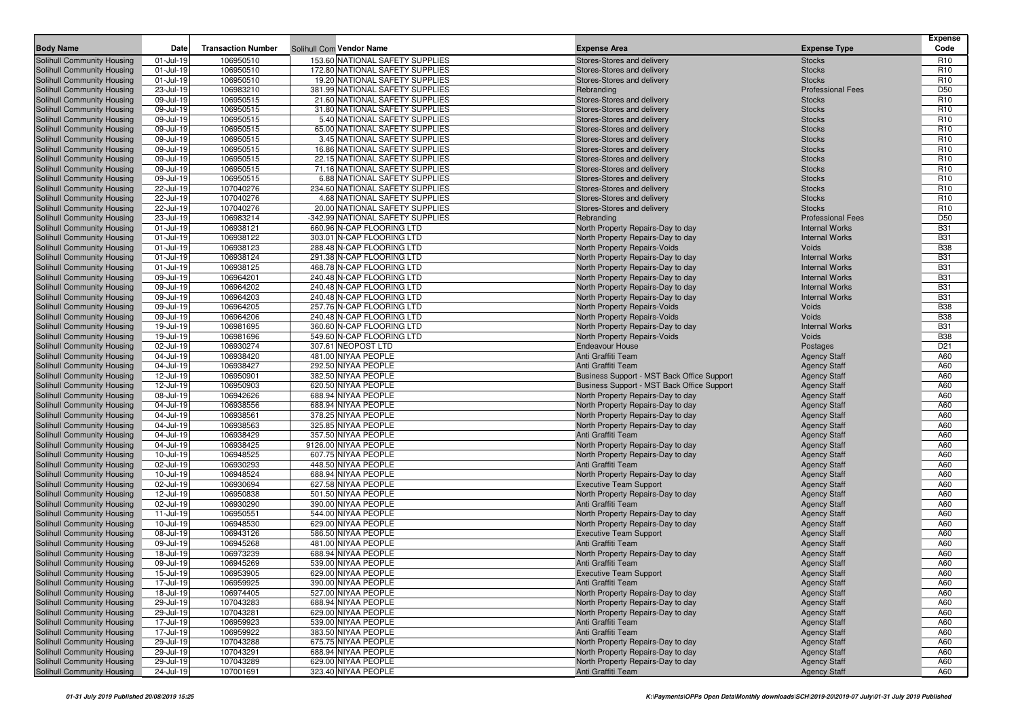| <b>Body Name</b>                                         | Date          | <b>Transaction Number</b> | Solihull Com Vendor Name                   | <b>Expense Area</b>                                 | <b>Expense Type</b>      | Expense<br>Code |
|----------------------------------------------------------|---------------|---------------------------|--------------------------------------------|-----------------------------------------------------|--------------------------|-----------------|
| Solihull Community Housing                               | $01$ -Jul-19  | 106950510                 | 153.60 NATIONAL SAFETY SUPPLIES            | Stores-Stores and delivery                          | <b>Stocks</b>            | R <sub>10</sub> |
| Solihull Community Housing                               | 01-Jul-19     | 106950510                 | 172.80 NATIONAL SAFETY SUPPLIES            | Stores-Stores and delivery                          | <b>Stocks</b>            | R <sub>10</sub> |
| Solihull Community Housing                               | $01$ -Jul-19  | 106950510                 | 19.20 NATIONAL SAFETY SUPPLIES             | Stores-Stores and delivery                          | <b>Stocks</b>            | R <sub>10</sub> |
| Solihull Community Housing                               | 23-Jul-19     | 106983210                 | 381.99 NATIONAL SAFETY SUPPLIES            | Rebranding                                          | <b>Professional Fees</b> | D <sub>50</sub> |
| Solihull Community Housing                               | 09-Jul-19     | 106950515                 | 21.60 NATIONAL SAFETY SUPPLIES             | Stores-Stores and delivery                          | <b>Stocks</b>            | R <sub>10</sub> |
| Solihull Community Housing                               | 09-Jul-19     | 106950515                 | 31.80 NATIONAL SAFETY SUPPLIES             | Stores-Stores and delivery                          | <b>Stocks</b>            | R <sub>10</sub> |
| Solihull Community Housing                               | 09-Jul-19     | 106950515                 | 5.40 NATIONAL SAFETY SUPPLIES              | Stores-Stores and delivery                          | <b>Stocks</b>            | R <sub>10</sub> |
| Solihull Community Housing                               | 09-Jul-19     | 106950515                 | 65.00 NATIONAL SAFETY SUPPLIES             | Stores-Stores and delivery                          | <b>Stocks</b>            | R <sub>10</sub> |
| Solihull Community Housing                               | 09-Jul-19     | 106950515                 | 3.45 NATIONAL SAFETY SUPPLIES              | Stores-Stores and delivery                          | <b>Stocks</b>            | R <sub>10</sub> |
| Solihull Community Housing                               | 09-Jul-19     | 106950515                 | 16.86 NATIONAL SAFETY SUPPLIES             | Stores-Stores and delivery                          | <b>Stocks</b>            | R <sub>10</sub> |
| Solihull Community Housing                               | 09-Jul-19     | 106950515                 | 22.15 NATIONAL SAFETY SUPPLIES             | Stores-Stores and delivery                          | <b>Stocks</b>            | R <sub>10</sub> |
| Solihull Community Housing                               | 09-Jul-19     | 106950515                 | 71.16 NATIONAL SAFETY SUPPLIES             | Stores-Stores and delivery                          | <b>Stocks</b>            | R <sub>10</sub> |
| Solihull Community Housing                               | 09-Jul-19     | 106950515                 | 6.88 NATIONAL SAFETY SUPPLIES              | Stores-Stores and delivery                          | <b>Stocks</b>            | R <sub>10</sub> |
| Solihull Community Housing                               | 22-Jul-19     | 107040276                 | 234.60 NATIONAL SAFETY SUPPLIES            | Stores-Stores and delivery                          | <b>Stocks</b>            | R <sub>10</sub> |
| Solihull Community Housing                               | 22-Jul-19     | 107040276                 | 4.68 NATIONAL SAFETY SUPPLIES              | Stores-Stores and delivery                          | <b>Stocks</b>            | R <sub>10</sub> |
| Solihull Community Housing                               | 22-Jul-19     | 107040276                 | 20.00 NATIONAL SAFETY SUPPLIES             | Stores-Stores and delivery                          | <b>Stocks</b>            | R <sub>10</sub> |
| Solihull Community Housing                               | 23-Jul-19     | 106983214                 | -342.99 NATIONAL SAFETY SUPPLIES           | Rebranding                                          | <b>Professional Fees</b> | D <sub>50</sub> |
| Solihull Community Housing                               | $01$ -Jul-19  | 106938121                 | 660.96 N-CAP FLOORING LTD                  | North Property Repairs-Day to day                   | <b>Internal Works</b>    | <b>B31</b>      |
| Solihull Community Housing                               | 01-Jul-19     | 106938122                 | 303.01 N-CAP FLOORING LTD                  | North Property Repairs-Day to day                   | <b>Internal Works</b>    | <b>B31</b>      |
| Solihull Community Housing                               | 01-Jul-19     | 106938123                 | 288.48 N-CAP FLOORING LTD                  | North Property Repairs-Voids                        | Voids                    | <b>B38</b>      |
| Solihull Community Housing                               | 01-Jul-19     | 106938124                 | 291.38 N-CAP FLOORING LTD                  | North Property Repairs-Day to day                   | <b>Internal Works</b>    | <b>B31</b>      |
| Solihull Community Housing                               | 01-Jul-19     | 106938125                 | 468.78 N-CAP FLOORING LTD                  | North Property Repairs-Day to day                   | <b>Internal Works</b>    | <b>B31</b>      |
| Solihull Community Housing                               | 09-Jul-19     | 106964201                 | 240.48 N-CAP FLOORING LTD                  | North Property Repairs-Day to day                   | <b>Internal Works</b>    | <b>B31</b>      |
| Solihull Community Housing                               | 09-Jul-19     | 106964202                 | 240.48 N-CAP FLOORING LTD                  | North Property Repairs-Day to day                   | <b>Internal Works</b>    | <b>B31</b>      |
| Solihull Community Housing                               | 09-Jul-19     | 106964203                 | 240.48 N-CAP FLOORING LTD                  | North Property Repairs-Day to day                   | <b>Internal Works</b>    | <b>B31</b>      |
| Solihull Community Housing                               | 09-Jul-19     | 106964205                 | 257.76 N-CAP FLOORING LTD                  | North Property Repairs-Voids                        | Voids                    | <b>B38</b>      |
| Solihull Community Housing                               | 09-Jul-19     | 106964206                 | 240.48 N-CAP FLOORING LTD                  | North Property Repairs-Voids                        | Voids                    | <b>B38</b>      |
| Solihull Community Housing                               | 19-Jul-19     | 106981695                 | 360.60 N-CAP FLOORING LTD                  | North Property Repairs-Day to day                   | <b>Internal Works</b>    | <b>B31</b>      |
| Solihull Community Housing                               | 19-Jul-19     | 106981696                 | 549.60 N-CAP FLOORING LTD                  | North Property Repairs-Voids                        | Voids                    | <b>B38</b>      |
| Solihull Community Housing                               | 02-Jul-19     | 106930274                 | 307.61 NEOPOST LTD                         | <b>Endeavour House</b>                              | Postages                 | D <sub>21</sub> |
| Solihull Community Housing                               | 04-Jul-19     | 106938420                 | 481.00 NIYAA PEOPLE                        | Anti Graffiti Team                                  | <b>Agency Staff</b>      | A60             |
| Solihull Community Housing                               | 04-Jul-19     | 106938427                 | 292.50 NIYAA PEOPLE                        | Anti Graffiti Team                                  | <b>Agency Staff</b>      | A60             |
| Solihull Community Housing                               | 12-Jul-19     | 106950901                 | 382.50 NIYAA PEOPLE                        | Business Support - MST Back Office Support          | <b>Agency Staff</b>      | A60             |
| Solihull Community Housing                               | 12-Jul-19     | 106950903                 | 620.50 NIYAA PEOPLE                        | Business Support - MST Back Office Support          | <b>Agency Staff</b>      | A60             |
| <b>Solihull Community Housing</b>                        | 08-Jul-19     | 106942626                 | 688.94 NIYAA PEOPLE                        | North Property Repairs-Day to day                   | <b>Agency Staff</b>      | A60             |
| Solihull Community Housing                               | 04-Jul-19     | 106938556                 | 688.94 NIYAA PEOPLE                        | North Property Repairs-Day to day                   | <b>Agency Staff</b>      | A60             |
| Solihull Community Housing                               | 04-Jul-19     | 106938561                 | 378.25 NIYAA PEOPLE                        | North Property Repairs-Day to day                   | <b>Agency Staff</b>      | A60             |
| Solihull Community Housing                               | 04-Jul-19     | 106938563                 | 325.85 NIYAA PEOPLE                        | North Property Repairs-Day to day                   | <b>Agency Staff</b>      | A60             |
| Solihull Community Housing                               | 04-Jul-19     | 106938429                 | 357.50 NIYAA PEOPLE                        | Anti Graffiti Team                                  | <b>Agency Staff</b>      | A60             |
| Solihull Community Housing                               | 04-Jul-19     | 106938425                 | 9126.00 NIYAA PEOPLE                       | North Property Repairs-Day to day                   | <b>Agency Staff</b>      | A60             |
| Solihull Community Housing                               | 10-Jul-19     | 106948525                 | 607.75 NIYAA PEOPLE                        | North Property Repairs-Day to day                   | <b>Agency Staff</b>      | A60             |
| Solihull Community Housing                               | 02-Jul-19     | 106930293                 | 448.50 NIYAA PEOPLE                        | Anti Graffiti Team                                  | <b>Agency Staff</b>      | A60             |
| Solihull Community Housing                               | 10-Jul-19     | 106948524                 | 688.94 NIYAA PEOPLE                        | North Property Repairs-Day to day                   | <b>Agency Staff</b>      | A60             |
| Solihull Community Housing                               | 02-Jul-19     | 106930694                 | 627.58 NIYAA PEOPLE                        | <b>Executive Team Support</b>                       | <b>Agency Staff</b>      | A60             |
| Solihull Community Housing                               | 12-Jul-19     | 106950838                 | 501.50 NIYAA PEOPLE                        | North Property Repairs-Day to day                   | <b>Agency Staff</b>      | A60             |
| Solihull Community Housing                               | 02-Jul-19     | 106930290                 | 390.00 NIYAA PEOPLE                        | Anti Graffiti Team                                  | <b>Agency Staff</b>      | A60             |
| Solihull Community Housing                               | 11-Jul-19     | 106950551                 | 544.00 NIYAA PEOPLE                        | North Property Repairs-Day to day                   | <b>Agency Staff</b>      | A60             |
| Solihull Community Housing                               | 10-Jul-19     | 106948530                 | 629.00 NIYAA PEOPLE                        | North Property Repairs-Day to day                   | <b>Agency Staff</b>      | A60             |
| Solihull Community Housing                               | 08-Jul-19     | 106943126                 | 586.50 NIYAA PEOPLE                        | <b>Executive Team Support</b>                       | <b>Agency Staff</b>      | A60             |
| Solihull Community Housing                               | 09-Jul-19     | 106945268                 | 481.00 NIYAA PEOPLE                        | Anti Graffiti Team                                  | <b>Agency Staff</b>      | A60             |
| Solihull Community Housing                               | 18-Jul-19     | 106973239                 | 688.94 NIYAA PEOPLE                        | North Property Repairs-Day to day                   | <b>Agency Staff</b>      | A60             |
| Solihull Community Housing                               | 09-Jul-19     | 106945269                 | 539.00 NIYAA PEOPLE                        | Anti Graffiti Team                                  | <b>Agency Staff</b>      | A60             |
| Solihull Community Housing                               | $15 -$ Jul-19 | 106953905                 | 629.00 NIYAA PEOPLE                        | <b>Executive Team Support</b><br>Anti Graffiti Team | <b>Agency Staff</b>      | A60             |
| Solihull Community Housing                               | 17-Jul-19     | 106959925                 | 390.00 NIYAA PEOPLE<br>527.00 NIYAA PEOPLE |                                                     | <b>Agency Staff</b>      | A60             |
| Solihull Community Housing                               | 18-Jul-19     | 106974405                 |                                            | North Property Repairs-Day to day                   | <b>Agency Staff</b>      | A60             |
| Solihull Community Housing<br>Solihull Community Housing | 29-Jul-19     | 107043283                 | 688.94 NIYAA PEOPLE                        | North Property Repairs-Day to day                   | <b>Agency Staff</b>      | A60             |
|                                                          | 29-Jul-19     | 107043281                 | 629.00 NIYAA PEOPLE                        | North Property Repairs-Day to day                   | <b>Agency Staff</b>      | A60             |
| Solihull Community Housing                               | 17-Jul-19     | 106959923                 | 539.00 NIYAA PEOPLE                        | Anti Graffiti Team                                  | <b>Agency Staff</b>      | A60             |
| Solihull Community Housing                               | 17-Jul-19     | 106959922                 | 383.50 NIYAA PEOPLE                        | Anti Graffiti Team                                  | <b>Agency Staff</b>      | A60             |
| Solihull Community Housing                               | 29-Jul-19     | 107043288                 | 675.75 NIYAA PEOPLE                        | North Property Repairs-Day to day                   | <b>Agency Staff</b>      | A60             |
| Solihull Community Housing                               | 29-Jul-19     | 107043291                 | 688.94 NIYAA PEOPLE                        | North Property Repairs-Day to day                   | <b>Agency Staff</b>      | A60             |
| Solihull Community Housing                               | 29-Jul-19     | 107043289                 | 629.00 NIYAA PEOPLE                        | North Property Repairs-Day to day                   | <b>Agency Staff</b>      | A60             |
| Solihull Community Housing                               | 24-Jul-19     | 107001691                 | 323.40 NIYAA PEOPLE                        | Anti Graffiti Team                                  | <b>Agency Staff</b>      | A60             |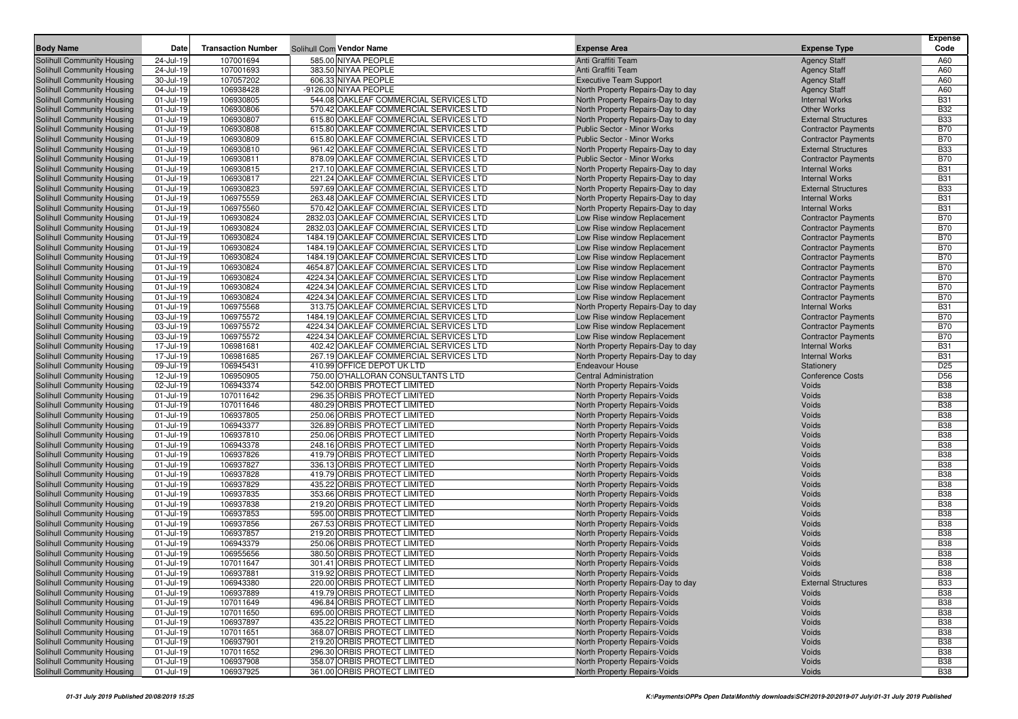|                                                          |                        |                           |                                                                                    |                                                                     |                                                          | <b>Expense</b>           |
|----------------------------------------------------------|------------------------|---------------------------|------------------------------------------------------------------------------------|---------------------------------------------------------------------|----------------------------------------------------------|--------------------------|
| <b>Body Name</b>                                         | Date                   | <b>Transaction Number</b> | Solihull Com Vendor Name                                                           | <b>Expense Area</b>                                                 | <b>Expense Type</b>                                      | Code                     |
| Solihull Community Housing                               | 24-Jul-19              | 107001694                 | 585.00 NIYAA PEOPLE                                                                | Anti Graffiti Team                                                  | <b>Agency Staff</b>                                      | A60                      |
| Solihull Community Housing                               | 24-Jul-19              | 107001693                 | 383.50 NIYAA PEOPLE                                                                | Anti Graffiti Team                                                  | <b>Agency Staff</b>                                      | A60                      |
| Solihull Community Housing                               | 30-Jul-19              | 107057202                 | 606.33 NIYAA PEOPLE                                                                | <b>Executive Team Support</b>                                       | <b>Agency Staff</b>                                      | A60                      |
| Solihull Community Housing                               | 04-Jul-19              | 106938428                 | -9126.00 NIYAA PEOPLE                                                              | North Property Repairs-Day to day                                   | <b>Agency Staff</b>                                      | A60                      |
| Solihull Community Housing                               | 01-Jul-19              | 106930805                 | 544.08 OAKLEAF COMMERCIAL SERVICES LTD                                             | North Property Repairs-Day to day                                   | <b>Internal Works</b>                                    | <b>B31</b>               |
| Solihull Community Housing                               | 01-Jul-19              | 106930806                 | 570.42 OAKLEAF COMMERCIAL SERVICES LTD                                             | North Property Repairs-Day to day                                   | <b>Other Works</b>                                       | <b>B32</b>               |
| Solihull Community Housing                               | 01-Jul-19              | 106930807                 | 615.80 OAKLEAF COMMERCIAL SERVICES LTD                                             | North Property Repairs-Day to day                                   | <b>External Structures</b>                               | <b>B33</b>               |
| Solihull Community Housing                               | 01-Jul-19              | 106930808                 | 615.80 OAKLEAF COMMERCIAL SERVICES LTD                                             | <b>Public Sector - Minor Works</b>                                  | <b>Contractor Payments</b>                               | <b>B70</b>               |
| Solihull Community Housing                               | $01$ -Jul-19           | 106930809                 | 615.80 OAKLEAF COMMERCIAL SERVICES LTD                                             | <b>Public Sector - Minor Works</b>                                  | <b>Contractor Payments</b>                               | <b>B70</b>               |
| Solihull Community Housing                               | 01-Jul-19              | 106930810                 | 961.42 OAKLEAF COMMERCIAL SERVICES LTD                                             | North Property Repairs-Day to day                                   | <b>External Structures</b>                               | <b>B33</b>               |
| Solihull Community Housing                               | 01-Jul-19              | 106930811                 | 878.09 OAKLEAF COMMERCIAL SERVICES LTD                                             | Public Sector - Minor Works                                         | <b>Contractor Payments</b>                               | <b>B70</b>               |
| Solihull Community Housing                               | 01-Jul-19              | 106930815                 | 217.10 OAKLEAF COMMERCIAL SERVICES LTD                                             | North Property Repairs-Day to day                                   | <b>Internal Works</b>                                    | <b>B31</b>               |
| Solihull Community Housing                               | 01-Jul-19              | 106930817                 | 221.24 OAKLEAF COMMERCIAL SERVICES LTD                                             | North Property Repairs-Day to day                                   | <b>Internal Works</b>                                    | <b>B31</b>               |
| Solihull Community Housing                               | 01-Jul-19              | 106930823                 | 597.69 OAKLEAF COMMERCIAL SERVICES LTD                                             | North Property Repairs-Day to day                                   | <b>External Structures</b>                               | <b>B33</b>               |
| Solihull Community Housing                               | 01-Jul-19              | 106975559                 | 263.48 OAKLEAF COMMERCIAL SERVICES LTD                                             | North Property Repairs-Day to day                                   | <b>Internal Works</b>                                    | <b>B31</b>               |
| Solihull Community Housing                               | 01-Jul-19              | 106975560                 | 570.42 OAKLEAF COMMERCIAL SERVICES LTD                                             | North Property Repairs-Day to day                                   | <b>Internal Works</b>                                    | <b>B31</b>               |
| Solihull Community Housing                               | 01-Jul-19              | 106930824<br>106930824    | 2832.03 OAKLEAF COMMERCIAL SERVICES LTD                                            | Low Rise window Replacement                                         | <b>Contractor Payments</b>                               | <b>B70</b><br><b>B70</b> |
| Solihull Community Housing<br>Solihull Community Housing | 01-Jul-19<br>01-Jul-19 | 106930824                 | 2832.03 OAKLEAF COMMERCIAL SERVICES LTD<br>1484.19 OAKLEAF COMMERCIAL SERVICES LTD | Low Rise window Replacement<br>Low Rise window Replacement          | <b>Contractor Payments</b><br><b>Contractor Payments</b> | <b>B70</b>               |
| Solihull Community Housing                               | 01-Jul-19              | 106930824                 | 1484.19 OAKLEAF COMMERCIAL SERVICES LTD                                            | Low Rise window Replacement                                         | <b>Contractor Payments</b>                               | <b>B70</b>               |
| Solihull Community Housing                               | 01-Jul-19              | 106930824                 | 1484.19 OAKLEAF COMMERCIAL SERVICES LTD                                            | Low Rise window Replacement                                         | <b>Contractor Payments</b>                               | <b>B70</b>               |
| Solihull Community Housing                               | 01-Jul-19              | 106930824                 | 4654.87 OAKLEAF COMMERCIAL SERVICES LTD                                            | Low Rise window Replacement                                         | <b>Contractor Payments</b>                               | <b>B70</b>               |
| Solihull Community Housing                               | 01-Jul-19              | 106930824                 | 4224.34 OAKLEAF COMMERCIAL SERVICES LTD                                            | Low Rise window Replacement                                         | <b>Contractor Payments</b>                               | <b>B70</b>               |
| Solihull Community Housing                               | 01-Jul-19              | 106930824                 | 4224.34 OAKLEAF COMMERCIAL SERVICES LTD                                            | Low Rise window Replacement                                         | <b>Contractor Payments</b>                               | <b>B70</b>               |
| Solihull Community Housing                               | 01-Jul-19              | 106930824                 | 4224.34 OAKLEAF COMMERCIAL SERVICES LTD                                            | Low Rise window Replacement                                         | <b>Contractor Payments</b>                               | <b>B70</b>               |
| Solihull Community Housing                               | $01$ -Jul-19           | 106975568                 | 313.75 OAKLEAF COMMERCIAL SERVICES LTD                                             | North Property Repairs-Day to day                                   | <b>Internal Works</b>                                    | <b>B31</b>               |
| Solihull Community Housing                               | 03-Jul-19              | 106975572                 | 1484.19 OAKLEAF COMMERCIAL SERVICES LTD                                            | Low Rise window Replacement                                         | <b>Contractor Payments</b>                               | <b>B70</b>               |
| Solihull Community Housing                               | 03-Jul-19              | 106975572                 | 4224.34 OAKLEAF COMMERCIAL SERVICES LTD                                            | Low Rise window Replacement                                         | <b>Contractor Payments</b>                               | <b>B70</b>               |
| Solihull Community Housing                               | 03-Jul-19              | 106975572                 | 4224.34 OAKLEAF COMMERCIAL SERVICES LTD                                            | Low Rise window Replacement                                         | <b>Contractor Payments</b>                               | <b>B70</b>               |
| Solihull Community Housing                               | 17-Jul-19              | 106981681                 | 402.42 OAKLEAF COMMERCIAL SERVICES LTD                                             | North Property Repairs-Day to day                                   | <b>Internal Works</b>                                    | <b>B31</b>               |
| Solihull Community Housing                               | 17-Jul-19              | 106981685                 | 267.19 OAKLEAF COMMERCIAL SERVICES LTD                                             | North Property Repairs-Day to day                                   | <b>Internal Works</b>                                    | <b>B31</b>               |
| Solihull Community Housing                               | 09-Jul-19              | 106945431                 | 410.99 OFFICE DEPOT UK LTD                                                         | <b>Endeavour House</b>                                              | Stationery                                               | D <sub>25</sub>          |
| Solihull Community Housing                               | 12-Jul-19              | 106950905                 | 750.00 O'HALLORAN CONSULTANTS LTD                                                  | <b>Central Administration</b>                                       | <b>Conference Costs</b>                                  | D <sub>56</sub>          |
| Solihull Community Housing                               | 02-Jul-19              | 106943374                 | 542.00 ORBIS PROTECT LIMITED                                                       | <b>North Property Repairs-Voids</b>                                 | Voids                                                    | <b>B38</b>               |
| Solihull Community Housing                               | 01-Jul-19              | 107011642                 | 296.35 ORBIS PROTECT LIMITED                                                       | North Property Repairs-Voids                                        | Voids                                                    | <b>B38</b>               |
| Solihull Community Housing                               | 01-Jul-19              | 107011646                 | 480.29 ORBIS PROTECT LIMITED                                                       | North Property Repairs-Voids                                        | Voids                                                    | <b>B38</b>               |
| Solihull Community Housing                               | 01-Jul-19              | 106937805                 | 250.06 ORBIS PROTECT LIMITED                                                       | North Property Repairs-Voids                                        | Voids                                                    | <b>B38</b>               |
| Solihull Community Housing                               | 01-Jul-19              | 106943377                 | 326.89 ORBIS PROTECT LIMITED                                                       | <b>North Property Repairs-Voids</b>                                 | Voids                                                    | <b>B38</b>               |
| Solihull Community Housing                               | 01-Jul-19              | 106937810                 | 250.06 ORBIS PROTECT LIMITED                                                       | <b>North Property Repairs-Voids</b>                                 | Voids                                                    | <b>B38</b>               |
| Solihull Community Housing                               | 01-Jul-19              | 106943378                 | 248.16 ORBIS PROTECT LIMITED                                                       | North Property Repairs-Voids                                        | Voids                                                    | <b>B38</b>               |
| Solihull Community Housing                               | 01-Jul-19              | 106937826                 | 419.79 ORBIS PROTECT LIMITED                                                       | <b>North Property Repairs-Voids</b>                                 | Voids                                                    | <b>B38</b>               |
| Solihull Community Housing                               | 01-Jul-19              | 106937827                 | 336.13 ORBIS PROTECT LIMITED                                                       | <b>North Property Repairs-Voids</b>                                 | Voids                                                    | <b>B38</b>               |
| Solihull Community Housing                               | 01-Jul-19              | 106937828                 | 419.79 ORBIS PROTECT LIMITED                                                       | North Property Repairs-Voids                                        | Voids                                                    | <b>B38</b>               |
| Solihull Community Housing                               | 01-Jul-19              | 106937829                 | 435.22 ORBIS PROTECT LIMITED                                                       | North Property Repairs-Voids                                        | Voids                                                    | <b>B38</b>               |
| Solihull Community Housing                               | 01-Jul-19<br>01-Jul-19 | 106937835<br>106937838    | 353.66 ORBIS PROTECT LIMITED<br>219.20 ORBIS PROTECT LIMITED                       | <b>North Property Repairs-Voids</b><br>North Property Repairs-Voids | Voids<br>Voids                                           | <b>B38</b><br><b>B38</b> |
| Solihull Community Housing<br>Solihull Community Housing | 01-Jul-19              | 106937853                 | 595.00 ORBIS PROTECT LIMITED                                                       | <b>North Property Repairs-Voids</b>                                 | Voids                                                    | <b>B38</b>               |
| Solihull Community Housing                               | 01-Jul-19              | 106937856                 | 267.53 ORBIS PROTECT LIMITED                                                       | North Property Repairs-Voids                                        | Voids                                                    | <b>B38</b>               |
| Solihull Community Housing                               | 01-Jul-19              | 106937857                 | 219.20 ORBIS PROTECT LIMITED                                                       | North Property Repairs-Voids                                        | Voids                                                    | <b>B38</b>               |
| Solihull Community Housing                               | 01-Jul-19              | 106943379                 | 250.06 ORBIS PROTECT LIMITED                                                       | <b>North Property Repairs-Voids</b>                                 | Voids                                                    | <b>B38</b>               |
| Solihull Community Housing                               | 01-Jul-19              | 106955656                 | 380.50 ORBIS PROTECT LIMITED                                                       | North Property Repairs-Voids                                        | Voids                                                    | <b>B38</b>               |
| Solihull Community Housing                               | 01-Jul-19              | 107011647                 | 301.41 ORBIS PROTECT LIMITED                                                       | <b>North Property Repairs-Voids</b>                                 | Voids                                                    | <b>B38</b>               |
| Solihull Community Housing                               | 01-Jul-19              | 106937881                 | 319.92 ORBIS PROTECT LIMITED                                                       | North Property Repairs-Voids                                        | Voids                                                    | <b>B38</b>               |
| Solihull Community Housing                               | 01-Jul-19              | 106943380                 | 220.00 ORBIS PROTECT LIMITED                                                       | North Property Repairs-Day to day                                   | <b>External Structures</b>                               | <b>B33</b>               |
| Solihull Community Housing                               | 01-Jul-19              | 106937889                 | 419.79 ORBIS PROTECT LIMITED                                                       | North Property Repairs-Voids                                        | Voids                                                    | <b>B38</b>               |
| Solihull Community Housing                               | 01-Jul-19              | 107011649                 | 496.84 ORBIS PROTECT LIMITED                                                       | <b>North Property Repairs-Voids</b>                                 | Voids                                                    | <b>B38</b>               |
| Solihull Community Housing                               | 01-Jul-19              | 107011650                 | 695.00 ORBIS PROTECT LIMITED                                                       | North Property Repairs-Voids                                        | Voids                                                    | <b>B38</b>               |
| Solihull Community Housing                               | 01-Jul-19              | 106937897                 | 435.22 ORBIS PROTECT LIMITED                                                       | North Property Repairs-Voids                                        | Voids                                                    | <b>B38</b>               |
| Solihull Community Housing                               | 01-Jul-19              | 107011651                 | 368.07 ORBIS PROTECT LIMITED                                                       | North Property Repairs-Voids                                        | Voids                                                    | <b>B38</b>               |
| Solihull Community Housing                               | 01-Jul-19              | 106937901                 | 219.20 ORBIS PROTECT LIMITED                                                       | North Property Repairs-Voids                                        | Voids                                                    | <b>B38</b>               |
| Solihull Community Housing                               | 01-Jul-19              | 107011652                 | 296.30 ORBIS PROTECT LIMITED                                                       | North Property Repairs-Voids                                        | Voids                                                    | <b>B38</b>               |
| Solihull Community Housing                               | 01-Jul-19              | 106937908                 | 358.07 ORBIS PROTECT LIMITED                                                       | North Property Repairs-Voids                                        | Voids                                                    | <b>B38</b>               |
| Solihull Community Housing                               | 01-Jul-19              | 106937925                 | 361.00 ORBIS PROTECT LIMITED                                                       | North Property Repairs-Voids                                        | Voids                                                    | <b>B38</b>               |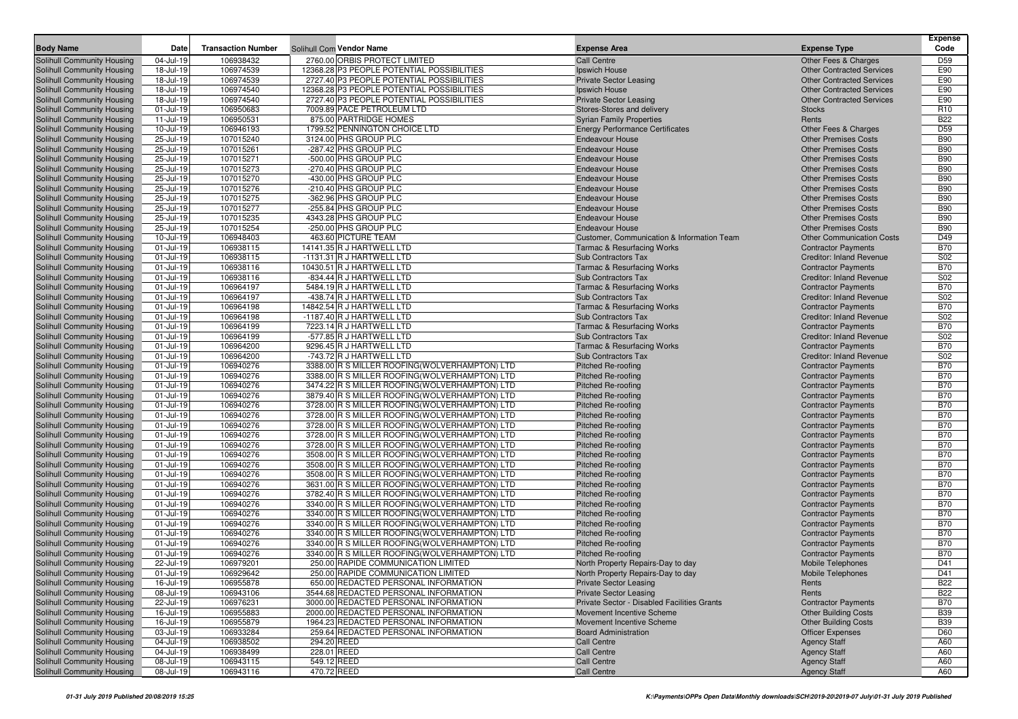| <b>Body Name</b>                                         | Date                   | <b>Transaction Number</b> |             | Solihull Com Vendor Name                                                                       | <b>Expense Area</b>                                    | <b>Expense Type</b>                                        | <b>Expense</b><br>Code   |
|----------------------------------------------------------|------------------------|---------------------------|-------------|------------------------------------------------------------------------------------------------|--------------------------------------------------------|------------------------------------------------------------|--------------------------|
| Solihull Community Housing                               | 04-Jul-19              | 106938432                 |             | 2760.00 ORBIS PROTECT LIMITED                                                                  | <b>Call Centre</b>                                     | Other Fees & Charges                                       | D <sub>59</sub>          |
| Solihull Community Housing                               | 18-Jul-19              | 106974539                 |             | 12368.28 P3 PEOPLE POTENTIAL POSSIBILITIES                                                     | Ipswich House                                          | <b>Other Contracted Services</b>                           | E90                      |
| Solihull Community Housing                               | 18-Jul-19              | 106974539                 |             | 2727.40 P3 PEOPLE POTENTIAL POSSIBILITIES                                                      | <b>Private Sector Leasing</b>                          | <b>Other Contracted Services</b>                           | E90                      |
| Solihull Community Housing                               | 18-Jul-19              | 106974540                 |             | 12368.28 P3 PEOPLE POTENTIAL POSSIBILITIES                                                     | Ipswich House                                          | <b>Other Contracted Services</b>                           | E90                      |
| Solihull Community Housing                               | 18-Jul-19              | 106974540                 |             | 2727.40 P3 PEOPLE POTENTIAL POSSIBILITIES                                                      | <b>Private Sector Leasing</b>                          | <b>Other Contracted Services</b>                           | E90                      |
| Solihull Community Housing                               | 01-Jul-19              | 106950683                 |             | 7009.89 PACE PETROLEUM LTD                                                                     | Stores-Stores and delivery                             | <b>Stocks</b>                                              | R <sub>10</sub>          |
| Solihull Community Housing                               | 11-Jul-19              | 106950531                 |             | 875.00 PARTRIDGE HOMES                                                                         | <b>Syrian Family Properties</b>                        | Rents                                                      | <b>B22</b>               |
| Solihull Community Housing                               | 10-Jul-19              | 106946193                 |             | 1799.52 PENNINGTON CHOICE LTD                                                                  | <b>Energy Performance Certificates</b>                 | Other Fees & Charges                                       | D <sub>59</sub>          |
| Solihull Community Housing                               | 25-Jul-19              | 107015240                 |             | 3124.00 PHS GROUP PLC                                                                          | <b>Endeavour House</b>                                 | <b>Other Premises Costs</b>                                | <b>B90</b>               |
| Solihull Community Housing                               | 25-Jul-19              | 107015261                 |             | -287.42 PHS GROUP PLC                                                                          | <b>Endeavour House</b>                                 | <b>Other Premises Costs</b>                                | <b>B90</b>               |
| Solihull Community Housing                               | 25-Jul-19              | 107015271                 |             | -500.00 PHS GROUP PLC                                                                          | <b>Endeavour House</b>                                 | <b>Other Premises Costs</b>                                | <b>B90</b>               |
| Solihull Community Housing                               | 25-Jul-19              | 107015273                 |             | -270.40 PHS GROUP PLC                                                                          | <b>Endeavour House</b>                                 | <b>Other Premises Costs</b>                                | <b>B90</b>               |
| Solihull Community Housing                               | 25-Jul-19              | 107015270                 |             | -430.00 PHS GROUP PLC                                                                          | <b>Endeavour House</b>                                 | <b>Other Premises Costs</b>                                | <b>B90</b>               |
| Solihull Community Housing                               | 25-Jul-19              | 107015276                 |             | -210.40 PHS GROUP PLC                                                                          | <b>Endeavour House</b>                                 | <b>Other Premises Costs</b>                                | <b>B90</b>               |
| Solihull Community Housing                               | 25-Jul-19              | 107015275                 |             | -362.96 PHS GROUP PLC                                                                          | <b>Endeavour House</b>                                 | <b>Other Premises Costs</b>                                | <b>B90</b>               |
| Solihull Community Housing                               | 25-Jul-19              | 107015277                 |             | -255.84 PHS GROUP PLC                                                                          | <b>Endeavour House</b>                                 | <b>Other Premises Costs</b>                                | <b>B90</b>               |
| Solihull Community Housing                               | 25-Jul-19<br>25-Jul-19 | 107015235<br>107015254    |             | 4343.28 PHS GROUP PLC<br>-250.00 PHS GROUP PLC                                                 | <b>Endeavour House</b><br><b>Endeavour House</b>       | <b>Other Premises Costs</b><br><b>Other Premises Costs</b> | <b>B90</b><br><b>B90</b> |
| Solihull Community Housing<br>Solihull Community Housing | 10-Jul-19              | 106948403                 |             | 463.60 PICTURE TEAM                                                                            | Customer, Communication & Information Team             | <b>Other Communication Costs</b>                           | D49                      |
| Solihull Community Housing                               | 01-Jul-19              | 106938115                 |             | 14141.35 R J HARTWELL LTD                                                                      | <b>Tarmac &amp; Resurfacing Works</b>                  | <b>Contractor Payments</b>                                 | <b>B70</b>               |
| Solihull Community Housing                               | 01-Jul-19              | 106938115                 |             | -1131.31 R J HARTWELL LTD                                                                      | Sub Contractors Tax                                    | Creditor: Inland Revenue                                   | S02                      |
| Solihull Community Housing                               | 01-Jul-19              | 106938116                 |             | 10430.51 R J HARTWELL LTD                                                                      | <b>Tarmac &amp; Resurfacing Works</b>                  | <b>Contractor Payments</b>                                 | <b>B70</b>               |
| Solihull Community Housing                               | 01-Jul-19              | 106938116                 |             | -834.44 R J HARTWELL LTD                                                                       | Sub Contractors Tax                                    | <b>Creditor: Inland Revenue</b>                            | <b>S02</b>               |
| Solihull Community Housing                               | 01-Jul-19              | 106964197                 |             | 5484.19 R J HARTWELL LTD                                                                       | <b>Tarmac &amp; Resurfacing Works</b>                  | <b>Contractor Payments</b>                                 | <b>B70</b>               |
| Solihull Community Housing                               | 01-Jul-19              | 106964197                 |             | -438.74 R J HARTWELL LTD                                                                       | Sub Contractors Tax                                    | Creditor: Inland Revenue                                   | S02                      |
| Solihull Community Housing                               | 01-Jul-19              | 106964198                 |             | 14842.54 R J HARTWELL LTD                                                                      | <b>Tarmac &amp; Resurfacing Works</b>                  | <b>Contractor Payments</b>                                 | <b>B70</b>               |
| Solihull Community Housing                               | 01-Jul-19              | 106964198                 |             | -1187.40 R J HARTWELL LTD                                                                      | Sub Contractors Tax                                    | Creditor: Inland Revenue                                   | S02                      |
| Solihull Community Housing                               | 01-Jul-19              | 106964199                 |             | 7223.14 R J HARTWELL LTD                                                                       | <b>Tarmac &amp; Resurfacing Works</b>                  | <b>Contractor Payments</b>                                 | <b>B70</b>               |
| Solihull Community Housing                               | 01-Jul-19              | 106964199                 |             | -577.85 R J HARTWELL LTD                                                                       | <b>Sub Contractors Tax</b>                             | <b>Creditor: Inland Revenue</b>                            | <b>S02</b>               |
| Solihull Community Housing                               | 01-Jul-19              | 106964200                 |             | 9296.45 R J HARTWELL LTD                                                                       | <b>Tarmac &amp; Resurfacing Works</b>                  | <b>Contractor Payments</b>                                 | <b>B70</b>               |
| Solihull Community Housing                               | 01-Jul-19              | 106964200                 |             | -743.72 R J HARTWELL LTD                                                                       | Sub Contractors Tax                                    | Creditor: Inland Revenue                                   | S <sub>02</sub>          |
| Solihull Community Housing                               | 01-Jul-19              | 106940276                 |             | 3388.00 R S MILLER ROOFING (WOLVERHAMPTON) LTD                                                 | <b>Pitched Re-roofing</b>                              | <b>Contractor Payments</b>                                 | <b>B70</b>               |
| Solihull Community Housing                               | 01-Jul-19              | 106940276                 |             | 3388.00 R S MILLER ROOFING(WOLVERHAMPTON) LTD                                                  | Pitched Re-roofing                                     | <b>Contractor Payments</b>                                 | <b>B70</b>               |
| Solihull Community Housing                               | 01-Jul-19              | 106940276                 |             | 3474.22 R S MILLER ROOFING(WOLVERHAMPTON) LTD                                                  | <b>Pitched Re-roofing</b>                              | <b>Contractor Payments</b>                                 | <b>B70</b>               |
| Solihull Community Housing                               | 01-Jul-19              | 106940276                 |             | 3879.40 R S MILLER ROOFING (WOLVERHAMPTON) LTD                                                 | <b>Pitched Re-roofing</b>                              | <b>Contractor Payments</b>                                 | <b>B70</b>               |
| Solihull Community Housing                               | 01-Jul-19              | 106940276                 |             | 3728.00 R S MILLER ROOFING(WOLVERHAMPTON) LTD                                                  | <b>Pitched Re-roofing</b>                              | <b>Contractor Payments</b>                                 | <b>B70</b>               |
| Solihull Community Housing                               | 01-Jul-19              | 106940276                 |             | 3728.00 R S MILLER ROOFING(WOLVERHAMPTON) LTD                                                  | <b>Pitched Re-roofing</b>                              | <b>Contractor Payments</b>                                 | <b>B70</b><br><b>B70</b> |
| Solihull Community Housing                               | 01-Jul-19              | 106940276                 |             | 3728.00 R S MILLER ROOFING(WOLVERHAMPTON) LTD<br>3728.00 R S MILLER ROOFING(WOLVERHAMPTON) LTD | <b>Pitched Re-roofing</b>                              | <b>Contractor Payments</b>                                 | <b>B70</b>               |
| Solihull Community Housing<br>Solihull Community Housing | 01-Jul-19<br>01-Jul-19 | 106940276<br>106940276    |             | 3728.00 R S MILLER ROOFING (WOLVERHAMPTON) LTD                                                 | <b>Pitched Re-roofing</b><br><b>Pitched Re-roofing</b> | <b>Contractor Payments</b><br><b>Contractor Payments</b>   | <b>B70</b>               |
| Solihull Community Housing                               | 01-Jul-19              | 106940276                 |             | 3508.00 R S MILLER ROOFING(WOLVERHAMPTON) LTD                                                  | <b>Pitched Re-roofing</b>                              | <b>Contractor Payments</b>                                 | <b>B70</b>               |
| Solihull Community Housing                               | 01-Jul-19              | 106940276                 |             | 3508.00 R S MILLER ROOFING(WOLVERHAMPTON) LTD                                                  | <b>Pitched Re-roofing</b>                              | <b>Contractor Payments</b>                                 | <b>B70</b>               |
| Solihull Community Housing                               | 01-Jul-19              | 106940276                 |             | 3508.00 R S MILLER ROOFING(WOLVERHAMPTON) LTD                                                  | <b>Pitched Re-roofing</b>                              | <b>Contractor Payments</b>                                 | <b>B70</b>               |
| Solihull Community Housing                               | 01-Jul-19              | 106940276                 |             | 3631.00 R S MILLER ROOFING (WOLVERHAMPTON) LTD                                                 | <b>Pitched Re-roofing</b>                              | <b>Contractor Payments</b>                                 | <b>B70</b>               |
| Solihull Community Housing                               | 01-Jul-19              | 106940276                 |             | 3782.40 R S MILLER ROOFING (WOLVERHAMPTON) LTD                                                 | <b>Pitched Re-roofing</b>                              | <b>Contractor Payments</b>                                 | <b>B70</b>               |
| Solihull Community Housing                               | 01-Jul-19              | 106940276                 |             | 3340.00 R S MILLER ROOFING(WOLVERHAMPTON) LTD                                                  | <b>Pitched Re-roofing</b>                              | <b>Contractor Payments</b>                                 | <b>B70</b>               |
| Solihull Community Housing                               | 01-Jul-19              | 106940276                 |             | 3340.00 R S MILLER ROOFING (WOLVERHAMPTON) LTD                                                 | Pitched Re-roofing                                     | <b>Contractor Payments</b>                                 | <b>B70</b>               |
| Solihull Community Housing                               | 01-Jul-19              | 106940276                 |             | 3340.00 R S MILLER ROOFING (WOLVERHAMPTON) LTD                                                 | <b>Pitched Re-roofing</b>                              | <b>Contractor Payments</b>                                 | <b>B70</b>               |
| Solihull Community Housing                               | 01-Jul-19              | 106940276                 |             | 3340.00 R S MILLER ROOFING (WOLVERHAMPTON) LTD                                                 | <b>Pitched Re-roofing</b>                              | <b>Contractor Payments</b>                                 | <b>B70</b>               |
| Solihull Community Housing                               | 01-Jul-19              | 106940276                 |             | 3340.00 R S MILLER ROOFING(WOLVERHAMPTON) LTD                                                  | <b>Pitched Re-roofing</b>                              | <b>Contractor Payments</b>                                 | <b>B70</b>               |
| Solihull Community Housing                               | 01-Jul-19              | 106940276                 |             | 3340.00 R S MILLER ROOFING(WOLVERHAMPTON) LTD                                                  | <b>Pitched Re-roofing</b>                              | <b>Contractor Payments</b>                                 | <b>B70</b>               |
| Solihull Community Housing                               | 22-Jul-19              | 106979201                 |             | 250.00 RAPIDE COMMUNICATION LIMITED                                                            | North Property Repairs-Day to day                      | <b>Mobile Telephones</b>                                   | D41                      |
| <b>Solihull Community Housing</b>                        | 01-Jul-19              | 106929642                 |             | 250.00 RAPIDE COMMUNICATION LIMITED                                                            | North Property Repairs-Day to day                      | Mobile Telephones                                          | D41                      |
| Solihull Community Housing                               | 16-Jul-19              | 106955878                 |             | 650.00 REDACTED PERSONAL INFORMATION                                                           | <b>Private Sector Leasing</b>                          | Rents                                                      | <b>B22</b>               |
| Solihull Community Housing                               | 08-Jul-19              | 106943106                 |             | 3544.68 REDACTED PERSONAL INFORMATION                                                          | <b>Private Sector Leasing</b>                          | Rents                                                      | <b>B22</b>               |
| Solihull Community Housing                               | 22-Jul-19              | 106976231                 |             | 3000.00 REDACTED PERSONAL INFORMATION                                                          | Private Sector - Disabled Facilities Grants            | <b>Contractor Payments</b>                                 | <b>B70</b>               |
| Solihull Community Housing                               | 16-Jul-19              | 106955883                 |             | 2000.00 REDACTED PERSONAL INFORMATION                                                          | Movement Incentive Scheme                              | <b>Other Building Costs</b>                                | <b>B39</b>               |
| Solihull Community Housing<br>Solihull Community Housing | 16-Jul-19              | 106955879                 |             | 1964.23 REDACTED PERSONAL INFORMATION<br>259.64 REDACTED PERSONAL INFORMATION                  | Movement Incentive Scheme                              | <b>Other Building Costs</b>                                | <b>B39</b>               |
| Solihull Community Housing                               | 03-Jul-19<br>04-Jul-19 | 106933284<br>106938502    | 294.20 REED |                                                                                                | <b>Board Administration</b><br><b>Call Centre</b>      | <b>Officer Expenses</b><br><b>Agency Staff</b>             | D60<br>A60               |
| Solihull Community Housing                               | 04-Jul-19              | 106938499                 | 228.01 REED |                                                                                                | Call Centre                                            | <b>Agency Staff</b>                                        | A60                      |
| Solihull Community Housing                               | 08-Jul-19              | 106943115                 | 549.12 REED |                                                                                                | Call Centre                                            | <b>Agency Staff</b>                                        | A60                      |
| Solihull Community Housing                               | 08-Jul-19              | 106943116                 | 470.72 REED |                                                                                                | Call Centre                                            | <b>Agency Staff</b>                                        | A60                      |
|                                                          |                        |                           |             |                                                                                                |                                                        |                                                            |                          |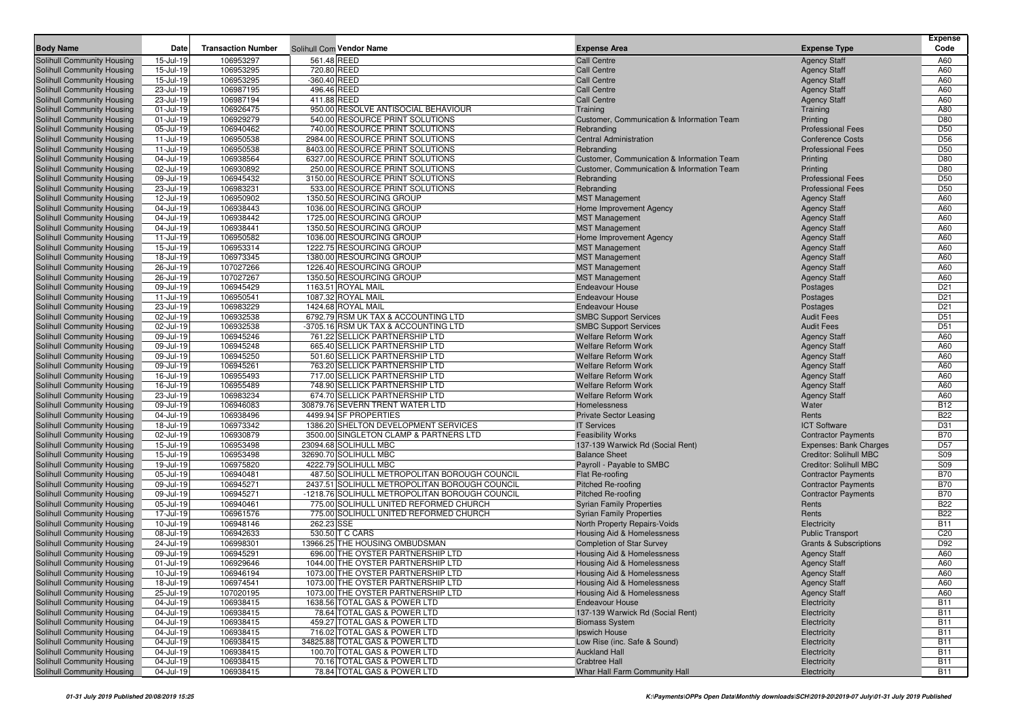|                                                          |                        |                           |                                                                  |                                                            |                                            | <b>Expense</b>           |
|----------------------------------------------------------|------------------------|---------------------------|------------------------------------------------------------------|------------------------------------------------------------|--------------------------------------------|--------------------------|
| <b>Body Name</b>                                         | Date                   | <b>Transaction Number</b> | Solihull Com Vendor Name                                         | <b>Expense Area</b>                                        | <b>Expense Type</b>                        | Code                     |
| Solihull Community Housing                               | 15-Jul-19              | 106953297                 | 561.48 REED                                                      | <b>Call Centre</b>                                         | <b>Agency Staff</b>                        | A60                      |
| Solihull Community Housing                               | 15-Jul-19<br>15-Jul-19 | 106953295<br>106953295    | 720.80 REED<br>-360.40 REED                                      | <b>Call Centre</b><br><b>Call Centre</b>                   | <b>Agency Staff</b>                        | A60<br>A60               |
| Solihull Community Housing<br>Solihull Community Housing | 23-Jul-19              | 106987195                 | 496.46 REED                                                      | <b>Call Centre</b>                                         | <b>Agency Staff</b><br><b>Agency Staff</b> | A60                      |
| Solihull Community Housing                               | 23-Jul-19              | 106987194                 | 411.88 REED                                                      | <b>Call Centre</b>                                         | <b>Agency Staff</b>                        | A60                      |
| Solihull Community Housing                               | 01-Jul-19              | 106926475                 | 950.00 RESOLVE ANTISOCIAL BEHAVIOUR                              | Training                                                   | Training                                   | A80                      |
| Solihull Community Housing                               | 01-Jul-19              | 106929279                 | 540.00 RESOURCE PRINT SOLUTIONS                                  | Customer, Communication & Information Team                 | Printing                                   | D80                      |
| Solihull Community Housing                               | 05-Jul-19              | 106940462                 | 740.00 RESOURCE PRINT SOLUTIONS                                  | Rebranding                                                 | <b>Professional Fees</b>                   | D <sub>50</sub>          |
| Solihull Community Housing                               | 11-Jul-19              | 106950538                 | 2984.00 RESOURCE PRINT SOLUTIONS                                 | Central Administration                                     | <b>Conference Costs</b>                    | D <sub>56</sub>          |
| Solihull Community Housing                               | 11-Jul-19              | 106950538                 | 8403.00 RESOURCE PRINT SOLUTIONS                                 | Rebranding                                                 | <b>Professional Fees</b>                   | D <sub>50</sub>          |
| Solihull Community Housing                               | 04-Jul-19              | 106938564                 | 6327.00 RESOURCE PRINT SOLUTIONS                                 | Customer, Communication & Information Team                 | Printing                                   | D80                      |
| Solihull Community Housing                               | 02-Jul-19              | 106930892                 | 250.00 RESOURCE PRINT SOLUTIONS                                  | Customer, Communication & Information Team                 | Printing                                   | D80                      |
| Solihull Community Housing                               | 09-Jul-19              | 106945432                 | 3150.00 RESOURCE PRINT SOLUTIONS                                 | Rebranding                                                 | <b>Professional Fees</b>                   | D <sub>50</sub>          |
| Solihull Community Housing                               | 23-Jul-19              | 106983231                 | 533.00 RESOURCE PRINT SOLUTIONS                                  | Rebranding                                                 | <b>Professional Fees</b>                   | D <sub>50</sub>          |
| Solihull Community Housing                               | 12-Jul-19              | 106950902                 | 1350.50 RESOURCING GROUP                                         | <b>MST Management</b>                                      | <b>Agency Staff</b>                        | A60                      |
| Solihull Community Housing                               | 04-Jul-19              | 106938443                 | 1036.00 RESOURCING GROUP                                         | Home Improvement Agency                                    | <b>Agency Staff</b>                        | A60                      |
| Solihull Community Housing                               | 04-Jul-19              | 106938442                 | 1725.00 RESOURCING GROUP                                         | <b>MST Management</b>                                      | <b>Agency Staff</b>                        | A60                      |
| Solihull Community Housing                               | 04-Jul-19              | 106938441                 | 1350.50 RESOURCING GROUP                                         | <b>MST Management</b>                                      | <b>Agency Staff</b>                        | A60                      |
| Solihull Community Housing                               | 11-Jul-19              | 106950582                 | 1036.00 RESOURCING GROUP                                         | Home Improvement Agency                                    | <b>Agency Staff</b>                        | A60                      |
| Solihull Community Housing                               | 15-Jul-19              | 106953314                 | 1222.75 RESOURCING GROUP                                         | <b>MST Management</b>                                      | <b>Agency Staff</b>                        | A60                      |
| Solihull Community Housing                               | 18-Jul-19              | 106973345                 | 1380.00 RESOURCING GROUP                                         | <b>MST Management</b>                                      | <b>Agency Staff</b>                        | A60                      |
| Solihull Community Housing                               | 26-Jul-19              | 107027266                 | 1226.40 RESOURCING GROUP                                         | <b>MST Management</b>                                      | <b>Agency Staff</b>                        | A60                      |
| Solihull Community Housing                               | 26-Jul-19              | 107027267                 | 1350.50 RESOURCING GROUP                                         | <b>MST Management</b>                                      | <b>Agency Staff</b>                        | A60                      |
| Solihull Community Housing                               | 09-Jul-19              | 106945429                 | 1163.51 ROYAL MAIL                                               | <b>Endeavour House</b>                                     | Postages                                   | D <sub>21</sub>          |
| Solihull Community Housing                               | 11-Jul-19              | 106950541                 | 1087.32 ROYAL MAIL                                               | <b>Endeavour House</b>                                     | Postages                                   | D <sub>21</sub>          |
| Solihull Community Housing                               | 23-Jul-19              | 106983229                 | 1424.68 ROYAL MAIL                                               | <b>Endeavour House</b>                                     | Postages                                   | D <sub>21</sub>          |
| Solihull Community Housing                               | 02-Jul-19              | 106932538                 | 6792.79 RSM UK TAX & ACCOUNTING LTD                              | <b>SMBC Support Services</b>                               | <b>Audit Fees</b>                          | D <sub>51</sub>          |
| Solihull Community Housing                               | 02-Jul-19              | 106932538                 | -3705.16 RSM UK TAX & ACCOUNTING LTD                             | <b>SMBC Support Services</b>                               | <b>Audit Fees</b>                          | D <sub>51</sub>          |
| Solihull Community Housing                               | 09-Jul-19              | 106945246                 | 761.22 SELLICK PARTNERSHIP LTD<br>665.40 SELLICK PARTNERSHIP LTD | Welfare Reform Work<br><b>Welfare Reform Work</b>          | <b>Agency Staff</b>                        | A60                      |
| Solihull Community Housing                               | 09-Jul-19<br>09-Jul-19 | 106945248<br>106945250    | 501.60 SELLICK PARTNERSHIP LTD                                   | <b>Welfare Reform Work</b>                                 | <b>Agency Staff</b>                        | A60<br>A60               |
| Solihull Community Housing<br>Solihull Community Housing | 09-Jul-19              | 106945261                 | 763.20 SELLICK PARTNERSHIP LTD                                   | <b>Welfare Reform Work</b>                                 | <b>Agency Staff</b><br><b>Agency Staff</b> | A60                      |
| Solihull Community Housing                               | 16-Jul-19              | 106955493                 | 717.00 SELLICK PARTNERSHIP LTD                                   | <b>Welfare Reform Work</b>                                 | <b>Agency Staff</b>                        | A60                      |
| Solihull Community Housing                               | 16-Jul-19              | 106955489                 | 748.90 SELLICK PARTNERSHIP LTD                                   | <b>Welfare Reform Work</b>                                 | <b>Agency Staff</b>                        | A60                      |
| Solihull Community Housing                               | 23-Jul-19              | 106983234                 | 674.70 SELLICK PARTNERSHIP LTD                                   | <b>Welfare Reform Work</b>                                 | <b>Agency Staff</b>                        | A60                      |
| Solihull Community Housing                               | 09-Jul-19              | 106946083                 | 30879.76 SEVERN TRENT WATER LTD                                  | Homelessness                                               | Water                                      | <b>B12</b>               |
| Solihull Community Housing                               | 04-Jul-19              | 106938496                 | 4499.94 SF PROPERTIES                                            | <b>Private Sector Leasing</b>                              | Rents                                      | <b>B22</b>               |
| Solihull Community Housing                               | 18-Jul-19              | 106973342                 | 1386.20 SHELTON DEVELOPMENT SERVICES                             | <b>IT Services</b>                                         | <b>ICT Software</b>                        | D31                      |
| Solihull Community Housing                               | 02-Jul-19              | 106930879                 | 3500.00 SINGLETON CLAMP & PARTNERS LTD                           | <b>Feasibility Works</b>                                   | <b>Contractor Payments</b>                 | <b>B70</b>               |
| Solihull Community Housing                               | 15-Jul-19              | 106953498                 | 23094.68 SOLIHULL MBC                                            | 137-139 Warwick Rd (Social Rent)                           | Expenses: Bank Charges                     | D <sub>57</sub>          |
| Solihull Community Housing                               | 15-Jul-19              | 106953498                 | 32690.70 SOLIHULL MBC                                            | <b>Balance Sheet</b>                                       | Creditor: Solihull MBC                     | S <sub>09</sub>          |
| Solihull Community Housing                               | 19-Jul-19              | 106975820                 | 4222.79 SOLIHULL MBC                                             | Payroll - Payable to SMBC                                  | Creditor: Solihull MBC                     | <b>S09</b>               |
| Solihull Community Housing                               | 05-Jul-19              | 106940481                 | 487.50 SOLIHULL METROPOLITAN BOROUGH COUNCIL                     | Flat Re-roofing                                            | <b>Contractor Payments</b>                 | <b>B70</b>               |
| Solihull Community Housing                               | 09-Jul-19              | 106945271                 | 2437.51 SOLIHULL METROPOLITAN BOROUGH COUNCIL                    | Pitched Re-roofing                                         | <b>Contractor Payments</b>                 | <b>B70</b>               |
| Solihull Community Housing                               | 09-Jul-19              | 106945271                 | -1218.76 SOLIHULL METROPOLITAN BOROUGH COUNCIL                   | <b>Pitched Re-roofing</b>                                  | <b>Contractor Payments</b>                 | <b>B70</b>               |
| Solihull Community Housing                               | 05-Jul-19              | 106940461                 | 775.00 SOLIHULL UNITED REFORMED CHURCH                           | <b>Syrian Family Properties</b>                            | Rents                                      | <b>B22</b>               |
| Solihull Community Housing                               | 17-Jul-19              | 106961576                 | 775.00 SOLIHULL UNITED REFORMED CHURCH                           | <b>Syrian Family Properties</b>                            | Rents                                      | <b>B22</b>               |
| Solihull Community Housing                               | 10-Jul-19              | 106948146                 | 262.23 SSE                                                       | North Property Repairs-Voids                               | Electricity                                | <b>B11</b>               |
| Solihull Community Housing                               | 08-Jul-19              | 106942633                 | 530.50 T C CARS                                                  | Housing Aid & Homelessness                                 | <b>Public Transport</b>                    | C <sub>20</sub>          |
| Solihull Community Housing                               | 24-Jul-19              | 106998301                 | 13966.25 THE HOUSING OMBUDSMAN                                   | <b>Completion of Star Survey</b>                           | <b>Grants &amp; Subscriptions</b>          | D92                      |
| Solihull Community Housing                               | 09-Jul-19              | 106945291                 | 696.00 THE OYSTER PARTNERSHIP LTD                                | Housing Aid & Homelessness                                 | <b>Agency Staff</b>                        | A60                      |
| Solihull Community Housing                               | 01-Jul-19              | 106929646                 | 1044.00 THE OYSTER PARTNERSHIP LTD                               | Housing Aid & Homelessness                                 | <b>Agency Staff</b>                        | A60                      |
| Solihull Community Housing                               | 10-Jul-19              | 106946194                 | 1073.00 THE OYSTER PARTNERSHIP LTD                               | Housing Aid & Homelessness                                 | <b>Agency Staff</b>                        | A60                      |
| Solihull Community Housing                               | 18-Jul-19              | 106974541                 | 1073.00 THE OYSTER PARTNERSHIP LTD                               | Housing Aid & Homelessness                                 | <b>Agency Staff</b>                        | A60                      |
| Solihull Community Housing                               | 25-Jul-19              | 107020195                 | 1073.00 THE OYSTER PARTNERSHIP LTD                               | <b>Housing Aid &amp; Homelessness</b>                      | <b>Agency Staff</b>                        | A60                      |
| Solihull Community Housing<br>Solihull Community Housing | 04-Jul-19              | 106938415<br>106938415    | 1638.56 TOTAL GAS & POWER LTD<br>78.64 TOTAL GAS & POWER LTD     | <b>Endeavour House</b><br>137-139 Warwick Rd (Social Rent) | Electricity                                | <b>B11</b><br><b>B11</b> |
| Solihull Community Housing                               | 04-Jul-19<br>04-Jul-19 | 106938415                 | 459.27 TOTAL GAS & POWER LTD                                     | <b>Biomass System</b>                                      | Electricity                                | <b>B11</b>               |
| Solihull Community Housing                               | 04-Jul-19              | 106938415                 | 716.02 TOTAL GAS & POWER LTD                                     | Ipswich House                                              | Electricity<br>Electricity                 | <b>B11</b>               |
| Solihull Community Housing                               | 04-Jul-19              | 106938415                 | 34825.88 TOTAL GAS & POWER LTD                                   | Low Rise (inc. Safe & Sound)                               | Electricity                                | <b>B11</b>               |
| Solihull Community Housing                               | 04-Jul-19              | 106938415                 | 100.70 TOTAL GAS & POWER LTD                                     | <b>Auckland Hall</b>                                       | Electricity                                | <b>B11</b>               |
| Solihull Community Housing                               | 04-Jul-19              | 106938415                 | 70.16 TOTAL GAS & POWER LTD                                      | <b>Crabtree Hall</b>                                       | Electricity                                | <b>B11</b>               |
| Solihull Community Housing                               | 04-Jul-19              | 106938415                 | 78.84 TOTAL GAS & POWER LTD                                      | Whar Hall Farm Community Hall                              | Electricity                                | <b>B11</b>               |
|                                                          |                        |                           |                                                                  |                                                            |                                            |                          |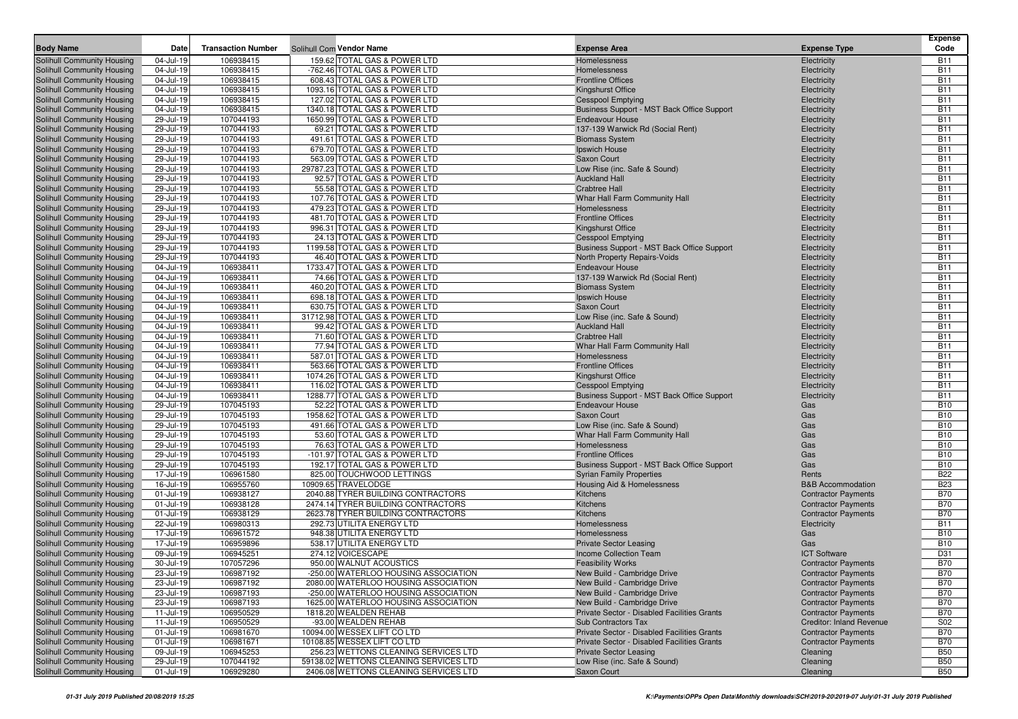| <b>Body Name</b>                                         | Date                   | <b>Transaction Number</b> |                                                              | <b>Expense Area</b>                                                                        | <b>Expense Type</b>                                      | <b>Expense</b><br>Code   |
|----------------------------------------------------------|------------------------|---------------------------|--------------------------------------------------------------|--------------------------------------------------------------------------------------------|----------------------------------------------------------|--------------------------|
|                                                          | 04-Jul-19              | 106938415                 | Solihull Com Vendor Name<br>159.62 TOTAL GAS & POWER LTD     |                                                                                            |                                                          |                          |
| Solihull Community Housing<br>Solihull Community Housing | 04-Jul-19              | 106938415                 | -762.46 TOTAL GAS & POWER LTD                                | Homelessness<br>Homelessness                                                               | Electricity<br>Electricity                               | <b>B11</b><br><b>B11</b> |
| Solihull Community Housing                               | 04-Jul-19              | 106938415                 | 608.43 TOTAL GAS & POWER LTD                                 | <b>Frontline Offices</b>                                                                   | Electricity                                              | <b>B11</b>               |
| Solihull Community Housing                               | 04-Jul-19              | 106938415                 | 1093.16 TOTAL GAS & POWER LTD                                | <b>Kingshurst Office</b>                                                                   | Electricity                                              | <b>B11</b>               |
| Solihull Community Housing                               | 04-Jul-19              | 106938415                 | 127.02 TOTAL GAS & POWER LTD                                 | <b>Cesspool Emptying</b>                                                                   | Electricity                                              | <b>B11</b>               |
| Solihull Community Housing                               | 04-Jul-19              | 106938415                 | 1340.18 TOTAL GAS & POWER LTD                                | Business Support - MST Back Office Support                                                 | Electricity                                              | <b>B11</b>               |
| Solihull Community Housing                               | 29-Jul-19              | 107044193                 | 1650.99 TOTAL GAS & POWER LTD                                | <b>Endeavour House</b>                                                                     | Electricity                                              | <b>B11</b>               |
| Solihull Community Housing                               | 29-Jul-19              | 107044193                 | 69.21 TOTAL GAS & POWER LTD                                  | 137-139 Warwick Rd (Social Rent)                                                           | Electricity                                              | <b>B11</b>               |
| Solihull Community Housing                               | 29-Jul-19              | 107044193                 | 491.61 TOTAL GAS & POWER LTD                                 | <b>Biomass System</b>                                                                      | Electricity                                              | <b>B11</b>               |
| Solihull Community Housing                               | 29-Jul-19              | 107044193                 | 679.70 TOTAL GAS & POWER LTD                                 | Ipswich House                                                                              | Electricity                                              | <b>B11</b>               |
| Solihull Community Housing                               | 29-Jul-19              | 107044193                 | 563.09 TOTAL GAS & POWER LTD                                 | Saxon Court                                                                                | Electricity                                              | <b>B11</b>               |
| Solihull Community Housing                               | 29-Jul-19              | 107044193                 | 29787.23 TOTAL GAS & POWER LTD                               | Low Rise (inc. Safe & Sound)                                                               | Electricity                                              | <b>B11</b>               |
| Solihull Community Housing                               | 29-Jul-19              | 107044193                 | 92.57 TOTAL GAS & POWER LTD                                  | <b>Auckland Hall</b>                                                                       | Electricity                                              | <b>B11</b>               |
| Solihull Community Housing                               | 29-Jul-19              | 107044193                 | 55.58 TOTAL GAS & POWER LTD                                  | <b>Crabtree Hall</b>                                                                       | Electricity                                              | <b>B11</b>               |
| Solihull Community Housing                               | 29-Jul-19              | 107044193                 | 107.76 TOTAL GAS & POWER LTD                                 | Whar Hall Farm Community Hall                                                              | Electricity                                              | <b>B11</b>               |
| Solihull Community Housing                               | 29-Jul-19              | 107044193                 | 479.23 TOTAL GAS & POWER LTD                                 | Homelessness                                                                               | Electricity                                              | <b>B11</b>               |
| Solihull Community Housing                               | 29-Jul-19              | 107044193                 | 481.70 TOTAL GAS & POWER LTD                                 | <b>Frontline Offices</b>                                                                   | Electricity                                              | <b>B11</b>               |
| Solihull Community Housing                               | 29-Jul-19              | 107044193                 | 996.31 TOTAL GAS & POWER LTD                                 | <b>Kingshurst Office</b>                                                                   | Electricity                                              | <b>B11</b>               |
| Solihull Community Housing                               | 29-Jul-19              | 107044193                 | 24.13 TOTAL GAS & POWER LTD                                  | <b>Cesspool Emptying</b>                                                                   | Electricity                                              | <b>B11</b>               |
| Solihull Community Housing                               | 29-Jul-19<br>29-Jul-19 | 107044193                 | 1199.58 TOTAL GAS & POWER LTD<br>46.40 TOTAL GAS & POWER LTD | Business Support - MST Back Office Support                                                 | Electricity                                              | <b>B11</b><br><b>B11</b> |
| Solihull Community Housing                               | 04-Jul-19              | 107044193<br>106938411    | 1733.47 TOTAL GAS & POWER LTD                                | North Property Repairs-Voids<br><b>Endeavour House</b>                                     | Electricity                                              | <b>B11</b>               |
| Solihull Community Housing<br>Solihull Community Housing | 04-Jul-19              | 106938411                 | 74.66 TOTAL GAS & POWER LTD                                  | 137-139 Warwick Rd (Social Rent)                                                           | Electricity<br>Electricity                               | <b>B11</b>               |
| Solihull Community Housing                               | 04-Jul-19              | 106938411                 | 460.20 TOTAL GAS & POWER LTD                                 | <b>Biomass System</b>                                                                      | Electricity                                              | <b>B11</b>               |
| Solihull Community Housing                               | 04-Jul-19              | 106938411                 | 698.18 TOTAL GAS & POWER LTD                                 | Ipswich House                                                                              | Electricity                                              | <b>B11</b>               |
| Solihull Community Housing                               | 04-Jul-19              | 106938411                 | 630.75 TOTAL GAS & POWER LTD                                 | Saxon Court                                                                                | Electricity                                              | <b>B11</b>               |
| Solihull Community Housing                               | 04-Jul-19              | 106938411                 | 31712.98 TOTAL GAS & POWER LTD                               | Low Rise (inc. Safe & Sound)                                                               | Electricity                                              | <b>B11</b>               |
| Solihull Community Housing                               | 04-Jul-19              | 106938411                 | 99.42 TOTAL GAS & POWER LTD                                  | <b>Auckland Hall</b>                                                                       | Electricity                                              | <b>B11</b>               |
| Solihull Community Housing                               | 04-Jul-19              | 106938411                 | 71.60 TOTAL GAS & POWER LTD                                  | <b>Crabtree Hall</b>                                                                       | Electricity                                              | <b>B11</b>               |
| Solihull Community Housing                               | 04-Jul-19              | 106938411                 | 77.94 TOTAL GAS & POWER LTD                                  | Whar Hall Farm Community Hall                                                              | Electricity                                              | <b>B11</b>               |
| Solihull Community Housing                               | 04-Jul-19              | 106938411                 | 587.01 TOTAL GAS & POWER LTD                                 | Homelessness                                                                               | Electricity                                              | <b>B11</b>               |
| Solihull Community Housing                               | 04-Jul-19              | 106938411                 | 563.66 TOTAL GAS & POWER LTD                                 | <b>Frontline Offices</b>                                                                   | Electricity                                              | <b>B11</b>               |
| Solihull Community Housing                               | 04-Jul-19              | 106938411                 | 1074.26 TOTAL GAS & POWER LTD                                | <b>Kingshurst Office</b>                                                                   | Electricity                                              | <b>B11</b>               |
| Solihull Community Housing                               | 04-Jul-19              | 106938411                 | 116.02 TOTAL GAS & POWER LTD                                 | <b>Cesspool Emptying</b>                                                                   | Electricity                                              | <b>B11</b>               |
| Solihull Community Housing                               | 04-Jul-19              | 106938411                 | 1288.77 TOTAL GAS & POWER LTD                                | Business Support - MST Back Office Support                                                 | Electricity                                              | <b>B11</b>               |
| Solihull Community Housing                               | 29-Jul-19              | 107045193                 | 52.22 TOTAL GAS & POWER LTD                                  | <b>Endeavour House</b>                                                                     | Gas                                                      | <b>B10</b>               |
| Solihull Community Housing                               | 29-Jul-19              | 107045193                 | 1958.62 TOTAL GAS & POWER LTD                                | Saxon Court                                                                                | Gas                                                      | <b>B10</b>               |
| Solihull Community Housing                               | 29-Jul-19              | 107045193                 | 491.66 TOTAL GAS & POWER LTD                                 | Low Rise (inc. Safe & Sound)                                                               | Gas                                                      | <b>B10</b>               |
| Solihull Community Housing<br>Solihull Community Housing | 29-Jul-19<br>29-Jul-19 | 107045193<br>107045193    | 53.60 TOTAL GAS & POWER LTD<br>76.63 TOTAL GAS & POWER LTD   | Whar Hall Farm Community Hall<br>Homelessness                                              | Gas<br>Gas                                               | <b>B10</b><br><b>B10</b> |
| Solihull Community Housing                               | 29-Jul-19              | 107045193                 | -101.97 TOTAL GAS & POWER LTD                                | <b>Frontline Offices</b>                                                                   | Gas                                                      | <b>B10</b>               |
| Solihull Community Housing                               | 29-Jul-19              | 107045193                 | 192.17 TOTAL GAS & POWER LTD                                 | Business Support - MST Back Office Support                                                 | Gas                                                      | <b>B10</b>               |
| Solihull Community Housing                               | 17-Jul-19              | 106961580                 | 825.00 TOUCHWOOD LETTINGS                                    | <b>Syrian Family Properties</b>                                                            | Rents                                                    | <b>B22</b>               |
| Solihull Community Housing                               | 16-Jul-19              | 106955760                 | 10909.65 TRAVELODGE                                          | Housing Aid & Homelessness                                                                 | <b>B&amp;B Accommodation</b>                             | <b>B23</b>               |
| Solihull Community Housing                               | 01-Jul-19              | 106938127                 | 2040.88 TYRER BUILDING CONTRACTORS                           | Kitchens                                                                                   | <b>Contractor Payments</b>                               | <b>B70</b>               |
| Solihull Community Housing                               | 01-Jul-19              | 106938128                 | 2474.14 TYRER BUILDING CONTRACTORS                           | Kitchens                                                                                   | <b>Contractor Payments</b>                               | <b>B70</b>               |
| Solihull Community Housing                               | 01-Jul-19              | 106938129                 | 2623.78 TYRER BUILDING CONTRACTORS                           | Kitchens                                                                                   | <b>Contractor Payments</b>                               | <b>B70</b>               |
| Solihull Community Housing                               | 22-Jul-19              | 106980313                 | 292.73 UTILITA ENERGY LTD                                    | Homelessness                                                                               | Electricity                                              | <b>B11</b>               |
| Solihull Community Housing                               | 17-Jul-19              | 106961572                 | 948.38 UTILITA ENERGY LTD                                    | Homelessness                                                                               | Gas                                                      | <b>B10</b>               |
| Solihull Community Housing                               | 17-Jul-19              | 106959896                 | 538.17 UTILITA ENERGY LTD                                    | <b>Private Sector Leasing</b>                                                              | Gas                                                      | <b>B10</b>               |
| Solihull Community Housing                               | 09-Jul-19              | 106945251                 | 274.12 VOICESCAPE                                            | <b>Income Collection Team</b>                                                              | <b>ICT Software</b>                                      | D31                      |
| Solihull Community Housing                               | 30-Jul-19              | 107057296                 | 950.00 WALNUT ACOUSTICS                                      | <b>Feasibility Works</b>                                                                   | <b>Contractor Payments</b>                               | <b>B70</b>               |
| Solihull Community Housing                               | 23-Jul-19              | 106987192                 | -250.00 WATERLOO HOUSING ASSOCIATION                         | New Build - Cambridge Drive                                                                | <b>Contractor Payments</b>                               | <b>B70</b>               |
| Solihull Community Housing                               | 23-Jul-19              | 106987192                 | 2080.00 WATERLOO HOUSING ASSOCIATION                         | New Build - Cambridge Drive                                                                | <b>Contractor Payments</b>                               | <b>B70</b>               |
| Solihull Community Housing                               | 23-Jul-19              | 106987193                 | -250.00 WATERLOO HOUSING ASSOCIATION                         | New Build - Cambridge Drive                                                                | <b>Contractor Payments</b>                               | <b>B70</b>               |
| Solihull Community Housing                               | 23-Jul-19              | 106987193                 | 1625.00 WATERLOO HOUSING ASSOCIATION                         | New Build - Cambridge Drive                                                                | <b>Contractor Payments</b>                               | <b>B70</b>               |
| Solihull Community Housing                               | 11-Jul-19              | 106950529                 | 1818.20 WEALDEN REHAB                                        | Private Sector - Disabled Facilities Grants                                                | <b>Contractor Payments</b>                               | <b>B70</b>               |
| Solihull Community Housing                               | 11-Jul-19              | 106950529                 | -93.00 WEALDEN REHAB                                         | Sub Contractors Tax                                                                        | <b>Creditor: Inland Revenue</b>                          | S02                      |
| Solihull Community Housing                               | 01-Jul-19              | 106981670                 | 10094.00 WESSEX LIFT CO LTD<br>10108.85 WESSEX LIFT CO LTD   | Private Sector - Disabled Facilities Grants<br>Private Sector - Disabled Facilities Grants | <b>Contractor Payments</b><br><b>Contractor Payments</b> | <b>B70</b>               |
| Solihull Community Housing<br>Solihull Community Housing | 01-Jul-19<br>09-Jul-19 | 106981671<br>106945253    | 256.23 WETTONS CLEANING SERVICES LTD                         | <b>Private Sector Leasing</b>                                                              | Cleaning                                                 | <b>B70</b><br><b>B50</b> |
| Solihull Community Housing                               | 29-Jul-19              | 107044192                 | 59138.02 WETTONS CLEANING SERVICES LTD                       | Low Rise (inc. Safe & Sound)                                                               | Cleaning                                                 | <b>B50</b>               |
| Solihull Community Housing                               | 01-Jul-19              | 106929280                 | 2406.08 WETTONS CLEANING SERVICES LTD                        | Saxon Court                                                                                | Cleaning                                                 | <b>B50</b>               |